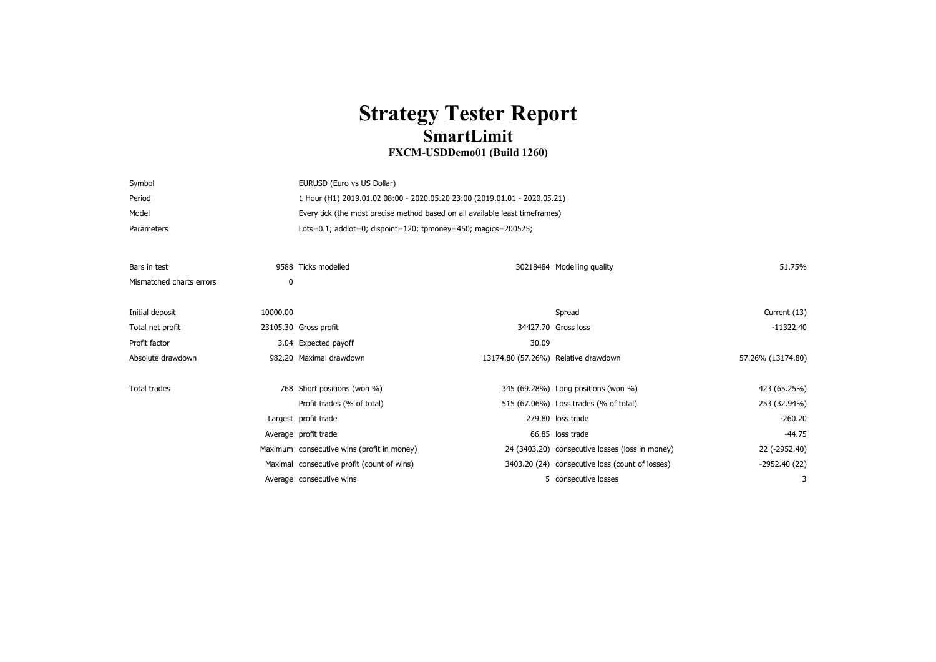## **Strategy Tester Report SmartLimit FXCM-USDDemo01 (Build 1260)**

## Symbol **EURUSD** (Euro vs US Dollar) Period 1 Hour (H1) 2019.01.02 08:00 -2020.05.20 23:00 (2019.01.01 - 2020.05.21) Model **Every tick (the most precise method based on all available least timeframes)** Parameters Lots=0.1; addlot=0; dispoint=120; tpmoney=450; magics=200525;

| Bars in test             |          | 9588 Ticks modelled                        |                                     | 30218484 Modelling quality                      | 51.75%            |  |
|--------------------------|----------|--------------------------------------------|-------------------------------------|-------------------------------------------------|-------------------|--|
| Mismatched charts errors | 0        |                                            |                                     |                                                 |                   |  |
|                          |          |                                            |                                     |                                                 |                   |  |
| Initial deposit          | 10000.00 |                                            |                                     | Spread                                          | Current (13)      |  |
| Total net profit         |          | 23105.30 Gross profit                      |                                     | 34427.70 Gross loss                             | $-11322.40$       |  |
| Profit factor            |          | 3.04 Expected payoff                       | 30.09                               |                                                 |                   |  |
| Absolute drawdown        |          | 982.20 Maximal drawdown                    | 13174.80 (57.26%) Relative drawdown |                                                 | 57.26% (13174.80) |  |
|                          |          |                                            |                                     |                                                 |                   |  |
| Total trades             |          | 768 Short positions (won %)                |                                     | 345 (69.28%) Long positions (won %)             | 423 (65.25%)      |  |
|                          |          | Profit trades (% of total)                 |                                     | 515 (67.06%) Loss trades (% of total)           | 253 (32.94%)      |  |
|                          |          | Largest profit trade                       |                                     | 279.80 loss trade                               | $-260.20$         |  |
|                          |          | Average profit trade                       |                                     | 66.85 loss trade                                | $-44.75$          |  |
|                          |          | Maximum consecutive wins (profit in money) |                                     | 24 (3403.20) consecutive losses (loss in money) | 22 (-2952.40)     |  |
|                          |          | Maximal consecutive profit (count of wins) |                                     | 3403.20 (24) consecutive loss (count of losses) | -2952.40 (22)     |  |
|                          |          | Average consecutive wins                   |                                     | 5 consecutive losses                            | 3                 |  |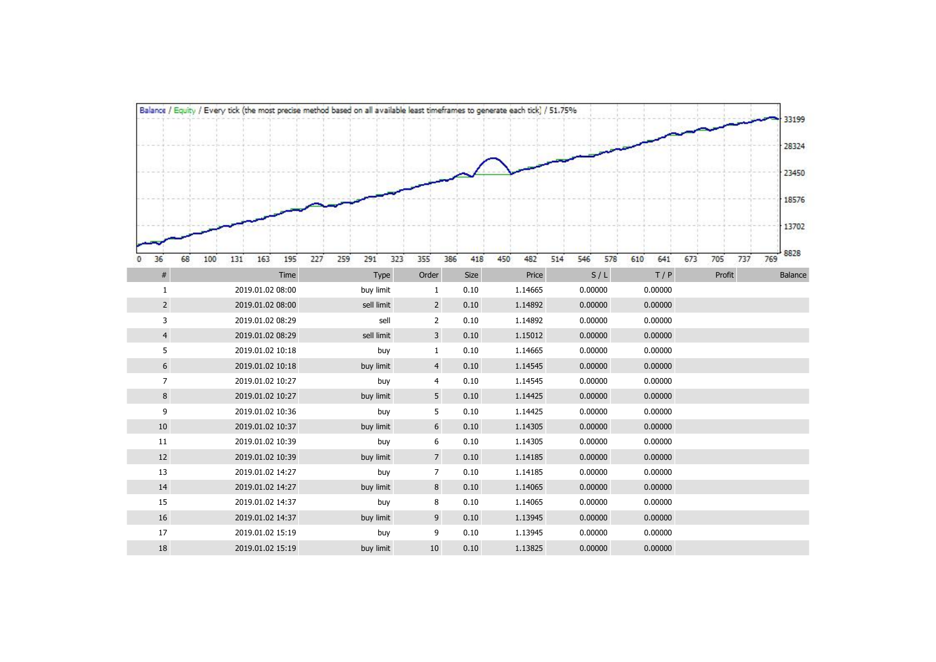|                  | Balance / Equity / Every tick (the most precise method based on all available least timeframes to generate each tick) / 51.75% |     |                  |     |     |            |      |        |                  |      |     |         |     |     |         |     |         |     |        |     |     |         |
|------------------|--------------------------------------------------------------------------------------------------------------------------------|-----|------------------|-----|-----|------------|------|--------|------------------|------|-----|---------|-----|-----|---------|-----|---------|-----|--------|-----|-----|---------|
|                  |                                                                                                                                |     |                  |     |     |            |      |        |                  |      |     |         |     |     |         |     |         |     |        |     |     | 33199   |
|                  |                                                                                                                                |     |                  |     |     |            |      |        |                  |      |     |         |     |     |         |     |         |     |        |     |     | 28324   |
|                  |                                                                                                                                |     |                  |     |     |            |      |        |                  |      |     |         |     |     |         |     |         |     |        |     |     |         |
|                  |                                                                                                                                |     |                  |     |     |            |      |        |                  |      |     |         |     |     |         |     |         |     |        |     |     | 23450   |
|                  |                                                                                                                                |     |                  |     |     |            |      |        |                  |      |     |         |     |     |         |     |         |     |        |     |     | 18576   |
|                  |                                                                                                                                |     |                  |     |     |            |      |        |                  |      |     |         |     |     |         |     |         |     |        |     |     |         |
|                  |                                                                                                                                |     |                  |     |     |            |      |        |                  |      |     |         |     |     |         |     |         |     |        |     |     | 13702   |
| 36<br>$^{\circ}$ | 100<br>68                                                                                                                      | 131 | 163<br>195       | 227 | 259 | 291        | 323  | 355    | 386              | 418  | 450 | 482     | 514 | 546 | 578     | 610 | 641     | 673 | 705    | 737 | 769 | 8828    |
| $\#$             |                                                                                                                                |     | Time             |     |     | Type       |      | Order  |                  | Size |     | Price   |     |     | S/L     |     | T/P     |     | Profit |     |     | Balance |
| $\mathbf{1}$     |                                                                                                                                |     | 2019.01.02 08:00 |     |     | buy limit  |      |        | $\mathbf{1}$     | 0.10 |     | 1.14665 |     |     | 0.00000 |     | 0.00000 |     |        |     |     |         |
| $\overline{2}$   |                                                                                                                                |     | 2019.01.02 08:00 |     |     | sell limit |      |        | $\overline{2}$   | 0.10 |     | 1.14892 |     |     | 0.00000 |     | 0.00000 |     |        |     |     |         |
| 3                |                                                                                                                                |     | 2019.01.02 08:29 |     |     |            | sell |        | $\overline{2}$   | 0.10 |     | 1.14892 |     |     | 0.00000 |     | 0.00000 |     |        |     |     |         |
| $\overline{4}$   |                                                                                                                                |     | 2019.01.02 08:29 |     |     | sell limit |      |        | $\overline{3}$   | 0.10 |     | 1.15012 |     |     | 0.00000 |     | 0.00000 |     |        |     |     |         |
| 5                |                                                                                                                                |     | 2019.01.02 10:18 |     |     |            | buy  |        | $\mathbf{1}$     | 0.10 |     | 1.14665 |     |     | 0.00000 |     | 0.00000 |     |        |     |     |         |
| 6                |                                                                                                                                |     | 2019.01.02 10:18 |     |     | buy limit  |      |        | $\overline{4}$   | 0.10 |     | 1.14545 |     |     | 0.00000 |     | 0.00000 |     |        |     |     |         |
| $\overline{7}$   |                                                                                                                                |     | 2019.01.02 10:27 |     |     |            | buy  |        | $\overline{4}$   | 0.10 |     | 1.14545 |     |     | 0.00000 |     | 0.00000 |     |        |     |     |         |
| 8                |                                                                                                                                |     | 2019.01.02 10:27 |     |     | buy limit  |      |        | 5                | 0.10 |     | 1.14425 |     |     | 0.00000 |     | 0.00000 |     |        |     |     |         |
| 9                |                                                                                                                                |     | 2019.01.02 10:36 |     |     |            | buy  |        | 5                | 0.10 |     | 1.14425 |     |     | 0.00000 |     | 0.00000 |     |        |     |     |         |
| $10\,$           |                                                                                                                                |     | 2019.01.02 10:37 |     |     | buy limit  |      |        | $\boldsymbol{6}$ | 0.10 |     | 1.14305 |     |     | 0.00000 |     | 0.00000 |     |        |     |     |         |
| 11               |                                                                                                                                |     | 2019.01.02 10:39 |     |     |            | buy  |        | 6                | 0.10 |     | 1.14305 |     |     | 0.00000 |     | 0.00000 |     |        |     |     |         |
| 12               |                                                                                                                                |     | 2019.01.02 10:39 |     |     | buy limit  |      |        | $7\overline{ }$  | 0.10 |     | 1.14185 |     |     | 0.00000 |     | 0.00000 |     |        |     |     |         |
| 13               |                                                                                                                                |     | 2019.01.02 14:27 |     |     |            | buy  |        | $\overline{7}$   | 0.10 |     | 1.14185 |     |     | 0.00000 |     | 0.00000 |     |        |     |     |         |
| 14               |                                                                                                                                |     | 2019.01.02 14:27 |     |     | buy limit  |      |        | 8                | 0.10 |     | 1.14065 |     |     | 0.00000 |     | 0.00000 |     |        |     |     |         |
| 15               |                                                                                                                                |     | 2019.01.02 14:37 |     |     |            | buy  |        | 8                | 0.10 |     | 1.14065 |     |     | 0.00000 |     | 0.00000 |     |        |     |     |         |
| 16               |                                                                                                                                |     | 2019.01.02 14:37 |     |     | buy limit  |      |        | 9                | 0.10 |     | 1.13945 |     |     | 0.00000 |     | 0.00000 |     |        |     |     |         |
| 17               |                                                                                                                                |     | 2019.01.02 15:19 |     |     |            | buy  |        | 9                | 0.10 |     | 1.13945 |     |     | 0.00000 |     | 0.00000 |     |        |     |     |         |
| 18               |                                                                                                                                |     | 2019.01.02 15:19 |     |     | buy limit  |      | $10\,$ |                  | 0.10 |     | 1.13825 |     |     | 0.00000 |     | 0.00000 |     |        |     |     |         |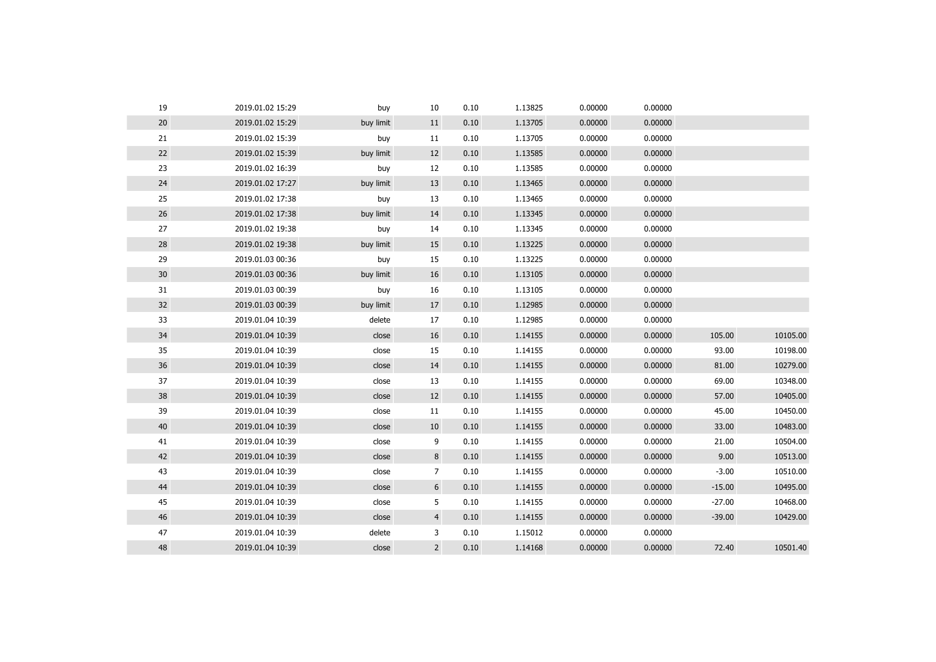| 20<br>2019.01.02 15:29<br>1.13705<br>0.00000<br>0.00000<br>buy limit<br>11<br>0.10<br>21<br>1.13705<br>0.00000<br>0.00000<br>2019.01.02 15:39<br>11<br>0.10<br>buy<br>22<br>2019.01.02 15:39<br>1.13585<br>0.00000<br>0.00000<br>buy limit<br>12<br>0.10<br>23<br>1.13585<br>0.00000<br>2019.01.02 16:39<br>12<br>0.10<br>0.00000<br>buy<br>24<br>0.00000<br>0.00000<br>2019.01.02 17:27<br>buy limit<br>13<br>0.10<br>1.13465<br>25<br>2019.01.02 17:38<br>13<br>1.13465<br>0.00000<br>0.00000<br>0.10<br>buy<br>26<br>1.13345<br>0.00000<br>0.00000<br>2019.01.02 17:38<br>buy limit<br>0.10<br>14<br>27<br>1.13345<br>0.00000<br>0.00000<br>2019.01.02 19:38<br>14<br>0.10<br>buy<br>28<br>0.00000<br>2019.01.02 19:38<br>1.13225<br>0.00000<br>buy limit<br>15<br>0.10<br>29<br>1.13225<br>2019.01.03 00:36<br>15<br>0.10<br>0.00000<br>0.00000<br>buy<br>30<br>2019.01.03 00:36<br>1.13105<br>0.00000<br>0.00000<br>buy limit<br>16<br>0.10<br>31<br>1.13105<br>0.00000<br>2019.01.03 00:39<br>16<br>0.10<br>0.00000<br>buy<br>32<br>1.12985<br>0.00000<br>0.00000<br>2019.01.03 00:39<br>buy limit<br>17<br>0.10<br>33<br>2019.01.04 10:39<br>17<br>1.12985<br>0.00000<br>0.00000<br>delete<br>0.10<br>34<br>105.00<br>10105.00<br>2019.01.04 10:39<br>16<br>0.10<br>1.14155<br>0.00000<br>0.00000<br>close<br>35<br>15<br>0.00000<br>93.00<br>10198.00<br>2019.01.04 10:39<br>close<br>0.10<br>1.14155<br>0.00000<br>36<br>10279.00<br>2019.01.04 10:39<br>1.14155<br>0.00000<br>0.00000<br>81.00<br>close<br>14<br>0.10<br>37<br>2019.01.04 10:39<br>13<br>0.10<br>1.14155<br>0.00000<br>0.00000<br>69.00<br>10348.00<br>close<br>38<br>1.14155<br>0.00000<br>0.00000<br>57.00<br>10405.00<br>2019.01.04 10:39<br>close<br>12<br>0.10<br>39<br>2019.01.04 10:39<br>1.14155<br>0.00000<br>0.00000<br>45.00<br>10450.00<br>close<br>11<br>0.10<br>40<br>1.14155<br>0.00000<br>33.00<br>10483.00<br>2019.01.04 10:39<br>close<br>10<br>0.10<br>0.00000<br>41<br>2019.01.04 10:39<br>close<br>9<br>0.10<br>1.14155<br>0.00000<br>0.00000<br>21.00<br>10504.00<br>42<br>$\bf 8$<br>9.00<br>10513.00<br>2019.01.04 10:39<br>0.10<br>1.14155<br>0.00000<br>0.00000<br>close<br>43<br>7<br>$-3.00$<br>2019.01.04 10:39<br>close<br>0.10<br>1.14155<br>0.00000<br>0.00000<br>10510.00<br>44<br>6<br>2019.01.04 10:39<br>1.14155<br>0.00000<br>0.00000<br>10495.00<br>close<br>0.10<br>$-15.00$<br>45<br>5<br>2019.01.04 10:39<br>0.10<br>1.14155<br>0.00000<br>0.00000<br>$-27.00$<br>10468.00<br>close |
|--------------------------------------------------------------------------------------------------------------------------------------------------------------------------------------------------------------------------------------------------------------------------------------------------------------------------------------------------------------------------------------------------------------------------------------------------------------------------------------------------------------------------------------------------------------------------------------------------------------------------------------------------------------------------------------------------------------------------------------------------------------------------------------------------------------------------------------------------------------------------------------------------------------------------------------------------------------------------------------------------------------------------------------------------------------------------------------------------------------------------------------------------------------------------------------------------------------------------------------------------------------------------------------------------------------------------------------------------------------------------------------------------------------------------------------------------------------------------------------------------------------------------------------------------------------------------------------------------------------------------------------------------------------------------------------------------------------------------------------------------------------------------------------------------------------------------------------------------------------------------------------------------------------------------------------------------------------------------------------------------------------------------------------------------------------------------------------------------------------------------------------------------------------------------------------------------------------------------------------------------------------------------------------------------------------------------------------------------------------------------------------------------------------------------------------------------------------------------------------------------------|
|                                                                                                                                                                                                                                                                                                                                                                                                                                                                                                                                                                                                                                                                                                                                                                                                                                                                                                                                                                                                                                                                                                                                                                                                                                                                                                                                                                                                                                                                                                                                                                                                                                                                                                                                                                                                                                                                                                                                                                                                                                                                                                                                                                                                                                                                                                                                                                                                                                                                                                        |
|                                                                                                                                                                                                                                                                                                                                                                                                                                                                                                                                                                                                                                                                                                                                                                                                                                                                                                                                                                                                                                                                                                                                                                                                                                                                                                                                                                                                                                                                                                                                                                                                                                                                                                                                                                                                                                                                                                                                                                                                                                                                                                                                                                                                                                                                                                                                                                                                                                                                                                        |
|                                                                                                                                                                                                                                                                                                                                                                                                                                                                                                                                                                                                                                                                                                                                                                                                                                                                                                                                                                                                                                                                                                                                                                                                                                                                                                                                                                                                                                                                                                                                                                                                                                                                                                                                                                                                                                                                                                                                                                                                                                                                                                                                                                                                                                                                                                                                                                                                                                                                                                        |
|                                                                                                                                                                                                                                                                                                                                                                                                                                                                                                                                                                                                                                                                                                                                                                                                                                                                                                                                                                                                                                                                                                                                                                                                                                                                                                                                                                                                                                                                                                                                                                                                                                                                                                                                                                                                                                                                                                                                                                                                                                                                                                                                                                                                                                                                                                                                                                                                                                                                                                        |
|                                                                                                                                                                                                                                                                                                                                                                                                                                                                                                                                                                                                                                                                                                                                                                                                                                                                                                                                                                                                                                                                                                                                                                                                                                                                                                                                                                                                                                                                                                                                                                                                                                                                                                                                                                                                                                                                                                                                                                                                                                                                                                                                                                                                                                                                                                                                                                                                                                                                                                        |
|                                                                                                                                                                                                                                                                                                                                                                                                                                                                                                                                                                                                                                                                                                                                                                                                                                                                                                                                                                                                                                                                                                                                                                                                                                                                                                                                                                                                                                                                                                                                                                                                                                                                                                                                                                                                                                                                                                                                                                                                                                                                                                                                                                                                                                                                                                                                                                                                                                                                                                        |
|                                                                                                                                                                                                                                                                                                                                                                                                                                                                                                                                                                                                                                                                                                                                                                                                                                                                                                                                                                                                                                                                                                                                                                                                                                                                                                                                                                                                                                                                                                                                                                                                                                                                                                                                                                                                                                                                                                                                                                                                                                                                                                                                                                                                                                                                                                                                                                                                                                                                                                        |
|                                                                                                                                                                                                                                                                                                                                                                                                                                                                                                                                                                                                                                                                                                                                                                                                                                                                                                                                                                                                                                                                                                                                                                                                                                                                                                                                                                                                                                                                                                                                                                                                                                                                                                                                                                                                                                                                                                                                                                                                                                                                                                                                                                                                                                                                                                                                                                                                                                                                                                        |
|                                                                                                                                                                                                                                                                                                                                                                                                                                                                                                                                                                                                                                                                                                                                                                                                                                                                                                                                                                                                                                                                                                                                                                                                                                                                                                                                                                                                                                                                                                                                                                                                                                                                                                                                                                                                                                                                                                                                                                                                                                                                                                                                                                                                                                                                                                                                                                                                                                                                                                        |
|                                                                                                                                                                                                                                                                                                                                                                                                                                                                                                                                                                                                                                                                                                                                                                                                                                                                                                                                                                                                                                                                                                                                                                                                                                                                                                                                                                                                                                                                                                                                                                                                                                                                                                                                                                                                                                                                                                                                                                                                                                                                                                                                                                                                                                                                                                                                                                                                                                                                                                        |
|                                                                                                                                                                                                                                                                                                                                                                                                                                                                                                                                                                                                                                                                                                                                                                                                                                                                                                                                                                                                                                                                                                                                                                                                                                                                                                                                                                                                                                                                                                                                                                                                                                                                                                                                                                                                                                                                                                                                                                                                                                                                                                                                                                                                                                                                                                                                                                                                                                                                                                        |
|                                                                                                                                                                                                                                                                                                                                                                                                                                                                                                                                                                                                                                                                                                                                                                                                                                                                                                                                                                                                                                                                                                                                                                                                                                                                                                                                                                                                                                                                                                                                                                                                                                                                                                                                                                                                                                                                                                                                                                                                                                                                                                                                                                                                                                                                                                                                                                                                                                                                                                        |
|                                                                                                                                                                                                                                                                                                                                                                                                                                                                                                                                                                                                                                                                                                                                                                                                                                                                                                                                                                                                                                                                                                                                                                                                                                                                                                                                                                                                                                                                                                                                                                                                                                                                                                                                                                                                                                                                                                                                                                                                                                                                                                                                                                                                                                                                                                                                                                                                                                                                                                        |
|                                                                                                                                                                                                                                                                                                                                                                                                                                                                                                                                                                                                                                                                                                                                                                                                                                                                                                                                                                                                                                                                                                                                                                                                                                                                                                                                                                                                                                                                                                                                                                                                                                                                                                                                                                                                                                                                                                                                                                                                                                                                                                                                                                                                                                                                                                                                                                                                                                                                                                        |
|                                                                                                                                                                                                                                                                                                                                                                                                                                                                                                                                                                                                                                                                                                                                                                                                                                                                                                                                                                                                                                                                                                                                                                                                                                                                                                                                                                                                                                                                                                                                                                                                                                                                                                                                                                                                                                                                                                                                                                                                                                                                                                                                                                                                                                                                                                                                                                                                                                                                                                        |
|                                                                                                                                                                                                                                                                                                                                                                                                                                                                                                                                                                                                                                                                                                                                                                                                                                                                                                                                                                                                                                                                                                                                                                                                                                                                                                                                                                                                                                                                                                                                                                                                                                                                                                                                                                                                                                                                                                                                                                                                                                                                                                                                                                                                                                                                                                                                                                                                                                                                                                        |
|                                                                                                                                                                                                                                                                                                                                                                                                                                                                                                                                                                                                                                                                                                                                                                                                                                                                                                                                                                                                                                                                                                                                                                                                                                                                                                                                                                                                                                                                                                                                                                                                                                                                                                                                                                                                                                                                                                                                                                                                                                                                                                                                                                                                                                                                                                                                                                                                                                                                                                        |
|                                                                                                                                                                                                                                                                                                                                                                                                                                                                                                                                                                                                                                                                                                                                                                                                                                                                                                                                                                                                                                                                                                                                                                                                                                                                                                                                                                                                                                                                                                                                                                                                                                                                                                                                                                                                                                                                                                                                                                                                                                                                                                                                                                                                                                                                                                                                                                                                                                                                                                        |
|                                                                                                                                                                                                                                                                                                                                                                                                                                                                                                                                                                                                                                                                                                                                                                                                                                                                                                                                                                                                                                                                                                                                                                                                                                                                                                                                                                                                                                                                                                                                                                                                                                                                                                                                                                                                                                                                                                                                                                                                                                                                                                                                                                                                                                                                                                                                                                                                                                                                                                        |
|                                                                                                                                                                                                                                                                                                                                                                                                                                                                                                                                                                                                                                                                                                                                                                                                                                                                                                                                                                                                                                                                                                                                                                                                                                                                                                                                                                                                                                                                                                                                                                                                                                                                                                                                                                                                                                                                                                                                                                                                                                                                                                                                                                                                                                                                                                                                                                                                                                                                                                        |
|                                                                                                                                                                                                                                                                                                                                                                                                                                                                                                                                                                                                                                                                                                                                                                                                                                                                                                                                                                                                                                                                                                                                                                                                                                                                                                                                                                                                                                                                                                                                                                                                                                                                                                                                                                                                                                                                                                                                                                                                                                                                                                                                                                                                                                                                                                                                                                                                                                                                                                        |
|                                                                                                                                                                                                                                                                                                                                                                                                                                                                                                                                                                                                                                                                                                                                                                                                                                                                                                                                                                                                                                                                                                                                                                                                                                                                                                                                                                                                                                                                                                                                                                                                                                                                                                                                                                                                                                                                                                                                                                                                                                                                                                                                                                                                                                                                                                                                                                                                                                                                                                        |
|                                                                                                                                                                                                                                                                                                                                                                                                                                                                                                                                                                                                                                                                                                                                                                                                                                                                                                                                                                                                                                                                                                                                                                                                                                                                                                                                                                                                                                                                                                                                                                                                                                                                                                                                                                                                                                                                                                                                                                                                                                                                                                                                                                                                                                                                                                                                                                                                                                                                                                        |
|                                                                                                                                                                                                                                                                                                                                                                                                                                                                                                                                                                                                                                                                                                                                                                                                                                                                                                                                                                                                                                                                                                                                                                                                                                                                                                                                                                                                                                                                                                                                                                                                                                                                                                                                                                                                                                                                                                                                                                                                                                                                                                                                                                                                                                                                                                                                                                                                                                                                                                        |
|                                                                                                                                                                                                                                                                                                                                                                                                                                                                                                                                                                                                                                                                                                                                                                                                                                                                                                                                                                                                                                                                                                                                                                                                                                                                                                                                                                                                                                                                                                                                                                                                                                                                                                                                                                                                                                                                                                                                                                                                                                                                                                                                                                                                                                                                                                                                                                                                                                                                                                        |
|                                                                                                                                                                                                                                                                                                                                                                                                                                                                                                                                                                                                                                                                                                                                                                                                                                                                                                                                                                                                                                                                                                                                                                                                                                                                                                                                                                                                                                                                                                                                                                                                                                                                                                                                                                                                                                                                                                                                                                                                                                                                                                                                                                                                                                                                                                                                                                                                                                                                                                        |
| 46<br>10429.00<br>2019.01.04 10:39<br>close<br>$\overline{4}$<br>0.10<br>1.14155<br>0.00000<br>0.00000<br>$-39.00$                                                                                                                                                                                                                                                                                                                                                                                                                                                                                                                                                                                                                                                                                                                                                                                                                                                                                                                                                                                                                                                                                                                                                                                                                                                                                                                                                                                                                                                                                                                                                                                                                                                                                                                                                                                                                                                                                                                                                                                                                                                                                                                                                                                                                                                                                                                                                                                     |
| 47<br>delete<br>3<br>1.15012<br>2019.01.04 10:39<br>0.10<br>0.00000<br>0.00000                                                                                                                                                                                                                                                                                                                                                                                                                                                                                                                                                                                                                                                                                                                                                                                                                                                                                                                                                                                                                                                                                                                                                                                                                                                                                                                                                                                                                                                                                                                                                                                                                                                                                                                                                                                                                                                                                                                                                                                                                                                                                                                                                                                                                                                                                                                                                                                                                         |
| 48<br>$\overline{2}$<br>72.40<br>10501.40<br>2019.01.04 10:39<br>close<br>0.10<br>1.14168<br>0.00000<br>0.00000                                                                                                                                                                                                                                                                                                                                                                                                                                                                                                                                                                                                                                                                                                                                                                                                                                                                                                                                                                                                                                                                                                                                                                                                                                                                                                                                                                                                                                                                                                                                                                                                                                                                                                                                                                                                                                                                                                                                                                                                                                                                                                                                                                                                                                                                                                                                                                                        |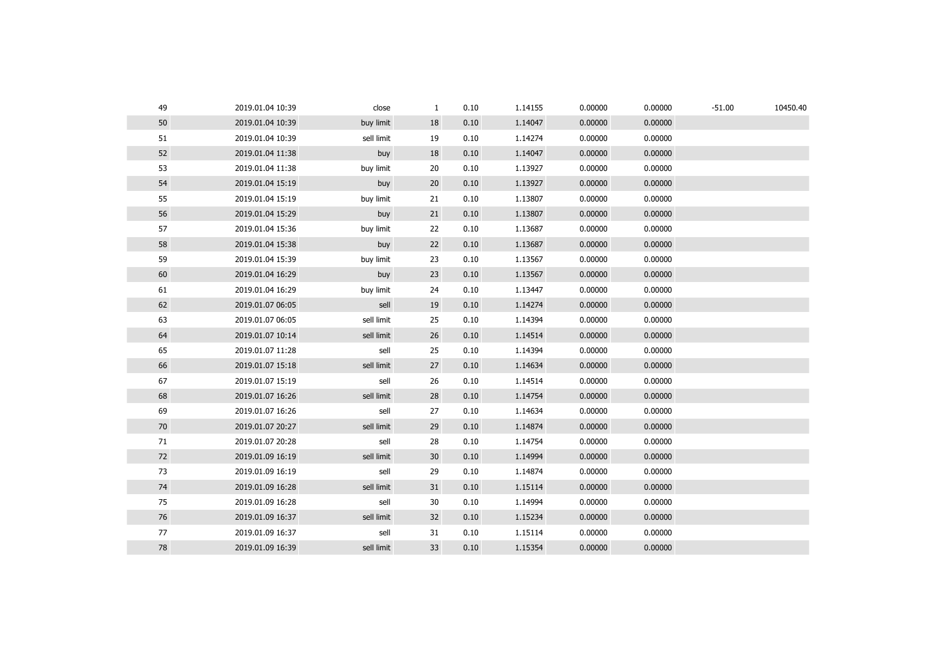| 49 | 2019.01.04 10:39 | close      | 1               | 0.10 | 1.14155 | 0.00000 | 0.00000 | $-51.00$ | 10450.40 |
|----|------------------|------------|-----------------|------|---------|---------|---------|----------|----------|
| 50 | 2019.01.04 10:39 | buy limit  | 18              | 0.10 | 1.14047 | 0.00000 | 0.00000 |          |          |
| 51 | 2019.01.04 10:39 | sell limit | 19              | 0.10 | 1.14274 | 0.00000 | 0.00000 |          |          |
| 52 | 2019.01.04 11:38 | buy        | 18              | 0.10 | 1.14047 | 0.00000 | 0.00000 |          |          |
| 53 | 2019.01.04 11:38 | buy limit  | 20              | 0.10 | 1.13927 | 0.00000 | 0.00000 |          |          |
| 54 | 2019.01.04 15:19 | buy        | 20              | 0.10 | 1.13927 | 0.00000 | 0.00000 |          |          |
| 55 | 2019.01.04 15:19 | buy limit  | 21              | 0.10 | 1.13807 | 0.00000 | 0.00000 |          |          |
| 56 | 2019.01.04 15:29 | buy        | 21              | 0.10 | 1.13807 | 0.00000 | 0.00000 |          |          |
| 57 | 2019.01.04 15:36 | buy limit  | 22              | 0.10 | 1.13687 | 0.00000 | 0.00000 |          |          |
| 58 | 2019.01.04 15:38 | buy        | 22              | 0.10 | 1.13687 | 0.00000 | 0.00000 |          |          |
| 59 | 2019.01.04 15:39 | buy limit  | 23              | 0.10 | 1.13567 | 0.00000 | 0.00000 |          |          |
| 60 | 2019.01.04 16:29 | buy        | 23              | 0.10 | 1.13567 | 0.00000 | 0.00000 |          |          |
| 61 | 2019.01.04 16:29 | buy limit  | 24              | 0.10 | 1.13447 | 0.00000 | 0.00000 |          |          |
| 62 | 2019.01.07 06:05 | sell       | 19              | 0.10 | 1.14274 | 0.00000 | 0.00000 |          |          |
| 63 | 2019.01.07 06:05 | sell limit | 25              | 0.10 | 1.14394 | 0.00000 | 0.00000 |          |          |
| 64 | 2019.01.07 10:14 | sell limit | 26              | 0.10 | 1.14514 | 0.00000 | 0.00000 |          |          |
| 65 | 2019.01.07 11:28 | sell       | 25              | 0.10 | 1.14394 | 0.00000 | 0.00000 |          |          |
| 66 | 2019.01.07 15:18 | sell limit | 27              | 0.10 | 1.14634 | 0.00000 | 0.00000 |          |          |
| 67 | 2019.01.07 15:19 | sell       | 26              | 0.10 | 1.14514 | 0.00000 | 0.00000 |          |          |
| 68 | 2019.01.07 16:26 | sell limit | 28              | 0.10 | 1.14754 | 0.00000 | 0.00000 |          |          |
| 69 | 2019.01.07 16:26 | sell       | 27              | 0.10 | 1.14634 | 0.00000 | 0.00000 |          |          |
| 70 | 2019.01.07 20:27 | sell limit | 29              | 0.10 | 1.14874 | 0.00000 | 0.00000 |          |          |
| 71 | 2019.01.07 20:28 | sell       | 28              | 0.10 | 1.14754 | 0.00000 | 0.00000 |          |          |
| 72 | 2019.01.09 16:19 | sell limit | 30 <sup>°</sup> | 0.10 | 1.14994 | 0.00000 | 0.00000 |          |          |
| 73 | 2019.01.09 16:19 | sell       | 29              | 0.10 | 1.14874 | 0.00000 | 0.00000 |          |          |
| 74 | 2019.01.09 16:28 | sell limit | 31              | 0.10 | 1.15114 | 0.00000 | 0.00000 |          |          |
| 75 | 2019.01.09 16:28 | sell       | 30              | 0.10 | 1.14994 | 0.00000 | 0.00000 |          |          |
| 76 | 2019.01.09 16:37 | sell limit | 32              | 0.10 | 1.15234 | 0.00000 | 0.00000 |          |          |
| 77 | 2019.01.09 16:37 | sell       | 31              | 0.10 | 1.15114 | 0.00000 | 0.00000 |          |          |
| 78 | 2019.01.09 16:39 | sell limit | 33              | 0.10 | 1.15354 | 0.00000 | 0.00000 |          |          |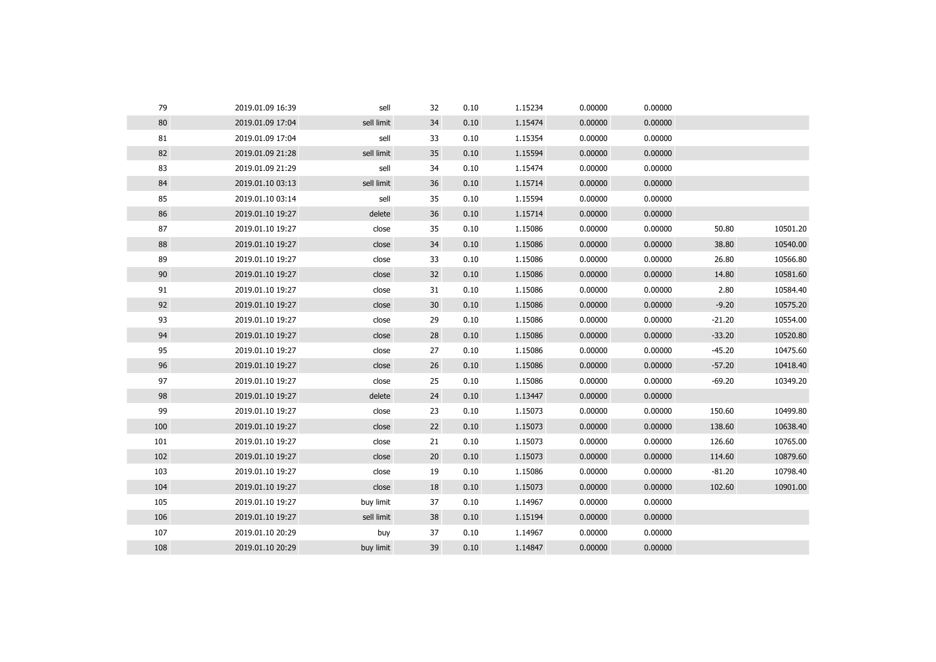| 79  | 2019.01.09 16:39 | sell       | 32 | 0.10 | 1.15234 | 0.00000 | 0.00000 |          |          |
|-----|------------------|------------|----|------|---------|---------|---------|----------|----------|
| 80  | 2019.01.09 17:04 | sell limit | 34 | 0.10 | 1.15474 | 0.00000 | 0.00000 |          |          |
| 81  | 2019.01.09 17:04 | sell       | 33 | 0.10 | 1.15354 | 0.00000 | 0.00000 |          |          |
| 82  | 2019.01.09 21:28 | sell limit | 35 | 0.10 | 1.15594 | 0.00000 | 0.00000 |          |          |
| 83  | 2019.01.09 21:29 | sell       | 34 | 0.10 | 1.15474 | 0.00000 | 0.00000 |          |          |
| 84  | 2019.01.10 03:13 | sell limit | 36 | 0.10 | 1.15714 | 0.00000 | 0.00000 |          |          |
| 85  | 2019.01.10 03:14 | sell       | 35 | 0.10 | 1.15594 | 0.00000 | 0.00000 |          |          |
| 86  | 2019.01.10 19:27 | delete     | 36 | 0.10 | 1.15714 | 0.00000 | 0.00000 |          |          |
| 87  | 2019.01.10 19:27 | close      | 35 | 0.10 | 1.15086 | 0.00000 | 0.00000 | 50.80    | 10501.20 |
| 88  | 2019.01.10 19:27 | close      | 34 | 0.10 | 1.15086 | 0.00000 | 0.00000 | 38.80    | 10540.00 |
| 89  | 2019.01.10 19:27 | close      | 33 | 0.10 | 1.15086 | 0.00000 | 0.00000 | 26.80    | 10566.80 |
| 90  | 2019.01.10 19:27 | close      | 32 | 0.10 | 1.15086 | 0.00000 | 0.00000 | 14.80    | 10581.60 |
| 91  | 2019.01.10 19:27 | close      | 31 | 0.10 | 1.15086 | 0.00000 | 0.00000 | 2.80     | 10584.40 |
| 92  | 2019.01.10 19:27 | close      | 30 | 0.10 | 1.15086 | 0.00000 | 0.00000 | $-9.20$  | 10575.20 |
| 93  | 2019.01.10 19:27 | close      | 29 | 0.10 | 1.15086 | 0.00000 | 0.00000 | $-21.20$ | 10554.00 |
| 94  | 2019.01.10 19:27 | close      | 28 | 0.10 | 1.15086 | 0.00000 | 0.00000 | $-33.20$ | 10520.80 |
| 95  | 2019.01.10 19:27 | close      | 27 | 0.10 | 1.15086 | 0.00000 | 0.00000 | $-45.20$ | 10475.60 |
| 96  | 2019.01.10 19:27 | close      | 26 | 0.10 | 1.15086 | 0.00000 | 0.00000 | $-57.20$ | 10418.40 |
| 97  | 2019.01.10 19:27 | close      | 25 | 0.10 | 1.15086 | 0.00000 | 0.00000 | $-69.20$ | 10349.20 |
| 98  | 2019.01.10 19:27 | delete     | 24 | 0.10 | 1.13447 | 0.00000 | 0.00000 |          |          |
| 99  | 2019.01.10 19:27 | close      | 23 | 0.10 | 1.15073 | 0.00000 | 0.00000 | 150.60   | 10499.80 |
| 100 | 2019.01.10 19:27 | close      | 22 | 0.10 | 1.15073 | 0.00000 | 0.00000 | 138.60   | 10638.40 |
| 101 | 2019.01.10 19:27 | close      | 21 | 0.10 | 1.15073 | 0.00000 | 0.00000 | 126.60   | 10765.00 |
| 102 | 2019.01.10 19:27 | close      | 20 | 0.10 | 1.15073 | 0.00000 | 0.00000 | 114.60   | 10879.60 |
| 103 | 2019.01.10 19:27 | close      | 19 | 0.10 | 1.15086 | 0.00000 | 0.00000 | $-81.20$ | 10798.40 |
| 104 | 2019.01.10 19:27 | close      | 18 | 0.10 | 1.15073 | 0.00000 | 0.00000 | 102.60   | 10901.00 |
| 105 | 2019.01.10 19:27 | buy limit  | 37 | 0.10 | 1.14967 | 0.00000 | 0.00000 |          |          |
| 106 | 2019.01.10 19:27 | sell limit | 38 | 0.10 | 1.15194 | 0.00000 | 0.00000 |          |          |
| 107 | 2019.01.10 20:29 | buy        | 37 | 0.10 | 1.14967 | 0.00000 | 0.00000 |          |          |
| 108 | 2019.01.10 20:29 | buy limit  | 39 | 0.10 | 1.14847 | 0.00000 | 0.00000 |          |          |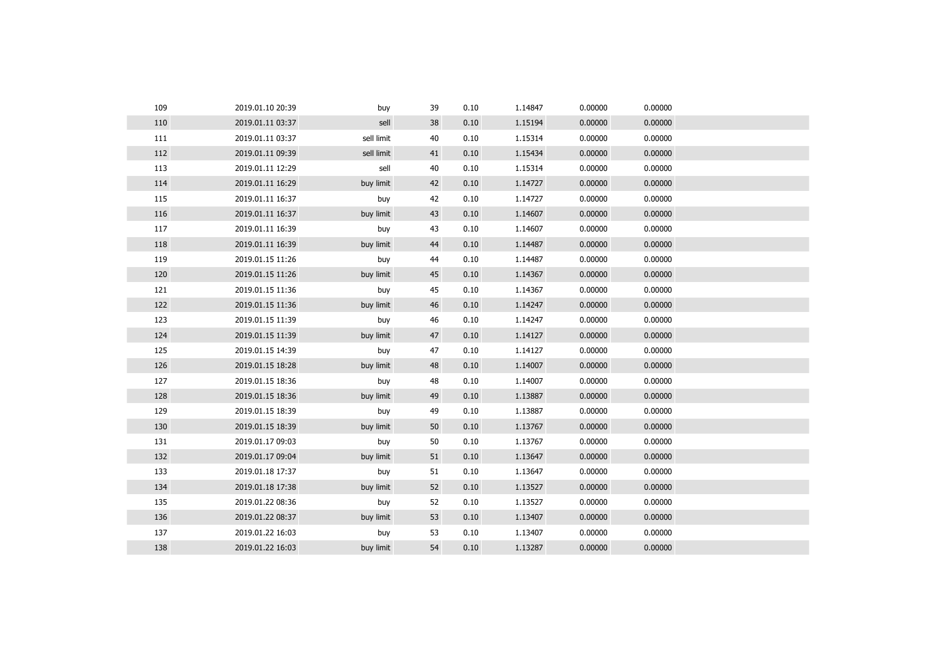| 109 | 2019.01.10 20:39 | buy        | 39 | 0.10 | 1.14847 | 0.00000 | 0.00000 |  |
|-----|------------------|------------|----|------|---------|---------|---------|--|
| 110 | 2019.01.11 03:37 | sell       | 38 | 0.10 | 1.15194 | 0.00000 | 0.00000 |  |
| 111 | 2019.01.11 03:37 | sell limit | 40 | 0.10 | 1.15314 | 0.00000 | 0.00000 |  |
| 112 | 2019.01.11 09:39 | sell limit | 41 | 0.10 | 1.15434 | 0.00000 | 0.00000 |  |
| 113 | 2019.01.11 12:29 | sell       | 40 | 0.10 | 1.15314 | 0.00000 | 0.00000 |  |
| 114 | 2019.01.11 16:29 | buy limit  | 42 | 0.10 | 1.14727 | 0.00000 | 0.00000 |  |
| 115 | 2019.01.11 16:37 | buy        | 42 | 0.10 | 1.14727 | 0.00000 | 0.00000 |  |
| 116 | 2019.01.11 16:37 | buy limit  | 43 | 0.10 | 1.14607 | 0.00000 | 0.00000 |  |
| 117 | 2019.01.11 16:39 | buy        | 43 | 0.10 | 1.14607 | 0.00000 | 0.00000 |  |
| 118 | 2019.01.11 16:39 | buy limit  | 44 | 0.10 | 1.14487 | 0.00000 | 0.00000 |  |
| 119 | 2019.01.15 11:26 | buy        | 44 | 0.10 | 1.14487 | 0.00000 | 0.00000 |  |
| 120 | 2019.01.15 11:26 | buy limit  | 45 | 0.10 | 1.14367 | 0.00000 | 0.00000 |  |
| 121 | 2019.01.15 11:36 | buy        | 45 | 0.10 | 1.14367 | 0.00000 | 0.00000 |  |
| 122 | 2019.01.15 11:36 | buy limit  | 46 | 0.10 | 1.14247 | 0.00000 | 0.00000 |  |
| 123 | 2019.01.15 11:39 | buy        | 46 | 0.10 | 1.14247 | 0.00000 | 0.00000 |  |
| 124 | 2019.01.15 11:39 | buy limit  | 47 | 0.10 | 1.14127 | 0.00000 | 0.00000 |  |
| 125 | 2019.01.15 14:39 | buy        | 47 | 0.10 | 1.14127 | 0.00000 | 0.00000 |  |
| 126 | 2019.01.15 18:28 | buy limit  | 48 | 0.10 | 1.14007 | 0.00000 | 0.00000 |  |
| 127 | 2019.01.15 18:36 | buy        | 48 | 0.10 | 1.14007 | 0.00000 | 0.00000 |  |
| 128 | 2019.01.15 18:36 | buy limit  | 49 | 0.10 | 1.13887 | 0.00000 | 0.00000 |  |
| 129 | 2019.01.15 18:39 | buy        | 49 | 0.10 | 1.13887 | 0.00000 | 0.00000 |  |
| 130 | 2019.01.15 18:39 | buy limit  | 50 | 0.10 | 1.13767 | 0.00000 | 0.00000 |  |
| 131 | 2019.01.17 09:03 | buy        | 50 | 0.10 | 1.13767 | 0.00000 | 0.00000 |  |
| 132 | 2019.01.17 09:04 | buy limit  | 51 | 0.10 | 1.13647 | 0.00000 | 0.00000 |  |
| 133 | 2019.01.18 17:37 | buy        | 51 | 0.10 | 1.13647 | 0.00000 | 0.00000 |  |
| 134 | 2019.01.18 17:38 | buy limit  | 52 | 0.10 | 1.13527 | 0.00000 | 0.00000 |  |
| 135 | 2019.01.22 08:36 | buy        | 52 | 0.10 | 1.13527 | 0.00000 | 0.00000 |  |
| 136 | 2019.01.22 08:37 | buy limit  | 53 | 0.10 | 1.13407 | 0.00000 | 0.00000 |  |
| 137 | 2019.01.22 16:03 | buy        | 53 | 0.10 | 1.13407 | 0.00000 | 0.00000 |  |
| 138 | 2019.01.22 16:03 | buy limit  | 54 | 0.10 | 1.13287 | 0.00000 | 0.00000 |  |
|     |                  |            |    |      |         |         |         |  |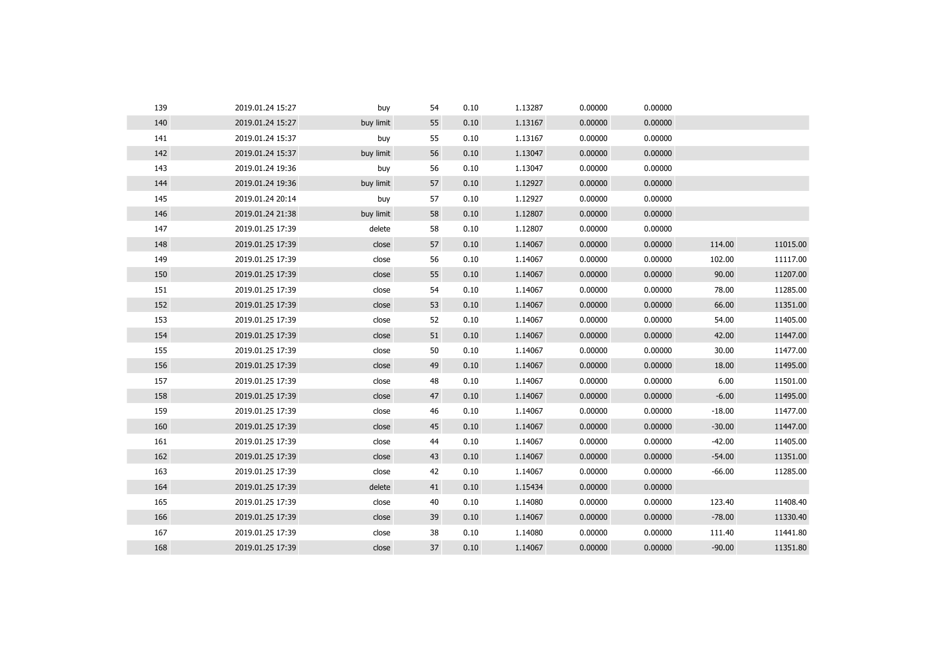| 139 | 2019.01.24 15:27 | buy       | 54 | 0.10 | 1.13287 | 0.00000 | 0.00000 |          |          |
|-----|------------------|-----------|----|------|---------|---------|---------|----------|----------|
| 140 | 2019.01.24 15:27 | buy limit | 55 | 0.10 | 1.13167 | 0.00000 | 0.00000 |          |          |
| 141 | 2019.01.24 15:37 | buy       | 55 | 0.10 | 1.13167 | 0.00000 | 0.00000 |          |          |
| 142 | 2019.01.24 15:37 | buy limit | 56 | 0.10 | 1.13047 | 0.00000 | 0.00000 |          |          |
| 143 | 2019.01.24 19:36 | buy       | 56 | 0.10 | 1.13047 | 0.00000 | 0.00000 |          |          |
| 144 | 2019.01.24 19:36 | buy limit | 57 | 0.10 | 1.12927 | 0.00000 | 0.00000 |          |          |
| 145 | 2019.01.24 20:14 | buy       | 57 | 0.10 | 1.12927 | 0.00000 | 0.00000 |          |          |
| 146 | 2019.01.24 21:38 | buy limit | 58 | 0.10 | 1.12807 | 0.00000 | 0.00000 |          |          |
| 147 | 2019.01.25 17:39 | delete    | 58 | 0.10 | 1.12807 | 0.00000 | 0.00000 |          |          |
| 148 | 2019.01.25 17:39 | close     | 57 | 0.10 | 1.14067 | 0.00000 | 0.00000 | 114.00   | 11015.00 |
| 149 | 2019.01.25 17:39 | close     | 56 | 0.10 | 1.14067 | 0.00000 | 0.00000 | 102.00   | 11117.00 |
| 150 | 2019.01.25 17:39 | close     | 55 | 0.10 | 1.14067 | 0.00000 | 0.00000 | 90.00    | 11207.00 |
| 151 | 2019.01.25 17:39 | close     | 54 | 0.10 | 1.14067 | 0.00000 | 0.00000 | 78.00    | 11285.00 |
| 152 | 2019.01.25 17:39 | close     | 53 | 0.10 | 1.14067 | 0.00000 | 0.00000 | 66.00    | 11351.00 |
| 153 | 2019.01.25 17:39 | close     | 52 | 0.10 | 1.14067 | 0.00000 | 0.00000 | 54.00    | 11405.00 |
| 154 | 2019.01.25 17:39 | close     | 51 | 0.10 | 1.14067 | 0.00000 | 0.00000 | 42.00    | 11447.00 |
| 155 | 2019.01.25 17:39 | close     | 50 | 0.10 | 1.14067 | 0.00000 | 0.00000 | 30.00    | 11477.00 |
| 156 | 2019.01.25 17:39 | close     | 49 | 0.10 | 1.14067 | 0.00000 | 0.00000 | 18.00    | 11495.00 |
| 157 | 2019.01.25 17:39 | close     | 48 | 0.10 | 1.14067 | 0.00000 | 0.00000 | 6.00     | 11501.00 |
| 158 | 2019.01.25 17:39 | close     | 47 | 0.10 | 1.14067 | 0.00000 | 0.00000 | $-6.00$  | 11495.00 |
| 159 | 2019.01.25 17:39 | close     | 46 | 0.10 | 1.14067 | 0.00000 | 0.00000 | $-18.00$ | 11477.00 |
| 160 | 2019.01.25 17:39 | close     | 45 | 0.10 | 1.14067 | 0.00000 | 0.00000 | $-30.00$ | 11447.00 |
| 161 | 2019.01.25 17:39 | close     | 44 | 0.10 | 1.14067 | 0.00000 | 0.00000 | $-42.00$ | 11405.00 |
| 162 | 2019.01.25 17:39 | close     | 43 | 0.10 | 1.14067 | 0.00000 | 0.00000 | $-54.00$ | 11351.00 |
| 163 | 2019.01.25 17:39 | close     | 42 | 0.10 | 1.14067 | 0.00000 | 0.00000 | $-66.00$ | 11285.00 |
| 164 | 2019.01.25 17:39 | delete    | 41 | 0.10 | 1.15434 | 0.00000 | 0.00000 |          |          |
| 165 | 2019.01.25 17:39 | close     | 40 | 0.10 | 1.14080 | 0.00000 | 0.00000 | 123.40   | 11408.40 |
| 166 | 2019.01.25 17:39 | close     | 39 | 0.10 | 1.14067 | 0.00000 | 0.00000 | $-78.00$ | 11330.40 |
| 167 | 2019.01.25 17:39 | close     | 38 | 0.10 | 1.14080 | 0.00000 | 0.00000 | 111.40   | 11441.80 |
| 168 | 2019.01.25 17:39 | close     | 37 | 0.10 | 1.14067 | 0.00000 | 0.00000 | $-90.00$ | 11351.80 |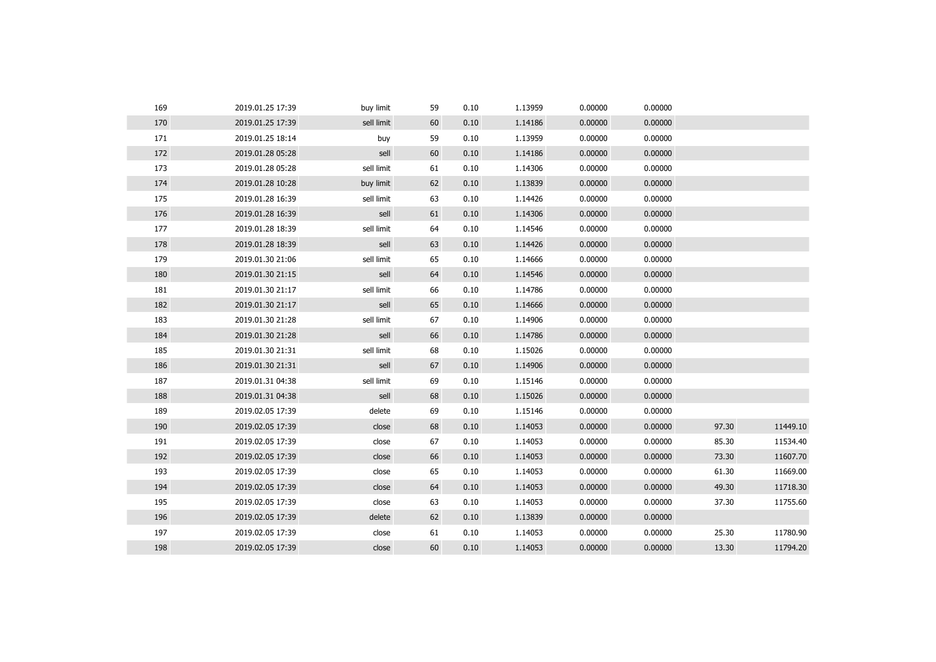| 169 | 2019.01.25 17:39 | buy limit  | 59 | 0.10 | 1.13959 | 0.00000 | 0.00000 |       |          |
|-----|------------------|------------|----|------|---------|---------|---------|-------|----------|
| 170 | 2019.01.25 17:39 | sell limit | 60 | 0.10 | 1.14186 | 0.00000 | 0.00000 |       |          |
| 171 | 2019.01.25 18:14 | buy        | 59 | 0.10 | 1.13959 | 0.00000 | 0.00000 |       |          |
| 172 | 2019.01.28 05:28 | sell       | 60 | 0.10 | 1.14186 | 0.00000 | 0.00000 |       |          |
| 173 | 2019.01.28 05:28 | sell limit | 61 | 0.10 | 1.14306 | 0.00000 | 0.00000 |       |          |
| 174 | 2019.01.28 10:28 | buy limit  | 62 | 0.10 | 1.13839 | 0.00000 | 0.00000 |       |          |
| 175 | 2019.01.28 16:39 | sell limit | 63 | 0.10 | 1.14426 | 0.00000 | 0.00000 |       |          |
| 176 | 2019.01.28 16:39 | sell       | 61 | 0.10 | 1.14306 | 0.00000 | 0.00000 |       |          |
| 177 | 2019.01.28 18:39 | sell limit | 64 | 0.10 | 1.14546 | 0.00000 | 0.00000 |       |          |
| 178 | 2019.01.28 18:39 | sell       | 63 | 0.10 | 1.14426 | 0.00000 | 0.00000 |       |          |
| 179 | 2019.01.30 21:06 | sell limit | 65 | 0.10 | 1.14666 | 0.00000 | 0.00000 |       |          |
| 180 | 2019.01.30 21:15 | sell       | 64 | 0.10 | 1.14546 | 0.00000 | 0.00000 |       |          |
| 181 | 2019.01.30 21:17 | sell limit | 66 | 0.10 | 1.14786 | 0.00000 | 0.00000 |       |          |
| 182 | 2019.01.30 21:17 | sell       | 65 | 0.10 | 1.14666 | 0.00000 | 0.00000 |       |          |
| 183 | 2019.01.30 21:28 | sell limit | 67 | 0.10 | 1.14906 | 0.00000 | 0.00000 |       |          |
| 184 | 2019.01.30 21:28 | sell       | 66 | 0.10 | 1.14786 | 0.00000 | 0.00000 |       |          |
| 185 | 2019.01.30 21:31 | sell limit | 68 | 0.10 | 1.15026 | 0.00000 | 0.00000 |       |          |
| 186 | 2019.01.30 21:31 | sell       | 67 | 0.10 | 1.14906 | 0.00000 | 0.00000 |       |          |
| 187 | 2019.01.31 04:38 | sell limit | 69 | 0.10 | 1.15146 | 0.00000 | 0.00000 |       |          |
| 188 | 2019.01.31 04:38 | sell       | 68 | 0.10 | 1.15026 | 0.00000 | 0.00000 |       |          |
| 189 | 2019.02.05 17:39 | delete     | 69 | 0.10 | 1.15146 | 0.00000 | 0.00000 |       |          |
| 190 | 2019.02.05 17:39 | close      | 68 | 0.10 | 1.14053 | 0.00000 | 0.00000 | 97.30 | 11449.10 |
| 191 | 2019.02.05 17:39 | close      | 67 | 0.10 | 1.14053 | 0.00000 | 0.00000 | 85.30 | 11534.40 |
| 192 | 2019.02.05 17:39 | close      | 66 | 0.10 | 1.14053 | 0.00000 | 0.00000 | 73.30 | 11607.70 |
| 193 | 2019.02.05 17:39 | close      | 65 | 0.10 | 1.14053 | 0.00000 | 0.00000 | 61.30 | 11669.00 |
| 194 | 2019.02.05 17:39 | close      | 64 | 0.10 | 1.14053 | 0.00000 | 0.00000 | 49.30 | 11718.30 |
| 195 | 2019.02.05 17:39 | close      | 63 | 0.10 | 1.14053 | 0.00000 | 0.00000 | 37.30 | 11755.60 |
| 196 | 2019.02.05 17:39 | delete     | 62 | 0.10 | 1.13839 | 0.00000 | 0.00000 |       |          |
| 197 | 2019.02.05 17:39 | close      | 61 | 0.10 | 1.14053 | 0.00000 | 0.00000 | 25.30 | 11780.90 |
| 198 | 2019.02.05 17:39 | close      | 60 | 0.10 | 1.14053 | 0.00000 | 0.00000 | 13.30 | 11794.20 |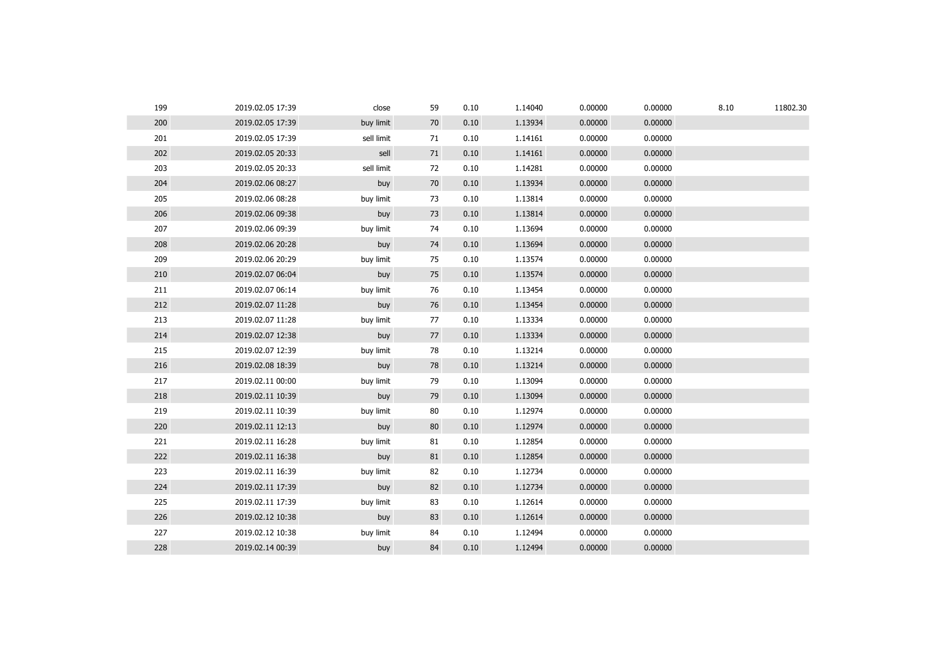| 199 | 2019.02.05 17:39 | close      | 59 | 0.10 | 1.14040 | 0.00000 | 0.00000 | 8.10 | 11802.30 |
|-----|------------------|------------|----|------|---------|---------|---------|------|----------|
| 200 | 2019.02.05 17:39 | buy limit  | 70 | 0.10 | 1.13934 | 0.00000 | 0.00000 |      |          |
| 201 | 2019.02.05 17:39 | sell limit | 71 | 0.10 | 1.14161 | 0.00000 | 0.00000 |      |          |
| 202 | 2019.02.05 20:33 | sell       | 71 | 0.10 | 1.14161 | 0.00000 | 0.00000 |      |          |
| 203 | 2019.02.05 20:33 | sell limit | 72 | 0.10 | 1.14281 | 0.00000 | 0.00000 |      |          |
| 204 | 2019.02.06 08:27 | buy        | 70 | 0.10 | 1.13934 | 0.00000 | 0.00000 |      |          |
| 205 | 2019.02.06 08:28 | buy limit  | 73 | 0.10 | 1.13814 | 0.00000 | 0.00000 |      |          |
| 206 | 2019.02.06 09:38 | buy        | 73 | 0.10 | 1.13814 | 0.00000 | 0.00000 |      |          |
| 207 | 2019.02.06 09:39 | buy limit  | 74 | 0.10 | 1.13694 | 0.00000 | 0.00000 |      |          |
| 208 | 2019.02.06 20:28 | buy        | 74 | 0.10 | 1.13694 | 0.00000 | 0.00000 |      |          |
| 209 | 2019.02.06 20:29 | buy limit  | 75 | 0.10 | 1.13574 | 0.00000 | 0.00000 |      |          |
| 210 | 2019.02.07 06:04 | buy        | 75 | 0.10 | 1.13574 | 0.00000 | 0.00000 |      |          |
| 211 | 2019.02.07 06:14 | buy limit  | 76 | 0.10 | 1.13454 | 0.00000 | 0.00000 |      |          |
| 212 | 2019.02.07 11:28 | buy        | 76 | 0.10 | 1.13454 | 0.00000 | 0.00000 |      |          |
| 213 | 2019.02.07 11:28 | buy limit  | 77 | 0.10 | 1.13334 | 0.00000 | 0.00000 |      |          |
| 214 | 2019.02.07 12:38 | buy        | 77 | 0.10 | 1.13334 | 0.00000 | 0.00000 |      |          |
| 215 | 2019.02.07 12:39 | buy limit  | 78 | 0.10 | 1.13214 | 0.00000 | 0.00000 |      |          |
| 216 | 2019.02.08 18:39 | buy        | 78 | 0.10 | 1.13214 | 0.00000 | 0.00000 |      |          |
| 217 | 2019.02.11 00:00 | buy limit  | 79 | 0.10 | 1.13094 | 0.00000 | 0.00000 |      |          |
| 218 | 2019.02.11 10:39 | buy        | 79 | 0.10 | 1.13094 | 0.00000 | 0.00000 |      |          |
| 219 | 2019.02.11 10:39 | buy limit  | 80 | 0.10 | 1.12974 | 0.00000 | 0.00000 |      |          |
| 220 | 2019.02.11 12:13 | buy        | 80 | 0.10 | 1.12974 | 0.00000 | 0.00000 |      |          |
| 221 | 2019.02.11 16:28 | buy limit  | 81 | 0.10 | 1.12854 | 0.00000 | 0.00000 |      |          |
| 222 | 2019.02.11 16:38 | buy        | 81 | 0.10 | 1.12854 | 0.00000 | 0.00000 |      |          |
| 223 | 2019.02.11 16:39 | buy limit  | 82 | 0.10 | 1.12734 | 0.00000 | 0.00000 |      |          |
| 224 | 2019.02.11 17:39 | buy        | 82 | 0.10 | 1.12734 | 0.00000 | 0.00000 |      |          |
| 225 | 2019.02.11 17:39 | buy limit  | 83 | 0.10 | 1.12614 | 0.00000 | 0.00000 |      |          |
| 226 | 2019.02.12 10:38 | buy        | 83 | 0.10 | 1.12614 | 0.00000 | 0.00000 |      |          |
| 227 | 2019.02.12 10:38 | buy limit  | 84 | 0.10 | 1.12494 | 0.00000 | 0.00000 |      |          |
| 228 | 2019.02.14 00:39 | buy        | 84 | 0.10 | 1.12494 | 0.00000 | 0.00000 |      |          |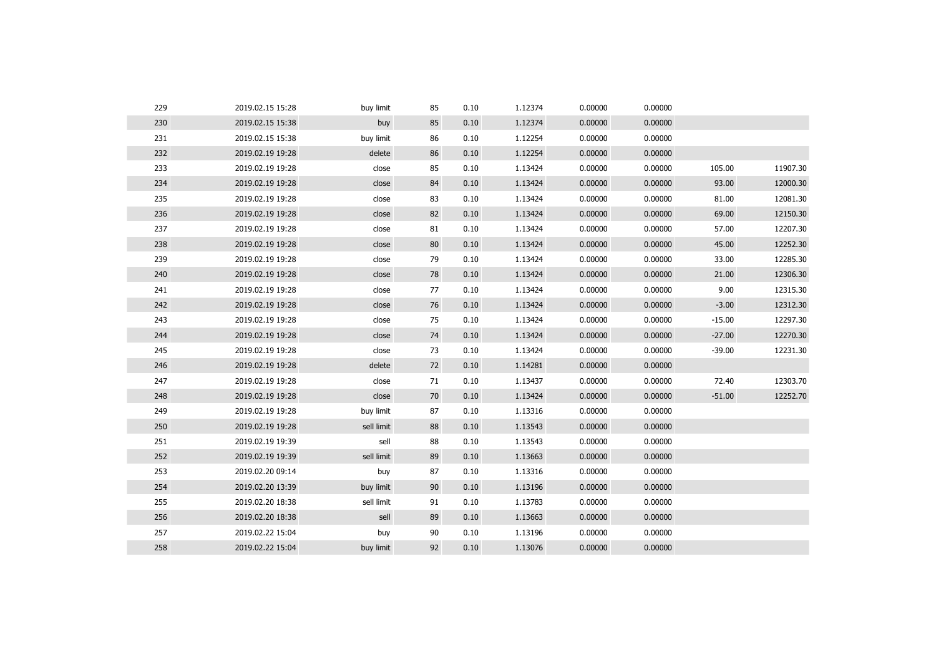| 229 | 2019.02.15 15:28 | buy limit  | 85 | 0.10 | 1.12374 | 0.00000 | 0.00000 |          |          |
|-----|------------------|------------|----|------|---------|---------|---------|----------|----------|
| 230 | 2019.02.15 15:38 | buy        | 85 | 0.10 | 1.12374 | 0.00000 | 0.00000 |          |          |
| 231 | 2019.02.15 15:38 | buy limit  | 86 | 0.10 | 1.12254 | 0.00000 | 0.00000 |          |          |
| 232 | 2019.02.19 19:28 | delete     | 86 | 0.10 | 1.12254 | 0.00000 | 0.00000 |          |          |
| 233 | 2019.02.19 19:28 | close      | 85 | 0.10 | 1.13424 | 0.00000 | 0.00000 | 105.00   | 11907.30 |
| 234 | 2019.02.19 19:28 | close      | 84 | 0.10 | 1.13424 | 0.00000 | 0.00000 | 93.00    | 12000.30 |
| 235 | 2019.02.19 19:28 | close      | 83 | 0.10 | 1.13424 | 0.00000 | 0.00000 | 81.00    | 12081.30 |
| 236 | 2019.02.19 19:28 | close      | 82 | 0.10 | 1.13424 | 0.00000 | 0.00000 | 69.00    | 12150.30 |
| 237 | 2019.02.19 19:28 | close      | 81 | 0.10 | 1.13424 | 0.00000 | 0.00000 | 57.00    | 12207.30 |
| 238 | 2019.02.19 19:28 | close      | 80 | 0.10 | 1.13424 | 0.00000 | 0.00000 | 45.00    | 12252.30 |
| 239 | 2019.02.19 19:28 | close      | 79 | 0.10 | 1.13424 | 0.00000 | 0.00000 | 33.00    | 12285.30 |
| 240 | 2019.02.19 19:28 | close      | 78 | 0.10 | 1.13424 | 0.00000 | 0.00000 | 21.00    | 12306.30 |
| 241 | 2019.02.19 19:28 | close      | 77 | 0.10 | 1.13424 | 0.00000 | 0.00000 | 9.00     | 12315.30 |
| 242 | 2019.02.19 19:28 | close      | 76 | 0.10 | 1.13424 | 0.00000 | 0.00000 | $-3.00$  | 12312.30 |
| 243 | 2019.02.19 19:28 | close      | 75 | 0.10 | 1.13424 | 0.00000 | 0.00000 | $-15.00$ | 12297.30 |
| 244 | 2019.02.19 19:28 | close      | 74 | 0.10 | 1.13424 | 0.00000 | 0.00000 | $-27.00$ | 12270.30 |
| 245 | 2019.02.19 19:28 | close      | 73 | 0.10 | 1.13424 | 0.00000 | 0.00000 | $-39.00$ | 12231.30 |
| 246 | 2019.02.19 19:28 | delete     | 72 | 0.10 | 1.14281 | 0.00000 | 0.00000 |          |          |
| 247 | 2019.02.19 19:28 | close      | 71 | 0.10 | 1.13437 | 0.00000 | 0.00000 | 72.40    | 12303.70 |
| 248 | 2019.02.19 19:28 | close      | 70 | 0.10 | 1.13424 | 0.00000 | 0.00000 | $-51.00$ | 12252.70 |
| 249 | 2019.02.19 19:28 | buy limit  | 87 | 0.10 | 1.13316 | 0.00000 | 0.00000 |          |          |
| 250 | 2019.02.19 19:28 | sell limit | 88 | 0.10 | 1.13543 | 0.00000 | 0.00000 |          |          |
| 251 | 2019.02.19 19:39 | sell       | 88 | 0.10 | 1.13543 | 0.00000 | 0.00000 |          |          |
| 252 | 2019.02.19 19:39 | sell limit | 89 | 0.10 | 1.13663 | 0.00000 | 0.00000 |          |          |
| 253 | 2019.02.20 09:14 | buy        | 87 | 0.10 | 1.13316 | 0.00000 | 0.00000 |          |          |
| 254 | 2019.02.20 13:39 | buy limit  | 90 | 0.10 | 1.13196 | 0.00000 | 0.00000 |          |          |
| 255 | 2019.02.20 18:38 | sell limit | 91 | 0.10 | 1.13783 | 0.00000 | 0.00000 |          |          |
| 256 | 2019.02.20 18:38 | sell       | 89 | 0.10 | 1.13663 | 0.00000 | 0.00000 |          |          |
| 257 | 2019.02.22 15:04 | buy        | 90 | 0.10 | 1.13196 | 0.00000 | 0.00000 |          |          |
| 258 | 2019.02.22 15:04 | buy limit  | 92 | 0.10 | 1.13076 | 0.00000 | 0.00000 |          |          |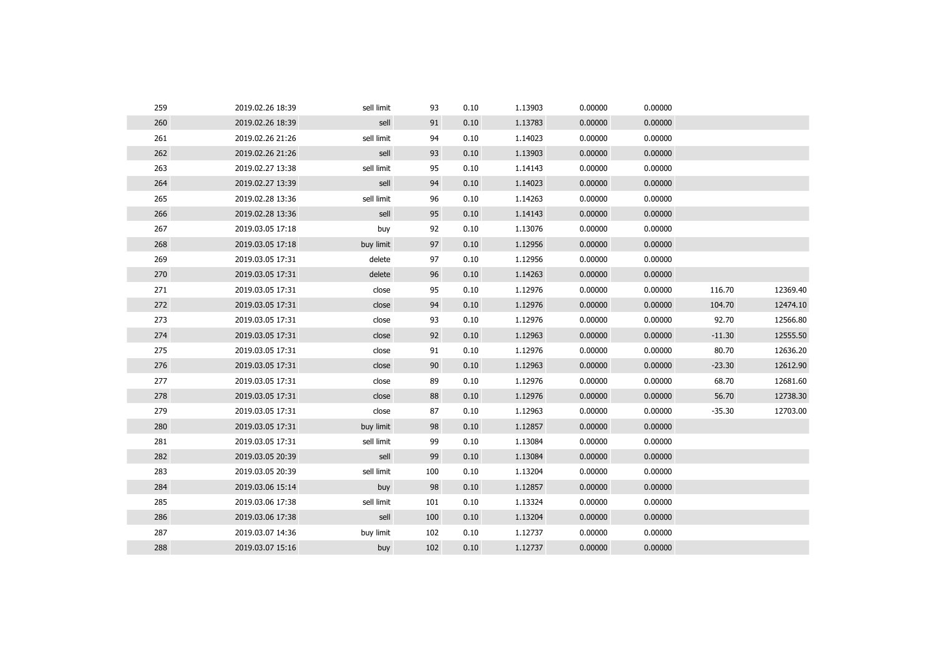| 259 | 2019.02.26 18:39 | sell limit | 93  | 0.10 | 1.13903 | 0.00000 | 0.00000 |          |          |
|-----|------------------|------------|-----|------|---------|---------|---------|----------|----------|
| 260 | 2019.02.26 18:39 | sell       | 91  | 0.10 | 1.13783 | 0.00000 | 0.00000 |          |          |
| 261 | 2019.02.26 21:26 | sell limit | 94  | 0.10 | 1.14023 | 0.00000 | 0.00000 |          |          |
| 262 | 2019.02.26 21:26 | sell       | 93  | 0.10 | 1.13903 | 0.00000 | 0.00000 |          |          |
| 263 | 2019.02.27 13:38 | sell limit | 95  | 0.10 | 1.14143 | 0.00000 | 0.00000 |          |          |
| 264 | 2019.02.27 13:39 | sell       | 94  | 0.10 | 1.14023 | 0.00000 | 0.00000 |          |          |
| 265 | 2019.02.28 13:36 | sell limit | 96  | 0.10 | 1.14263 | 0.00000 | 0.00000 |          |          |
| 266 | 2019.02.28 13:36 | sell       | 95  | 0.10 | 1.14143 | 0.00000 | 0.00000 |          |          |
| 267 | 2019.03.05 17:18 | buy        | 92  | 0.10 | 1.13076 | 0.00000 | 0.00000 |          |          |
| 268 | 2019.03.05 17:18 | buy limit  | 97  | 0.10 | 1.12956 | 0.00000 | 0.00000 |          |          |
| 269 | 2019.03.05 17:31 | delete     | 97  | 0.10 | 1.12956 | 0.00000 | 0.00000 |          |          |
| 270 | 2019.03.05 17:31 | delete     | 96  | 0.10 | 1.14263 | 0.00000 | 0.00000 |          |          |
| 271 | 2019.03.05 17:31 | close      | 95  | 0.10 | 1.12976 | 0.00000 | 0.00000 | 116.70   | 12369.40 |
| 272 | 2019.03.05 17:31 | close      | 94  | 0.10 | 1.12976 | 0.00000 | 0.00000 | 104.70   | 12474.10 |
| 273 | 2019.03.05 17:31 | close      | 93  | 0.10 | 1.12976 | 0.00000 | 0.00000 | 92.70    | 12566.80 |
| 274 | 2019.03.05 17:31 | close      | 92  | 0.10 | 1.12963 | 0.00000 | 0.00000 | $-11.30$ | 12555.50 |
| 275 | 2019.03.05 17:31 | close      | 91  | 0.10 | 1.12976 | 0.00000 | 0.00000 | 80.70    | 12636.20 |
| 276 | 2019.03.05 17:31 | close      | 90  | 0.10 | 1.12963 | 0.00000 | 0.00000 | $-23.30$ | 12612.90 |
| 277 | 2019.03.05 17:31 | close      | 89  | 0.10 | 1.12976 | 0.00000 | 0.00000 | 68.70    | 12681.60 |
| 278 | 2019.03.05 17:31 | close      | 88  | 0.10 | 1.12976 | 0.00000 | 0.00000 | 56.70    | 12738.30 |
| 279 | 2019.03.05 17:31 | close      | 87  | 0.10 | 1.12963 | 0.00000 | 0.00000 | $-35.30$ | 12703.00 |
| 280 | 2019.03.05 17:31 | buy limit  | 98  | 0.10 | 1.12857 | 0.00000 | 0.00000 |          |          |
| 281 | 2019.03.05 17:31 | sell limit | 99  | 0.10 | 1.13084 | 0.00000 | 0.00000 |          |          |
| 282 | 2019.03.05 20:39 | sell       | 99  | 0.10 | 1.13084 | 0.00000 | 0.00000 |          |          |
| 283 | 2019.03.05 20:39 | sell limit | 100 | 0.10 | 1.13204 | 0.00000 | 0.00000 |          |          |
| 284 | 2019.03.06 15:14 | buy        | 98  | 0.10 | 1.12857 | 0.00000 | 0.00000 |          |          |
| 285 | 2019.03.06 17:38 | sell limit | 101 | 0.10 | 1.13324 | 0.00000 | 0.00000 |          |          |
| 286 | 2019.03.06 17:38 | sell       | 100 | 0.10 | 1.13204 | 0.00000 | 0.00000 |          |          |
| 287 | 2019.03.07 14:36 | buy limit  | 102 | 0.10 | 1.12737 | 0.00000 | 0.00000 |          |          |
| 288 | 2019.03.07 15:16 | buy        | 102 | 0.10 | 1.12737 | 0.00000 | 0.00000 |          |          |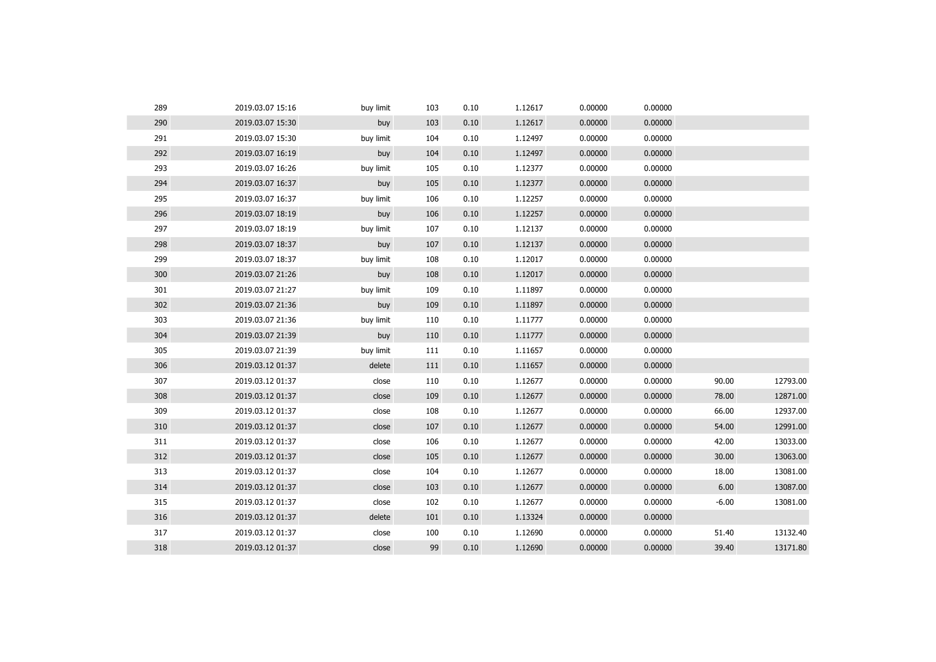| 290<br>2019.03.07 15:30<br>1.12617<br>0.00000<br>0.00000<br>buy<br>103<br>0.10<br>291<br>2019.03.07 15:30<br>0.10<br>1.12497<br>0.00000<br>0.00000<br>buy limit<br>104<br>292<br>2019.03.07 16:19<br>0.10<br>1.12497<br>0.00000<br>0.00000<br>buy<br>104<br>293<br>0.00000<br>2019.03.07 16:26<br>buy limit<br>105<br>0.10<br>1.12377<br>0.00000<br>294<br>2019.03.07 16:37<br>1.12377<br>0.00000<br>0.00000<br>buy<br>105<br>0.10<br>295<br>2019.03.07 16:37<br>buy limit<br>0.10<br>1.12257<br>0.00000<br>0.00000<br>106<br>296<br>1.12257<br>0.00000<br>0.00000<br>2019.03.07 18:19<br>buy<br>106<br>0.10<br>297<br>2019.03.07 18:19<br>1.12137<br>0.00000<br>0.00000<br>buy limit<br>107<br>0.10<br>298<br>2019.03.07 18:37<br>0.10<br>1.12137<br>0.00000<br>0.00000<br>buy<br>107<br>299<br>1.12017<br>0.00000<br>2019.03.07 18:37<br>buy limit<br>108<br>0.10<br>0.00000<br>300<br>2019.03.07 21:26<br>1.12017<br>0.00000<br>0.00000<br>buy<br>108<br>0.10<br>301<br>2019.03.07 21:27<br>109<br>0.10<br>1.11897<br>0.00000<br>0.00000<br>buy limit<br>302<br>0.00000<br>0.00000<br>2019.03.07 21:36<br>109<br>0.10<br>1.11897<br>buy<br>303<br>0.00000<br>0.00000<br>2019.03.07 21:36<br>buy limit<br>110<br>0.10<br>1.11777<br>304<br>2019.03.07 21:39<br>1.11777<br>0.00000<br>0.00000<br>buy<br>110<br>0.10<br>305<br>0.00000<br>2019.03.07 21:39<br>buy limit<br>0.10<br>1.11657<br>0.00000<br>111<br>306<br>0.00000<br>0.00000<br>2019.03.12 01:37<br>delete<br>0.10<br>1.11657<br>111<br>307<br>1.12677<br>0.00000<br>0.00000<br>90.00<br>2019.03.12 01:37<br>close<br>110<br>0.10<br>308<br>2019.03.12 01:37<br>109<br>0.10<br>1.12677<br>0.00000<br>0.00000<br>78.00<br>close<br>309<br>66.00<br>2019.03.12 01:37<br>close<br>108<br>0.10<br>1.12677<br>0.00000<br>0.00000 |          |
|------------------------------------------------------------------------------------------------------------------------------------------------------------------------------------------------------------------------------------------------------------------------------------------------------------------------------------------------------------------------------------------------------------------------------------------------------------------------------------------------------------------------------------------------------------------------------------------------------------------------------------------------------------------------------------------------------------------------------------------------------------------------------------------------------------------------------------------------------------------------------------------------------------------------------------------------------------------------------------------------------------------------------------------------------------------------------------------------------------------------------------------------------------------------------------------------------------------------------------------------------------------------------------------------------------------------------------------------------------------------------------------------------------------------------------------------------------------------------------------------------------------------------------------------------------------------------------------------------------------------------------------------------------------------------------------------------------------------------------------------------------------------------------------|----------|
|                                                                                                                                                                                                                                                                                                                                                                                                                                                                                                                                                                                                                                                                                                                                                                                                                                                                                                                                                                                                                                                                                                                                                                                                                                                                                                                                                                                                                                                                                                                                                                                                                                                                                                                                                                                          |          |
|                                                                                                                                                                                                                                                                                                                                                                                                                                                                                                                                                                                                                                                                                                                                                                                                                                                                                                                                                                                                                                                                                                                                                                                                                                                                                                                                                                                                                                                                                                                                                                                                                                                                                                                                                                                          |          |
|                                                                                                                                                                                                                                                                                                                                                                                                                                                                                                                                                                                                                                                                                                                                                                                                                                                                                                                                                                                                                                                                                                                                                                                                                                                                                                                                                                                                                                                                                                                                                                                                                                                                                                                                                                                          |          |
|                                                                                                                                                                                                                                                                                                                                                                                                                                                                                                                                                                                                                                                                                                                                                                                                                                                                                                                                                                                                                                                                                                                                                                                                                                                                                                                                                                                                                                                                                                                                                                                                                                                                                                                                                                                          |          |
|                                                                                                                                                                                                                                                                                                                                                                                                                                                                                                                                                                                                                                                                                                                                                                                                                                                                                                                                                                                                                                                                                                                                                                                                                                                                                                                                                                                                                                                                                                                                                                                                                                                                                                                                                                                          |          |
|                                                                                                                                                                                                                                                                                                                                                                                                                                                                                                                                                                                                                                                                                                                                                                                                                                                                                                                                                                                                                                                                                                                                                                                                                                                                                                                                                                                                                                                                                                                                                                                                                                                                                                                                                                                          |          |
|                                                                                                                                                                                                                                                                                                                                                                                                                                                                                                                                                                                                                                                                                                                                                                                                                                                                                                                                                                                                                                                                                                                                                                                                                                                                                                                                                                                                                                                                                                                                                                                                                                                                                                                                                                                          |          |
|                                                                                                                                                                                                                                                                                                                                                                                                                                                                                                                                                                                                                                                                                                                                                                                                                                                                                                                                                                                                                                                                                                                                                                                                                                                                                                                                                                                                                                                                                                                                                                                                                                                                                                                                                                                          |          |
|                                                                                                                                                                                                                                                                                                                                                                                                                                                                                                                                                                                                                                                                                                                                                                                                                                                                                                                                                                                                                                                                                                                                                                                                                                                                                                                                                                                                                                                                                                                                                                                                                                                                                                                                                                                          |          |
|                                                                                                                                                                                                                                                                                                                                                                                                                                                                                                                                                                                                                                                                                                                                                                                                                                                                                                                                                                                                                                                                                                                                                                                                                                                                                                                                                                                                                                                                                                                                                                                                                                                                                                                                                                                          |          |
|                                                                                                                                                                                                                                                                                                                                                                                                                                                                                                                                                                                                                                                                                                                                                                                                                                                                                                                                                                                                                                                                                                                                                                                                                                                                                                                                                                                                                                                                                                                                                                                                                                                                                                                                                                                          |          |
|                                                                                                                                                                                                                                                                                                                                                                                                                                                                                                                                                                                                                                                                                                                                                                                                                                                                                                                                                                                                                                                                                                                                                                                                                                                                                                                                                                                                                                                                                                                                                                                                                                                                                                                                                                                          |          |
|                                                                                                                                                                                                                                                                                                                                                                                                                                                                                                                                                                                                                                                                                                                                                                                                                                                                                                                                                                                                                                                                                                                                                                                                                                                                                                                                                                                                                                                                                                                                                                                                                                                                                                                                                                                          |          |
|                                                                                                                                                                                                                                                                                                                                                                                                                                                                                                                                                                                                                                                                                                                                                                                                                                                                                                                                                                                                                                                                                                                                                                                                                                                                                                                                                                                                                                                                                                                                                                                                                                                                                                                                                                                          |          |
|                                                                                                                                                                                                                                                                                                                                                                                                                                                                                                                                                                                                                                                                                                                                                                                                                                                                                                                                                                                                                                                                                                                                                                                                                                                                                                                                                                                                                                                                                                                                                                                                                                                                                                                                                                                          |          |
|                                                                                                                                                                                                                                                                                                                                                                                                                                                                                                                                                                                                                                                                                                                                                                                                                                                                                                                                                                                                                                                                                                                                                                                                                                                                                                                                                                                                                                                                                                                                                                                                                                                                                                                                                                                          |          |
|                                                                                                                                                                                                                                                                                                                                                                                                                                                                                                                                                                                                                                                                                                                                                                                                                                                                                                                                                                                                                                                                                                                                                                                                                                                                                                                                                                                                                                                                                                                                                                                                                                                                                                                                                                                          |          |
|                                                                                                                                                                                                                                                                                                                                                                                                                                                                                                                                                                                                                                                                                                                                                                                                                                                                                                                                                                                                                                                                                                                                                                                                                                                                                                                                                                                                                                                                                                                                                                                                                                                                                                                                                                                          | 12793.00 |
|                                                                                                                                                                                                                                                                                                                                                                                                                                                                                                                                                                                                                                                                                                                                                                                                                                                                                                                                                                                                                                                                                                                                                                                                                                                                                                                                                                                                                                                                                                                                                                                                                                                                                                                                                                                          | 12871.00 |
|                                                                                                                                                                                                                                                                                                                                                                                                                                                                                                                                                                                                                                                                                                                                                                                                                                                                                                                                                                                                                                                                                                                                                                                                                                                                                                                                                                                                                                                                                                                                                                                                                                                                                                                                                                                          | 12937.00 |
| 54.00<br>310<br>2019.03.12 01:37<br>1.12677<br>0.00000<br>0.00000<br>close<br>107<br>0.10                                                                                                                                                                                                                                                                                                                                                                                                                                                                                                                                                                                                                                                                                                                                                                                                                                                                                                                                                                                                                                                                                                                                                                                                                                                                                                                                                                                                                                                                                                                                                                                                                                                                                                | 12991.00 |
| 311<br>2019.03.12 01:37<br>1.12677<br>0.00000<br>42.00<br>close<br>106<br>0.10<br>0.00000                                                                                                                                                                                                                                                                                                                                                                                                                                                                                                                                                                                                                                                                                                                                                                                                                                                                                                                                                                                                                                                                                                                                                                                                                                                                                                                                                                                                                                                                                                                                                                                                                                                                                                | 13033.00 |
| 312<br>0.00000<br>30.00<br>2019.03.12 01:37<br>close<br>105<br>0.10<br>1.12677<br>0.00000                                                                                                                                                                                                                                                                                                                                                                                                                                                                                                                                                                                                                                                                                                                                                                                                                                                                                                                                                                                                                                                                                                                                                                                                                                                                                                                                                                                                                                                                                                                                                                                                                                                                                                | 13063.00 |
| 313<br>1.12677<br>0.00000<br>0.00000<br>18.00<br>2019.03.12 01:37<br>close<br>104<br>0.10                                                                                                                                                                                                                                                                                                                                                                                                                                                                                                                                                                                                                                                                                                                                                                                                                                                                                                                                                                                                                                                                                                                                                                                                                                                                                                                                                                                                                                                                                                                                                                                                                                                                                                | 13081.00 |
| 314<br>2019.03.12 01:37<br>close<br>0.10<br>1.12677<br>0.00000<br>0.00000<br>6.00<br>103                                                                                                                                                                                                                                                                                                                                                                                                                                                                                                                                                                                                                                                                                                                                                                                                                                                                                                                                                                                                                                                                                                                                                                                                                                                                                                                                                                                                                                                                                                                                                                                                                                                                                                 | 13087.00 |
| 315<br>2019.03.12 01:37<br>102<br>0.10<br>1.12677<br>0.00000<br>0.00000<br>$-6.00$<br>close                                                                                                                                                                                                                                                                                                                                                                                                                                                                                                                                                                                                                                                                                                                                                                                                                                                                                                                                                                                                                                                                                                                                                                                                                                                                                                                                                                                                                                                                                                                                                                                                                                                                                              | 13081.00 |
| 316<br>0.10<br>1.13324<br>0.00000<br>2019.03.12 01:37<br>delete<br>101<br>0.00000                                                                                                                                                                                                                                                                                                                                                                                                                                                                                                                                                                                                                                                                                                                                                                                                                                                                                                                                                                                                                                                                                                                                                                                                                                                                                                                                                                                                                                                                                                                                                                                                                                                                                                        |          |
| 317<br>close<br>100<br>1.12690<br>51.40<br>2019.03.12 01:37<br>0.10<br>0.00000<br>0.00000                                                                                                                                                                                                                                                                                                                                                                                                                                                                                                                                                                                                                                                                                                                                                                                                                                                                                                                                                                                                                                                                                                                                                                                                                                                                                                                                                                                                                                                                                                                                                                                                                                                                                                |          |
| 99<br>13171.80<br>318<br>2019.03.12 01:37<br>close<br>0.10<br>1.12690<br>0.00000<br>0.00000<br>39.40                                                                                                                                                                                                                                                                                                                                                                                                                                                                                                                                                                                                                                                                                                                                                                                                                                                                                                                                                                                                                                                                                                                                                                                                                                                                                                                                                                                                                                                                                                                                                                                                                                                                                     | 13132.40 |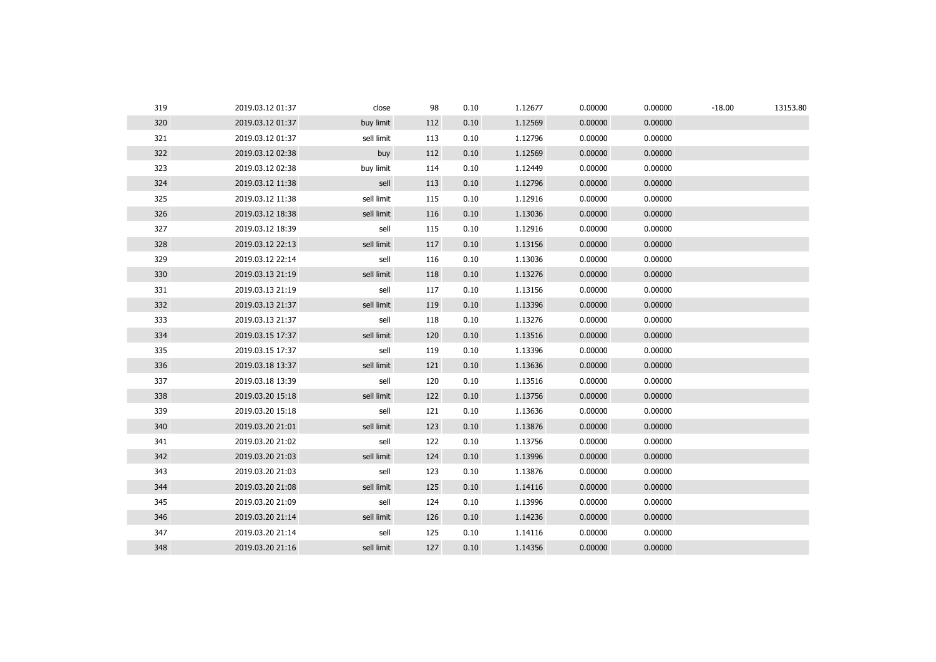| 319 | 2019.03.12 01:37 | close      | 98  | 0.10 | 1.12677 | 0.00000 | 0.00000 | $-18.00$ | 13153.80 |
|-----|------------------|------------|-----|------|---------|---------|---------|----------|----------|
| 320 | 2019.03.12 01:37 | buy limit  | 112 | 0.10 | 1.12569 | 0.00000 | 0.00000 |          |          |
| 321 | 2019.03.12 01:37 | sell limit | 113 | 0.10 | 1.12796 | 0.00000 | 0.00000 |          |          |
| 322 | 2019.03.12 02:38 | buy        | 112 | 0.10 | 1.12569 | 0.00000 | 0.00000 |          |          |
| 323 | 2019.03.12 02:38 | buy limit  | 114 | 0.10 | 1.12449 | 0.00000 | 0.00000 |          |          |
| 324 | 2019.03.12 11:38 | sell       | 113 | 0.10 | 1.12796 | 0.00000 | 0.00000 |          |          |
| 325 | 2019.03.12 11:38 | sell limit | 115 | 0.10 | 1.12916 | 0.00000 | 0.00000 |          |          |
| 326 | 2019.03.12 18:38 | sell limit | 116 | 0.10 | 1.13036 | 0.00000 | 0.00000 |          |          |
| 327 | 2019.03.12 18:39 | sell       | 115 | 0.10 | 1.12916 | 0.00000 | 0.00000 |          |          |
| 328 | 2019.03.12 22:13 | sell limit | 117 | 0.10 | 1.13156 | 0.00000 | 0.00000 |          |          |
| 329 | 2019.03.12 22:14 | sell       | 116 | 0.10 | 1.13036 | 0.00000 | 0.00000 |          |          |
| 330 | 2019.03.13 21:19 | sell limit | 118 | 0.10 | 1.13276 | 0.00000 | 0.00000 |          |          |
| 331 | 2019.03.13 21:19 | sell       | 117 | 0.10 | 1.13156 | 0.00000 | 0.00000 |          |          |
| 332 | 2019.03.13 21:37 | sell limit | 119 | 0.10 | 1.13396 | 0.00000 | 0.00000 |          |          |
| 333 | 2019.03.13 21:37 | sell       | 118 | 0.10 | 1.13276 | 0.00000 | 0.00000 |          |          |
| 334 | 2019.03.15 17:37 | sell limit | 120 | 0.10 | 1.13516 | 0.00000 | 0.00000 |          |          |
| 335 | 2019.03.15 17:37 | sell       | 119 | 0.10 | 1.13396 | 0.00000 | 0.00000 |          |          |
| 336 | 2019.03.18 13:37 | sell limit | 121 | 0.10 | 1.13636 | 0.00000 | 0.00000 |          |          |
| 337 | 2019.03.18 13:39 | sell       | 120 | 0.10 | 1.13516 | 0.00000 | 0.00000 |          |          |
| 338 | 2019.03.20 15:18 | sell limit | 122 | 0.10 | 1.13756 | 0.00000 | 0.00000 |          |          |
| 339 | 2019.03.20 15:18 | sell       | 121 | 0.10 | 1.13636 | 0.00000 | 0.00000 |          |          |
| 340 | 2019.03.20 21:01 | sell limit | 123 | 0.10 | 1.13876 | 0.00000 | 0.00000 |          |          |
| 341 | 2019.03.20 21:02 | sell       | 122 | 0.10 | 1.13756 | 0.00000 | 0.00000 |          |          |
| 342 | 2019.03.20 21:03 | sell limit | 124 | 0.10 | 1.13996 | 0.00000 | 0.00000 |          |          |
| 343 | 2019.03.20 21:03 | sell       | 123 | 0.10 | 1.13876 | 0.00000 | 0.00000 |          |          |
| 344 | 2019.03.20 21:08 | sell limit | 125 | 0.10 | 1.14116 | 0.00000 | 0.00000 |          |          |
| 345 | 2019.03.20 21:09 | sell       | 124 | 0.10 | 1.13996 | 0.00000 | 0.00000 |          |          |
| 346 | 2019.03.20 21:14 | sell limit | 126 | 0.10 | 1.14236 | 0.00000 | 0.00000 |          |          |
| 347 | 2019.03.20 21:14 | sell       | 125 | 0.10 | 1.14116 | 0.00000 | 0.00000 |          |          |
| 348 | 2019.03.20 21:16 | sell limit | 127 | 0.10 | 1.14356 | 0.00000 | 0.00000 |          |          |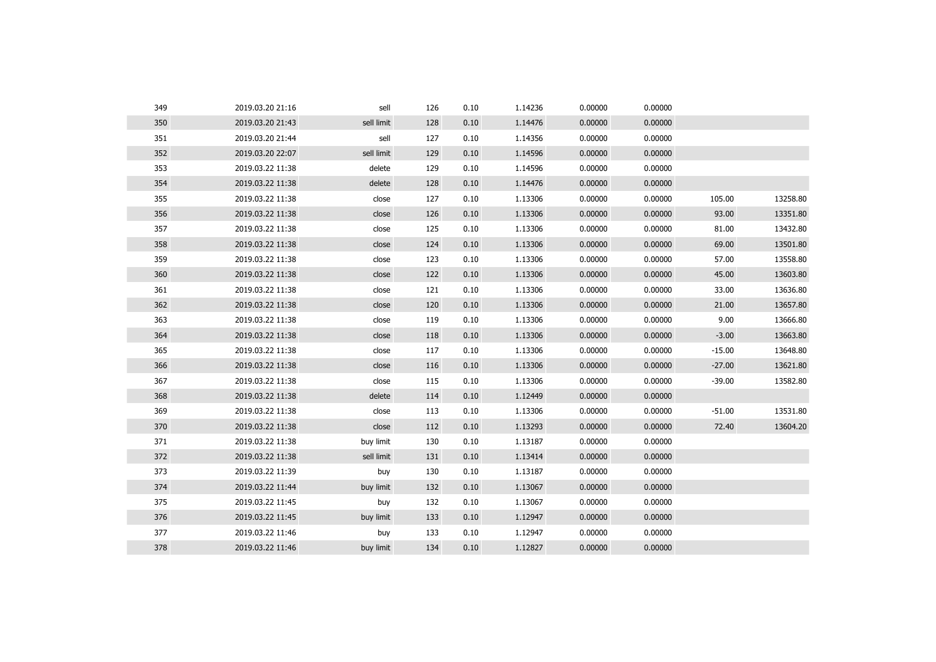| 349 | 2019.03.20 21:16 | sell       | 126 | 0.10 | 1.14236 | 0.00000 | 0.00000 |          |          |
|-----|------------------|------------|-----|------|---------|---------|---------|----------|----------|
| 350 | 2019.03.20 21:43 | sell limit | 128 | 0.10 | 1.14476 | 0.00000 | 0.00000 |          |          |
| 351 | 2019.03.20 21:44 | sell       | 127 | 0.10 | 1.14356 | 0.00000 | 0.00000 |          |          |
| 352 | 2019.03.20 22:07 | sell limit | 129 | 0.10 | 1.14596 | 0.00000 | 0.00000 |          |          |
| 353 | 2019.03.22 11:38 | delete     | 129 | 0.10 | 1.14596 | 0.00000 | 0.00000 |          |          |
| 354 | 2019.03.22 11:38 | delete     | 128 | 0.10 | 1.14476 | 0.00000 | 0.00000 |          |          |
| 355 | 2019.03.22 11:38 | close      | 127 | 0.10 | 1.13306 | 0.00000 | 0.00000 | 105.00   | 13258.80 |
| 356 | 2019.03.22 11:38 | close      | 126 | 0.10 | 1.13306 | 0.00000 | 0.00000 | 93.00    | 13351.80 |
| 357 | 2019.03.22 11:38 | close      | 125 | 0.10 | 1.13306 | 0.00000 | 0.00000 | 81.00    | 13432.80 |
| 358 | 2019.03.22 11:38 | close      | 124 | 0.10 | 1.13306 | 0.00000 | 0.00000 | 69.00    | 13501.80 |
| 359 | 2019.03.22 11:38 | close      | 123 | 0.10 | 1.13306 | 0.00000 | 0.00000 | 57.00    | 13558.80 |
| 360 | 2019.03.22 11:38 | close      | 122 | 0.10 | 1.13306 | 0.00000 | 0.00000 | 45.00    | 13603.80 |
| 361 | 2019.03.22 11:38 | close      | 121 | 0.10 | 1.13306 | 0.00000 | 0.00000 | 33.00    | 13636.80 |
| 362 | 2019.03.22 11:38 | close      | 120 | 0.10 | 1.13306 | 0.00000 | 0.00000 | 21.00    | 13657.80 |
| 363 | 2019.03.22 11:38 | close      | 119 | 0.10 | 1.13306 | 0.00000 | 0.00000 | 9.00     | 13666.80 |
| 364 | 2019.03.22 11:38 | close      | 118 | 0.10 | 1.13306 | 0.00000 | 0.00000 | $-3.00$  | 13663.80 |
| 365 | 2019.03.22 11:38 | close      | 117 | 0.10 | 1.13306 | 0.00000 | 0.00000 | $-15.00$ | 13648.80 |
| 366 | 2019.03.22 11:38 | close      | 116 | 0.10 | 1.13306 | 0.00000 | 0.00000 | $-27.00$ | 13621.80 |
| 367 | 2019.03.22 11:38 | close      | 115 | 0.10 | 1.13306 | 0.00000 | 0.00000 | $-39.00$ | 13582.80 |
| 368 | 2019.03.22 11:38 | delete     | 114 | 0.10 | 1.12449 | 0.00000 | 0.00000 |          |          |
| 369 | 2019.03.22 11:38 | close      | 113 | 0.10 | 1.13306 | 0.00000 | 0.00000 | $-51.00$ | 13531.80 |
| 370 | 2019.03.22 11:38 | close      | 112 | 0.10 | 1.13293 | 0.00000 | 0.00000 | 72.40    | 13604.20 |
| 371 | 2019.03.22 11:38 | buy limit  | 130 | 0.10 | 1.13187 | 0.00000 | 0.00000 |          |          |
| 372 | 2019.03.22 11:38 | sell limit | 131 | 0.10 | 1.13414 | 0.00000 | 0.00000 |          |          |
| 373 | 2019.03.22 11:39 | buy        | 130 | 0.10 | 1.13187 | 0.00000 | 0.00000 |          |          |
| 374 | 2019.03.22 11:44 | buy limit  | 132 | 0.10 | 1.13067 | 0.00000 | 0.00000 |          |          |
| 375 | 2019.03.22 11:45 | buy        | 132 | 0.10 | 1.13067 | 0.00000 | 0.00000 |          |          |
| 376 | 2019.03.22 11:45 | buy limit  | 133 | 0.10 | 1.12947 | 0.00000 | 0.00000 |          |          |
| 377 | 2019.03.22 11:46 | buy        | 133 | 0.10 | 1.12947 | 0.00000 | 0.00000 |          |          |
| 378 | 2019.03.22 11:46 | buy limit  | 134 | 0.10 | 1.12827 | 0.00000 | 0.00000 |          |          |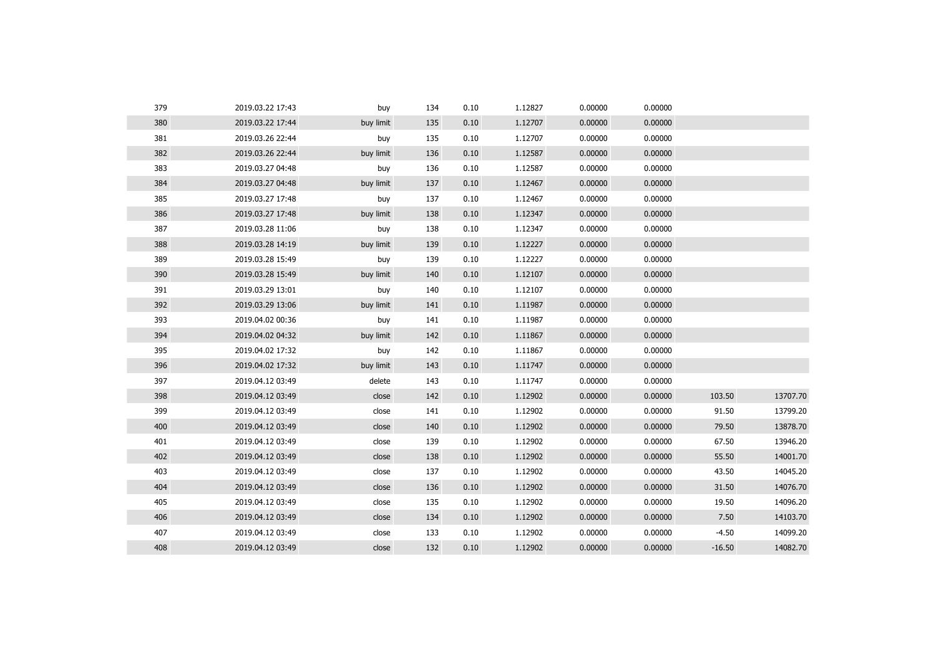| 379 | 2019.03.22 17:43 | buy       | 134 | 0.10 | 1.12827 | 0.00000 | 0.00000 |          |          |
|-----|------------------|-----------|-----|------|---------|---------|---------|----------|----------|
| 380 | 2019.03.22 17:44 | buy limit | 135 | 0.10 | 1.12707 | 0.00000 | 0.00000 |          |          |
| 381 | 2019.03.26 22:44 | buy       | 135 | 0.10 | 1.12707 | 0.00000 | 0.00000 |          |          |
| 382 | 2019.03.26 22:44 | buy limit | 136 | 0.10 | 1.12587 | 0.00000 | 0.00000 |          |          |
| 383 | 2019.03.27 04:48 | buy       | 136 | 0.10 | 1.12587 | 0.00000 | 0.00000 |          |          |
| 384 | 2019.03.27 04:48 | buy limit | 137 | 0.10 | 1.12467 | 0.00000 | 0.00000 |          |          |
| 385 | 2019.03.27 17:48 | buy       | 137 | 0.10 | 1.12467 | 0.00000 | 0.00000 |          |          |
| 386 | 2019.03.27 17:48 | buy limit | 138 | 0.10 | 1.12347 | 0.00000 | 0.00000 |          |          |
| 387 | 2019.03.28 11:06 | buy       | 138 | 0.10 | 1.12347 | 0.00000 | 0.00000 |          |          |
| 388 | 2019.03.28 14:19 | buy limit | 139 | 0.10 | 1.12227 | 0.00000 | 0.00000 |          |          |
| 389 | 2019.03.28 15:49 | buy       | 139 | 0.10 | 1.12227 | 0.00000 | 0.00000 |          |          |
| 390 | 2019.03.28 15:49 | buy limit | 140 | 0.10 | 1.12107 | 0.00000 | 0.00000 |          |          |
| 391 | 2019.03.29 13:01 | buy       | 140 | 0.10 | 1.12107 | 0.00000 | 0.00000 |          |          |
| 392 | 2019.03.29 13:06 | buy limit | 141 | 0.10 | 1.11987 | 0.00000 | 0.00000 |          |          |
| 393 | 2019.04.02 00:36 | buy       | 141 | 0.10 | 1.11987 | 0.00000 | 0.00000 |          |          |
| 394 | 2019.04.02 04:32 | buy limit | 142 | 0.10 | 1.11867 | 0.00000 | 0.00000 |          |          |
| 395 | 2019.04.02 17:32 | buy       | 142 | 0.10 | 1.11867 | 0.00000 | 0.00000 |          |          |
| 396 | 2019.04.02 17:32 | buy limit | 143 | 0.10 | 1.11747 | 0.00000 | 0.00000 |          |          |
| 397 | 2019.04.12 03:49 | delete    | 143 | 0.10 | 1.11747 | 0.00000 | 0.00000 |          |          |
| 398 | 2019.04.12 03:49 | close     | 142 | 0.10 | 1.12902 | 0.00000 | 0.00000 | 103.50   | 13707.70 |
| 399 | 2019.04.12 03:49 | close     | 141 | 0.10 | 1.12902 | 0.00000 | 0.00000 | 91.50    | 13799.20 |
| 400 | 2019.04.12 03:49 | close     | 140 | 0.10 | 1.12902 | 0.00000 | 0.00000 | 79.50    | 13878.70 |
| 401 | 2019.04.12 03:49 | close     | 139 | 0.10 | 1.12902 | 0.00000 | 0.00000 | 67.50    | 13946.20 |
| 402 | 2019.04.12 03:49 | close     | 138 | 0.10 | 1.12902 | 0.00000 | 0.00000 | 55.50    | 14001.70 |
| 403 | 2019.04.12 03:49 | close     | 137 | 0.10 | 1.12902 | 0.00000 | 0.00000 | 43.50    | 14045.20 |
| 404 | 2019.04.12 03:49 | close     | 136 | 0.10 | 1.12902 | 0.00000 | 0.00000 | 31.50    | 14076.70 |
| 405 | 2019.04.12 03:49 | close     | 135 | 0.10 | 1.12902 | 0.00000 | 0.00000 | 19.50    | 14096.20 |
| 406 | 2019.04.12 03:49 | close     | 134 | 0.10 | 1.12902 | 0.00000 | 0.00000 | 7.50     | 14103.70 |
| 407 | 2019.04.12 03:49 | close     | 133 | 0.10 | 1.12902 | 0.00000 | 0.00000 | $-4.50$  | 14099.20 |
| 408 | 2019.04.12 03:49 | close     | 132 | 0.10 | 1.12902 | 0.00000 | 0.00000 | $-16.50$ | 14082.70 |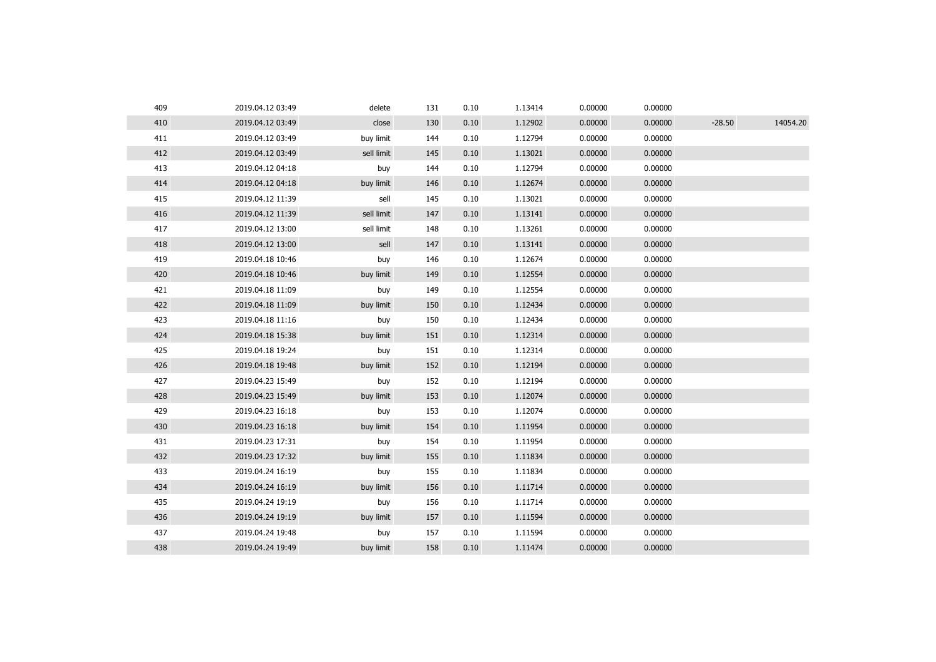| 409 | 2019.04.12 03:49 | delete     | 131 | 0.10 | 1.13414 | 0.00000 | 0.00000 |          |          |
|-----|------------------|------------|-----|------|---------|---------|---------|----------|----------|
| 410 | 2019.04.12 03:49 | close      | 130 | 0.10 | 1.12902 | 0.00000 | 0.00000 | $-28.50$ | 14054.20 |
| 411 | 2019.04.12 03:49 | buy limit  | 144 | 0.10 | 1.12794 | 0.00000 | 0.00000 |          |          |
| 412 | 2019.04.12 03:49 | sell limit | 145 | 0.10 | 1.13021 | 0.00000 | 0.00000 |          |          |
| 413 | 2019.04.12 04:18 | buy        | 144 | 0.10 | 1.12794 | 0.00000 | 0.00000 |          |          |
| 414 | 2019.04.12 04:18 | buy limit  | 146 | 0.10 | 1.12674 | 0.00000 | 0.00000 |          |          |
| 415 | 2019.04.12 11:39 | sell       | 145 | 0.10 | 1.13021 | 0.00000 | 0.00000 |          |          |
| 416 | 2019.04.12 11:39 | sell limit | 147 | 0.10 | 1.13141 | 0.00000 | 0.00000 |          |          |
| 417 | 2019.04.12 13:00 | sell limit | 148 | 0.10 | 1.13261 | 0.00000 | 0.00000 |          |          |
| 418 | 2019.04.12 13:00 | sell       | 147 | 0.10 | 1.13141 | 0.00000 | 0.00000 |          |          |
| 419 | 2019.04.18 10:46 | buy        | 146 | 0.10 | 1.12674 | 0.00000 | 0.00000 |          |          |
| 420 | 2019.04.18 10:46 | buy limit  | 149 | 0.10 | 1.12554 | 0.00000 | 0.00000 |          |          |
| 421 | 2019.04.18 11:09 | buy        | 149 | 0.10 | 1.12554 | 0.00000 | 0.00000 |          |          |
| 422 | 2019.04.18 11:09 | buy limit  | 150 | 0.10 | 1.12434 | 0.00000 | 0.00000 |          |          |
| 423 | 2019.04.18 11:16 | buy        | 150 | 0.10 | 1.12434 | 0.00000 | 0.00000 |          |          |
| 424 | 2019.04.18 15:38 | buy limit  | 151 | 0.10 | 1.12314 | 0.00000 | 0.00000 |          |          |
| 425 | 2019.04.18 19:24 | buy        | 151 | 0.10 | 1.12314 | 0.00000 | 0.00000 |          |          |
| 426 | 2019.04.18 19:48 | buy limit  | 152 | 0.10 | 1.12194 | 0.00000 | 0.00000 |          |          |
| 427 | 2019.04.23 15:49 | buy        | 152 | 0.10 | 1.12194 | 0.00000 | 0.00000 |          |          |
| 428 | 2019.04.23 15:49 | buy limit  | 153 | 0.10 | 1.12074 | 0.00000 | 0.00000 |          |          |
| 429 | 2019.04.23 16:18 | buy        | 153 | 0.10 | 1.12074 | 0.00000 | 0.00000 |          |          |
| 430 | 2019.04.23 16:18 | buy limit  | 154 | 0.10 | 1.11954 | 0.00000 | 0.00000 |          |          |
| 431 | 2019.04.23 17:31 | buy        | 154 | 0.10 | 1.11954 | 0.00000 | 0.00000 |          |          |
| 432 | 2019.04.23 17:32 | buy limit  | 155 | 0.10 | 1.11834 | 0.00000 | 0.00000 |          |          |
| 433 | 2019.04.24 16:19 | buy        | 155 | 0.10 | 1.11834 | 0.00000 | 0.00000 |          |          |
| 434 | 2019.04.24 16:19 | buy limit  | 156 | 0.10 | 1.11714 | 0.00000 | 0.00000 |          |          |
| 435 | 2019.04.24 19:19 | buy        | 156 | 0.10 | 1.11714 | 0.00000 | 0.00000 |          |          |
| 436 | 2019.04.24 19:19 | buy limit  | 157 | 0.10 | 1.11594 | 0.00000 | 0.00000 |          |          |
| 437 | 2019.04.24 19:48 | buy        | 157 | 0.10 | 1.11594 | 0.00000 | 0.00000 |          |          |
| 438 | 2019.04.24 19:49 | buy limit  | 158 | 0.10 | 1.11474 | 0.00000 | 0.00000 |          |          |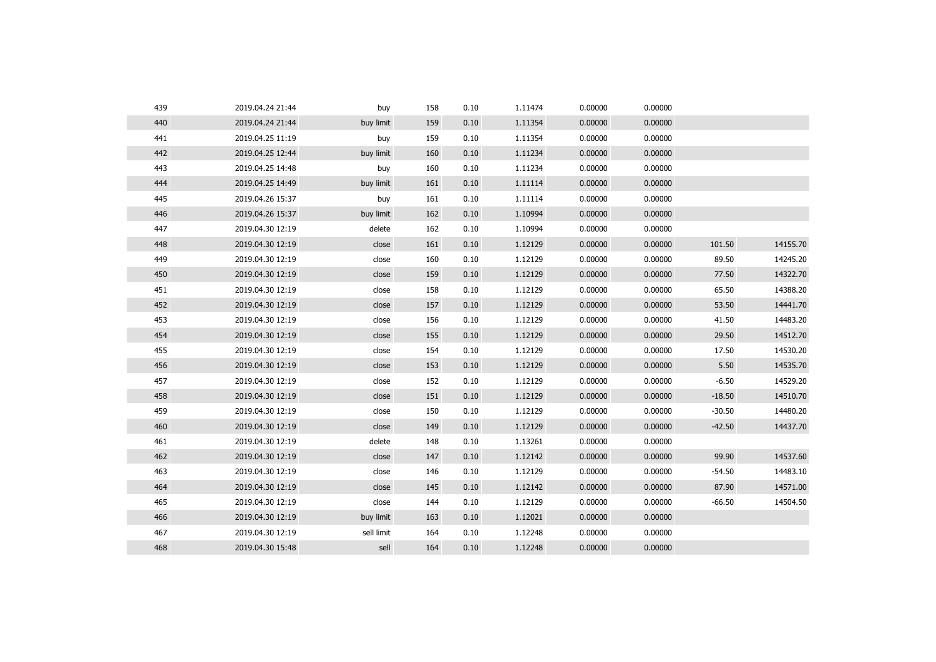| 439 | 2019.04.24 21:44 | buy        | 158 | 0.10 | 1.11474 | 0.00000 | 0.00000 |          |          |
|-----|------------------|------------|-----|------|---------|---------|---------|----------|----------|
| 440 | 2019.04.24 21:44 | buy limit  | 159 | 0.10 | 1.11354 | 0.00000 | 0.00000 |          |          |
| 441 | 2019.04.25 11:19 | buy        | 159 | 0.10 | 1.11354 | 0.00000 | 0.00000 |          |          |
| 442 | 2019.04.25 12:44 | buy limit  | 160 | 0.10 | 1.11234 | 0.00000 | 0.00000 |          |          |
| 443 | 2019.04.25 14:48 | buy        | 160 | 0.10 | 1.11234 | 0.00000 | 0.00000 |          |          |
| 444 | 2019.04.25 14:49 | buy limit  | 161 | 0.10 | 1.11114 | 0.00000 | 0.00000 |          |          |
| 445 | 2019.04.26 15:37 | buy        | 161 | 0.10 | 1.11114 | 0.00000 | 0.00000 |          |          |
| 446 | 2019.04.26 15:37 | buy limit  | 162 | 0.10 | 1.10994 | 0.00000 | 0.00000 |          |          |
| 447 | 2019.04.30 12:19 | delete     | 162 | 0.10 | 1.10994 | 0.00000 | 0.00000 |          |          |
| 448 | 2019.04.30 12:19 | close      | 161 | 0.10 | 1.12129 | 0.00000 | 0.00000 | 101.50   | 14155.70 |
| 449 | 2019.04.30 12:19 | close      | 160 | 0.10 | 1.12129 | 0.00000 | 0.00000 | 89.50    | 14245.20 |
| 450 | 2019.04.30 12:19 | close      | 159 | 0.10 | 1.12129 | 0.00000 | 0.00000 | 77.50    | 14322.70 |
| 451 | 2019.04.30 12:19 | close      | 158 | 0.10 | 1.12129 | 0.00000 | 0.00000 | 65.50    | 14388.20 |
| 452 | 2019.04.30 12:19 | close      | 157 | 0.10 | 1.12129 | 0.00000 | 0.00000 | 53.50    | 14441.70 |
| 453 | 2019.04.30 12:19 | close      | 156 | 0.10 | 1.12129 | 0.00000 | 0.00000 | 41.50    | 14483.20 |
| 454 | 2019.04.30 12:19 | close      | 155 | 0.10 | 1.12129 | 0.00000 | 0.00000 | 29.50    | 14512.70 |
| 455 | 2019.04.30 12:19 | close      | 154 | 0.10 | 1.12129 | 0.00000 | 0.00000 | 17.50    | 14530.20 |
| 456 | 2019.04.30 12:19 | close      | 153 | 0.10 | 1.12129 | 0.00000 | 0.00000 | 5.50     | 14535.70 |
| 457 | 2019.04.30 12:19 | close      | 152 | 0.10 | 1.12129 | 0.00000 | 0.00000 | $-6.50$  | 14529.20 |
| 458 | 2019.04.30 12:19 | close      | 151 | 0.10 | 1.12129 | 0.00000 | 0.00000 | $-18.50$ | 14510.70 |
| 459 | 2019.04.30 12:19 | close      | 150 | 0.10 | 1.12129 | 0.00000 | 0.00000 | $-30.50$ | 14480.20 |
| 460 | 2019.04.30 12:19 | close      | 149 | 0.10 | 1.12129 | 0.00000 | 0.00000 | $-42.50$ | 14437.70 |
| 461 | 2019.04.30 12:19 | delete     | 148 | 0.10 | 1.13261 | 0.00000 | 0.00000 |          |          |
| 462 | 2019.04.30 12:19 | close      | 147 | 0.10 | 1.12142 | 0.00000 | 0.00000 | 99.90    | 14537.60 |
| 463 | 2019.04.30 12:19 | close      | 146 | 0.10 | 1.12129 | 0.00000 | 0.00000 | $-54.50$ | 14483.10 |
| 464 | 2019.04.30 12:19 | close      | 145 | 0.10 | 1.12142 | 0.00000 | 0.00000 | 87.90    | 14571.00 |
| 465 | 2019.04.30 12:19 | close      | 144 | 0.10 | 1.12129 | 0.00000 | 0.00000 | $-66.50$ | 14504.50 |
| 466 | 2019.04.30 12:19 | buy limit  | 163 | 0.10 | 1.12021 | 0.00000 | 0.00000 |          |          |
| 467 | 2019.04.30 12:19 | sell limit | 164 | 0.10 | 1.12248 | 0.00000 | 0.00000 |          |          |
| 468 | 2019.04.30 15:48 | sell       | 164 | 0.10 | 1.12248 | 0.00000 | 0.00000 |          |          |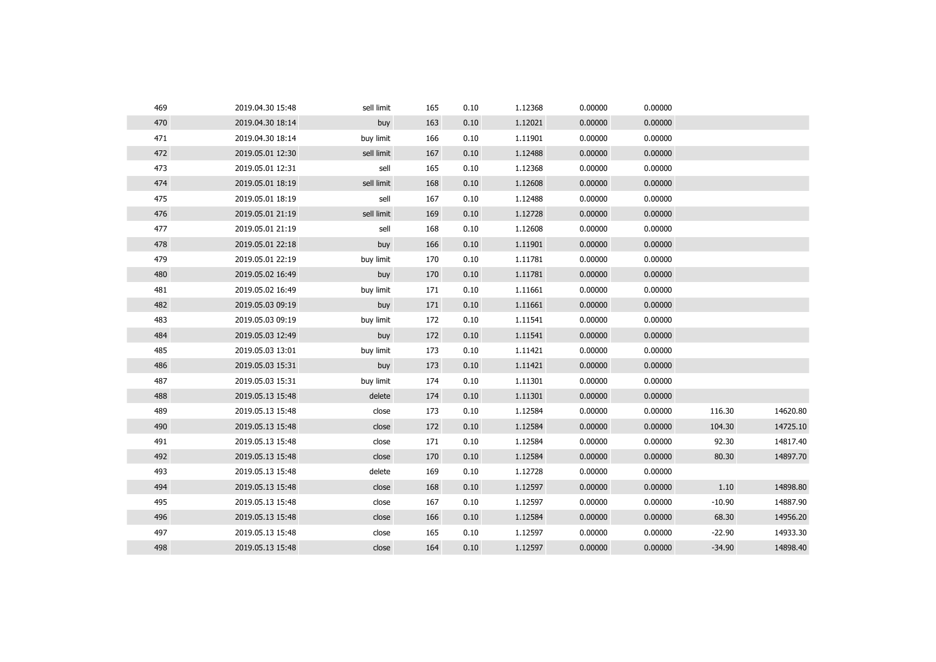| 469 | 2019.04.30 15:48 | sell limit | 165 | 0.10 | 1.12368 | 0.00000 | 0.00000 |          |          |
|-----|------------------|------------|-----|------|---------|---------|---------|----------|----------|
| 470 | 2019.04.30 18:14 | buy        | 163 | 0.10 | 1.12021 | 0.00000 | 0.00000 |          |          |
| 471 | 2019.04.30 18:14 | buy limit  | 166 | 0.10 | 1.11901 | 0.00000 | 0.00000 |          |          |
| 472 | 2019.05.01 12:30 | sell limit | 167 | 0.10 | 1.12488 | 0.00000 | 0.00000 |          |          |
| 473 | 2019.05.01 12:31 | sell       | 165 | 0.10 | 1.12368 | 0.00000 | 0.00000 |          |          |
| 474 | 2019.05.01 18:19 | sell limit | 168 | 0.10 | 1.12608 | 0.00000 | 0.00000 |          |          |
| 475 | 2019.05.01 18:19 | sell       | 167 | 0.10 | 1.12488 | 0.00000 | 0.00000 |          |          |
| 476 | 2019.05.01 21:19 | sell limit | 169 | 0.10 | 1.12728 | 0.00000 | 0.00000 |          |          |
| 477 | 2019.05.01 21:19 | sell       | 168 | 0.10 | 1.12608 | 0.00000 | 0.00000 |          |          |
| 478 | 2019.05.01 22:18 | buy        | 166 | 0.10 | 1.11901 | 0.00000 | 0.00000 |          |          |
| 479 | 2019.05.01 22:19 | buy limit  | 170 | 0.10 | 1.11781 | 0.00000 | 0.00000 |          |          |
| 480 | 2019.05.02 16:49 | buy        | 170 | 0.10 | 1.11781 | 0.00000 | 0.00000 |          |          |
| 481 | 2019.05.02 16:49 | buy limit  | 171 | 0.10 | 1.11661 | 0.00000 | 0.00000 |          |          |
| 482 | 2019.05.03 09:19 | buy        | 171 | 0.10 | 1.11661 | 0.00000 | 0.00000 |          |          |
| 483 | 2019.05.03 09:19 | buy limit  | 172 | 0.10 | 1.11541 | 0.00000 | 0.00000 |          |          |
| 484 | 2019.05.03 12:49 | buy        | 172 | 0.10 | 1.11541 | 0.00000 | 0.00000 |          |          |
| 485 | 2019.05.03 13:01 | buy limit  | 173 | 0.10 | 1.11421 | 0.00000 | 0.00000 |          |          |
| 486 | 2019.05.03 15:31 | buy        | 173 | 0.10 | 1.11421 | 0.00000 | 0.00000 |          |          |
| 487 | 2019.05.03 15:31 | buy limit  | 174 | 0.10 | 1.11301 | 0.00000 | 0.00000 |          |          |
| 488 | 2019.05.13 15:48 | delete     | 174 | 0.10 | 1.11301 | 0.00000 | 0.00000 |          |          |
| 489 | 2019.05.13 15:48 | close      | 173 | 0.10 | 1.12584 | 0.00000 | 0.00000 | 116.30   | 14620.80 |
| 490 | 2019.05.13 15:48 | close      | 172 | 0.10 | 1.12584 | 0.00000 | 0.00000 | 104.30   | 14725.10 |
| 491 | 2019.05.13 15:48 | close      | 171 | 0.10 | 1.12584 | 0.00000 | 0.00000 | 92.30    | 14817.40 |
| 492 | 2019.05.13 15:48 | close      | 170 | 0.10 | 1.12584 | 0.00000 | 0.00000 | 80.30    | 14897.70 |
| 493 | 2019.05.13 15:48 | delete     | 169 | 0.10 | 1.12728 | 0.00000 | 0.00000 |          |          |
| 494 | 2019.05.13 15:48 | close      | 168 | 0.10 | 1.12597 | 0.00000 | 0.00000 | 1.10     | 14898.80 |
| 495 | 2019.05.13 15:48 | close      | 167 | 0.10 | 1.12597 | 0.00000 | 0.00000 | $-10.90$ | 14887.90 |
| 496 | 2019.05.13 15:48 | close      | 166 | 0.10 | 1.12584 | 0.00000 | 0.00000 | 68.30    | 14956.20 |
| 497 | 2019.05.13 15:48 | close      | 165 | 0.10 | 1.12597 | 0.00000 | 0.00000 | $-22.90$ | 14933.30 |
| 498 | 2019.05.13 15:48 | close      | 164 | 0.10 | 1.12597 | 0.00000 | 0.00000 | $-34.90$ | 14898.40 |
|     |                  |            |     |      |         |         |         |          |          |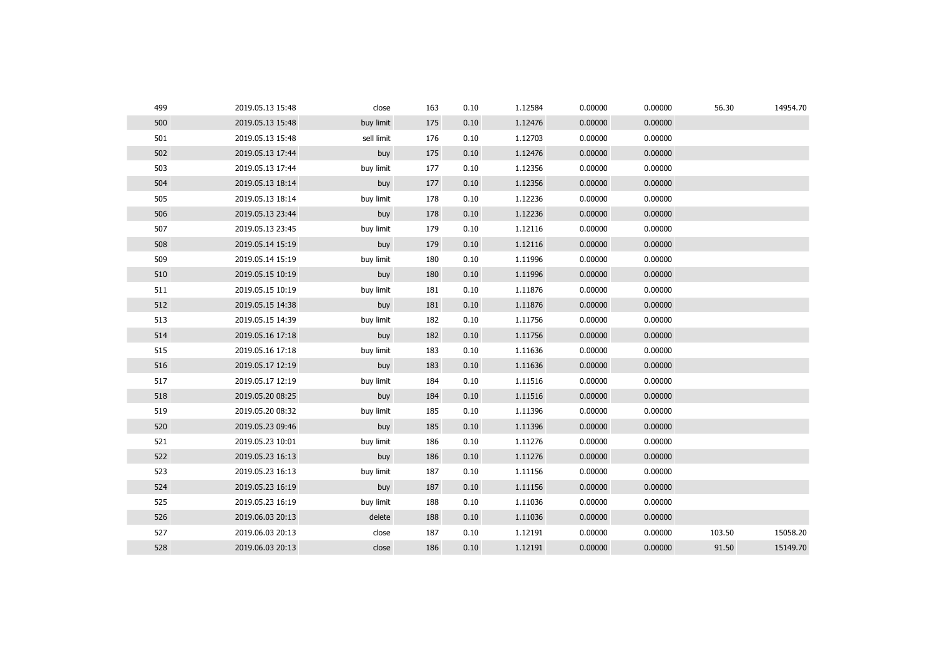| 499 | 2019.05.13 15:48 | close      | 163 | 0.10 | 1.12584 | 0.00000 | 0.00000 | 56.30  | 14954.70 |
|-----|------------------|------------|-----|------|---------|---------|---------|--------|----------|
| 500 | 2019.05.13 15:48 | buy limit  | 175 | 0.10 | 1.12476 | 0.00000 | 0.00000 |        |          |
| 501 | 2019.05.13 15:48 | sell limit | 176 | 0.10 | 1.12703 | 0.00000 | 0.00000 |        |          |
| 502 | 2019.05.13 17:44 | buy        | 175 | 0.10 | 1.12476 | 0.00000 | 0.00000 |        |          |
| 503 | 2019.05.13 17:44 | buy limit  | 177 | 0.10 | 1.12356 | 0.00000 | 0.00000 |        |          |
| 504 | 2019.05.13 18:14 | buy        | 177 | 0.10 | 1.12356 | 0.00000 | 0.00000 |        |          |
| 505 | 2019.05.13 18:14 | buy limit  | 178 | 0.10 | 1.12236 | 0.00000 | 0.00000 |        |          |
| 506 | 2019.05.13 23:44 | buy        | 178 | 0.10 | 1.12236 | 0.00000 | 0.00000 |        |          |
| 507 | 2019.05.13 23:45 | buy limit  | 179 | 0.10 | 1.12116 | 0.00000 | 0.00000 |        |          |
| 508 | 2019.05.14 15:19 | buy        | 179 | 0.10 | 1.12116 | 0.00000 | 0.00000 |        |          |
| 509 | 2019.05.14 15:19 | buy limit  | 180 | 0.10 | 1.11996 | 0.00000 | 0.00000 |        |          |
| 510 | 2019.05.15 10:19 | buy        | 180 | 0.10 | 1.11996 | 0.00000 | 0.00000 |        |          |
| 511 | 2019.05.15 10:19 | buy limit  | 181 | 0.10 | 1.11876 | 0.00000 | 0.00000 |        |          |
| 512 | 2019.05.15 14:38 | buy        | 181 | 0.10 | 1.11876 | 0.00000 | 0.00000 |        |          |
| 513 | 2019.05.15 14:39 | buy limit  | 182 | 0.10 | 1.11756 | 0.00000 | 0.00000 |        |          |
| 514 | 2019.05.16 17:18 | buy        | 182 | 0.10 | 1.11756 | 0.00000 | 0.00000 |        |          |
| 515 | 2019.05.16 17:18 | buy limit  | 183 | 0.10 | 1.11636 | 0.00000 | 0.00000 |        |          |
| 516 | 2019.05.17 12:19 | buy        | 183 | 0.10 | 1.11636 | 0.00000 | 0.00000 |        |          |
| 517 | 2019.05.17 12:19 | buy limit  | 184 | 0.10 | 1.11516 | 0.00000 | 0.00000 |        |          |
| 518 | 2019.05.20 08:25 | buy        | 184 | 0.10 | 1.11516 | 0.00000 | 0.00000 |        |          |
| 519 | 2019.05.20 08:32 | buy limit  | 185 | 0.10 | 1.11396 | 0.00000 | 0.00000 |        |          |
| 520 | 2019.05.23 09:46 | buy        | 185 | 0.10 | 1.11396 | 0.00000 | 0.00000 |        |          |
| 521 | 2019.05.23 10:01 | buy limit  | 186 | 0.10 | 1.11276 | 0.00000 | 0.00000 |        |          |
| 522 | 2019.05.23 16:13 | buy        | 186 | 0.10 | 1.11276 | 0.00000 | 0.00000 |        |          |
| 523 | 2019.05.23 16:13 | buy limit  | 187 | 0.10 | 1.11156 | 0.00000 | 0.00000 |        |          |
| 524 | 2019.05.23 16:19 | buy        | 187 | 0.10 | 1.11156 | 0.00000 | 0.00000 |        |          |
| 525 | 2019.05.23 16:19 | buy limit  | 188 | 0.10 | 1.11036 | 0.00000 | 0.00000 |        |          |
| 526 | 2019.06.03 20:13 | delete     | 188 | 0.10 | 1.11036 | 0.00000 | 0.00000 |        |          |
| 527 | 2019.06.03 20:13 | close      | 187 | 0.10 | 1.12191 | 0.00000 | 0.00000 | 103.50 | 15058.20 |
| 528 | 2019.06.03 20:13 | close      | 186 | 0.10 | 1.12191 | 0.00000 | 0.00000 | 91.50  | 15149.70 |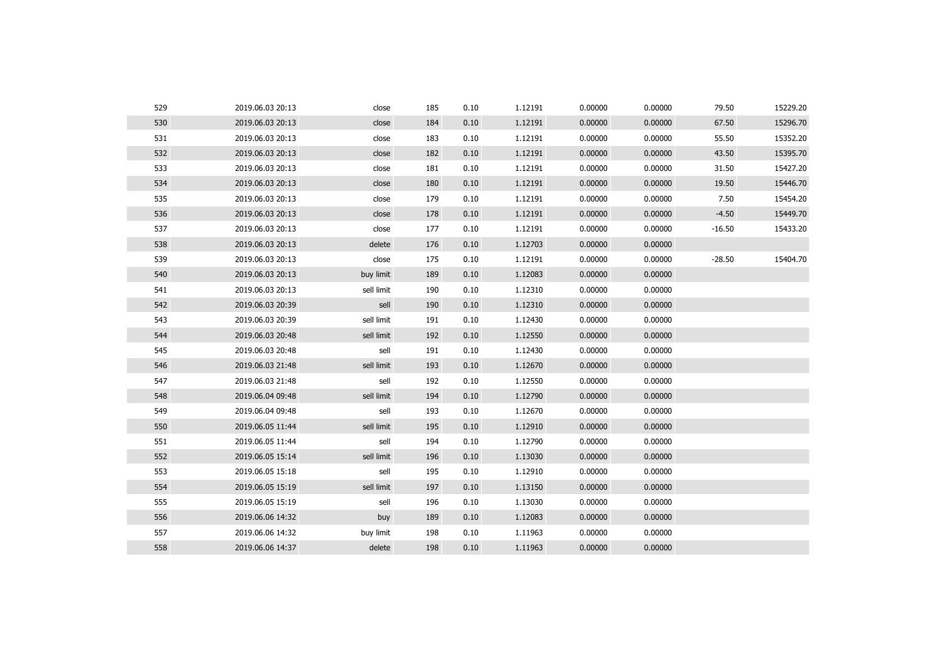| 529 | 2019.06.03 20:13 | close      | 185 | 0.10 | 1.12191 | 0.00000 | 0.00000 | 79.50    | 15229.20 |
|-----|------------------|------------|-----|------|---------|---------|---------|----------|----------|
| 530 | 2019.06.03 20:13 | close      | 184 | 0.10 | 1.12191 | 0.00000 | 0.00000 | 67.50    | 15296.70 |
| 531 | 2019.06.03 20:13 | close      | 183 | 0.10 | 1.12191 | 0.00000 | 0.00000 | 55.50    | 15352.20 |
| 532 | 2019.06.03 20:13 | close      | 182 | 0.10 | 1.12191 | 0.00000 | 0.00000 | 43.50    | 15395.70 |
| 533 | 2019.06.03 20:13 | close      | 181 | 0.10 | 1.12191 | 0.00000 | 0.00000 | 31.50    | 15427.20 |
| 534 | 2019.06.03 20:13 | close      | 180 | 0.10 | 1.12191 | 0.00000 | 0.00000 | 19.50    | 15446.70 |
| 535 | 2019.06.03 20:13 | close      | 179 | 0.10 | 1.12191 | 0.00000 | 0.00000 | 7.50     | 15454.20 |
| 536 | 2019.06.03 20:13 | close      | 178 | 0.10 | 1.12191 | 0.00000 | 0.00000 | $-4.50$  | 15449.70 |
| 537 | 2019.06.03 20:13 | close      | 177 | 0.10 | 1.12191 | 0.00000 | 0.00000 | $-16.50$ | 15433.20 |
| 538 | 2019.06.03 20:13 | delete     | 176 | 0.10 | 1.12703 | 0.00000 | 0.00000 |          |          |
| 539 | 2019.06.03 20:13 | close      | 175 | 0.10 | 1.12191 | 0.00000 | 0.00000 | $-28.50$ | 15404.70 |
| 540 | 2019.06.03 20:13 | buy limit  | 189 | 0.10 | 1.12083 | 0.00000 | 0.00000 |          |          |
| 541 | 2019.06.03 20:13 | sell limit | 190 | 0.10 | 1.12310 | 0.00000 | 0.00000 |          |          |
| 542 | 2019.06.03 20:39 | sell       | 190 | 0.10 | 1.12310 | 0.00000 | 0.00000 |          |          |
| 543 | 2019.06.03 20:39 | sell limit | 191 | 0.10 | 1.12430 | 0.00000 | 0.00000 |          |          |
| 544 | 2019.06.03 20:48 | sell limit | 192 | 0.10 | 1.12550 | 0.00000 | 0.00000 |          |          |
| 545 | 2019.06.03 20:48 | sell       | 191 | 0.10 | 1.12430 | 0.00000 | 0.00000 |          |          |
| 546 | 2019.06.03 21:48 | sell limit | 193 | 0.10 | 1.12670 | 0.00000 | 0.00000 |          |          |
| 547 | 2019.06.03 21:48 | sell       | 192 | 0.10 | 1.12550 | 0.00000 | 0.00000 |          |          |
| 548 | 2019.06.04 09:48 | sell limit | 194 | 0.10 | 1.12790 | 0.00000 | 0.00000 |          |          |
| 549 | 2019.06.04 09:48 | sell       | 193 | 0.10 | 1.12670 | 0.00000 | 0.00000 |          |          |
| 550 | 2019.06.05 11:44 | sell limit | 195 | 0.10 | 1.12910 | 0.00000 | 0.00000 |          |          |
| 551 | 2019.06.05 11:44 | sell       | 194 | 0.10 | 1.12790 | 0.00000 | 0.00000 |          |          |
| 552 | 2019.06.05 15:14 | sell limit | 196 | 0.10 | 1.13030 | 0.00000 | 0.00000 |          |          |
| 553 | 2019.06.05 15:18 | sell       | 195 | 0.10 | 1.12910 | 0.00000 | 0.00000 |          |          |
| 554 | 2019.06.05 15:19 | sell limit | 197 | 0.10 | 1.13150 | 0.00000 | 0.00000 |          |          |
| 555 | 2019.06.05 15:19 | sell       | 196 | 0.10 | 1.13030 | 0.00000 | 0.00000 |          |          |
| 556 | 2019.06.06 14:32 | buy        | 189 | 0.10 | 1.12083 | 0.00000 | 0.00000 |          |          |
| 557 | 2019.06.06 14:32 | buy limit  | 198 | 0.10 | 1.11963 | 0.00000 | 0.00000 |          |          |
| 558 | 2019.06.06 14:37 | delete     | 198 | 0.10 | 1.11963 | 0.00000 | 0.00000 |          |          |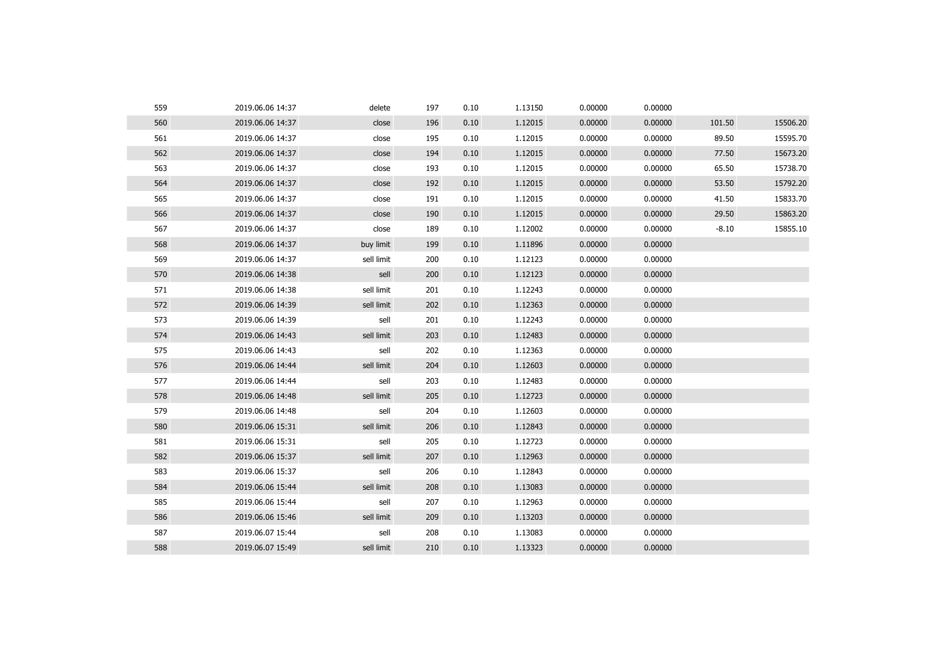| 559 | 2019.06.06 14:37 | delete     | 197 | 0.10 | 1.13150 | 0.00000 | 0.00000 |         |          |
|-----|------------------|------------|-----|------|---------|---------|---------|---------|----------|
| 560 | 2019.06.06 14:37 | close      | 196 | 0.10 | 1.12015 | 0.00000 | 0.00000 | 101.50  | 15506.20 |
| 561 | 2019.06.06 14:37 | close      | 195 | 0.10 | 1.12015 | 0.00000 | 0.00000 | 89.50   | 15595.70 |
| 562 | 2019.06.06 14:37 | close      | 194 | 0.10 | 1.12015 | 0.00000 | 0.00000 | 77.50   | 15673.20 |
| 563 | 2019.06.06 14:37 | close      | 193 | 0.10 | 1.12015 | 0.00000 | 0.00000 | 65.50   | 15738.70 |
| 564 | 2019.06.06 14:37 | close      | 192 | 0.10 | 1.12015 | 0.00000 | 0.00000 | 53.50   | 15792.20 |
| 565 | 2019.06.06 14:37 | close      | 191 | 0.10 | 1.12015 | 0.00000 | 0.00000 | 41.50   | 15833.70 |
| 566 | 2019.06.06 14:37 | close      | 190 | 0.10 | 1.12015 | 0.00000 | 0.00000 | 29.50   | 15863.20 |
| 567 | 2019.06.06 14:37 | close      | 189 | 0.10 | 1.12002 | 0.00000 | 0.00000 | $-8.10$ | 15855.10 |
| 568 | 2019.06.06 14:37 | buy limit  | 199 | 0.10 | 1.11896 | 0.00000 | 0.00000 |         |          |
| 569 | 2019.06.06 14:37 | sell limit | 200 | 0.10 | 1.12123 | 0.00000 | 0.00000 |         |          |
| 570 | 2019.06.06 14:38 | sell       | 200 | 0.10 | 1.12123 | 0.00000 | 0.00000 |         |          |
| 571 | 2019.06.06 14:38 | sell limit | 201 | 0.10 | 1.12243 | 0.00000 | 0.00000 |         |          |
| 572 | 2019.06.06 14:39 | sell limit | 202 | 0.10 | 1.12363 | 0.00000 | 0.00000 |         |          |
| 573 | 2019.06.06 14:39 | sell       | 201 | 0.10 | 1.12243 | 0.00000 | 0.00000 |         |          |
| 574 | 2019.06.06 14:43 | sell limit | 203 | 0.10 | 1.12483 | 0.00000 | 0.00000 |         |          |
| 575 | 2019.06.06 14:43 | sell       | 202 | 0.10 | 1.12363 | 0.00000 | 0.00000 |         |          |
| 576 | 2019.06.06 14:44 | sell limit | 204 | 0.10 | 1.12603 | 0.00000 | 0.00000 |         |          |
| 577 | 2019.06.06 14:44 | sell       | 203 | 0.10 | 1.12483 | 0.00000 | 0.00000 |         |          |
| 578 | 2019.06.06 14:48 | sell limit | 205 | 0.10 | 1.12723 | 0.00000 | 0.00000 |         |          |
| 579 | 2019.06.06 14:48 | sell       | 204 | 0.10 | 1.12603 | 0.00000 | 0.00000 |         |          |
| 580 | 2019.06.06 15:31 | sell limit | 206 | 0.10 | 1.12843 | 0.00000 | 0.00000 |         |          |
| 581 | 2019.06.06 15:31 | sell       | 205 | 0.10 | 1.12723 | 0.00000 | 0.00000 |         |          |
| 582 | 2019.06.06 15:37 | sell limit | 207 | 0.10 | 1.12963 | 0.00000 | 0.00000 |         |          |
| 583 | 2019.06.06 15:37 | sell       | 206 | 0.10 | 1.12843 | 0.00000 | 0.00000 |         |          |
| 584 | 2019.06.06 15:44 | sell limit | 208 | 0.10 | 1.13083 | 0.00000 | 0.00000 |         |          |
| 585 | 2019.06.06 15:44 | sell       | 207 | 0.10 | 1.12963 | 0.00000 | 0.00000 |         |          |
| 586 | 2019.06.06 15:46 | sell limit | 209 | 0.10 | 1.13203 | 0.00000 | 0.00000 |         |          |
| 587 | 2019.06.07 15:44 | sell       | 208 | 0.10 | 1.13083 | 0.00000 | 0.00000 |         |          |
| 588 | 2019.06.07 15:49 | sell limit | 210 | 0.10 | 1.13323 | 0.00000 | 0.00000 |         |          |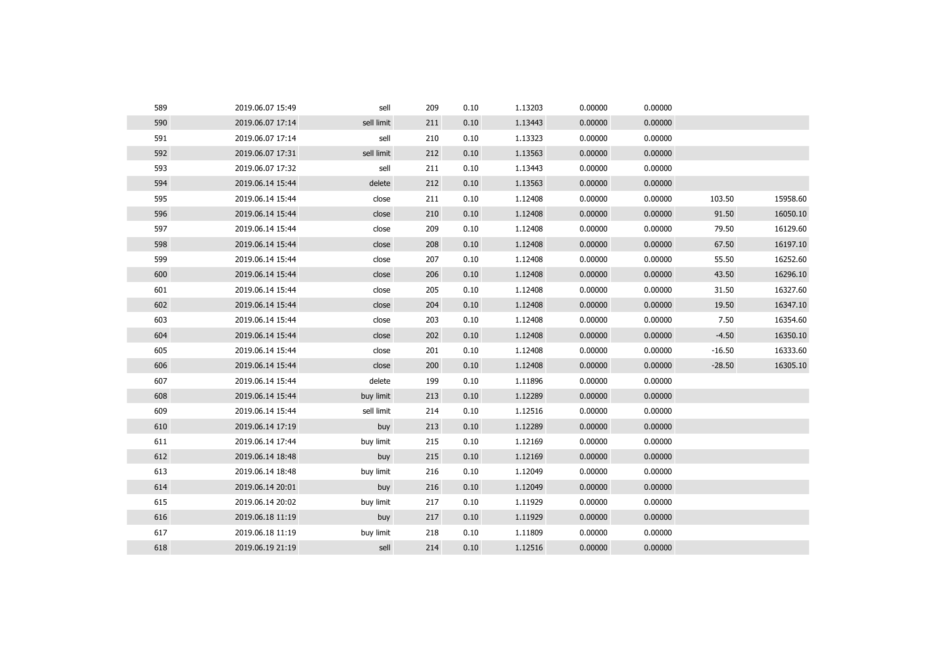| 589 | 2019.06.07 15:49 | sell       | 209 | 0.10 | 1.13203 | 0.00000 | 0.00000 |          |          |
|-----|------------------|------------|-----|------|---------|---------|---------|----------|----------|
| 590 | 2019.06.07 17:14 | sell limit | 211 | 0.10 | 1.13443 | 0.00000 | 0.00000 |          |          |
| 591 | 2019.06.07 17:14 | sell       | 210 | 0.10 | 1.13323 | 0.00000 | 0.00000 |          |          |
| 592 | 2019.06.07 17:31 | sell limit | 212 | 0.10 | 1.13563 | 0.00000 | 0.00000 |          |          |
| 593 | 2019.06.07 17:32 | sell       | 211 | 0.10 | 1.13443 | 0.00000 | 0.00000 |          |          |
| 594 | 2019.06.14 15:44 | delete     | 212 | 0.10 | 1.13563 | 0.00000 | 0.00000 |          |          |
| 595 | 2019.06.14 15:44 | close      | 211 | 0.10 | 1.12408 | 0.00000 | 0.00000 | 103.50   | 15958.60 |
| 596 | 2019.06.14 15:44 | close      | 210 | 0.10 | 1.12408 | 0.00000 | 0.00000 | 91.50    | 16050.10 |
| 597 | 2019.06.14 15:44 | close      | 209 | 0.10 | 1.12408 | 0.00000 | 0.00000 | 79.50    | 16129.60 |
| 598 | 2019.06.14 15:44 | close      | 208 | 0.10 | 1.12408 | 0.00000 | 0.00000 | 67.50    | 16197.10 |
| 599 | 2019.06.14 15:44 | close      | 207 | 0.10 | 1.12408 | 0.00000 | 0.00000 | 55.50    | 16252.60 |
| 600 | 2019.06.14 15:44 | close      | 206 | 0.10 | 1.12408 | 0.00000 | 0.00000 | 43.50    | 16296.10 |
| 601 | 2019.06.14 15:44 | close      | 205 | 0.10 | 1.12408 | 0.00000 | 0.00000 | 31.50    | 16327.60 |
| 602 | 2019.06.14 15:44 | close      | 204 | 0.10 | 1.12408 | 0.00000 | 0.00000 | 19.50    | 16347.10 |
| 603 | 2019.06.14 15:44 | close      | 203 | 0.10 | 1.12408 | 0.00000 | 0.00000 | 7.50     | 16354.60 |
| 604 | 2019.06.14 15:44 | close      | 202 | 0.10 | 1.12408 | 0.00000 | 0.00000 | $-4.50$  | 16350.10 |
| 605 | 2019.06.14 15:44 | close      | 201 | 0.10 | 1.12408 | 0.00000 | 0.00000 | $-16.50$ | 16333.60 |
| 606 | 2019.06.14 15:44 | close      | 200 | 0.10 | 1.12408 | 0.00000 | 0.00000 | $-28.50$ | 16305.10 |
| 607 | 2019.06.14 15:44 | delete     | 199 | 0.10 | 1.11896 | 0.00000 | 0.00000 |          |          |
| 608 | 2019.06.14 15:44 | buy limit  | 213 | 0.10 | 1.12289 | 0.00000 | 0.00000 |          |          |
| 609 | 2019.06.14 15:44 | sell limit | 214 | 0.10 | 1.12516 | 0.00000 | 0.00000 |          |          |
| 610 | 2019.06.14 17:19 | buy        | 213 | 0.10 | 1.12289 | 0.00000 | 0.00000 |          |          |
| 611 | 2019.06.14 17:44 | buy limit  | 215 | 0.10 | 1.12169 | 0.00000 | 0.00000 |          |          |
| 612 | 2019.06.14 18:48 | buy        | 215 | 0.10 | 1.12169 | 0.00000 | 0.00000 |          |          |
| 613 | 2019.06.14 18:48 | buy limit  | 216 | 0.10 | 1.12049 | 0.00000 | 0.00000 |          |          |
| 614 | 2019.06.14 20:01 | buy        | 216 | 0.10 | 1.12049 | 0.00000 | 0.00000 |          |          |
| 615 | 2019.06.14 20:02 | buy limit  | 217 | 0.10 | 1.11929 | 0.00000 | 0.00000 |          |          |
| 616 | 2019.06.18 11:19 | buy        | 217 | 0.10 | 1.11929 | 0.00000 | 0.00000 |          |          |
| 617 | 2019.06.18 11:19 | buy limit  | 218 | 0.10 | 1.11809 | 0.00000 | 0.00000 |          |          |
| 618 | 2019.06.19 21:19 | sell       | 214 | 0.10 | 1.12516 | 0.00000 | 0.00000 |          |          |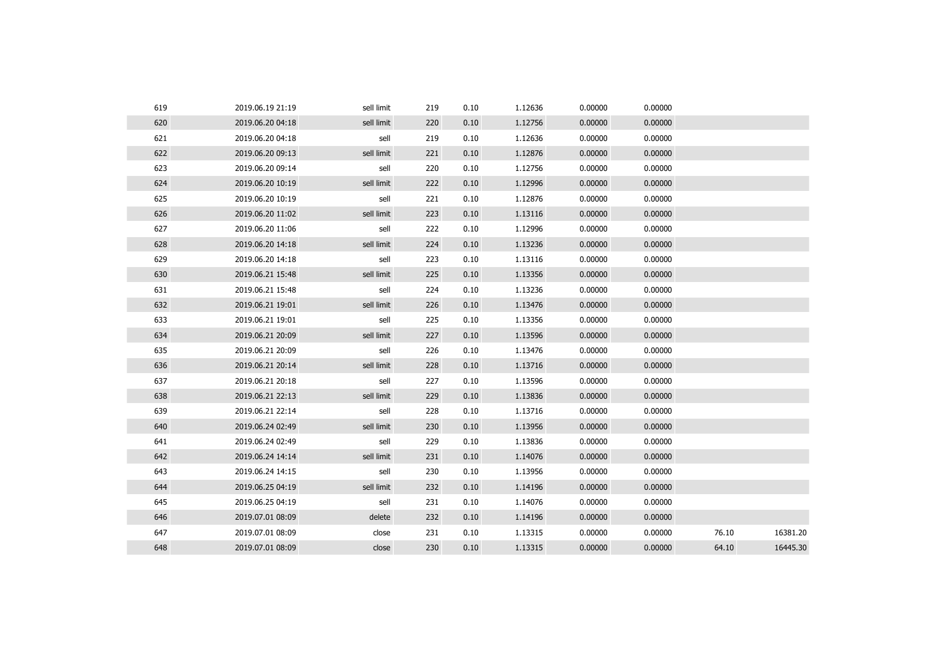| 619 | 2019.06.19 21:19 | sell limit | 219 | 0.10 | 1.12636 | 0.00000 | 0.00000 |       |          |
|-----|------------------|------------|-----|------|---------|---------|---------|-------|----------|
| 620 | 2019.06.20 04:18 | sell limit | 220 | 0.10 | 1.12756 | 0.00000 | 0.00000 |       |          |
| 621 | 2019.06.20 04:18 | sell       | 219 | 0.10 | 1.12636 | 0.00000 | 0.00000 |       |          |
| 622 | 2019.06.20 09:13 | sell limit | 221 | 0.10 | 1.12876 | 0.00000 | 0.00000 |       |          |
| 623 | 2019.06.20 09:14 | sell       | 220 | 0.10 | 1.12756 | 0.00000 | 0.00000 |       |          |
| 624 | 2019.06.20 10:19 | sell limit | 222 | 0.10 | 1.12996 | 0.00000 | 0.00000 |       |          |
| 625 | 2019.06.20 10:19 | sell       | 221 | 0.10 | 1.12876 | 0.00000 | 0.00000 |       |          |
| 626 | 2019.06.20 11:02 | sell limit | 223 | 0.10 | 1.13116 | 0.00000 | 0.00000 |       |          |
| 627 | 2019.06.20 11:06 | sell       | 222 | 0.10 | 1.12996 | 0.00000 | 0.00000 |       |          |
| 628 | 2019.06.20 14:18 | sell limit | 224 | 0.10 | 1.13236 | 0.00000 | 0.00000 |       |          |
| 629 | 2019.06.20 14:18 | sell       | 223 | 0.10 | 1.13116 | 0.00000 | 0.00000 |       |          |
| 630 | 2019.06.21 15:48 | sell limit | 225 | 0.10 | 1.13356 | 0.00000 | 0.00000 |       |          |
| 631 | 2019.06.21 15:48 | sell       | 224 | 0.10 | 1.13236 | 0.00000 | 0.00000 |       |          |
| 632 | 2019.06.21 19:01 | sell limit | 226 | 0.10 | 1.13476 | 0.00000 | 0.00000 |       |          |
| 633 | 2019.06.21 19:01 | sell       | 225 | 0.10 | 1.13356 | 0.00000 | 0.00000 |       |          |
| 634 | 2019.06.21 20:09 | sell limit | 227 | 0.10 | 1.13596 | 0.00000 | 0.00000 |       |          |
| 635 | 2019.06.21 20:09 | sell       | 226 | 0.10 | 1.13476 | 0.00000 | 0.00000 |       |          |
| 636 | 2019.06.21 20:14 | sell limit | 228 | 0.10 | 1.13716 | 0.00000 | 0.00000 |       |          |
| 637 | 2019.06.21 20:18 | sell       | 227 | 0.10 | 1.13596 | 0.00000 | 0.00000 |       |          |
| 638 | 2019.06.21 22:13 | sell limit | 229 | 0.10 | 1.13836 | 0.00000 | 0.00000 |       |          |
| 639 | 2019.06.21 22:14 | sell       | 228 | 0.10 | 1.13716 | 0.00000 | 0.00000 |       |          |
| 640 | 2019.06.24 02:49 | sell limit | 230 | 0.10 | 1.13956 | 0.00000 | 0.00000 |       |          |
| 641 | 2019.06.24 02:49 | sell       | 229 | 0.10 | 1.13836 | 0.00000 | 0.00000 |       |          |
| 642 | 2019.06.24 14:14 | sell limit | 231 | 0.10 | 1.14076 | 0.00000 | 0.00000 |       |          |
| 643 | 2019.06.24 14:15 | sell       | 230 | 0.10 | 1.13956 | 0.00000 | 0.00000 |       |          |
| 644 | 2019.06.25 04:19 | sell limit | 232 | 0.10 | 1.14196 | 0.00000 | 0.00000 |       |          |
| 645 | 2019.06.25 04:19 | sell       | 231 | 0.10 | 1.14076 | 0.00000 | 0.00000 |       |          |
| 646 | 2019.07.01 08:09 | delete     | 232 | 0.10 | 1.14196 | 0.00000 | 0.00000 |       |          |
| 647 | 2019.07.01 08:09 | close      | 231 | 0.10 | 1.13315 | 0.00000 | 0.00000 | 76.10 | 16381.20 |
| 648 | 2019.07.01 08:09 | close      | 230 | 0.10 | 1.13315 | 0.00000 | 0.00000 | 64.10 | 16445.30 |
|     |                  |            |     |      |         |         |         |       |          |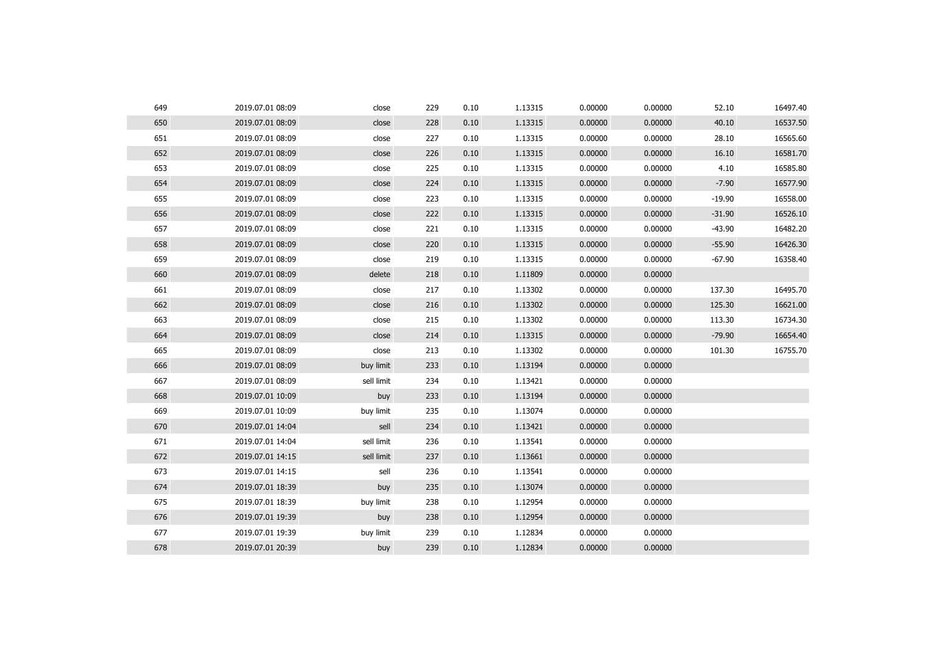| 649 | 2019.07.01 08:09 | close      | 229 | 0.10 | 1.13315 | 0.00000 | 0.00000 | 52.10    | 16497.40 |
|-----|------------------|------------|-----|------|---------|---------|---------|----------|----------|
| 650 | 2019.07.01 08:09 | close      | 228 | 0.10 | 1.13315 | 0.00000 | 0.00000 | 40.10    | 16537.50 |
| 651 | 2019.07.01 08:09 | close      | 227 | 0.10 | 1.13315 | 0.00000 | 0.00000 | 28.10    | 16565.60 |
| 652 | 2019.07.01 08:09 | close      | 226 | 0.10 | 1.13315 | 0.00000 | 0.00000 | 16.10    | 16581.70 |
| 653 | 2019.07.01 08:09 | close      | 225 | 0.10 | 1.13315 | 0.00000 | 0.00000 | 4.10     | 16585.80 |
| 654 | 2019.07.01 08:09 | close      | 224 | 0.10 | 1.13315 | 0.00000 | 0.00000 | $-7.90$  | 16577.90 |
| 655 | 2019.07.01 08:09 | close      | 223 | 0.10 | 1.13315 | 0.00000 | 0.00000 | $-19.90$ | 16558.00 |
| 656 | 2019.07.01 08:09 | close      | 222 | 0.10 | 1.13315 | 0.00000 | 0.00000 | $-31.90$ | 16526.10 |
| 657 | 2019.07.01 08:09 | close      | 221 | 0.10 | 1.13315 | 0.00000 | 0.00000 | $-43.90$ | 16482.20 |
| 658 | 2019.07.01 08:09 | close      | 220 | 0.10 | 1.13315 | 0.00000 | 0.00000 | $-55.90$ | 16426.30 |
| 659 | 2019.07.01 08:09 | close      | 219 | 0.10 | 1.13315 | 0.00000 | 0.00000 | $-67.90$ | 16358.40 |
| 660 | 2019.07.01 08:09 | delete     | 218 | 0.10 | 1.11809 | 0.00000 | 0.00000 |          |          |
| 661 | 2019.07.01 08:09 | close      | 217 | 0.10 | 1.13302 | 0.00000 | 0.00000 | 137.30   | 16495.70 |
| 662 | 2019.07.01 08:09 | close      | 216 | 0.10 | 1.13302 | 0.00000 | 0.00000 | 125.30   | 16621.00 |
| 663 | 2019.07.01 08:09 | close      | 215 | 0.10 | 1.13302 | 0.00000 | 0.00000 | 113.30   | 16734.30 |
| 664 | 2019.07.01 08:09 | close      | 214 | 0.10 | 1.13315 | 0.00000 | 0.00000 | $-79.90$ | 16654.40 |
| 665 | 2019.07.01 08:09 | close      | 213 | 0.10 | 1.13302 | 0.00000 | 0.00000 | 101.30   | 16755.70 |
| 666 | 2019.07.01 08:09 | buy limit  | 233 | 0.10 | 1.13194 | 0.00000 | 0.00000 |          |          |
| 667 | 2019.07.01 08:09 | sell limit | 234 | 0.10 | 1.13421 | 0.00000 | 0.00000 |          |          |
| 668 | 2019.07.01 10:09 | buy        | 233 | 0.10 | 1.13194 | 0.00000 | 0.00000 |          |          |
| 669 | 2019.07.01 10:09 | buy limit  | 235 | 0.10 | 1.13074 | 0.00000 | 0.00000 |          |          |
| 670 | 2019.07.01 14:04 | sell       | 234 | 0.10 | 1.13421 | 0.00000 | 0.00000 |          |          |
| 671 | 2019.07.01 14:04 | sell limit | 236 | 0.10 | 1.13541 | 0.00000 | 0.00000 |          |          |
| 672 | 2019.07.01 14:15 | sell limit | 237 | 0.10 | 1.13661 | 0.00000 | 0.00000 |          |          |
| 673 | 2019.07.01 14:15 | sell       | 236 | 0.10 | 1.13541 | 0.00000 | 0.00000 |          |          |
| 674 | 2019.07.01 18:39 | buy        | 235 | 0.10 | 1.13074 | 0.00000 | 0.00000 |          |          |
| 675 | 2019.07.01 18:39 | buy limit  | 238 | 0.10 | 1.12954 | 0.00000 | 0.00000 |          |          |
| 676 | 2019.07.01 19:39 | buy        | 238 | 0.10 | 1.12954 | 0.00000 | 0.00000 |          |          |
| 677 | 2019.07.01 19:39 | buy limit  | 239 | 0.10 | 1.12834 | 0.00000 | 0.00000 |          |          |
| 678 | 2019.07.01 20:39 | buy        | 239 | 0.10 | 1.12834 | 0.00000 | 0.00000 |          |          |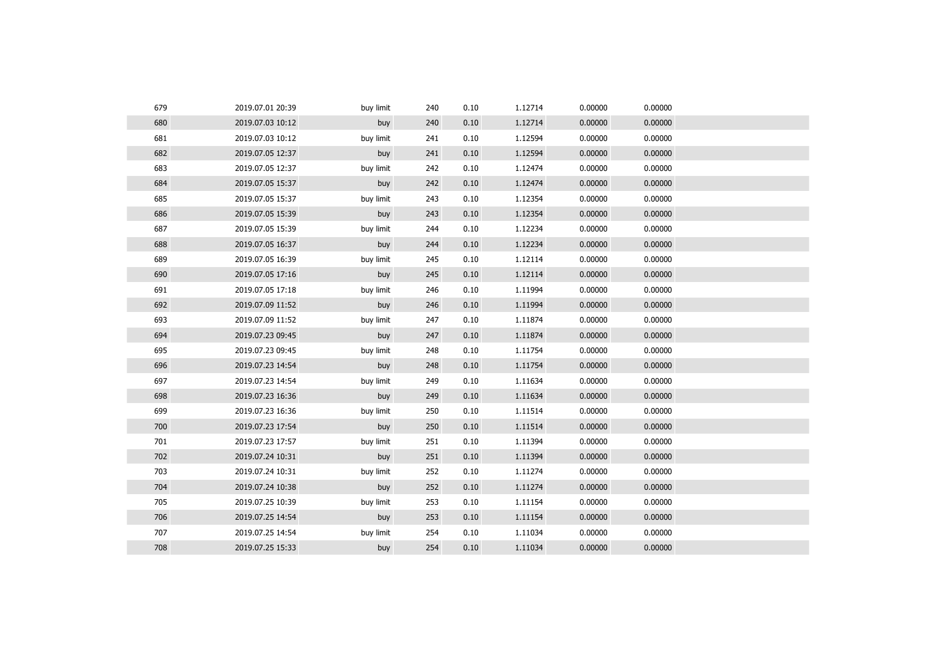| 679 | 2019.07.01 20:39 | buy limit | 240 | 0.10 | 1.12714 | 0.00000 | 0.00000 |  |
|-----|------------------|-----------|-----|------|---------|---------|---------|--|
| 680 | 2019.07.03 10:12 | buy       | 240 | 0.10 | 1.12714 | 0.00000 | 0.00000 |  |
| 681 | 2019.07.03 10:12 | buy limit | 241 | 0.10 | 1.12594 | 0.00000 | 0.00000 |  |
| 682 | 2019.07.05 12:37 | buy       | 241 | 0.10 | 1.12594 | 0.00000 | 0.00000 |  |
| 683 | 2019.07.05 12:37 | buy limit | 242 | 0.10 | 1.12474 | 0.00000 | 0.00000 |  |
| 684 | 2019.07.05 15:37 | buy       | 242 | 0.10 | 1.12474 | 0.00000 | 0.00000 |  |
| 685 | 2019.07.05 15:37 | buy limit | 243 | 0.10 | 1.12354 | 0.00000 | 0.00000 |  |
| 686 | 2019.07.05 15:39 | buy       | 243 | 0.10 | 1.12354 | 0.00000 | 0.00000 |  |
| 687 | 2019.07.05 15:39 | buy limit | 244 | 0.10 | 1.12234 | 0.00000 | 0.00000 |  |
| 688 | 2019.07.05 16:37 | buy       | 244 | 0.10 | 1.12234 | 0.00000 | 0.00000 |  |
| 689 | 2019.07.05 16:39 | buy limit | 245 | 0.10 | 1.12114 | 0.00000 | 0.00000 |  |
| 690 | 2019.07.05 17:16 | buy       | 245 | 0.10 | 1.12114 | 0.00000 | 0.00000 |  |
| 691 | 2019.07.05 17:18 | buy limit | 246 | 0.10 | 1.11994 | 0.00000 | 0.00000 |  |
| 692 | 2019.07.09 11:52 | buy       | 246 | 0.10 | 1.11994 | 0.00000 | 0.00000 |  |
| 693 | 2019.07.09 11:52 | buy limit | 247 | 0.10 | 1.11874 | 0.00000 | 0.00000 |  |
| 694 | 2019.07.23 09:45 | buy       | 247 | 0.10 | 1.11874 | 0.00000 | 0.00000 |  |
| 695 | 2019.07.23 09:45 | buy limit | 248 | 0.10 | 1.11754 | 0.00000 | 0.00000 |  |
| 696 | 2019.07.23 14:54 | buy       | 248 | 0.10 | 1.11754 | 0.00000 | 0.00000 |  |
| 697 | 2019.07.23 14:54 | buy limit | 249 | 0.10 | 1.11634 | 0.00000 | 0.00000 |  |
| 698 | 2019.07.23 16:36 | buy       | 249 | 0.10 | 1.11634 | 0.00000 | 0.00000 |  |
| 699 | 2019.07.23 16:36 | buy limit | 250 | 0.10 | 1.11514 | 0.00000 | 0.00000 |  |
| 700 | 2019.07.23 17:54 | buy       | 250 | 0.10 | 1.11514 | 0.00000 | 0.00000 |  |
| 701 | 2019.07.23 17:57 | buy limit | 251 | 0.10 | 1.11394 | 0.00000 | 0.00000 |  |
| 702 | 2019.07.24 10:31 | buy       | 251 | 0.10 | 1.11394 | 0.00000 | 0.00000 |  |
| 703 | 2019.07.24 10:31 | buy limit | 252 | 0.10 | 1.11274 | 0.00000 | 0.00000 |  |
| 704 | 2019.07.24 10:38 | buy       | 252 | 0.10 | 1.11274 | 0.00000 | 0.00000 |  |
| 705 | 2019.07.25 10:39 | buy limit | 253 | 0.10 | 1.11154 | 0.00000 | 0.00000 |  |
| 706 | 2019.07.25 14:54 | buy       | 253 | 0.10 | 1.11154 | 0.00000 | 0.00000 |  |
| 707 | 2019.07.25 14:54 | buy limit | 254 | 0.10 | 1.11034 | 0.00000 | 0.00000 |  |
| 708 | 2019.07.25 15:33 | buy       | 254 | 0.10 | 1.11034 | 0.00000 | 0.00000 |  |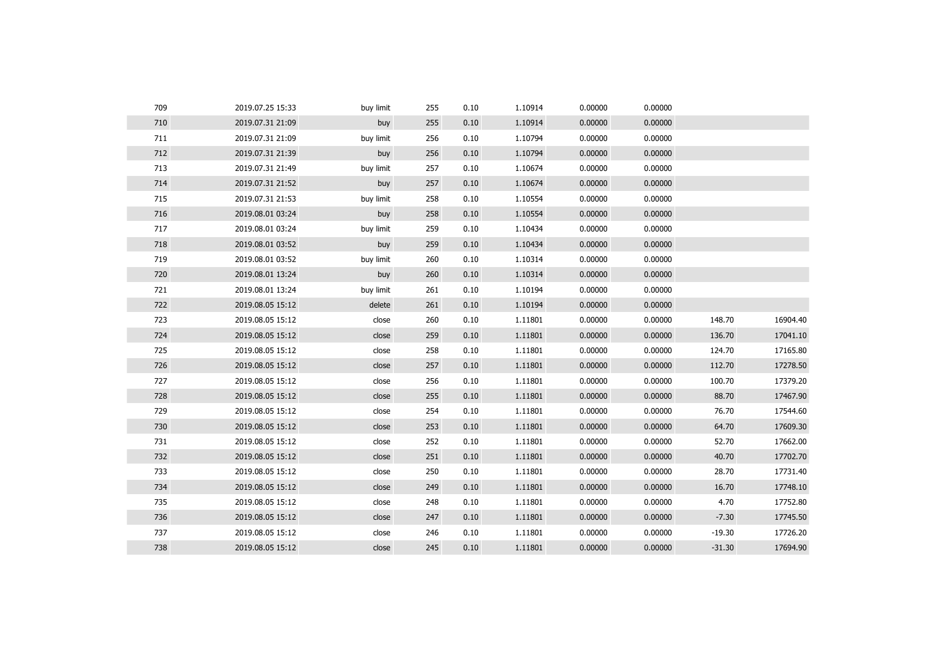| 709 | 2019.07.25 15:33 | buy limit | 255 | 0.10 | 1.10914 | 0.00000 | 0.00000 |          |          |
|-----|------------------|-----------|-----|------|---------|---------|---------|----------|----------|
| 710 | 2019.07.31 21:09 | buy       | 255 | 0.10 | 1.10914 | 0.00000 | 0.00000 |          |          |
| 711 | 2019.07.31 21:09 | buy limit | 256 | 0.10 | 1.10794 | 0.00000 | 0.00000 |          |          |
| 712 | 2019.07.31 21:39 | buy       | 256 | 0.10 | 1.10794 | 0.00000 | 0.00000 |          |          |
| 713 | 2019.07.31 21:49 | buy limit | 257 | 0.10 | 1.10674 | 0.00000 | 0.00000 |          |          |
| 714 | 2019.07.31 21:52 | buy       | 257 | 0.10 | 1.10674 | 0.00000 | 0.00000 |          |          |
| 715 | 2019.07.31 21:53 | buy limit | 258 | 0.10 | 1.10554 | 0.00000 | 0.00000 |          |          |
| 716 | 2019.08.01 03:24 | buy       | 258 | 0.10 | 1.10554 | 0.00000 | 0.00000 |          |          |
| 717 | 2019.08.01 03:24 | buy limit | 259 | 0.10 | 1.10434 | 0.00000 | 0.00000 |          |          |
| 718 | 2019.08.01 03:52 | buy       | 259 | 0.10 | 1.10434 | 0.00000 | 0.00000 |          |          |
| 719 | 2019.08.01 03:52 | buy limit | 260 | 0.10 | 1.10314 | 0.00000 | 0.00000 |          |          |
| 720 | 2019.08.01 13:24 | buy       | 260 | 0.10 | 1.10314 | 0.00000 | 0.00000 |          |          |
| 721 | 2019.08.01 13:24 | buy limit | 261 | 0.10 | 1.10194 | 0.00000 | 0.00000 |          |          |
| 722 | 2019.08.05 15:12 | delete    | 261 | 0.10 | 1.10194 | 0.00000 | 0.00000 |          |          |
| 723 | 2019.08.05 15:12 | close     | 260 | 0.10 | 1.11801 | 0.00000 | 0.00000 | 148.70   | 16904.40 |
| 724 | 2019.08.05 15:12 | close     | 259 | 0.10 | 1.11801 | 0.00000 | 0.00000 | 136.70   | 17041.10 |
| 725 | 2019.08.05 15:12 | close     | 258 | 0.10 | 1.11801 | 0.00000 | 0.00000 | 124.70   | 17165.80 |
| 726 | 2019.08.05 15:12 | close     | 257 | 0.10 | 1.11801 | 0.00000 | 0.00000 | 112.70   | 17278.50 |
| 727 | 2019.08.05 15:12 | close     | 256 | 0.10 | 1.11801 | 0.00000 | 0.00000 | 100.70   | 17379.20 |
| 728 | 2019.08.05 15:12 | close     | 255 | 0.10 | 1.11801 | 0.00000 | 0.00000 | 88.70    | 17467.90 |
| 729 | 2019.08.05 15:12 | close     | 254 | 0.10 | 1.11801 | 0.00000 | 0.00000 | 76.70    | 17544.60 |
| 730 | 2019.08.05 15:12 | close     | 253 | 0.10 | 1.11801 | 0.00000 | 0.00000 | 64.70    | 17609.30 |
| 731 | 2019.08.05 15:12 | close     | 252 | 0.10 | 1.11801 | 0.00000 | 0.00000 | 52.70    | 17662.00 |
| 732 | 2019.08.05 15:12 | close     | 251 | 0.10 | 1.11801 | 0.00000 | 0.00000 | 40.70    | 17702.70 |
| 733 | 2019.08.05 15:12 | close     | 250 | 0.10 | 1.11801 | 0.00000 | 0.00000 | 28.70    | 17731.40 |
| 734 | 2019.08.05 15:12 | close     | 249 | 0.10 | 1.11801 | 0.00000 | 0.00000 | 16.70    | 17748.10 |
| 735 | 2019.08.05 15:12 | close     | 248 | 0.10 | 1.11801 | 0.00000 | 0.00000 | 4.70     | 17752.80 |
| 736 | 2019.08.05 15:12 | close     | 247 | 0.10 | 1.11801 | 0.00000 | 0.00000 | $-7.30$  | 17745.50 |
| 737 | 2019.08.05 15:12 | close     | 246 | 0.10 | 1.11801 | 0.00000 | 0.00000 | $-19.30$ | 17726.20 |
| 738 | 2019.08.05 15:12 | close     | 245 | 0.10 | 1.11801 | 0.00000 | 0.00000 | $-31.30$ | 17694.90 |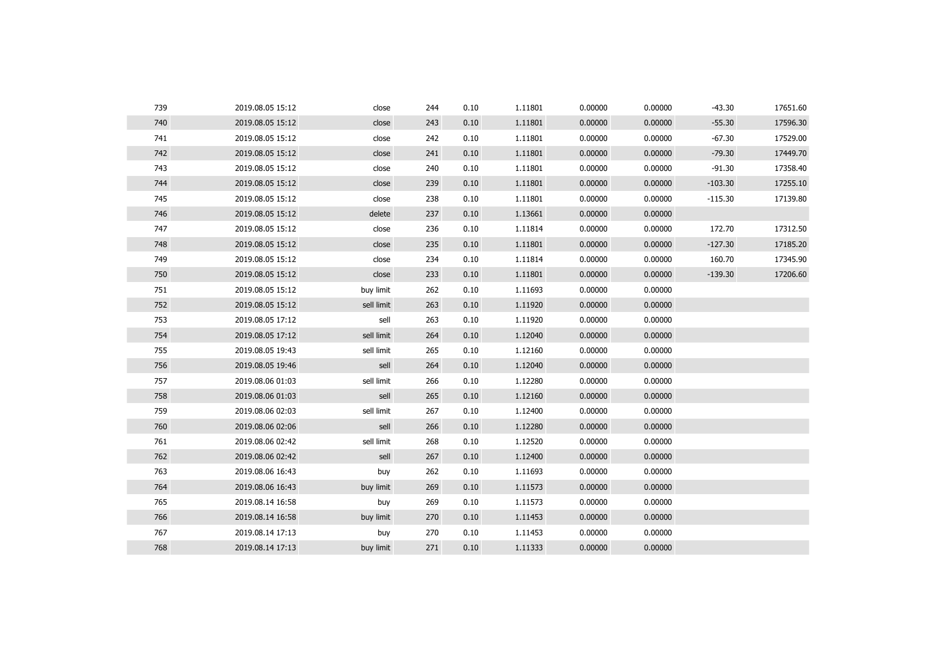| 739 | 2019.08.05 15:12 | close      | 244 | 0.10 | 1.11801 | 0.00000 | 0.00000 | $-43.30$  | 17651.60 |
|-----|------------------|------------|-----|------|---------|---------|---------|-----------|----------|
| 740 | 2019.08.05 15:12 | close      | 243 | 0.10 | 1.11801 | 0.00000 | 0.00000 | $-55.30$  | 17596.30 |
| 741 | 2019.08.05 15:12 | close      | 242 | 0.10 | 1.11801 | 0.00000 | 0.00000 | $-67.30$  | 17529.00 |
| 742 | 2019.08.05 15:12 | close      | 241 | 0.10 | 1.11801 | 0.00000 | 0.00000 | $-79.30$  | 17449.70 |
| 743 | 2019.08.05 15:12 | close      | 240 | 0.10 | 1.11801 | 0.00000 | 0.00000 | $-91.30$  | 17358.40 |
| 744 | 2019.08.05 15:12 | close      | 239 | 0.10 | 1.11801 | 0.00000 | 0.00000 | $-103.30$ | 17255.10 |
| 745 | 2019.08.05 15:12 | close      | 238 | 0.10 | 1.11801 | 0.00000 | 0.00000 | $-115.30$ | 17139.80 |
| 746 | 2019.08.05 15:12 | delete     | 237 | 0.10 | 1.13661 | 0.00000 | 0.00000 |           |          |
| 747 | 2019.08.05 15:12 | close      | 236 | 0.10 | 1.11814 | 0.00000 | 0.00000 | 172.70    | 17312.50 |
| 748 | 2019.08.05 15:12 | close      | 235 | 0.10 | 1.11801 | 0.00000 | 0.00000 | $-127.30$ | 17185.20 |
| 749 | 2019.08.05 15:12 | close      | 234 | 0.10 | 1.11814 | 0.00000 | 0.00000 | 160.70    | 17345.90 |
| 750 | 2019.08.05 15:12 | close      | 233 | 0.10 | 1.11801 | 0.00000 | 0.00000 | $-139.30$ | 17206.60 |
| 751 | 2019.08.05 15:12 | buy limit  | 262 | 0.10 | 1.11693 | 0.00000 | 0.00000 |           |          |
| 752 | 2019.08.05 15:12 | sell limit | 263 | 0.10 | 1.11920 | 0.00000 | 0.00000 |           |          |
| 753 | 2019.08.05 17:12 | sell       | 263 | 0.10 | 1.11920 | 0.00000 | 0.00000 |           |          |
| 754 | 2019.08.05 17:12 | sell limit | 264 | 0.10 | 1.12040 | 0.00000 | 0.00000 |           |          |
| 755 | 2019.08.05 19:43 | sell limit | 265 | 0.10 | 1.12160 | 0.00000 | 0.00000 |           |          |
| 756 | 2019.08.05 19:46 | sell       | 264 | 0.10 | 1.12040 | 0.00000 | 0.00000 |           |          |
| 757 | 2019.08.06 01:03 | sell limit | 266 | 0.10 | 1.12280 | 0.00000 | 0.00000 |           |          |
| 758 | 2019.08.06 01:03 | sell       | 265 | 0.10 | 1.12160 | 0.00000 | 0.00000 |           |          |
| 759 | 2019.08.06 02:03 | sell limit | 267 | 0.10 | 1.12400 | 0.00000 | 0.00000 |           |          |
| 760 | 2019.08.06 02:06 | sell       | 266 | 0.10 | 1.12280 | 0.00000 | 0.00000 |           |          |
| 761 | 2019.08.06 02:42 | sell limit | 268 | 0.10 | 1.12520 | 0.00000 | 0.00000 |           |          |
| 762 | 2019.08.06 02:42 | sell       | 267 | 0.10 | 1.12400 | 0.00000 | 0.00000 |           |          |
| 763 | 2019.08.06 16:43 | buy        | 262 | 0.10 | 1.11693 | 0.00000 | 0.00000 |           |          |
| 764 | 2019.08.06 16:43 | buy limit  | 269 | 0.10 | 1.11573 | 0.00000 | 0.00000 |           |          |
| 765 | 2019.08.14 16:58 | buy        | 269 | 0.10 | 1.11573 | 0.00000 | 0.00000 |           |          |
| 766 | 2019.08.14 16:58 | buy limit  | 270 | 0.10 | 1.11453 | 0.00000 | 0.00000 |           |          |
| 767 | 2019.08.14 17:13 | buy        | 270 | 0.10 | 1.11453 | 0.00000 | 0.00000 |           |          |
| 768 | 2019.08.14 17:13 | buy limit  | 271 | 0.10 | 1.11333 | 0.00000 | 0.00000 |           |          |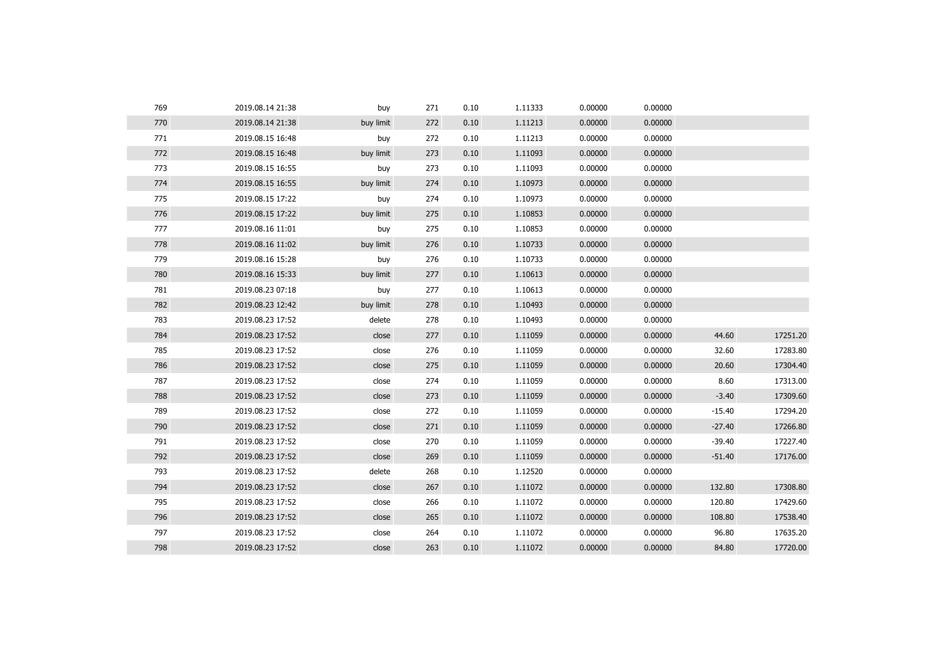| 769 | 2019.08.14 21:38 | buy       | 271 | 0.10 | 1.11333 | 0.00000 | 0.00000 |          |          |
|-----|------------------|-----------|-----|------|---------|---------|---------|----------|----------|
| 770 | 2019.08.14 21:38 | buy limit | 272 | 0.10 | 1.11213 | 0.00000 | 0.00000 |          |          |
| 771 | 2019.08.15 16:48 | buy       | 272 | 0.10 | 1.11213 | 0.00000 | 0.00000 |          |          |
| 772 | 2019.08.15 16:48 | buy limit | 273 | 0.10 | 1.11093 | 0.00000 | 0.00000 |          |          |
| 773 | 2019.08.15 16:55 | buy       | 273 | 0.10 | 1.11093 | 0.00000 | 0.00000 |          |          |
| 774 | 2019.08.15 16:55 | buy limit | 274 | 0.10 | 1.10973 | 0.00000 | 0.00000 |          |          |
| 775 | 2019.08.15 17:22 | buy       | 274 | 0.10 | 1.10973 | 0.00000 | 0.00000 |          |          |
| 776 | 2019.08.15 17:22 | buy limit | 275 | 0.10 | 1.10853 | 0.00000 | 0.00000 |          |          |
| 777 | 2019.08.16 11:01 | buy       | 275 | 0.10 | 1.10853 | 0.00000 | 0.00000 |          |          |
| 778 | 2019.08.16 11:02 | buy limit | 276 | 0.10 | 1.10733 | 0.00000 | 0.00000 |          |          |
| 779 | 2019.08.16 15:28 | buy       | 276 | 0.10 | 1.10733 | 0.00000 | 0.00000 |          |          |
| 780 | 2019.08.16 15:33 | buy limit | 277 | 0.10 | 1.10613 | 0.00000 | 0.00000 |          |          |
| 781 | 2019.08.23 07:18 | buy       | 277 | 0.10 | 1.10613 | 0.00000 | 0.00000 |          |          |
| 782 | 2019.08.23 12:42 | buy limit | 278 | 0.10 | 1.10493 | 0.00000 | 0.00000 |          |          |
| 783 | 2019.08.23 17:52 | delete    | 278 | 0.10 | 1.10493 | 0.00000 | 0.00000 |          |          |
| 784 | 2019.08.23 17:52 | close     | 277 | 0.10 | 1.11059 | 0.00000 | 0.00000 | 44.60    | 17251.20 |
| 785 | 2019.08.23 17:52 | close     | 276 | 0.10 | 1.11059 | 0.00000 | 0.00000 | 32.60    | 17283.80 |
| 786 | 2019.08.23 17:52 | close     | 275 | 0.10 | 1.11059 | 0.00000 | 0.00000 | 20.60    | 17304.40 |
| 787 | 2019.08.23 17:52 | close     | 274 | 0.10 | 1.11059 | 0.00000 | 0.00000 | 8.60     | 17313.00 |
| 788 | 2019.08.23 17:52 | close     | 273 | 0.10 | 1.11059 | 0.00000 | 0.00000 | $-3.40$  | 17309.60 |
| 789 | 2019.08.23 17:52 | close     | 272 | 0.10 | 1.11059 | 0.00000 | 0.00000 | $-15.40$ | 17294.20 |
| 790 | 2019.08.23 17:52 | close     | 271 | 0.10 | 1.11059 | 0.00000 | 0.00000 | $-27.40$ | 17266.80 |
| 791 | 2019.08.23 17:52 | close     | 270 | 0.10 | 1.11059 | 0.00000 | 0.00000 | $-39.40$ | 17227.40 |
| 792 | 2019.08.23 17:52 | close     | 269 | 0.10 | 1.11059 | 0.00000 | 0.00000 | $-51.40$ | 17176.00 |
| 793 | 2019.08.23 17:52 | delete    | 268 | 0.10 | 1.12520 | 0.00000 | 0.00000 |          |          |
| 794 | 2019.08.23 17:52 | close     | 267 | 0.10 | 1.11072 | 0.00000 | 0.00000 | 132.80   | 17308.80 |
| 795 | 2019.08.23 17:52 | close     | 266 | 0.10 | 1.11072 | 0.00000 | 0.00000 | 120.80   | 17429.60 |
| 796 | 2019.08.23 17:52 | close     | 265 | 0.10 | 1.11072 | 0.00000 | 0.00000 | 108.80   | 17538.40 |
| 797 | 2019.08.23 17:52 | close     | 264 | 0.10 | 1.11072 | 0.00000 | 0.00000 | 96.80    | 17635.20 |
| 798 | 2019.08.23 17:52 | close     | 263 | 0.10 | 1.11072 | 0.00000 | 0.00000 | 84.80    | 17720.00 |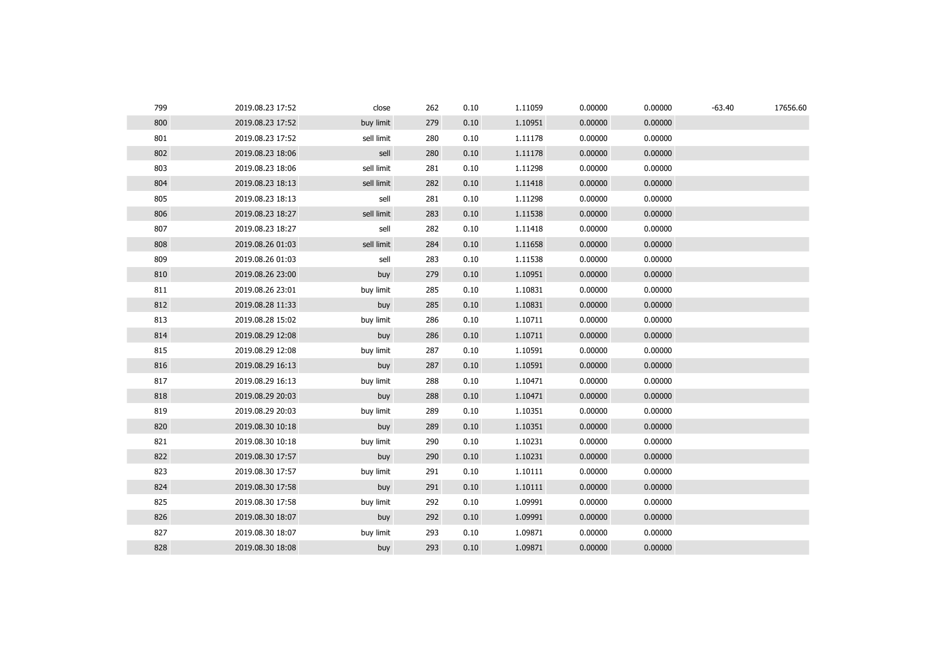| 799 | 2019.08.23 17:52 | close      | 262 | 0.10 | 1.11059 | 0.00000 | 0.00000 | $-63.40$ | 17656.60 |
|-----|------------------|------------|-----|------|---------|---------|---------|----------|----------|
| 800 | 2019.08.23 17:52 | buy limit  | 279 | 0.10 | 1.10951 | 0.00000 | 0.00000 |          |          |
| 801 | 2019.08.23 17:52 | sell limit | 280 | 0.10 | 1.11178 | 0.00000 | 0.00000 |          |          |
| 802 | 2019.08.23 18:06 | sell       | 280 | 0.10 | 1.11178 | 0.00000 | 0.00000 |          |          |
| 803 | 2019.08.23 18:06 | sell limit | 281 | 0.10 | 1.11298 | 0.00000 | 0.00000 |          |          |
| 804 | 2019.08.23 18:13 | sell limit | 282 | 0.10 | 1.11418 | 0.00000 | 0.00000 |          |          |
| 805 | 2019.08.23 18:13 | sell       | 281 | 0.10 | 1.11298 | 0.00000 | 0.00000 |          |          |
| 806 | 2019.08.23 18:27 | sell limit | 283 | 0.10 | 1.11538 | 0.00000 | 0.00000 |          |          |
| 807 | 2019.08.23 18:27 | sell       | 282 | 0.10 | 1.11418 | 0.00000 | 0.00000 |          |          |
| 808 | 2019.08.26 01:03 | sell limit | 284 | 0.10 | 1.11658 | 0.00000 | 0.00000 |          |          |
| 809 | 2019.08.26 01:03 | sell       | 283 | 0.10 | 1.11538 | 0.00000 | 0.00000 |          |          |
| 810 | 2019.08.26 23:00 | buy        | 279 | 0.10 | 1.10951 | 0.00000 | 0.00000 |          |          |
| 811 | 2019.08.26 23:01 | buy limit  | 285 | 0.10 | 1.10831 | 0.00000 | 0.00000 |          |          |
| 812 | 2019.08.28 11:33 | buy        | 285 | 0.10 | 1.10831 | 0.00000 | 0.00000 |          |          |
| 813 | 2019.08.28 15:02 | buy limit  | 286 | 0.10 | 1.10711 | 0.00000 | 0.00000 |          |          |
| 814 | 2019.08.29 12:08 | buy        | 286 | 0.10 | 1.10711 | 0.00000 | 0.00000 |          |          |
| 815 | 2019.08.29 12:08 | buy limit  | 287 | 0.10 | 1.10591 | 0.00000 | 0.00000 |          |          |
| 816 | 2019.08.29 16:13 | buy        | 287 | 0.10 | 1.10591 | 0.00000 | 0.00000 |          |          |
| 817 | 2019.08.29 16:13 | buy limit  | 288 | 0.10 | 1.10471 | 0.00000 | 0.00000 |          |          |
| 818 | 2019.08.29 20:03 | buy        | 288 | 0.10 | 1.10471 | 0.00000 | 0.00000 |          |          |
| 819 | 2019.08.29 20:03 | buy limit  | 289 | 0.10 | 1.10351 | 0.00000 | 0.00000 |          |          |
| 820 | 2019.08.30 10:18 | buy        | 289 | 0.10 | 1.10351 | 0.00000 | 0.00000 |          |          |
| 821 | 2019.08.30 10:18 | buy limit  | 290 | 0.10 | 1.10231 | 0.00000 | 0.00000 |          |          |
| 822 | 2019.08.30 17:57 | buy        | 290 | 0.10 | 1.10231 | 0.00000 | 0.00000 |          |          |
| 823 | 2019.08.30 17:57 | buy limit  | 291 | 0.10 | 1.10111 | 0.00000 | 0.00000 |          |          |
| 824 | 2019.08.30 17:58 | buy        | 291 | 0.10 | 1.10111 | 0.00000 | 0.00000 |          |          |
| 825 | 2019.08.30 17:58 | buy limit  | 292 | 0.10 | 1.09991 | 0.00000 | 0.00000 |          |          |
| 826 | 2019.08.30 18:07 | buy        | 292 | 0.10 | 1.09991 | 0.00000 | 0.00000 |          |          |
| 827 | 2019.08.30 18:07 | buy limit  | 293 | 0.10 | 1.09871 | 0.00000 | 0.00000 |          |          |
| 828 | 2019.08.30 18:08 | buy        | 293 | 0.10 | 1.09871 | 0.00000 | 0.00000 |          |          |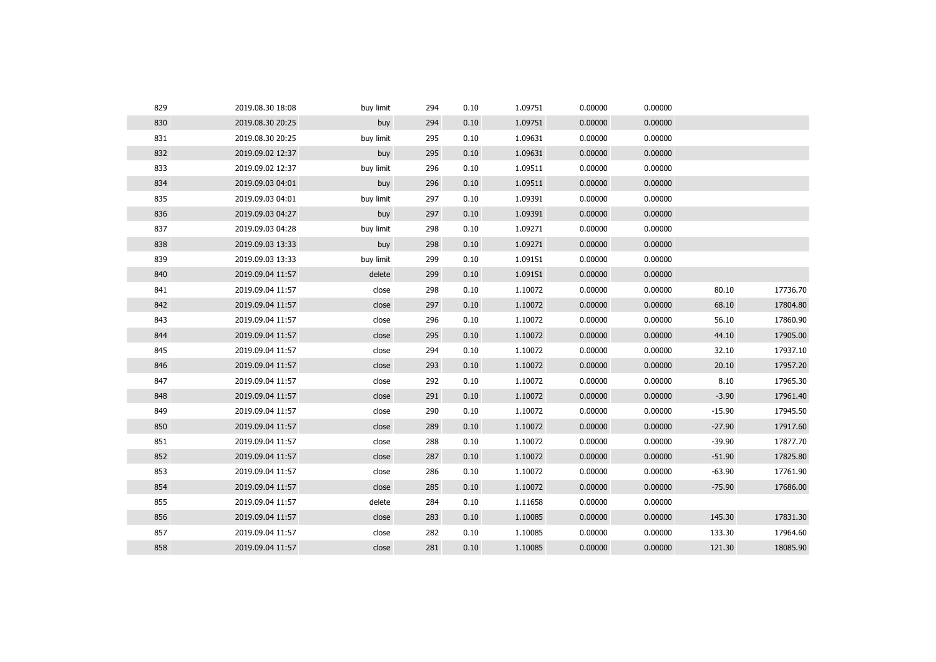| 829 | 2019.08.30 18:08 | buy limit | 294 | 0.10 | 1.09751 | 0.00000 | 0.00000 |          |          |
|-----|------------------|-----------|-----|------|---------|---------|---------|----------|----------|
| 830 | 2019.08.30 20:25 | buy       | 294 | 0.10 | 1.09751 | 0.00000 | 0.00000 |          |          |
| 831 | 2019.08.30 20:25 | buy limit | 295 | 0.10 | 1.09631 | 0.00000 | 0.00000 |          |          |
| 832 | 2019.09.02 12:37 | buy       | 295 | 0.10 | 1.09631 | 0.00000 | 0.00000 |          |          |
| 833 | 2019.09.02 12:37 | buy limit | 296 | 0.10 | 1.09511 | 0.00000 | 0.00000 |          |          |
| 834 | 2019.09.03 04:01 | buy       | 296 | 0.10 | 1.09511 | 0.00000 | 0.00000 |          |          |
| 835 | 2019.09.03 04:01 | buy limit | 297 | 0.10 | 1.09391 | 0.00000 | 0.00000 |          |          |
| 836 | 2019.09.03 04:27 | buy       | 297 | 0.10 | 1.09391 | 0.00000 | 0.00000 |          |          |
| 837 | 2019.09.03 04:28 | buy limit | 298 | 0.10 | 1.09271 | 0.00000 | 0.00000 |          |          |
| 838 | 2019.09.03 13:33 | buy       | 298 | 0.10 | 1.09271 | 0.00000 | 0.00000 |          |          |
| 839 | 2019.09.03 13:33 | buy limit | 299 | 0.10 | 1.09151 | 0.00000 | 0.00000 |          |          |
| 840 | 2019.09.04 11:57 | delete    | 299 | 0.10 | 1.09151 | 0.00000 | 0.00000 |          |          |
| 841 | 2019.09.04 11:57 | close     | 298 | 0.10 | 1.10072 | 0.00000 | 0.00000 | 80.10    | 17736.70 |
| 842 | 2019.09.04 11:57 | close     | 297 | 0.10 | 1.10072 | 0.00000 | 0.00000 | 68.10    | 17804.80 |
| 843 | 2019.09.04 11:57 | close     | 296 | 0.10 | 1.10072 | 0.00000 | 0.00000 | 56.10    | 17860.90 |
| 844 | 2019.09.04 11:57 | close     | 295 | 0.10 | 1.10072 | 0.00000 | 0.00000 | 44.10    | 17905.00 |
| 845 | 2019.09.04 11:57 | close     | 294 | 0.10 | 1.10072 | 0.00000 | 0.00000 | 32.10    | 17937.10 |
| 846 | 2019.09.04 11:57 | close     | 293 | 0.10 | 1.10072 | 0.00000 | 0.00000 | 20.10    | 17957.20 |
| 847 | 2019.09.04 11:57 | close     | 292 | 0.10 | 1.10072 | 0.00000 | 0.00000 | 8.10     | 17965.30 |
| 848 | 2019.09.04 11:57 | close     | 291 | 0.10 | 1.10072 | 0.00000 | 0.00000 | $-3.90$  | 17961.40 |
| 849 | 2019.09.04 11:57 | close     | 290 | 0.10 | 1.10072 | 0.00000 | 0.00000 | $-15.90$ | 17945.50 |
| 850 | 2019.09.04 11:57 | close     | 289 | 0.10 | 1.10072 | 0.00000 | 0.00000 | $-27.90$ | 17917.60 |
| 851 | 2019.09.04 11:57 | close     | 288 | 0.10 | 1.10072 | 0.00000 | 0.00000 | $-39.90$ | 17877.70 |
| 852 | 2019.09.04 11:57 | close     | 287 | 0.10 | 1.10072 | 0.00000 | 0.00000 | $-51.90$ | 17825.80 |
| 853 | 2019.09.04 11:57 | close     | 286 | 0.10 | 1.10072 | 0.00000 | 0.00000 | $-63.90$ | 17761.90 |
| 854 | 2019.09.04 11:57 | close     | 285 | 0.10 | 1.10072 | 0.00000 | 0.00000 | $-75.90$ | 17686.00 |
| 855 | 2019.09.04 11:57 | delete    | 284 | 0.10 | 1.11658 | 0.00000 | 0.00000 |          |          |
| 856 | 2019.09.04 11:57 | close     | 283 | 0.10 | 1.10085 | 0.00000 | 0.00000 | 145.30   | 17831.30 |
| 857 | 2019.09.04 11:57 | close     | 282 | 0.10 | 1.10085 | 0.00000 | 0.00000 | 133.30   | 17964.60 |
| 858 | 2019.09.04 11:57 | close     | 281 | 0.10 | 1.10085 | 0.00000 | 0.00000 | 121.30   | 18085.90 |
|     |                  |           |     |      |         |         |         |          |          |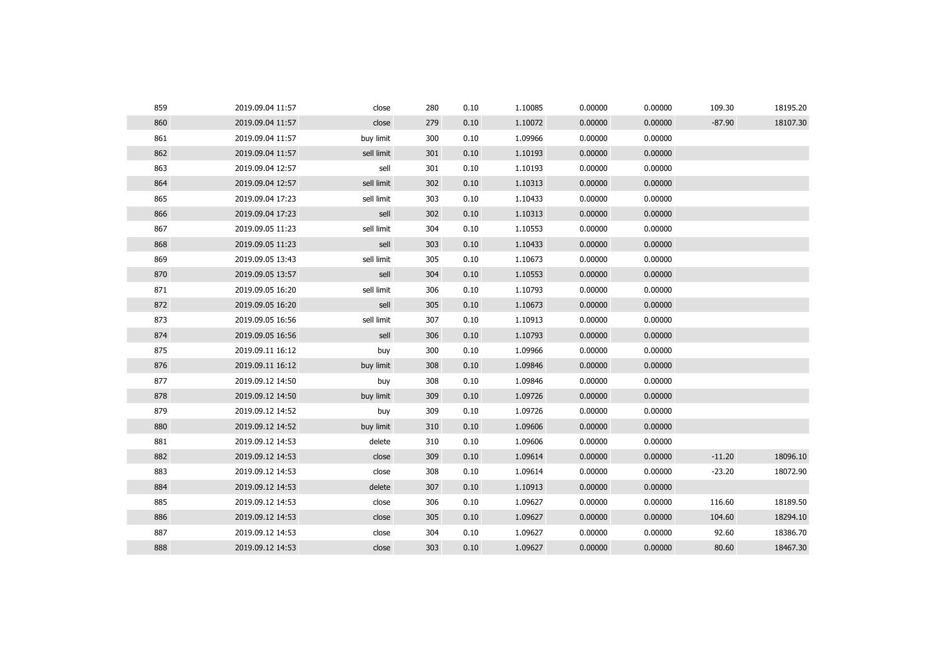| 859 | 2019.09.04 11:57 | close      | 280 | 0.10 | 1.10085 | 0.00000 | 0.00000 | 109.30   | 18195.20 |
|-----|------------------|------------|-----|------|---------|---------|---------|----------|----------|
| 860 | 2019.09.04 11:57 | close      | 279 | 0.10 | 1.10072 | 0.00000 | 0.00000 | $-87.90$ | 18107.30 |
| 861 | 2019.09.04 11:57 | buy limit  | 300 | 0.10 | 1.09966 | 0.00000 | 0.00000 |          |          |
| 862 | 2019.09.04 11:57 | sell limit | 301 | 0.10 | 1.10193 | 0.00000 | 0.00000 |          |          |
| 863 | 2019.09.04 12:57 | sell       | 301 | 0.10 | 1.10193 | 0.00000 | 0.00000 |          |          |
| 864 | 2019.09.04 12:57 | sell limit | 302 | 0.10 | 1.10313 | 0.00000 | 0.00000 |          |          |
| 865 | 2019.09.04 17:23 | sell limit | 303 | 0.10 | 1.10433 | 0.00000 | 0.00000 |          |          |
| 866 | 2019.09.04 17:23 | sell       | 302 | 0.10 | 1.10313 | 0.00000 | 0.00000 |          |          |
| 867 | 2019.09.05 11:23 | sell limit | 304 | 0.10 | 1.10553 | 0.00000 | 0.00000 |          |          |
| 868 | 2019.09.05 11:23 | sell       | 303 | 0.10 | 1.10433 | 0.00000 | 0.00000 |          |          |
| 869 | 2019.09.05 13:43 | sell limit | 305 | 0.10 | 1.10673 | 0.00000 | 0.00000 |          |          |
| 870 | 2019.09.05 13:57 | sell       | 304 | 0.10 | 1.10553 | 0.00000 | 0.00000 |          |          |
| 871 | 2019.09.05 16:20 | sell limit | 306 | 0.10 | 1.10793 | 0.00000 | 0.00000 |          |          |
| 872 | 2019.09.05 16:20 | sell       | 305 | 0.10 | 1.10673 | 0.00000 | 0.00000 |          |          |
| 873 | 2019.09.05 16:56 | sell limit | 307 | 0.10 | 1.10913 | 0.00000 | 0.00000 |          |          |
| 874 | 2019.09.05 16:56 | sell       | 306 | 0.10 | 1.10793 | 0.00000 | 0.00000 |          |          |
| 875 | 2019.09.11 16:12 | buy        | 300 | 0.10 | 1.09966 | 0.00000 | 0.00000 |          |          |
| 876 | 2019.09.11 16:12 | buy limit  | 308 | 0.10 | 1.09846 | 0.00000 | 0.00000 |          |          |
| 877 | 2019.09.12 14:50 | buy        | 308 | 0.10 | 1.09846 | 0.00000 | 0.00000 |          |          |
| 878 | 2019.09.12 14:50 | buy limit  | 309 | 0.10 | 1.09726 | 0.00000 | 0.00000 |          |          |
| 879 | 2019.09.12 14:52 | buy        | 309 | 0.10 | 1.09726 | 0.00000 | 0.00000 |          |          |
| 880 | 2019.09.12 14:52 | buy limit  | 310 | 0.10 | 1.09606 | 0.00000 | 0.00000 |          |          |
| 881 | 2019.09.12 14:53 | delete     | 310 | 0.10 | 1.09606 | 0.00000 | 0.00000 |          |          |
| 882 | 2019.09.12 14:53 | close      | 309 | 0.10 | 1.09614 | 0.00000 | 0.00000 | $-11.20$ | 18096.10 |
| 883 | 2019.09.12 14:53 | close      | 308 | 0.10 | 1.09614 | 0.00000 | 0.00000 | $-23.20$ | 18072.90 |
| 884 | 2019.09.12 14:53 | delete     | 307 | 0.10 | 1.10913 | 0.00000 | 0.00000 |          |          |
| 885 | 2019.09.12 14:53 | close      | 306 | 0.10 | 1.09627 | 0.00000 | 0.00000 | 116.60   | 18189.50 |
| 886 | 2019.09.12 14:53 | close      | 305 | 0.10 | 1.09627 | 0.00000 | 0.00000 | 104.60   | 18294.10 |
| 887 | 2019.09.12 14:53 | close      | 304 | 0.10 | 1.09627 | 0.00000 | 0.00000 | 92.60    | 18386.70 |
| 888 | 2019.09.12 14:53 | close      | 303 | 0.10 | 1.09627 | 0.00000 | 0.00000 | 80.60    | 18467.30 |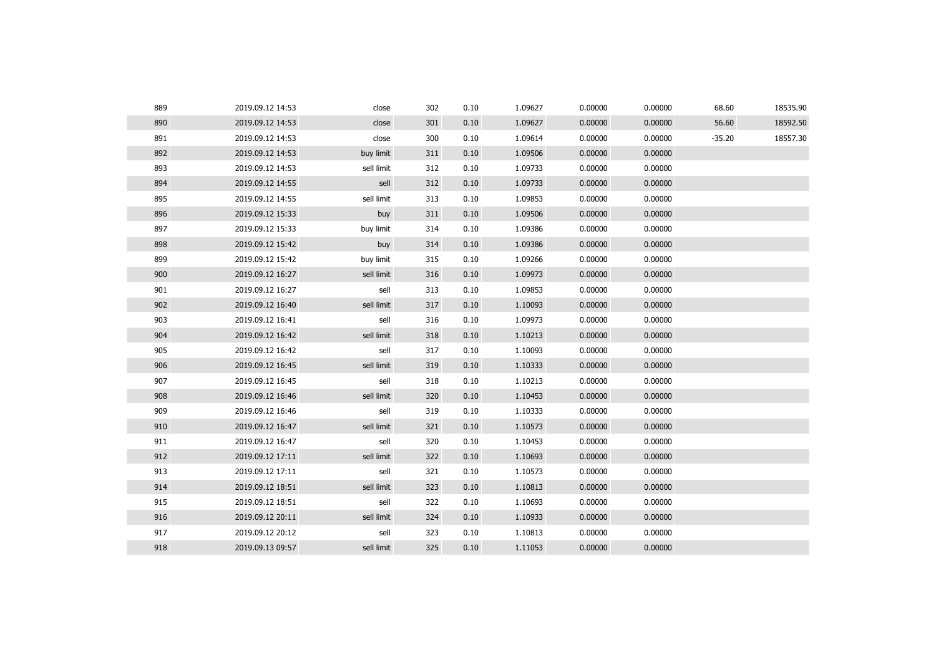| 889 | 2019.09.12 14:53 | close      | 302 | 0.10 | 1.09627 | 0.00000 | 0.00000 | 68.60    | 18535.90 |
|-----|------------------|------------|-----|------|---------|---------|---------|----------|----------|
| 890 | 2019.09.12 14:53 | close      | 301 | 0.10 | 1.09627 | 0.00000 | 0.00000 | 56.60    | 18592.50 |
| 891 | 2019.09.12 14:53 | close      | 300 | 0.10 | 1.09614 | 0.00000 | 0.00000 | $-35.20$ | 18557.30 |
| 892 | 2019.09.12 14:53 | buy limit  | 311 | 0.10 | 1.09506 | 0.00000 | 0.00000 |          |          |
| 893 | 2019.09.12 14:53 | sell limit | 312 | 0.10 | 1.09733 | 0.00000 | 0.00000 |          |          |
| 894 | 2019.09.12 14:55 | sell       | 312 | 0.10 | 1.09733 | 0.00000 | 0.00000 |          |          |
| 895 | 2019.09.12 14:55 | sell limit | 313 | 0.10 | 1.09853 | 0.00000 | 0.00000 |          |          |
| 896 | 2019.09.12 15:33 | buy        | 311 | 0.10 | 1.09506 | 0.00000 | 0.00000 |          |          |
| 897 | 2019.09.12 15:33 | buy limit  | 314 | 0.10 | 1.09386 | 0.00000 | 0.00000 |          |          |
| 898 | 2019.09.12 15:42 | buy        | 314 | 0.10 | 1.09386 | 0.00000 | 0.00000 |          |          |
| 899 | 2019.09.12 15:42 | buy limit  | 315 | 0.10 | 1.09266 | 0.00000 | 0.00000 |          |          |
| 900 | 2019.09.12 16:27 | sell limit | 316 | 0.10 | 1.09973 | 0.00000 | 0.00000 |          |          |
| 901 | 2019.09.12 16:27 | sell       | 313 | 0.10 | 1.09853 | 0.00000 | 0.00000 |          |          |
| 902 | 2019.09.12 16:40 | sell limit | 317 | 0.10 | 1.10093 | 0.00000 | 0.00000 |          |          |
| 903 | 2019.09.12 16:41 | sell       | 316 | 0.10 | 1.09973 | 0.00000 | 0.00000 |          |          |
| 904 | 2019.09.12 16:42 | sell limit | 318 | 0.10 | 1.10213 | 0.00000 | 0.00000 |          |          |
| 905 | 2019.09.12 16:42 | sell       | 317 | 0.10 | 1.10093 | 0.00000 | 0.00000 |          |          |
| 906 | 2019.09.12 16:45 | sell limit | 319 | 0.10 | 1.10333 | 0.00000 | 0.00000 |          |          |
| 907 | 2019.09.12 16:45 | sell       | 318 | 0.10 | 1.10213 | 0.00000 | 0.00000 |          |          |
| 908 | 2019.09.12 16:46 | sell limit | 320 | 0.10 | 1.10453 | 0.00000 | 0.00000 |          |          |
| 909 | 2019.09.12 16:46 | sell       | 319 | 0.10 | 1.10333 | 0.00000 | 0.00000 |          |          |
| 910 | 2019.09.12 16:47 | sell limit | 321 | 0.10 | 1.10573 | 0.00000 | 0.00000 |          |          |
| 911 | 2019.09.12 16:47 | sell       | 320 | 0.10 | 1.10453 | 0.00000 | 0.00000 |          |          |
| 912 | 2019.09.12 17:11 | sell limit | 322 | 0.10 | 1.10693 | 0.00000 | 0.00000 |          |          |
| 913 | 2019.09.12 17:11 | sell       | 321 | 0.10 | 1.10573 | 0.00000 | 0.00000 |          |          |
| 914 | 2019.09.12 18:51 | sell limit | 323 | 0.10 | 1.10813 | 0.00000 | 0.00000 |          |          |
| 915 | 2019.09.12 18:51 | sell       | 322 | 0.10 | 1.10693 | 0.00000 | 0.00000 |          |          |
| 916 | 2019.09.12 20:11 | sell limit | 324 | 0.10 | 1.10933 | 0.00000 | 0.00000 |          |          |
| 917 | 2019.09.12 20:12 | sell       | 323 | 0.10 | 1.10813 | 0.00000 | 0.00000 |          |          |
| 918 | 2019.09.13 09:57 | sell limit | 325 | 0.10 | 1.11053 | 0.00000 | 0.00000 |          |          |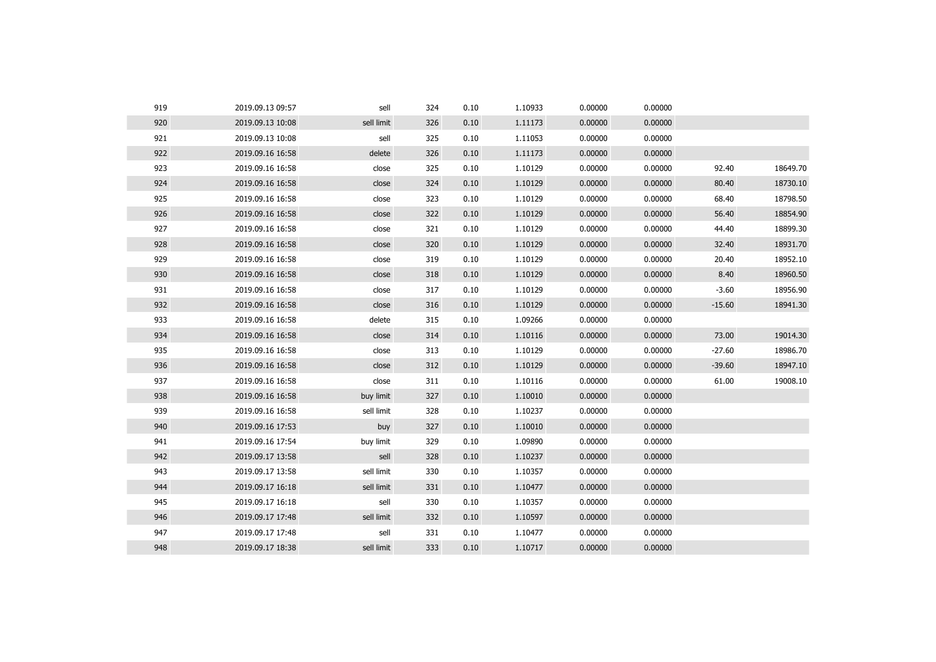| 919 | 2019.09.13 09:57 | sell       | 324 | 0.10 | 1.10933 | 0.00000 | 0.00000 |          |          |
|-----|------------------|------------|-----|------|---------|---------|---------|----------|----------|
| 920 | 2019.09.13 10:08 | sell limit | 326 | 0.10 | 1.11173 | 0.00000 | 0.00000 |          |          |
| 921 | 2019.09.13 10:08 | sell       | 325 | 0.10 | 1.11053 | 0.00000 | 0.00000 |          |          |
| 922 | 2019.09.16 16:58 | delete     | 326 | 0.10 | 1.11173 | 0.00000 | 0.00000 |          |          |
| 923 | 2019.09.16 16:58 | close      | 325 | 0.10 | 1.10129 | 0.00000 | 0.00000 | 92.40    | 18649.70 |
| 924 | 2019.09.16 16:58 | close      | 324 | 0.10 | 1.10129 | 0.00000 | 0.00000 | 80.40    | 18730.10 |
| 925 | 2019.09.16 16:58 | close      | 323 | 0.10 | 1.10129 | 0.00000 | 0.00000 | 68.40    | 18798.50 |
| 926 | 2019.09.16 16:58 | close      | 322 | 0.10 | 1.10129 | 0.00000 | 0.00000 | 56.40    | 18854.90 |
| 927 | 2019.09.16 16:58 | close      | 321 | 0.10 | 1.10129 | 0.00000 | 0.00000 | 44.40    | 18899.30 |
| 928 | 2019.09.16 16:58 | close      | 320 | 0.10 | 1.10129 | 0.00000 | 0.00000 | 32.40    | 18931.70 |
| 929 | 2019.09.16 16:58 | close      | 319 | 0.10 | 1.10129 | 0.00000 | 0.00000 | 20.40    | 18952.10 |
| 930 | 2019.09.16 16:58 | close      | 318 | 0.10 | 1.10129 | 0.00000 | 0.00000 | 8.40     | 18960.50 |
| 931 | 2019.09.16 16:58 | close      | 317 | 0.10 | 1.10129 | 0.00000 | 0.00000 | $-3.60$  | 18956.90 |
| 932 | 2019.09.16 16:58 | close      | 316 | 0.10 | 1.10129 | 0.00000 | 0.00000 | $-15.60$ | 18941.30 |
| 933 | 2019.09.16 16:58 | delete     | 315 | 0.10 | 1.09266 | 0.00000 | 0.00000 |          |          |
| 934 | 2019.09.16 16:58 | close      | 314 | 0.10 | 1.10116 | 0.00000 | 0.00000 | 73.00    | 19014.30 |
| 935 | 2019.09.16 16:58 | close      | 313 | 0.10 | 1.10129 | 0.00000 | 0.00000 | $-27.60$ | 18986.70 |
| 936 | 2019.09.16 16:58 | close      | 312 | 0.10 | 1.10129 | 0.00000 | 0.00000 | $-39.60$ | 18947.10 |
| 937 | 2019.09.16 16:58 | close      | 311 | 0.10 | 1.10116 | 0.00000 | 0.00000 | 61.00    | 19008.10 |
| 938 | 2019.09.16 16:58 | buy limit  | 327 | 0.10 | 1.10010 | 0.00000 | 0.00000 |          |          |
| 939 | 2019.09.16 16:58 | sell limit | 328 | 0.10 | 1.10237 | 0.00000 | 0.00000 |          |          |
| 940 | 2019.09.16 17:53 | buy        | 327 | 0.10 | 1.10010 | 0.00000 | 0.00000 |          |          |
| 941 | 2019.09.16 17:54 | buy limit  | 329 | 0.10 | 1.09890 | 0.00000 | 0.00000 |          |          |
| 942 | 2019.09.17 13:58 | sell       | 328 | 0.10 | 1.10237 | 0.00000 | 0.00000 |          |          |
| 943 | 2019.09.17 13:58 | sell limit | 330 | 0.10 | 1.10357 | 0.00000 | 0.00000 |          |          |
| 944 | 2019.09.17 16:18 | sell limit | 331 | 0.10 | 1.10477 | 0.00000 | 0.00000 |          |          |
| 945 | 2019.09.17 16:18 | sell       | 330 | 0.10 | 1.10357 | 0.00000 | 0.00000 |          |          |
| 946 | 2019.09.17 17:48 | sell limit | 332 | 0.10 | 1.10597 | 0.00000 | 0.00000 |          |          |
| 947 | 2019.09.17 17:48 | sell       | 331 | 0.10 | 1.10477 | 0.00000 | 0.00000 |          |          |
| 948 | 2019.09.17 18:38 | sell limit | 333 | 0.10 | 1.10717 | 0.00000 | 0.00000 |          |          |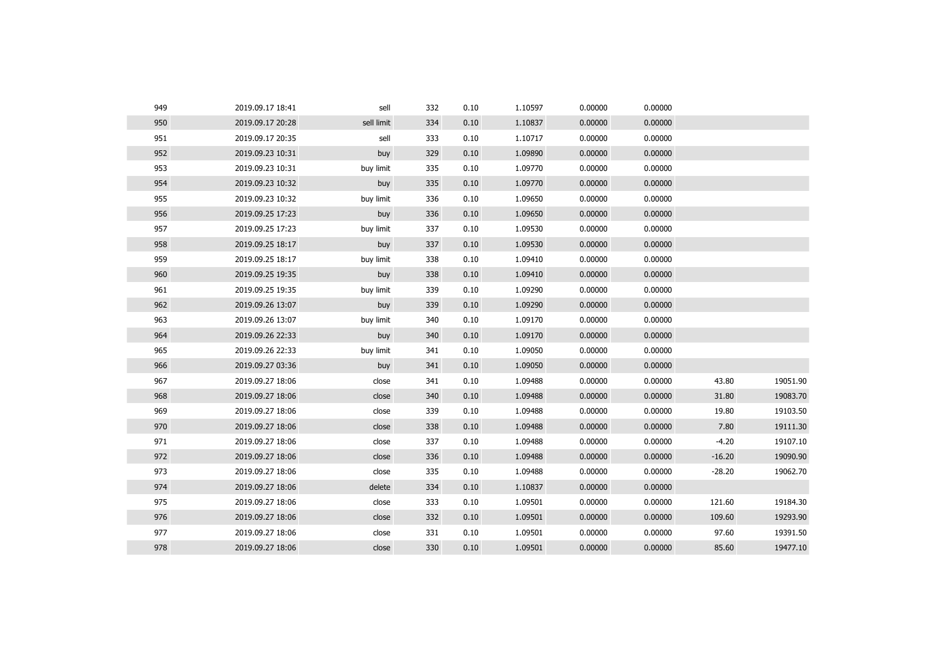| 949 | 2019.09.17 18:41 | sell       | 332 | 0.10 | 1.10597 | 0.00000 | 0.00000 |          |          |
|-----|------------------|------------|-----|------|---------|---------|---------|----------|----------|
| 950 | 2019.09.17 20:28 | sell limit | 334 | 0.10 | 1.10837 | 0.00000 | 0.00000 |          |          |
| 951 | 2019.09.17 20:35 | sell       | 333 | 0.10 | 1.10717 | 0.00000 | 0.00000 |          |          |
| 952 | 2019.09.23 10:31 | buy        | 329 | 0.10 | 1.09890 | 0.00000 | 0.00000 |          |          |
| 953 | 2019.09.23 10:31 | buy limit  | 335 | 0.10 | 1.09770 | 0.00000 | 0.00000 |          |          |
| 954 | 2019.09.23 10:32 | buy        | 335 | 0.10 | 1.09770 | 0.00000 | 0.00000 |          |          |
| 955 | 2019.09.23 10:32 | buy limit  | 336 | 0.10 | 1.09650 | 0.00000 | 0.00000 |          |          |
| 956 | 2019.09.25 17:23 | buy        | 336 | 0.10 | 1.09650 | 0.00000 | 0.00000 |          |          |
| 957 | 2019.09.25 17:23 | buy limit  | 337 | 0.10 | 1.09530 | 0.00000 | 0.00000 |          |          |
| 958 | 2019.09.25 18:17 | buy        | 337 | 0.10 | 1.09530 | 0.00000 | 0.00000 |          |          |
| 959 | 2019.09.25 18:17 | buy limit  | 338 | 0.10 | 1.09410 | 0.00000 | 0.00000 |          |          |
| 960 | 2019.09.25 19:35 | buy        | 338 | 0.10 | 1.09410 | 0.00000 | 0.00000 |          |          |
| 961 | 2019.09.25 19:35 | buy limit  | 339 | 0.10 | 1.09290 | 0.00000 | 0.00000 |          |          |
| 962 | 2019.09.26 13:07 | buy        | 339 | 0.10 | 1.09290 | 0.00000 | 0.00000 |          |          |
| 963 | 2019.09.26 13:07 | buy limit  | 340 | 0.10 | 1.09170 | 0.00000 | 0.00000 |          |          |
| 964 | 2019.09.26 22:33 | buy        | 340 | 0.10 | 1.09170 | 0.00000 | 0.00000 |          |          |
| 965 | 2019.09.26 22:33 | buy limit  | 341 | 0.10 | 1.09050 | 0.00000 | 0.00000 |          |          |
| 966 | 2019.09.27 03:36 | buy        | 341 | 0.10 | 1.09050 | 0.00000 | 0.00000 |          |          |
| 967 | 2019.09.27 18:06 | close      | 341 | 0.10 | 1.09488 | 0.00000 | 0.00000 | 43.80    | 19051.90 |
| 968 | 2019.09.27 18:06 | close      | 340 | 0.10 | 1.09488 | 0.00000 | 0.00000 | 31.80    | 19083.70 |
| 969 | 2019.09.27 18:06 | close      | 339 | 0.10 | 1.09488 | 0.00000 | 0.00000 | 19.80    | 19103.50 |
| 970 | 2019.09.27 18:06 | close      | 338 | 0.10 | 1.09488 | 0.00000 | 0.00000 | 7.80     | 19111.30 |
| 971 | 2019.09.27 18:06 | close      | 337 | 0.10 | 1.09488 | 0.00000 | 0.00000 | $-4.20$  | 19107.10 |
| 972 | 2019.09.27 18:06 | close      | 336 | 0.10 | 1.09488 | 0.00000 | 0.00000 | $-16.20$ | 19090.90 |
| 973 | 2019.09.27 18:06 | close      | 335 | 0.10 | 1.09488 | 0.00000 | 0.00000 | $-28.20$ | 19062.70 |
| 974 | 2019.09.27 18:06 | delete     | 334 | 0.10 | 1.10837 | 0.00000 | 0.00000 |          |          |
| 975 | 2019.09.27 18:06 | close      | 333 | 0.10 | 1.09501 | 0.00000 | 0.00000 | 121.60   | 19184.30 |
| 976 | 2019.09.27 18:06 | close      | 332 | 0.10 | 1.09501 | 0.00000 | 0.00000 | 109.60   | 19293.90 |
| 977 | 2019.09.27 18:06 | close      | 331 | 0.10 | 1.09501 | 0.00000 | 0.00000 | 97.60    | 19391.50 |
| 978 | 2019.09.27 18:06 | close      | 330 | 0.10 | 1.09501 | 0.00000 | 0.00000 | 85.60    | 19477.10 |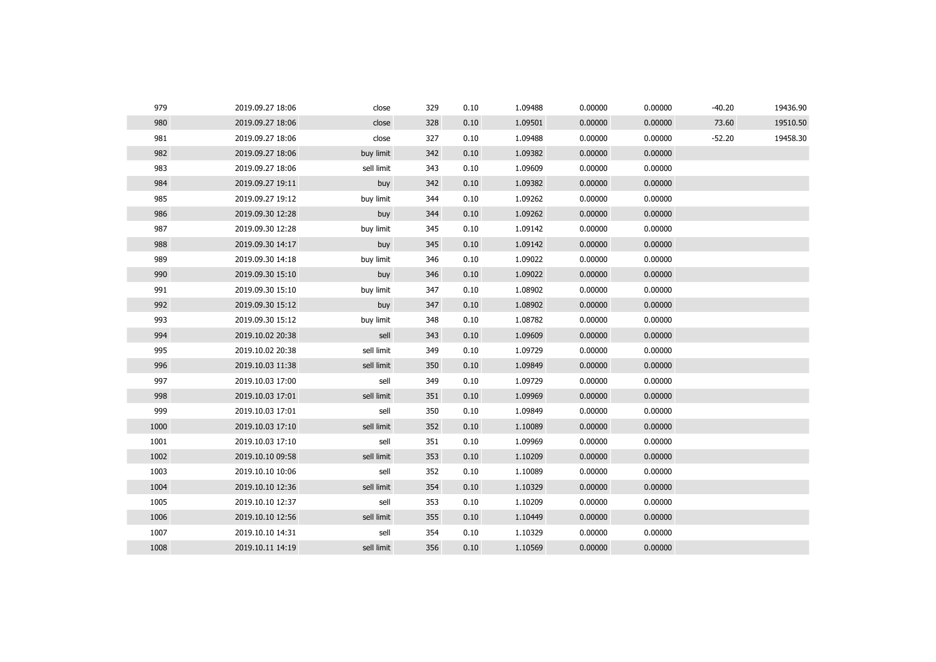| 979  | 2019.09.27 18:06 | close      | 329 | 0.10 | 1.09488 | 0.00000 | 0.00000 | $-40.20$ | 19436.90 |
|------|------------------|------------|-----|------|---------|---------|---------|----------|----------|
| 980  | 2019.09.27 18:06 | close      | 328 | 0.10 | 1.09501 | 0.00000 | 0.00000 | 73.60    | 19510.50 |
| 981  | 2019.09.27 18:06 | close      | 327 | 0.10 | 1.09488 | 0.00000 | 0.00000 | $-52.20$ | 19458.30 |
| 982  | 2019.09.27 18:06 | buy limit  | 342 | 0.10 | 1.09382 | 0.00000 | 0.00000 |          |          |
| 983  | 2019.09.27 18:06 | sell limit | 343 | 0.10 | 1.09609 | 0.00000 | 0.00000 |          |          |
| 984  | 2019.09.27 19:11 | buy        | 342 | 0.10 | 1.09382 | 0.00000 | 0.00000 |          |          |
| 985  | 2019.09.27 19:12 | buy limit  | 344 | 0.10 | 1.09262 | 0.00000 | 0.00000 |          |          |
| 986  | 2019.09.30 12:28 | buy        | 344 | 0.10 | 1.09262 | 0.00000 | 0.00000 |          |          |
| 987  | 2019.09.30 12:28 | buy limit  | 345 | 0.10 | 1.09142 | 0.00000 | 0.00000 |          |          |
| 988  | 2019.09.30 14:17 | buy        | 345 | 0.10 | 1.09142 | 0.00000 | 0.00000 |          |          |
| 989  | 2019.09.30 14:18 | buy limit  | 346 | 0.10 | 1.09022 | 0.00000 | 0.00000 |          |          |
| 990  | 2019.09.30 15:10 | buy        | 346 | 0.10 | 1.09022 | 0.00000 | 0.00000 |          |          |
| 991  | 2019.09.30 15:10 | buy limit  | 347 | 0.10 | 1.08902 | 0.00000 | 0.00000 |          |          |
| 992  | 2019.09.30 15:12 | buy        | 347 | 0.10 | 1.08902 | 0.00000 | 0.00000 |          |          |
| 993  | 2019.09.30 15:12 | buy limit  | 348 | 0.10 | 1.08782 | 0.00000 | 0.00000 |          |          |
| 994  | 2019.10.02 20:38 | sell       | 343 | 0.10 | 1.09609 | 0.00000 | 0.00000 |          |          |
| 995  | 2019.10.02 20:38 | sell limit | 349 | 0.10 | 1.09729 | 0.00000 | 0.00000 |          |          |
| 996  | 2019.10.03 11:38 | sell limit | 350 | 0.10 | 1.09849 | 0.00000 | 0.00000 |          |          |
| 997  | 2019.10.03 17:00 | sell       | 349 | 0.10 | 1.09729 | 0.00000 | 0.00000 |          |          |
| 998  | 2019.10.03 17:01 | sell limit | 351 | 0.10 | 1.09969 | 0.00000 | 0.00000 |          |          |
| 999  | 2019.10.03 17:01 | sell       | 350 | 0.10 | 1.09849 | 0.00000 | 0.00000 |          |          |
| 1000 | 2019.10.03 17:10 | sell limit | 352 | 0.10 | 1.10089 | 0.00000 | 0.00000 |          |          |
| 1001 | 2019.10.03 17:10 | sell       | 351 | 0.10 | 1.09969 | 0.00000 | 0.00000 |          |          |
| 1002 | 2019.10.10 09:58 | sell limit | 353 | 0.10 | 1.10209 | 0.00000 | 0.00000 |          |          |
| 1003 | 2019.10.10 10:06 | sell       | 352 | 0.10 | 1.10089 | 0.00000 | 0.00000 |          |          |
| 1004 | 2019.10.10 12:36 | sell limit | 354 | 0.10 | 1.10329 | 0.00000 | 0.00000 |          |          |
| 1005 | 2019.10.10 12:37 | sell       | 353 | 0.10 | 1.10209 | 0.00000 | 0.00000 |          |          |
| 1006 | 2019.10.10 12:56 | sell limit | 355 | 0.10 | 1.10449 | 0.00000 | 0.00000 |          |          |
| 1007 | 2019.10.10 14:31 | sell       | 354 | 0.10 | 1.10329 | 0.00000 | 0.00000 |          |          |
| 1008 | 2019.10.11 14:19 | sell limit | 356 | 0.10 | 1.10569 | 0.00000 | 0.00000 |          |          |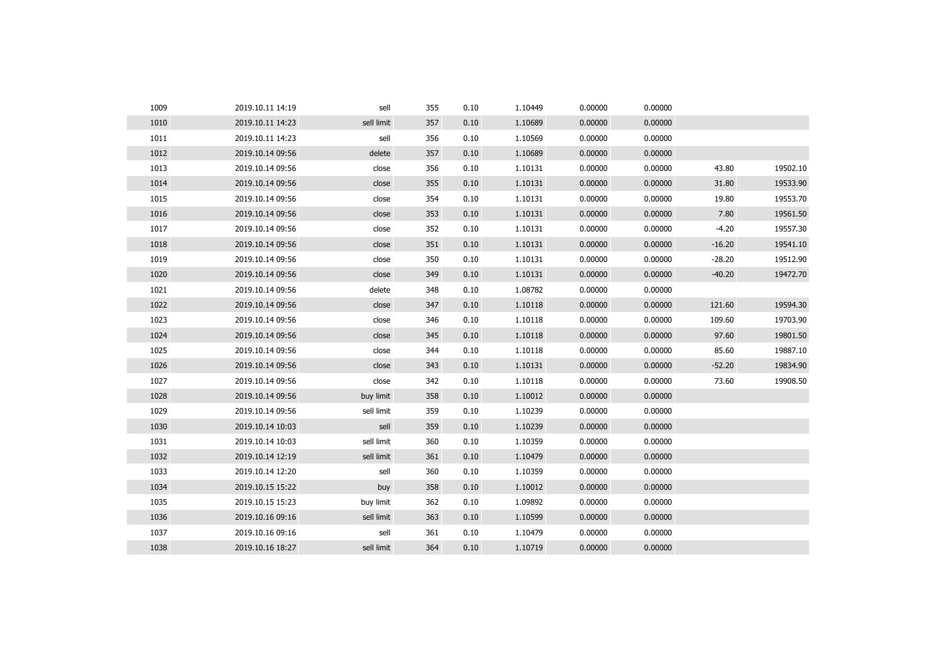| 1009 | 2019.10.11 14:19 | sell       | 355 | 0.10 | 1.10449 | 0.00000 | 0.00000 |          |          |
|------|------------------|------------|-----|------|---------|---------|---------|----------|----------|
| 1010 | 2019.10.11 14:23 | sell limit | 357 | 0.10 | 1.10689 | 0.00000 | 0.00000 |          |          |
| 1011 | 2019.10.11 14:23 | sell       | 356 | 0.10 | 1.10569 | 0.00000 | 0.00000 |          |          |
| 1012 | 2019.10.14 09:56 | delete     | 357 | 0.10 | 1.10689 | 0.00000 | 0.00000 |          |          |
| 1013 | 2019.10.14 09:56 | close      | 356 | 0.10 | 1.10131 | 0.00000 | 0.00000 | 43.80    | 19502.10 |
| 1014 | 2019.10.14 09:56 | close      | 355 | 0.10 | 1.10131 | 0.00000 | 0.00000 | 31.80    | 19533.90 |
| 1015 | 2019.10.14 09:56 | close      | 354 | 0.10 | 1.10131 | 0.00000 | 0.00000 | 19.80    | 19553.70 |
| 1016 | 2019.10.14 09:56 | close      | 353 | 0.10 | 1.10131 | 0.00000 | 0.00000 | 7.80     | 19561.50 |
| 1017 | 2019.10.14 09:56 | close      | 352 | 0.10 | 1.10131 | 0.00000 | 0.00000 | $-4.20$  | 19557.30 |
| 1018 | 2019.10.14 09:56 | close      | 351 | 0.10 | 1.10131 | 0.00000 | 0.00000 | $-16.20$ | 19541.10 |
| 1019 | 2019.10.14 09:56 | close      | 350 | 0.10 | 1.10131 | 0.00000 | 0.00000 | $-28.20$ | 19512.90 |
| 1020 | 2019.10.14 09:56 | close      | 349 | 0.10 | 1.10131 | 0.00000 | 0.00000 | $-40.20$ | 19472.70 |
| 1021 | 2019.10.14 09:56 | delete     | 348 | 0.10 | 1.08782 | 0.00000 | 0.00000 |          |          |
| 1022 | 2019.10.14 09:56 | close      | 347 | 0.10 | 1.10118 | 0.00000 | 0.00000 | 121.60   | 19594.30 |
| 1023 | 2019.10.14 09:56 | close      | 346 | 0.10 | 1.10118 | 0.00000 | 0.00000 | 109.60   | 19703.90 |
| 1024 | 2019.10.14 09:56 | close      | 345 | 0.10 | 1.10118 | 0.00000 | 0.00000 | 97.60    | 19801.50 |
| 1025 | 2019.10.14 09:56 | close      | 344 | 0.10 | 1.10118 | 0.00000 | 0.00000 | 85.60    | 19887.10 |
| 1026 | 2019.10.14 09:56 | close      | 343 | 0.10 | 1.10131 | 0.00000 | 0.00000 | $-52.20$ | 19834.90 |
| 1027 | 2019.10.14 09:56 | close      | 342 | 0.10 | 1.10118 | 0.00000 | 0.00000 | 73.60    | 19908.50 |
| 1028 | 2019.10.14 09:56 | buy limit  | 358 | 0.10 | 1.10012 | 0.00000 | 0.00000 |          |          |
| 1029 | 2019.10.14 09:56 | sell limit | 359 | 0.10 | 1.10239 | 0.00000 | 0.00000 |          |          |
| 1030 | 2019.10.14 10:03 | sell       | 359 | 0.10 | 1.10239 | 0.00000 | 0.00000 |          |          |
| 1031 | 2019.10.14 10:03 | sell limit | 360 | 0.10 | 1.10359 | 0.00000 | 0.00000 |          |          |
| 1032 | 2019.10.14 12:19 | sell limit | 361 | 0.10 | 1.10479 | 0.00000 | 0.00000 |          |          |
| 1033 | 2019.10.14 12:20 | sell       | 360 | 0.10 | 1.10359 | 0.00000 | 0.00000 |          |          |
| 1034 | 2019.10.15 15:22 | buy        | 358 | 0.10 | 1.10012 | 0.00000 | 0.00000 |          |          |
| 1035 | 2019.10.15 15:23 | buy limit  | 362 | 0.10 | 1.09892 | 0.00000 | 0.00000 |          |          |
| 1036 | 2019.10.16 09:16 | sell limit | 363 | 0.10 | 1.10599 | 0.00000 | 0.00000 |          |          |
| 1037 | 2019.10.16 09:16 | sell       | 361 | 0.10 | 1.10479 | 0.00000 | 0.00000 |          |          |
| 1038 | 2019.10.16 18:27 | sell limit | 364 | 0.10 | 1.10719 | 0.00000 | 0.00000 |          |          |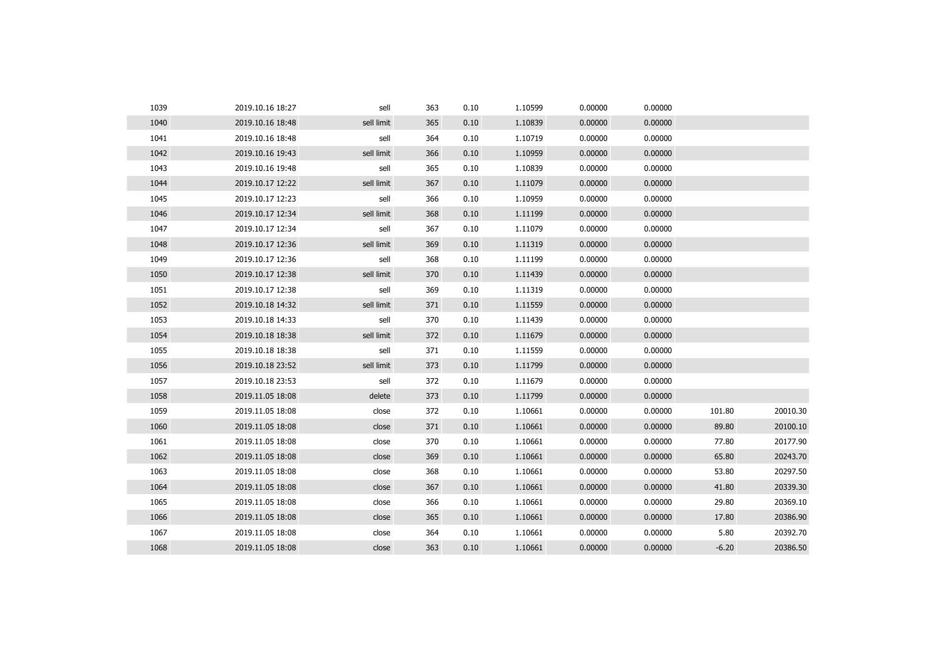| 1039 | 2019.10.16 18:27 | sell       | 363 | 0.10 | 1.10599 | 0.00000 | 0.00000 |         |          |
|------|------------------|------------|-----|------|---------|---------|---------|---------|----------|
| 1040 | 2019.10.16 18:48 | sell limit | 365 | 0.10 | 1.10839 | 0.00000 | 0.00000 |         |          |
| 1041 | 2019.10.16 18:48 | sell       | 364 | 0.10 | 1.10719 | 0.00000 | 0.00000 |         |          |
| 1042 | 2019.10.16 19:43 | sell limit | 366 | 0.10 | 1.10959 | 0.00000 | 0.00000 |         |          |
| 1043 | 2019.10.16 19:48 | sell       | 365 | 0.10 | 1.10839 | 0.00000 | 0.00000 |         |          |
| 1044 | 2019.10.17 12:22 | sell limit | 367 | 0.10 | 1.11079 | 0.00000 | 0.00000 |         |          |
| 1045 | 2019.10.17 12:23 | sell       | 366 | 0.10 | 1.10959 | 0.00000 | 0.00000 |         |          |
| 1046 | 2019.10.17 12:34 | sell limit | 368 | 0.10 | 1.11199 | 0.00000 | 0.00000 |         |          |
| 1047 | 2019.10.17 12:34 | sell       | 367 | 0.10 | 1.11079 | 0.00000 | 0.00000 |         |          |
| 1048 | 2019.10.17 12:36 | sell limit | 369 | 0.10 | 1.11319 | 0.00000 | 0.00000 |         |          |
| 1049 | 2019.10.17 12:36 | sell       | 368 | 0.10 | 1.11199 | 0.00000 | 0.00000 |         |          |
| 1050 | 2019.10.17 12:38 | sell limit | 370 | 0.10 | 1.11439 | 0.00000 | 0.00000 |         |          |
| 1051 | 2019.10.17 12:38 | sell       | 369 | 0.10 | 1.11319 | 0.00000 | 0.00000 |         |          |
| 1052 | 2019.10.18 14:32 | sell limit | 371 | 0.10 | 1.11559 | 0.00000 | 0.00000 |         |          |
| 1053 | 2019.10.18 14:33 | sell       | 370 | 0.10 | 1.11439 | 0.00000 | 0.00000 |         |          |
| 1054 | 2019.10.18 18:38 | sell limit | 372 | 0.10 | 1.11679 | 0.00000 | 0.00000 |         |          |
| 1055 | 2019.10.18 18:38 | sell       | 371 | 0.10 | 1.11559 | 0.00000 | 0.00000 |         |          |
| 1056 | 2019.10.18 23:52 | sell limit | 373 | 0.10 | 1.11799 | 0.00000 | 0.00000 |         |          |
| 1057 | 2019.10.18 23:53 | sell       | 372 | 0.10 | 1.11679 | 0.00000 | 0.00000 |         |          |
| 1058 | 2019.11.05 18:08 | delete     | 373 | 0.10 | 1.11799 | 0.00000 | 0.00000 |         |          |
| 1059 | 2019.11.05 18:08 | close      | 372 | 0.10 | 1.10661 | 0.00000 | 0.00000 | 101.80  | 20010.30 |
| 1060 | 2019.11.05 18:08 | close      | 371 | 0.10 | 1.10661 | 0.00000 | 0.00000 | 89.80   | 20100.10 |
| 1061 | 2019.11.05 18:08 | close      | 370 | 0.10 | 1.10661 | 0.00000 | 0.00000 | 77.80   | 20177.90 |
| 1062 | 2019.11.05 18:08 | close      | 369 | 0.10 | 1.10661 | 0.00000 | 0.00000 | 65.80   | 20243.70 |
| 1063 | 2019.11.05 18:08 | close      | 368 | 0.10 | 1.10661 | 0.00000 | 0.00000 | 53.80   | 20297.50 |
| 1064 | 2019.11.05 18:08 | close      | 367 | 0.10 | 1.10661 | 0.00000 | 0.00000 | 41.80   | 20339.30 |
| 1065 | 2019.11.05 18:08 | close      | 366 | 0.10 | 1.10661 | 0.00000 | 0.00000 | 29.80   | 20369.10 |
| 1066 | 2019.11.05 18:08 | close      | 365 | 0.10 | 1.10661 | 0.00000 | 0.00000 | 17.80   | 20386.90 |
| 1067 | 2019.11.05 18:08 | close      | 364 | 0.10 | 1.10661 | 0.00000 | 0.00000 | 5.80    | 20392.70 |
| 1068 | 2019.11.05 18:08 | close      | 363 | 0.10 | 1.10661 | 0.00000 | 0.00000 | $-6.20$ | 20386.50 |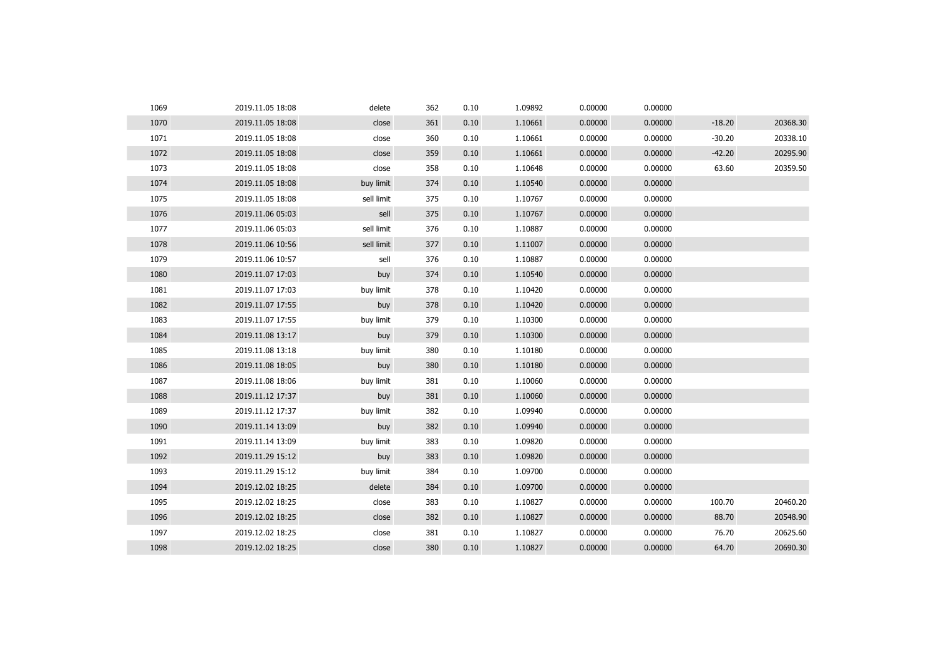| 1069 | 2019.11.05 18:08 | delete     | 362 | 0.10 | 1.09892 | 0.00000 | 0.00000 |          |          |
|------|------------------|------------|-----|------|---------|---------|---------|----------|----------|
| 1070 | 2019.11.05 18:08 | close      | 361 | 0.10 | 1.10661 | 0.00000 | 0.00000 | $-18.20$ | 20368.30 |
| 1071 | 2019.11.05 18:08 | close      | 360 | 0.10 | 1.10661 | 0.00000 | 0.00000 | $-30.20$ | 20338.10 |
| 1072 | 2019.11.05 18:08 | close      | 359 | 0.10 | 1.10661 | 0.00000 | 0.00000 | $-42.20$ | 20295.90 |
| 1073 | 2019.11.05 18:08 | close      | 358 | 0.10 | 1.10648 | 0.00000 | 0.00000 | 63.60    | 20359.50 |
| 1074 | 2019.11.05 18:08 | buy limit  | 374 | 0.10 | 1.10540 | 0.00000 | 0.00000 |          |          |
| 1075 | 2019.11.05 18:08 | sell limit | 375 | 0.10 | 1.10767 | 0.00000 | 0.00000 |          |          |
| 1076 | 2019.11.06 05:03 | sell       | 375 | 0.10 | 1.10767 | 0.00000 | 0.00000 |          |          |
| 1077 | 2019.11.06 05:03 | sell limit | 376 | 0.10 | 1.10887 | 0.00000 | 0.00000 |          |          |
| 1078 | 2019.11.06 10:56 | sell limit | 377 | 0.10 | 1.11007 | 0.00000 | 0.00000 |          |          |
| 1079 | 2019.11.06 10:57 | sell       | 376 | 0.10 | 1.10887 | 0.00000 | 0.00000 |          |          |
| 1080 | 2019.11.07 17:03 | buy        | 374 | 0.10 | 1.10540 | 0.00000 | 0.00000 |          |          |
| 1081 | 2019.11.07 17:03 | buy limit  | 378 | 0.10 | 1.10420 | 0.00000 | 0.00000 |          |          |
| 1082 | 2019.11.07 17:55 | buy        | 378 | 0.10 | 1.10420 | 0.00000 | 0.00000 |          |          |
| 1083 | 2019.11.07 17:55 | buy limit  | 379 | 0.10 | 1.10300 | 0.00000 | 0.00000 |          |          |
| 1084 | 2019.11.08 13:17 | buy        | 379 | 0.10 | 1.10300 | 0.00000 | 0.00000 |          |          |
| 1085 | 2019.11.08 13:18 | buy limit  | 380 | 0.10 | 1.10180 | 0.00000 | 0.00000 |          |          |
| 1086 | 2019.11.08 18:05 | buy        | 380 | 0.10 | 1.10180 | 0.00000 | 0.00000 |          |          |
| 1087 | 2019.11.08 18:06 | buy limit  | 381 | 0.10 | 1.10060 | 0.00000 | 0.00000 |          |          |
| 1088 | 2019.11.12 17:37 | buy        | 381 | 0.10 | 1.10060 | 0.00000 | 0.00000 |          |          |
| 1089 | 2019.11.12 17:37 | buy limit  | 382 | 0.10 | 1.09940 | 0.00000 | 0.00000 |          |          |
| 1090 | 2019.11.14 13:09 | buy        | 382 | 0.10 | 1.09940 | 0.00000 | 0.00000 |          |          |
| 1091 | 2019.11.14 13:09 | buy limit  | 383 | 0.10 | 1.09820 | 0.00000 | 0.00000 |          |          |
| 1092 | 2019.11.29 15:12 | buy        | 383 | 0.10 | 1.09820 | 0.00000 | 0.00000 |          |          |
| 1093 | 2019.11.29 15:12 | buy limit  | 384 | 0.10 | 1.09700 | 0.00000 | 0.00000 |          |          |
| 1094 | 2019.12.02 18:25 | delete     | 384 | 0.10 | 1.09700 | 0.00000 | 0.00000 |          |          |
| 1095 | 2019.12.02 18:25 | close      | 383 | 0.10 | 1.10827 | 0.00000 | 0.00000 | 100.70   | 20460.20 |
| 1096 | 2019.12.02 18:25 | close      | 382 | 0.10 | 1.10827 | 0.00000 | 0.00000 | 88.70    | 20548.90 |
| 1097 | 2019.12.02 18:25 | close      | 381 | 0.10 | 1.10827 | 0.00000 | 0.00000 | 76.70    | 20625.60 |
| 1098 | 2019.12.02 18:25 | close      | 380 | 0.10 | 1.10827 | 0.00000 | 0.00000 | 64.70    | 20690.30 |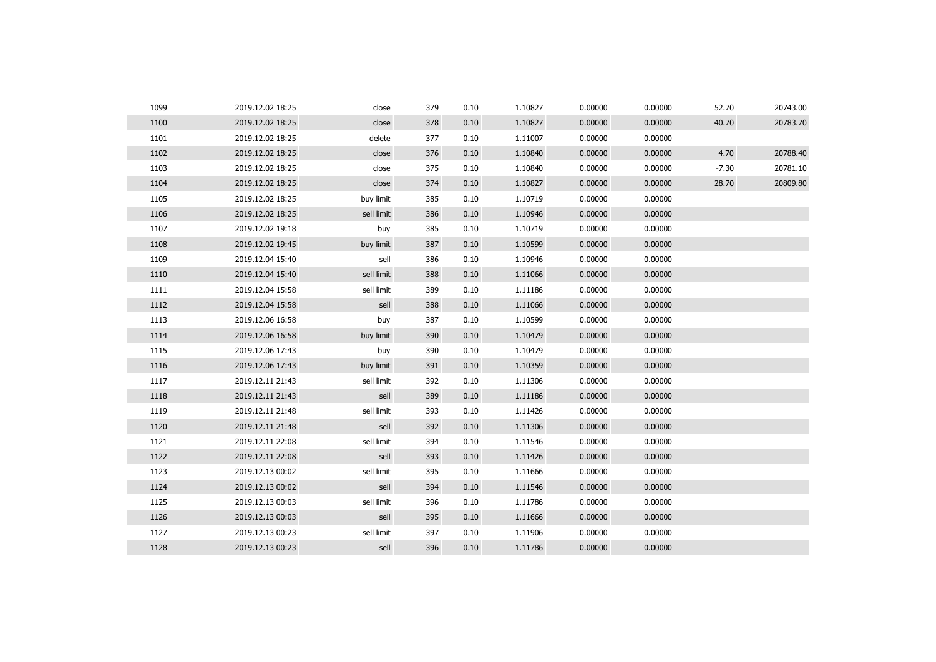| 1099 | 2019.12.02 18:25 | close      | 379 | 0.10 | 1.10827 | 0.00000 | 0.00000 | 52.70   | 20743.00 |
|------|------------------|------------|-----|------|---------|---------|---------|---------|----------|
| 1100 | 2019.12.02 18:25 | close      | 378 | 0.10 | 1.10827 | 0.00000 | 0.00000 | 40.70   | 20783.70 |
| 1101 | 2019.12.02 18:25 | delete     | 377 | 0.10 | 1.11007 | 0.00000 | 0.00000 |         |          |
| 1102 | 2019.12.02 18:25 | close      | 376 | 0.10 | 1.10840 | 0.00000 | 0.00000 | 4.70    | 20788.40 |
| 1103 | 2019.12.02 18:25 | close      | 375 | 0.10 | 1.10840 | 0.00000 | 0.00000 | $-7.30$ | 20781.10 |
| 1104 | 2019.12.02 18:25 | close      | 374 | 0.10 | 1.10827 | 0.00000 | 0.00000 | 28.70   | 20809.80 |
| 1105 | 2019.12.02 18:25 | buy limit  | 385 | 0.10 | 1.10719 | 0.00000 | 0.00000 |         |          |
| 1106 | 2019.12.02 18:25 | sell limit | 386 | 0.10 | 1.10946 | 0.00000 | 0.00000 |         |          |
| 1107 | 2019.12.02 19:18 | buy        | 385 | 0.10 | 1.10719 | 0.00000 | 0.00000 |         |          |
| 1108 | 2019.12.02 19:45 | buy limit  | 387 | 0.10 | 1.10599 | 0.00000 | 0.00000 |         |          |
| 1109 | 2019.12.04 15:40 | sell       | 386 | 0.10 | 1.10946 | 0.00000 | 0.00000 |         |          |
| 1110 | 2019.12.04 15:40 | sell limit | 388 | 0.10 | 1.11066 | 0.00000 | 0.00000 |         |          |
| 1111 | 2019.12.04 15:58 | sell limit | 389 | 0.10 | 1.11186 | 0.00000 | 0.00000 |         |          |
| 1112 | 2019.12.04 15:58 | sell       | 388 | 0.10 | 1.11066 | 0.00000 | 0.00000 |         |          |
| 1113 | 2019.12.06 16:58 | buy        | 387 | 0.10 | 1.10599 | 0.00000 | 0.00000 |         |          |
| 1114 | 2019.12.06 16:58 | buy limit  | 390 | 0.10 | 1.10479 | 0.00000 | 0.00000 |         |          |
| 1115 | 2019.12.06 17:43 | buy        | 390 | 0.10 | 1.10479 | 0.00000 | 0.00000 |         |          |
| 1116 | 2019.12.06 17:43 | buy limit  | 391 | 0.10 | 1.10359 | 0.00000 | 0.00000 |         |          |
| 1117 | 2019.12.11 21:43 | sell limit | 392 | 0.10 | 1.11306 | 0.00000 | 0.00000 |         |          |
| 1118 | 2019.12.11 21:43 | sell       | 389 | 0.10 | 1.11186 | 0.00000 | 0.00000 |         |          |
| 1119 | 2019.12.11 21:48 | sell limit | 393 | 0.10 | 1.11426 | 0.00000 | 0.00000 |         |          |
| 1120 | 2019.12.11 21:48 | sell       | 392 | 0.10 | 1.11306 | 0.00000 | 0.00000 |         |          |
| 1121 | 2019.12.11 22:08 | sell limit | 394 | 0.10 | 1.11546 | 0.00000 | 0.00000 |         |          |
| 1122 | 2019.12.11 22:08 | sell       | 393 | 0.10 | 1.11426 | 0.00000 | 0.00000 |         |          |
| 1123 | 2019.12.13 00:02 | sell limit | 395 | 0.10 | 1.11666 | 0.00000 | 0.00000 |         |          |
| 1124 | 2019.12.13 00:02 | sell       | 394 | 0.10 | 1.11546 | 0.00000 | 0.00000 |         |          |
| 1125 | 2019.12.13 00:03 | sell limit | 396 | 0.10 | 1.11786 | 0.00000 | 0.00000 |         |          |
| 1126 | 2019.12.13 00:03 | sell       | 395 | 0.10 | 1.11666 | 0.00000 | 0.00000 |         |          |
| 1127 | 2019.12.13 00:23 | sell limit | 397 | 0.10 | 1.11906 | 0.00000 | 0.00000 |         |          |
| 1128 | 2019.12.13 00:23 | sell       | 396 | 0.10 | 1.11786 | 0.00000 | 0.00000 |         |          |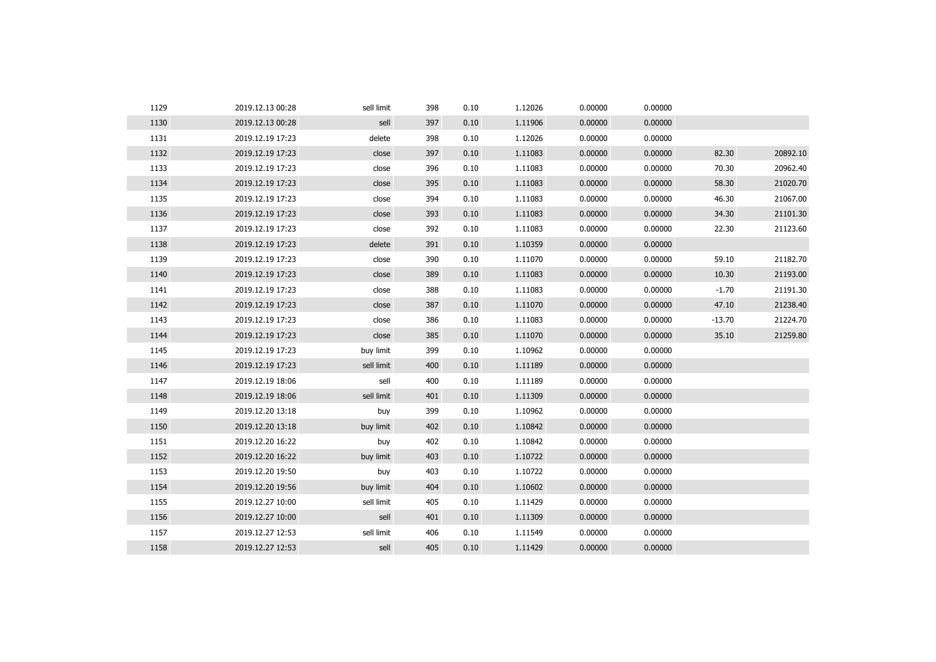| 1129 | 2019.12.13 00:28 | sell limit | 398 | 0.10 | 1.12026 | 0.00000 | 0.00000 |          |          |
|------|------------------|------------|-----|------|---------|---------|---------|----------|----------|
| 1130 | 2019.12.13 00:28 | sell       | 397 | 0.10 | 1.11906 | 0.00000 | 0.00000 |          |          |
| 1131 | 2019.12.19 17:23 | delete     | 398 | 0.10 | 1.12026 | 0.00000 | 0.00000 |          |          |
| 1132 | 2019.12.19 17:23 | close      | 397 | 0.10 | 1.11083 | 0.00000 | 0.00000 | 82.30    | 20892.10 |
| 1133 | 2019.12.19 17:23 | close      | 396 | 0.10 | 1.11083 | 0.00000 | 0.00000 | 70.30    | 20962.40 |
| 1134 | 2019.12.19 17:23 | close      | 395 | 0.10 | 1.11083 | 0.00000 | 0.00000 | 58.30    | 21020.70 |
| 1135 | 2019.12.19 17:23 | close      | 394 | 0.10 | 1.11083 | 0.00000 | 0.00000 | 46.30    | 21067.00 |
| 1136 | 2019.12.19 17:23 | close      | 393 | 0.10 | 1.11083 | 0.00000 | 0.00000 | 34.30    | 21101.30 |
| 1137 | 2019.12.19 17:23 | close      | 392 | 0.10 | 1.11083 | 0.00000 | 0.00000 | 22.30    | 21123.60 |
| 1138 | 2019.12.19 17:23 | delete     | 391 | 0.10 | 1.10359 | 0.00000 | 0.00000 |          |          |
| 1139 | 2019.12.19 17:23 | close      | 390 | 0.10 | 1.11070 | 0.00000 | 0.00000 | 59.10    | 21182.70 |
| 1140 | 2019.12.19 17:23 | close      | 389 | 0.10 | 1.11083 | 0.00000 | 0.00000 | 10.30    | 21193.00 |
| 1141 | 2019.12.19 17:23 | close      | 388 | 0.10 | 1.11083 | 0.00000 | 0.00000 | $-1.70$  | 21191.30 |
| 1142 | 2019.12.19 17:23 | close      | 387 | 0.10 | 1.11070 | 0.00000 | 0.00000 | 47.10    | 21238.40 |
| 1143 | 2019.12.19 17:23 | close      | 386 | 0.10 | 1.11083 | 0.00000 | 0.00000 | $-13.70$ | 21224.70 |
| 1144 | 2019.12.19 17:23 | close      | 385 | 0.10 | 1.11070 | 0.00000 | 0.00000 | 35.10    | 21259.80 |
| 1145 | 2019.12.19 17:23 | buy limit  | 399 | 0.10 | 1.10962 | 0.00000 | 0.00000 |          |          |
| 1146 | 2019.12.19 17:23 | sell limit | 400 | 0.10 | 1.11189 | 0.00000 | 0.00000 |          |          |
| 1147 | 2019.12.19 18:06 | sell       | 400 | 0.10 | 1.11189 | 0.00000 | 0.00000 |          |          |
| 1148 | 2019.12.19 18:06 | sell limit | 401 | 0.10 | 1.11309 | 0.00000 | 0.00000 |          |          |
| 1149 | 2019.12.20 13:18 | buy        | 399 | 0.10 | 1.10962 | 0.00000 | 0.00000 |          |          |
| 1150 | 2019.12.20 13:18 | buy limit  | 402 | 0.10 | 1.10842 | 0.00000 | 0.00000 |          |          |
| 1151 | 2019.12.20 16:22 | buy        | 402 | 0.10 | 1.10842 | 0.00000 | 0.00000 |          |          |
| 1152 | 2019.12.20 16:22 | buy limit  | 403 | 0.10 | 1.10722 | 0.00000 | 0.00000 |          |          |
| 1153 | 2019.12.20 19:50 | buy        | 403 | 0.10 | 1.10722 | 0.00000 | 0.00000 |          |          |
| 1154 | 2019.12.20 19:56 | buy limit  | 404 | 0.10 | 1.10602 | 0.00000 | 0.00000 |          |          |
| 1155 | 2019.12.27 10:00 | sell limit | 405 | 0.10 | 1.11429 | 0.00000 | 0.00000 |          |          |
| 1156 | 2019.12.27 10:00 | sell       | 401 | 0.10 | 1.11309 | 0.00000 | 0.00000 |          |          |
| 1157 | 2019.12.27 12:53 | sell limit | 406 | 0.10 | 1.11549 | 0.00000 | 0.00000 |          |          |
| 1158 | 2019.12.27 12:53 | sell       | 405 | 0.10 | 1.11429 | 0.00000 | 0.00000 |          |          |
|      |                  |            |     |      |         |         |         |          |          |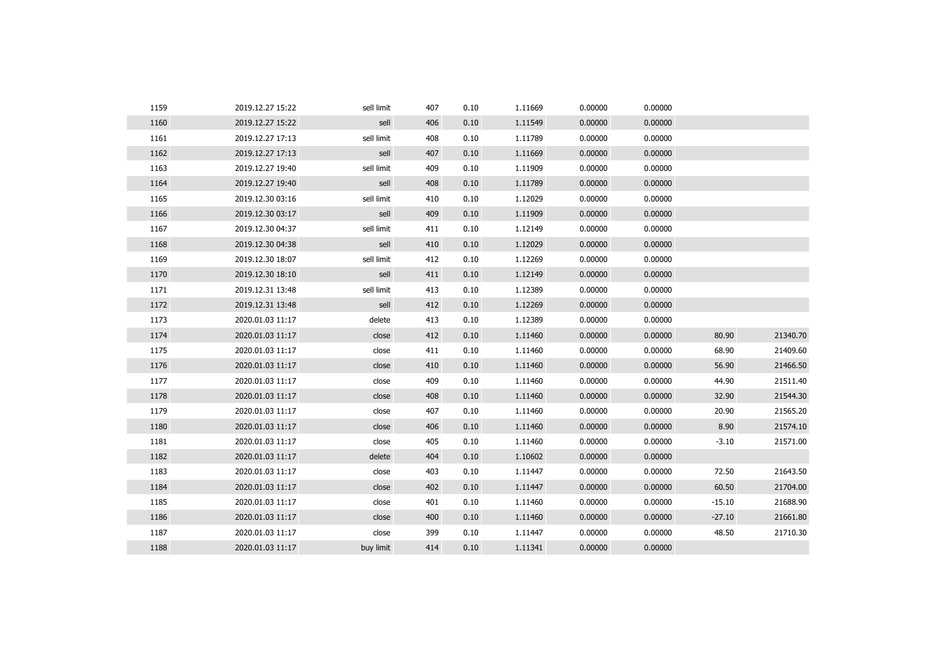| 1159 | 2019.12.27 15:22 | sell limit | 407 | 0.10 | 1.11669 | 0.00000 | 0.00000 |          |          |
|------|------------------|------------|-----|------|---------|---------|---------|----------|----------|
| 1160 | 2019.12.27 15:22 | sell       | 406 | 0.10 | 1.11549 | 0.00000 | 0.00000 |          |          |
| 1161 | 2019.12.27 17:13 | sell limit | 408 | 0.10 | 1.11789 | 0.00000 | 0.00000 |          |          |
| 1162 | 2019.12.27 17:13 | sell       | 407 | 0.10 | 1.11669 | 0.00000 | 0.00000 |          |          |
| 1163 | 2019.12.27 19:40 | sell limit | 409 | 0.10 | 1.11909 | 0.00000 | 0.00000 |          |          |
| 1164 | 2019.12.27 19:40 | sell       | 408 | 0.10 | 1.11789 | 0.00000 | 0.00000 |          |          |
| 1165 | 2019.12.30 03:16 | sell limit | 410 | 0.10 | 1.12029 | 0.00000 | 0.00000 |          |          |
| 1166 | 2019.12.30 03:17 | sell       | 409 | 0.10 | 1.11909 | 0.00000 | 0.00000 |          |          |
| 1167 | 2019.12.30 04:37 | sell limit | 411 | 0.10 | 1.12149 | 0.00000 | 0.00000 |          |          |
| 1168 | 2019.12.30 04:38 | sell       | 410 | 0.10 | 1.12029 | 0.00000 | 0.00000 |          |          |
| 1169 | 2019.12.30 18:07 | sell limit | 412 | 0.10 | 1.12269 | 0.00000 | 0.00000 |          |          |
| 1170 | 2019.12.30 18:10 | sell       | 411 | 0.10 | 1.12149 | 0.00000 | 0.00000 |          |          |
| 1171 | 2019.12.31 13:48 | sell limit | 413 | 0.10 | 1.12389 | 0.00000 | 0.00000 |          |          |
| 1172 | 2019.12.31 13:48 | sell       | 412 | 0.10 | 1.12269 | 0.00000 | 0.00000 |          |          |
| 1173 | 2020.01.03 11:17 | delete     | 413 | 0.10 | 1.12389 | 0.00000 | 0.00000 |          |          |
| 1174 | 2020.01.03 11:17 | close      | 412 | 0.10 | 1.11460 | 0.00000 | 0.00000 | 80.90    | 21340.70 |
| 1175 | 2020.01.03 11:17 | close      | 411 | 0.10 | 1.11460 | 0.00000 | 0.00000 | 68.90    | 21409.60 |
| 1176 | 2020.01.03 11:17 | close      | 410 | 0.10 | 1.11460 | 0.00000 | 0.00000 | 56.90    | 21466.50 |
| 1177 | 2020.01.03 11:17 | close      | 409 | 0.10 | 1.11460 | 0.00000 | 0.00000 | 44.90    | 21511.40 |
| 1178 | 2020.01.03 11:17 | close      | 408 | 0.10 | 1.11460 | 0.00000 | 0.00000 | 32.90    | 21544.30 |
| 1179 | 2020.01.03 11:17 | close      | 407 | 0.10 | 1.11460 | 0.00000 | 0.00000 | 20.90    | 21565.20 |
| 1180 | 2020.01.03 11:17 | close      | 406 | 0.10 | 1.11460 | 0.00000 | 0.00000 | 8.90     | 21574.10 |
| 1181 | 2020.01.03 11:17 | close      | 405 | 0.10 | 1.11460 | 0.00000 | 0.00000 | $-3.10$  | 21571.00 |
| 1182 | 2020.01.03 11:17 | delete     | 404 | 0.10 | 1.10602 | 0.00000 | 0.00000 |          |          |
| 1183 | 2020.01.03 11:17 | close      | 403 | 0.10 | 1.11447 | 0.00000 | 0.00000 | 72.50    | 21643.50 |
| 1184 | 2020.01.03 11:17 | close      | 402 | 0.10 | 1.11447 | 0.00000 | 0.00000 | 60.50    | 21704.00 |
| 1185 | 2020.01.03 11:17 | close      | 401 | 0.10 | 1.11460 | 0.00000 | 0.00000 | $-15.10$ | 21688.90 |
| 1186 | 2020.01.03 11:17 | close      | 400 | 0.10 | 1.11460 | 0.00000 | 0.00000 | $-27.10$ | 21661.80 |
| 1187 | 2020.01.03 11:17 | close      | 399 | 0.10 | 1.11447 | 0.00000 | 0.00000 | 48.50    | 21710.30 |
| 1188 | 2020.01.03 11:17 | buy limit  | 414 | 0.10 | 1.11341 | 0.00000 | 0.00000 |          |          |
|      |                  |            |     |      |         |         |         |          |          |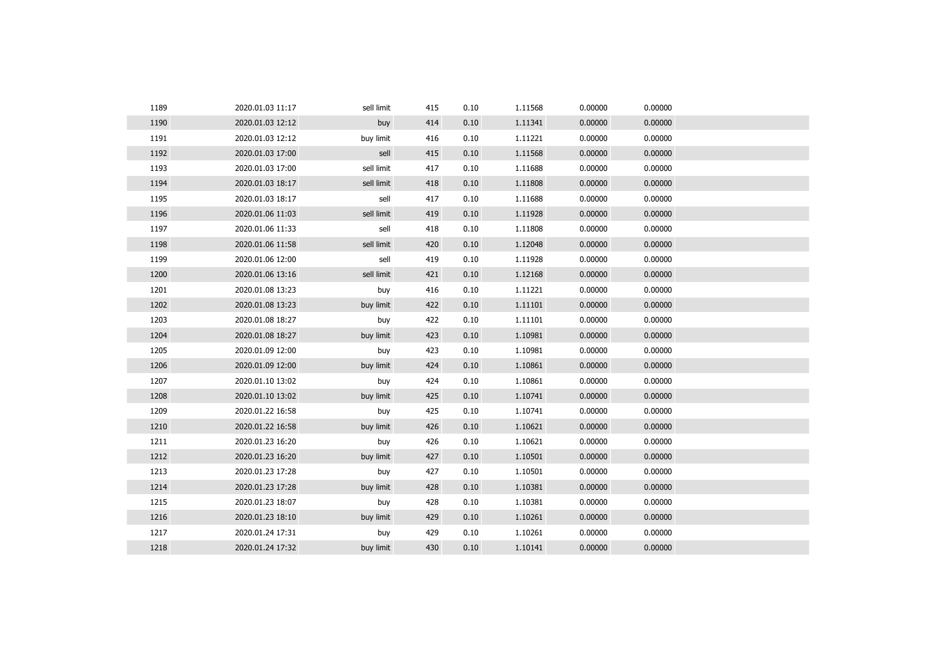| 1189 | 2020.01.03 11:17 | sell limit | 415 | 0.10 | 1.11568 | 0.00000 | 0.00000 |  |
|------|------------------|------------|-----|------|---------|---------|---------|--|
| 1190 | 2020.01.03 12:12 | buy        | 414 | 0.10 | 1.11341 | 0.00000 | 0.00000 |  |
| 1191 | 2020.01.03 12:12 | buy limit  | 416 | 0.10 | 1.11221 | 0.00000 | 0.00000 |  |
| 1192 | 2020.01.03 17:00 | sell       | 415 | 0.10 | 1.11568 | 0.00000 | 0.00000 |  |
| 1193 | 2020.01.03 17:00 | sell limit | 417 | 0.10 | 1.11688 | 0.00000 | 0.00000 |  |
| 1194 | 2020.01.03 18:17 | sell limit | 418 | 0.10 | 1.11808 | 0.00000 | 0.00000 |  |
| 1195 | 2020.01.03 18:17 | sell       | 417 | 0.10 | 1.11688 | 0.00000 | 0.00000 |  |
| 1196 | 2020.01.06 11:03 | sell limit | 419 | 0.10 | 1.11928 | 0.00000 | 0.00000 |  |
| 1197 | 2020.01.06 11:33 | sell       | 418 | 0.10 | 1.11808 | 0.00000 | 0.00000 |  |
| 1198 | 2020.01.06 11:58 | sell limit | 420 | 0.10 | 1.12048 | 0.00000 | 0.00000 |  |
| 1199 | 2020.01.06 12:00 | sell       | 419 | 0.10 | 1.11928 | 0.00000 | 0.00000 |  |
| 1200 | 2020.01.06 13:16 | sell limit | 421 | 0.10 | 1.12168 | 0.00000 | 0.00000 |  |
| 1201 | 2020.01.08 13:23 | buy        | 416 | 0.10 | 1.11221 | 0.00000 | 0.00000 |  |
| 1202 | 2020.01.08 13:23 | buy limit  | 422 | 0.10 | 1.11101 | 0.00000 | 0.00000 |  |
| 1203 | 2020.01.08 18:27 | buy        | 422 | 0.10 | 1.11101 | 0.00000 | 0.00000 |  |
| 1204 | 2020.01.08 18:27 | buy limit  | 423 | 0.10 | 1.10981 | 0.00000 | 0.00000 |  |
| 1205 | 2020.01.09 12:00 | buy        | 423 | 0.10 | 1.10981 | 0.00000 | 0.00000 |  |
| 1206 | 2020.01.09 12:00 | buy limit  | 424 | 0.10 | 1.10861 | 0.00000 | 0.00000 |  |
| 1207 | 2020.01.10 13:02 | buy        | 424 | 0.10 | 1.10861 | 0.00000 | 0.00000 |  |
| 1208 | 2020.01.10 13:02 | buy limit  | 425 | 0.10 | 1.10741 | 0.00000 | 0.00000 |  |
| 1209 | 2020.01.22 16:58 | buy        | 425 | 0.10 | 1.10741 | 0.00000 | 0.00000 |  |
| 1210 | 2020.01.22 16:58 | buy limit  | 426 | 0.10 | 1.10621 | 0.00000 | 0.00000 |  |
| 1211 | 2020.01.23 16:20 | buy        | 426 | 0.10 | 1.10621 | 0.00000 | 0.00000 |  |
| 1212 | 2020.01.23 16:20 | buy limit  | 427 | 0.10 | 1.10501 | 0.00000 | 0.00000 |  |
| 1213 | 2020.01.23 17:28 | buy        | 427 | 0.10 | 1.10501 | 0.00000 | 0.00000 |  |
| 1214 | 2020.01.23 17:28 | buy limit  | 428 | 0.10 | 1.10381 | 0.00000 | 0.00000 |  |
| 1215 | 2020.01.23 18:07 | buy        | 428 | 0.10 | 1.10381 | 0.00000 | 0.00000 |  |
| 1216 | 2020.01.23 18:10 | buy limit  | 429 | 0.10 | 1.10261 | 0.00000 | 0.00000 |  |
| 1217 | 2020.01.24 17:31 | buy        | 429 | 0.10 | 1.10261 | 0.00000 | 0.00000 |  |
| 1218 | 2020.01.24 17:32 | buy limit  | 430 | 0.10 | 1.10141 | 0.00000 | 0.00000 |  |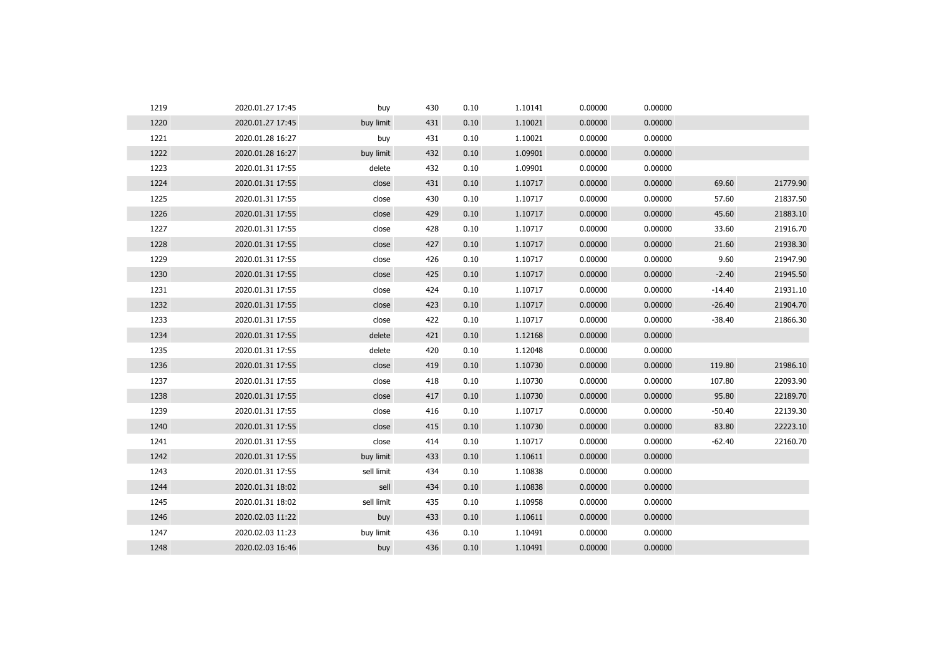| 1219 | 2020.01.27 17:45 | buy        | 430 | 0.10 | 1.10141 | 0.00000 | 0.00000 |          |          |
|------|------------------|------------|-----|------|---------|---------|---------|----------|----------|
| 1220 | 2020.01.27 17:45 | buy limit  | 431 | 0.10 | 1.10021 | 0.00000 | 0.00000 |          |          |
| 1221 | 2020.01.28 16:27 | buy        | 431 | 0.10 | 1.10021 | 0.00000 | 0.00000 |          |          |
| 1222 | 2020.01.28 16:27 | buy limit  | 432 | 0.10 | 1.09901 | 0.00000 | 0.00000 |          |          |
| 1223 | 2020.01.31 17:55 | delete     | 432 | 0.10 | 1.09901 | 0.00000 | 0.00000 |          |          |
| 1224 | 2020.01.31 17:55 | close      | 431 | 0.10 | 1.10717 | 0.00000 | 0.00000 | 69.60    | 21779.90 |
| 1225 | 2020.01.31 17:55 | close      | 430 | 0.10 | 1.10717 | 0.00000 | 0.00000 | 57.60    | 21837.50 |
| 1226 | 2020.01.31 17:55 | close      | 429 | 0.10 | 1.10717 | 0.00000 | 0.00000 | 45.60    | 21883.10 |
| 1227 | 2020.01.31 17:55 | close      | 428 | 0.10 | 1.10717 | 0.00000 | 0.00000 | 33.60    | 21916.70 |
| 1228 | 2020.01.31 17:55 | close      | 427 | 0.10 | 1.10717 | 0.00000 | 0.00000 | 21.60    | 21938.30 |
| 1229 | 2020.01.31 17:55 | close      | 426 | 0.10 | 1.10717 | 0.00000 | 0.00000 | 9.60     | 21947.90 |
| 1230 | 2020.01.31 17:55 | close      | 425 | 0.10 | 1.10717 | 0.00000 | 0.00000 | $-2.40$  | 21945.50 |
| 1231 | 2020.01.31 17:55 | close      | 424 | 0.10 | 1.10717 | 0.00000 | 0.00000 | $-14.40$ | 21931.10 |
| 1232 | 2020.01.31 17:55 | close      | 423 | 0.10 | 1.10717 | 0.00000 | 0.00000 | $-26.40$ | 21904.70 |
| 1233 | 2020.01.31 17:55 | close      | 422 | 0.10 | 1.10717 | 0.00000 | 0.00000 | $-38.40$ | 21866.30 |
| 1234 | 2020.01.31 17:55 | delete     | 421 | 0.10 | 1.12168 | 0.00000 | 0.00000 |          |          |
| 1235 | 2020.01.31 17:55 | delete     | 420 | 0.10 | 1.12048 | 0.00000 | 0.00000 |          |          |
| 1236 | 2020.01.31 17:55 | close      | 419 | 0.10 | 1.10730 | 0.00000 | 0.00000 | 119.80   | 21986.10 |
| 1237 | 2020.01.31 17:55 | close      | 418 | 0.10 | 1.10730 | 0.00000 | 0.00000 | 107.80   | 22093.90 |
| 1238 | 2020.01.31 17:55 | close      | 417 | 0.10 | 1.10730 | 0.00000 | 0.00000 | 95.80    | 22189.70 |
| 1239 | 2020.01.31 17:55 | close      | 416 | 0.10 | 1.10717 | 0.00000 | 0.00000 | $-50.40$ | 22139.30 |
| 1240 | 2020.01.31 17:55 | close      | 415 | 0.10 | 1.10730 | 0.00000 | 0.00000 | 83.80    | 22223.10 |
| 1241 | 2020.01.31 17:55 | close      | 414 | 0.10 | 1.10717 | 0.00000 | 0.00000 | $-62.40$ | 22160.70 |
| 1242 | 2020.01.31 17:55 | buy limit  | 433 | 0.10 | 1.10611 | 0.00000 | 0.00000 |          |          |
| 1243 | 2020.01.31 17:55 | sell limit | 434 | 0.10 | 1.10838 | 0.00000 | 0.00000 |          |          |
| 1244 | 2020.01.31 18:02 | sell       | 434 | 0.10 | 1.10838 | 0.00000 | 0.00000 |          |          |
| 1245 | 2020.01.31 18:02 | sell limit | 435 | 0.10 | 1.10958 | 0.00000 | 0.00000 |          |          |
| 1246 | 2020.02.03 11:22 | buy        | 433 | 0.10 | 1.10611 | 0.00000 | 0.00000 |          |          |
| 1247 | 2020.02.03 11:23 | buy limit  | 436 | 0.10 | 1.10491 | 0.00000 | 0.00000 |          |          |
| 1248 | 2020.02.03 16:46 | buy        | 436 | 0.10 | 1.10491 | 0.00000 | 0.00000 |          |          |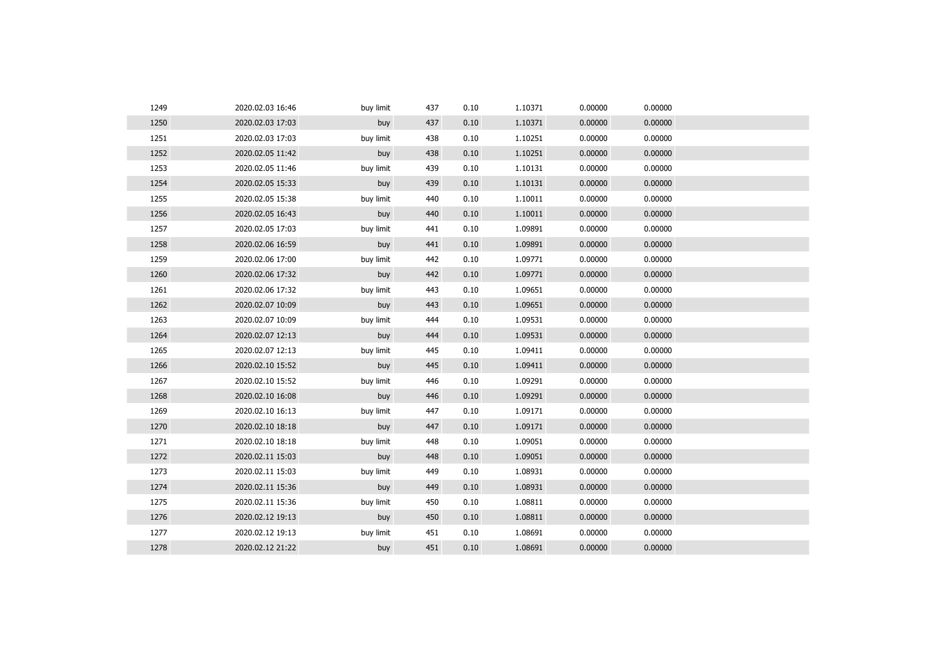| 1249 | 2020.02.03 16:46 | buy limit | 437 | 0.10 | 1.10371 | 0.00000 | 0.00000 |  |
|------|------------------|-----------|-----|------|---------|---------|---------|--|
| 1250 | 2020.02.03 17:03 | buy       | 437 | 0.10 | 1.10371 | 0.00000 | 0.00000 |  |
| 1251 | 2020.02.03 17:03 | buy limit | 438 | 0.10 | 1.10251 | 0.00000 | 0.00000 |  |
| 1252 | 2020.02.05 11:42 | buy       | 438 | 0.10 | 1.10251 | 0.00000 | 0.00000 |  |
| 1253 | 2020.02.05 11:46 | buy limit | 439 | 0.10 | 1.10131 | 0.00000 | 0.00000 |  |
| 1254 | 2020.02.05 15:33 | buy       | 439 | 0.10 | 1.10131 | 0.00000 | 0.00000 |  |
| 1255 | 2020.02.05 15:38 | buy limit | 440 | 0.10 | 1.10011 | 0.00000 | 0.00000 |  |
| 1256 | 2020.02.05 16:43 | buy       | 440 | 0.10 | 1.10011 | 0.00000 | 0.00000 |  |
| 1257 | 2020.02.05 17:03 | buy limit | 441 | 0.10 | 1.09891 | 0.00000 | 0.00000 |  |
| 1258 | 2020.02.06 16:59 | buy       | 441 | 0.10 | 1.09891 | 0.00000 | 0.00000 |  |
| 1259 | 2020.02.06 17:00 | buy limit | 442 | 0.10 | 1.09771 | 0.00000 | 0.00000 |  |
| 1260 | 2020.02.06 17:32 | buy       | 442 | 0.10 | 1.09771 | 0.00000 | 0.00000 |  |
| 1261 | 2020.02.06 17:32 | buy limit | 443 | 0.10 | 1.09651 | 0.00000 | 0.00000 |  |
| 1262 | 2020.02.07 10:09 | buy       | 443 | 0.10 | 1.09651 | 0.00000 | 0.00000 |  |
| 1263 | 2020.02.07 10:09 | buy limit | 444 | 0.10 | 1.09531 | 0.00000 | 0.00000 |  |
| 1264 | 2020.02.07 12:13 | buy       | 444 | 0.10 | 1.09531 | 0.00000 | 0.00000 |  |
| 1265 | 2020.02.07 12:13 | buy limit | 445 | 0.10 | 1.09411 | 0.00000 | 0.00000 |  |
| 1266 | 2020.02.10 15:52 | buy       | 445 | 0.10 | 1.09411 | 0.00000 | 0.00000 |  |
| 1267 | 2020.02.10 15:52 | buy limit | 446 | 0.10 | 1.09291 | 0.00000 | 0.00000 |  |
| 1268 | 2020.02.10 16:08 | buy       | 446 | 0.10 | 1.09291 | 0.00000 | 0.00000 |  |
| 1269 | 2020.02.10 16:13 | buy limit | 447 | 0.10 | 1.09171 | 0.00000 | 0.00000 |  |
| 1270 | 2020.02.10 18:18 | buy       | 447 | 0.10 | 1.09171 | 0.00000 | 0.00000 |  |
| 1271 | 2020.02.10 18:18 | buy limit | 448 | 0.10 | 1.09051 | 0.00000 | 0.00000 |  |
| 1272 | 2020.02.11 15:03 | buy       | 448 | 0.10 | 1.09051 | 0.00000 | 0.00000 |  |
| 1273 | 2020.02.11 15:03 | buy limit | 449 | 0.10 | 1.08931 | 0.00000 | 0.00000 |  |
| 1274 | 2020.02.11 15:36 | buy       | 449 | 0.10 | 1.08931 | 0.00000 | 0.00000 |  |
| 1275 | 2020.02.11 15:36 | buy limit | 450 | 0.10 | 1.08811 | 0.00000 | 0.00000 |  |
| 1276 | 2020.02.12 19:13 | buy       | 450 | 0.10 | 1.08811 | 0.00000 | 0.00000 |  |
| 1277 | 2020.02.12 19:13 | buy limit | 451 | 0.10 | 1.08691 | 0.00000 | 0.00000 |  |
| 1278 | 2020.02.12 21:22 | buy       | 451 | 0.10 | 1.08691 | 0.00000 | 0.00000 |  |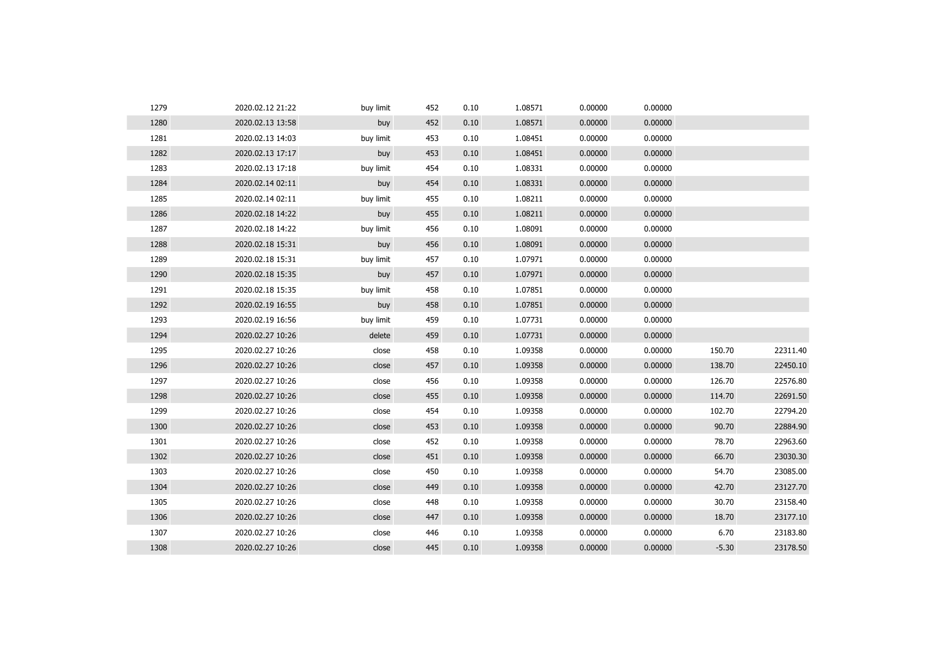| 1279 | 2020.02.12 21:22 | buy limit | 452 | 0.10 | 1.08571 | 0.00000 | 0.00000 |         |          |
|------|------------------|-----------|-----|------|---------|---------|---------|---------|----------|
| 1280 | 2020.02.13 13:58 | buy       | 452 | 0.10 | 1.08571 | 0.00000 | 0.00000 |         |          |
| 1281 | 2020.02.13 14:03 | buy limit | 453 | 0.10 | 1.08451 | 0.00000 | 0.00000 |         |          |
| 1282 | 2020.02.13 17:17 | buy       | 453 | 0.10 | 1.08451 | 0.00000 | 0.00000 |         |          |
| 1283 | 2020.02.13 17:18 | buy limit | 454 | 0.10 | 1.08331 | 0.00000 | 0.00000 |         |          |
| 1284 | 2020.02.14 02:11 | buy       | 454 | 0.10 | 1.08331 | 0.00000 | 0.00000 |         |          |
| 1285 | 2020.02.14 02:11 | buy limit | 455 | 0.10 | 1.08211 | 0.00000 | 0.00000 |         |          |
| 1286 | 2020.02.18 14:22 | buy       | 455 | 0.10 | 1.08211 | 0.00000 | 0.00000 |         |          |
| 1287 | 2020.02.18 14:22 | buy limit | 456 | 0.10 | 1.08091 | 0.00000 | 0.00000 |         |          |
| 1288 | 2020.02.18 15:31 | buy       | 456 | 0.10 | 1.08091 | 0.00000 | 0.00000 |         |          |
| 1289 | 2020.02.18 15:31 | buy limit | 457 | 0.10 | 1.07971 | 0.00000 | 0.00000 |         |          |
| 1290 | 2020.02.18 15:35 | buy       | 457 | 0.10 | 1.07971 | 0.00000 | 0.00000 |         |          |
| 1291 | 2020.02.18 15:35 | buy limit | 458 | 0.10 | 1.07851 | 0.00000 | 0.00000 |         |          |
| 1292 | 2020.02.19 16:55 | buy       | 458 | 0.10 | 1.07851 | 0.00000 | 0.00000 |         |          |
| 1293 | 2020.02.19 16:56 | buy limit | 459 | 0.10 | 1.07731 | 0.00000 | 0.00000 |         |          |
| 1294 | 2020.02.27 10:26 | delete    | 459 | 0.10 | 1.07731 | 0.00000 | 0.00000 |         |          |
| 1295 | 2020.02.27 10:26 | close     | 458 | 0.10 | 1.09358 | 0.00000 | 0.00000 | 150.70  | 22311.40 |
| 1296 | 2020.02.27 10:26 | close     | 457 | 0.10 | 1.09358 | 0.00000 | 0.00000 | 138.70  | 22450.10 |
| 1297 | 2020.02.27 10:26 | close     | 456 | 0.10 | 1.09358 | 0.00000 | 0.00000 | 126.70  | 22576.80 |
| 1298 | 2020.02.27 10:26 | close     | 455 | 0.10 | 1.09358 | 0.00000 | 0.00000 | 114.70  | 22691.50 |
| 1299 | 2020.02.27 10:26 | close     | 454 | 0.10 | 1.09358 | 0.00000 | 0.00000 | 102.70  | 22794.20 |
| 1300 | 2020.02.27 10:26 | close     | 453 | 0.10 | 1.09358 | 0.00000 | 0.00000 | 90.70   | 22884.90 |
| 1301 | 2020.02.27 10:26 | close     | 452 | 0.10 | 1.09358 | 0.00000 | 0.00000 | 78.70   | 22963.60 |
| 1302 | 2020.02.27 10:26 | close     | 451 | 0.10 | 1.09358 | 0.00000 | 0.00000 | 66.70   | 23030.30 |
| 1303 | 2020.02.27 10:26 | close     | 450 | 0.10 | 1.09358 | 0.00000 | 0.00000 | 54.70   | 23085.00 |
| 1304 | 2020.02.27 10:26 | close     | 449 | 0.10 | 1.09358 | 0.00000 | 0.00000 | 42.70   | 23127.70 |
| 1305 | 2020.02.27 10:26 | close     | 448 | 0.10 | 1.09358 | 0.00000 | 0.00000 | 30.70   | 23158.40 |
| 1306 | 2020.02.27 10:26 | close     | 447 | 0.10 | 1.09358 | 0.00000 | 0.00000 | 18.70   | 23177.10 |
| 1307 | 2020.02.27 10:26 | close     | 446 | 0.10 | 1.09358 | 0.00000 | 0.00000 | 6.70    | 23183.80 |
| 1308 | 2020.02.27 10:26 | close     | 445 | 0.10 | 1.09358 | 0.00000 | 0.00000 | $-5.30$ | 23178.50 |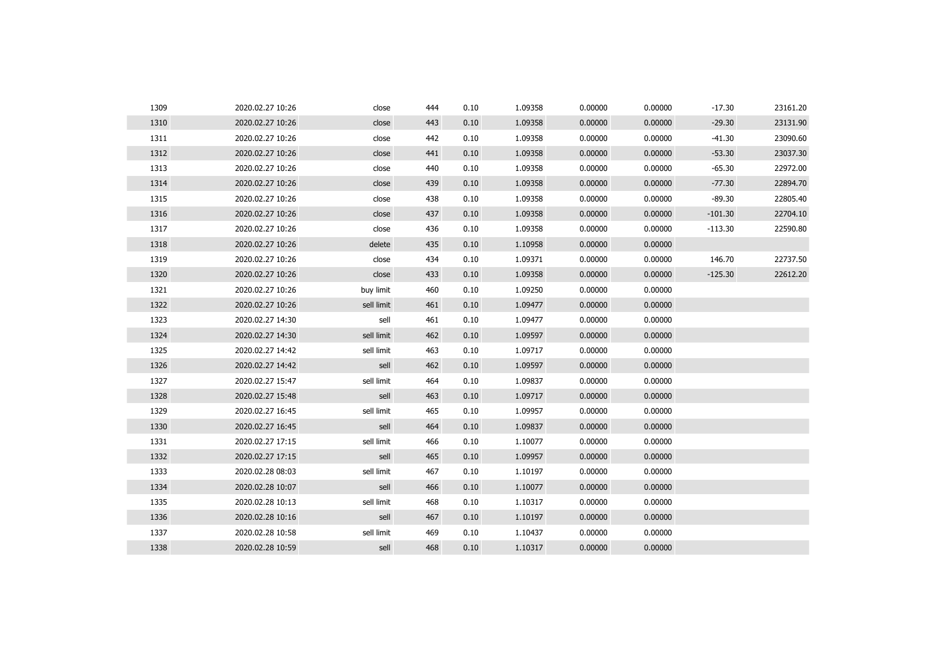| 1309 | 2020.02.27 10:26 | close      | 444 | 0.10 | 1.09358 | 0.00000 | 0.00000 | $-17.30$  | 23161.20 |
|------|------------------|------------|-----|------|---------|---------|---------|-----------|----------|
| 1310 | 2020.02.27 10:26 | close      | 443 | 0.10 | 1.09358 | 0.00000 | 0.00000 | $-29.30$  | 23131.90 |
| 1311 | 2020.02.27 10:26 | close      | 442 | 0.10 | 1.09358 | 0.00000 | 0.00000 | $-41.30$  | 23090.60 |
| 1312 | 2020.02.27 10:26 | close      | 441 | 0.10 | 1.09358 | 0.00000 | 0.00000 | $-53.30$  | 23037.30 |
| 1313 | 2020.02.27 10:26 | close      | 440 | 0.10 | 1.09358 | 0.00000 | 0.00000 | $-65.30$  | 22972.00 |
| 1314 | 2020.02.27 10:26 | close      | 439 | 0.10 | 1.09358 | 0.00000 | 0.00000 | $-77.30$  | 22894.70 |
| 1315 | 2020.02.27 10:26 | close      | 438 | 0.10 | 1.09358 | 0.00000 | 0.00000 | $-89.30$  | 22805.40 |
| 1316 | 2020.02.27 10:26 | close      | 437 | 0.10 | 1.09358 | 0.00000 | 0.00000 | $-101.30$ | 22704.10 |
| 1317 | 2020.02.27 10:26 | close      | 436 | 0.10 | 1.09358 | 0.00000 | 0.00000 | $-113.30$ | 22590.80 |
| 1318 | 2020.02.27 10:26 | delete     | 435 | 0.10 | 1.10958 | 0.00000 | 0.00000 |           |          |
| 1319 | 2020.02.27 10:26 | close      | 434 | 0.10 | 1.09371 | 0.00000 | 0.00000 | 146.70    | 22737.50 |
| 1320 | 2020.02.27 10:26 | close      | 433 | 0.10 | 1.09358 | 0.00000 | 0.00000 | $-125.30$ | 22612.20 |
| 1321 | 2020.02.27 10:26 | buy limit  | 460 | 0.10 | 1.09250 | 0.00000 | 0.00000 |           |          |
| 1322 | 2020.02.27 10:26 | sell limit | 461 | 0.10 | 1.09477 | 0.00000 | 0.00000 |           |          |
| 1323 | 2020.02.27 14:30 | sell       | 461 | 0.10 | 1.09477 | 0.00000 | 0.00000 |           |          |
| 1324 | 2020.02.27 14:30 | sell limit | 462 | 0.10 | 1.09597 | 0.00000 | 0.00000 |           |          |
| 1325 | 2020.02.27 14:42 | sell limit | 463 | 0.10 | 1.09717 | 0.00000 | 0.00000 |           |          |
| 1326 | 2020.02.27 14:42 | sell       | 462 | 0.10 | 1.09597 | 0.00000 | 0.00000 |           |          |
| 1327 | 2020.02.27 15:47 | sell limit | 464 | 0.10 | 1.09837 | 0.00000 | 0.00000 |           |          |
| 1328 | 2020.02.27 15:48 | sell       | 463 | 0.10 | 1.09717 | 0.00000 | 0.00000 |           |          |
| 1329 | 2020.02.27 16:45 | sell limit | 465 | 0.10 | 1.09957 | 0.00000 | 0.00000 |           |          |
| 1330 | 2020.02.27 16:45 | sell       | 464 | 0.10 | 1.09837 | 0.00000 | 0.00000 |           |          |
| 1331 | 2020.02.27 17:15 | sell limit | 466 | 0.10 | 1.10077 | 0.00000 | 0.00000 |           |          |
| 1332 | 2020.02.27 17:15 | sell       | 465 | 0.10 | 1.09957 | 0.00000 | 0.00000 |           |          |
| 1333 | 2020.02.28 08:03 | sell limit | 467 | 0.10 | 1.10197 | 0.00000 | 0.00000 |           |          |
| 1334 | 2020.02.28 10:07 | sell       | 466 | 0.10 | 1.10077 | 0.00000 | 0.00000 |           |          |
| 1335 | 2020.02.28 10:13 | sell limit | 468 | 0.10 | 1.10317 | 0.00000 | 0.00000 |           |          |
| 1336 | 2020.02.28 10:16 | sell       | 467 | 0.10 | 1.10197 | 0.00000 | 0.00000 |           |          |
| 1337 | 2020.02.28 10:58 | sell limit | 469 | 0.10 | 1.10437 | 0.00000 | 0.00000 |           |          |
| 1338 | 2020.02.28 10:59 | sell       | 468 | 0.10 | 1.10317 | 0.00000 | 0.00000 |           |          |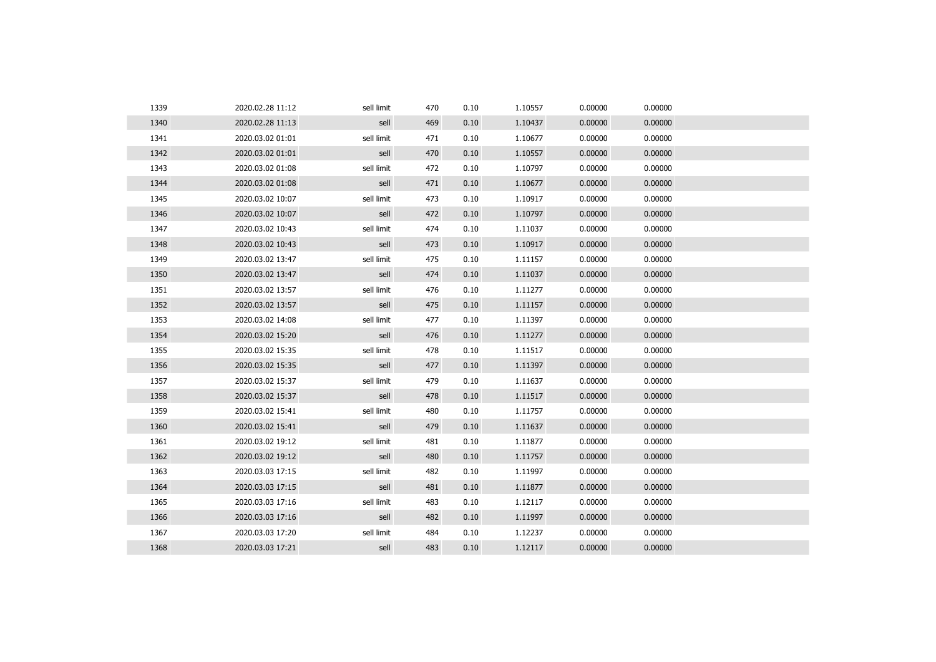| 1339 | 2020.02.28 11:12 | sell limit | 470 | 0.10 | 1.10557 | 0.00000 | 0.00000 |  |
|------|------------------|------------|-----|------|---------|---------|---------|--|
| 1340 | 2020.02.28 11:13 | sell       | 469 | 0.10 | 1.10437 | 0.00000 | 0.00000 |  |
| 1341 | 2020.03.02 01:01 | sell limit | 471 | 0.10 | 1.10677 | 0.00000 | 0.00000 |  |
| 1342 | 2020.03.02 01:01 | sell       | 470 | 0.10 | 1.10557 | 0.00000 | 0.00000 |  |
| 1343 | 2020.03.02 01:08 | sell limit | 472 | 0.10 | 1.10797 | 0.00000 | 0.00000 |  |
| 1344 | 2020.03.02 01:08 | sell       | 471 | 0.10 | 1.10677 | 0.00000 | 0.00000 |  |
| 1345 | 2020.03.02 10:07 | sell limit | 473 | 0.10 | 1.10917 | 0.00000 | 0.00000 |  |
| 1346 | 2020.03.02 10:07 | sell       | 472 | 0.10 | 1.10797 | 0.00000 | 0.00000 |  |
| 1347 | 2020.03.02 10:43 | sell limit | 474 | 0.10 | 1.11037 | 0.00000 | 0.00000 |  |
| 1348 | 2020.03.02 10:43 | sell       | 473 | 0.10 | 1.10917 | 0.00000 | 0.00000 |  |
| 1349 | 2020.03.02 13:47 | sell limit | 475 | 0.10 | 1.11157 | 0.00000 | 0.00000 |  |
| 1350 | 2020.03.02 13:47 | sell       | 474 | 0.10 | 1.11037 | 0.00000 | 0.00000 |  |
| 1351 | 2020.03.02 13:57 | sell limit | 476 | 0.10 | 1.11277 | 0.00000 | 0.00000 |  |
| 1352 | 2020.03.02 13:57 | sell       | 475 | 0.10 | 1.11157 | 0.00000 | 0.00000 |  |
| 1353 | 2020.03.02 14:08 | sell limit | 477 | 0.10 | 1.11397 | 0.00000 | 0.00000 |  |
| 1354 | 2020.03.02 15:20 | sell       | 476 | 0.10 | 1.11277 | 0.00000 | 0.00000 |  |
| 1355 | 2020.03.02 15:35 | sell limit | 478 | 0.10 | 1.11517 | 0.00000 | 0.00000 |  |
| 1356 | 2020.03.02 15:35 | sell       | 477 | 0.10 | 1.11397 | 0.00000 | 0.00000 |  |
| 1357 | 2020.03.02 15:37 | sell limit | 479 | 0.10 | 1.11637 | 0.00000 | 0.00000 |  |
| 1358 | 2020.03.02 15:37 | sell       | 478 | 0.10 | 1.11517 | 0.00000 | 0.00000 |  |
| 1359 | 2020.03.02 15:41 | sell limit | 480 | 0.10 | 1.11757 | 0.00000 | 0.00000 |  |
| 1360 | 2020.03.02 15:41 | sell       | 479 | 0.10 | 1.11637 | 0.00000 | 0.00000 |  |
| 1361 | 2020.03.02 19:12 | sell limit | 481 | 0.10 | 1.11877 | 0.00000 | 0.00000 |  |
| 1362 | 2020.03.02 19:12 | sell       | 480 | 0.10 | 1.11757 | 0.00000 | 0.00000 |  |
| 1363 | 2020.03.03 17:15 | sell limit | 482 | 0.10 | 1.11997 | 0.00000 | 0.00000 |  |
| 1364 | 2020.03.03 17:15 | sell       | 481 | 0.10 | 1.11877 | 0.00000 | 0.00000 |  |
| 1365 | 2020.03.03 17:16 | sell limit | 483 | 0.10 | 1.12117 | 0.00000 | 0.00000 |  |
| 1366 | 2020.03.03 17:16 | sell       | 482 | 0.10 | 1.11997 | 0.00000 | 0.00000 |  |
| 1367 | 2020.03.03 17:20 | sell limit | 484 | 0.10 | 1.12237 | 0.00000 | 0.00000 |  |
| 1368 | 2020.03.03 17:21 | sell       | 483 | 0.10 | 1.12117 | 0.00000 | 0.00000 |  |
|      |                  |            |     |      |         |         |         |  |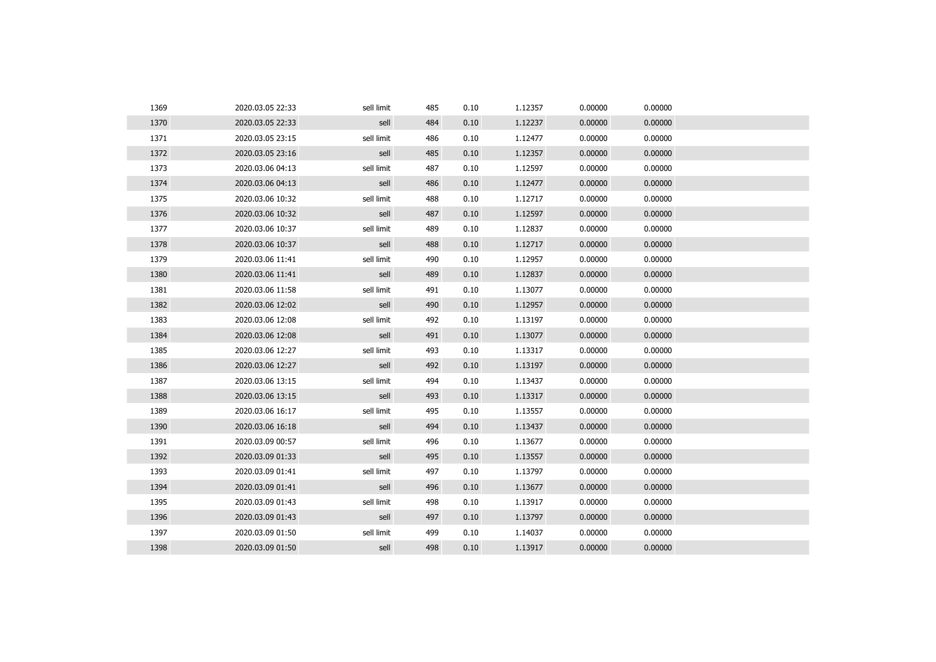| 1369 | 2020.03.05 22:33 | sell limit | 485 | 0.10 | 1.12357 | 0.00000 | 0.00000 |  |
|------|------------------|------------|-----|------|---------|---------|---------|--|
| 1370 | 2020.03.05 22:33 | sell       | 484 | 0.10 | 1.12237 | 0.00000 | 0.00000 |  |
| 1371 | 2020.03.05 23:15 | sell limit | 486 | 0.10 | 1.12477 | 0.00000 | 0.00000 |  |
| 1372 | 2020.03.05 23:16 | sell       | 485 | 0.10 | 1.12357 | 0.00000 | 0.00000 |  |
| 1373 | 2020.03.06 04:13 | sell limit | 487 | 0.10 | 1.12597 | 0.00000 | 0.00000 |  |
| 1374 | 2020.03.06 04:13 | sell       | 486 | 0.10 | 1.12477 | 0.00000 | 0.00000 |  |
| 1375 | 2020.03.06 10:32 | sell limit | 488 | 0.10 | 1.12717 | 0.00000 | 0.00000 |  |
| 1376 | 2020.03.06 10:32 | sell       | 487 | 0.10 | 1.12597 | 0.00000 | 0.00000 |  |
| 1377 | 2020.03.06 10:37 | sell limit | 489 | 0.10 | 1.12837 | 0.00000 | 0.00000 |  |
| 1378 | 2020.03.06 10:37 | sell       | 488 | 0.10 | 1.12717 | 0.00000 | 0.00000 |  |
| 1379 | 2020.03.06 11:41 | sell limit | 490 | 0.10 | 1.12957 | 0.00000 | 0.00000 |  |
| 1380 | 2020.03.06 11:41 | sell       | 489 | 0.10 | 1.12837 | 0.00000 | 0.00000 |  |
| 1381 | 2020.03.06 11:58 | sell limit | 491 | 0.10 | 1.13077 | 0.00000 | 0.00000 |  |
| 1382 | 2020.03.06 12:02 | sell       | 490 | 0.10 | 1.12957 | 0.00000 | 0.00000 |  |
| 1383 | 2020.03.06 12:08 | sell limit | 492 | 0.10 | 1.13197 | 0.00000 | 0.00000 |  |
| 1384 | 2020.03.06 12:08 | sell       | 491 | 0.10 | 1.13077 | 0.00000 | 0.00000 |  |
| 1385 | 2020.03.06 12:27 | sell limit | 493 | 0.10 | 1.13317 | 0.00000 | 0.00000 |  |
| 1386 | 2020.03.06 12:27 | sell       | 492 | 0.10 | 1.13197 | 0.00000 | 0.00000 |  |
| 1387 | 2020.03.06 13:15 | sell limit | 494 | 0.10 | 1.13437 | 0.00000 | 0.00000 |  |
| 1388 | 2020.03.06 13:15 | sell       | 493 | 0.10 | 1.13317 | 0.00000 | 0.00000 |  |
| 1389 | 2020.03.06 16:17 | sell limit | 495 | 0.10 | 1.13557 | 0.00000 | 0.00000 |  |
| 1390 | 2020.03.06 16:18 | sell       | 494 | 0.10 | 1.13437 | 0.00000 | 0.00000 |  |
| 1391 | 2020.03.09 00:57 | sell limit | 496 | 0.10 | 1.13677 | 0.00000 | 0.00000 |  |
| 1392 | 2020.03.09 01:33 | sell       | 495 | 0.10 | 1.13557 | 0.00000 | 0.00000 |  |
| 1393 | 2020.03.09 01:41 | sell limit | 497 | 0.10 | 1.13797 | 0.00000 | 0.00000 |  |
| 1394 | 2020.03.09 01:41 | sell       | 496 | 0.10 | 1.13677 | 0.00000 | 0.00000 |  |
| 1395 | 2020.03.09 01:43 | sell limit | 498 | 0.10 | 1.13917 | 0.00000 | 0.00000 |  |
| 1396 | 2020.03.09 01:43 | sell       | 497 | 0.10 | 1.13797 | 0.00000 | 0.00000 |  |
| 1397 | 2020.03.09 01:50 | sell limit | 499 | 0.10 | 1.14037 | 0.00000 | 0.00000 |  |
| 1398 | 2020.03.09 01:50 | sell       | 498 | 0.10 | 1.13917 | 0.00000 | 0.00000 |  |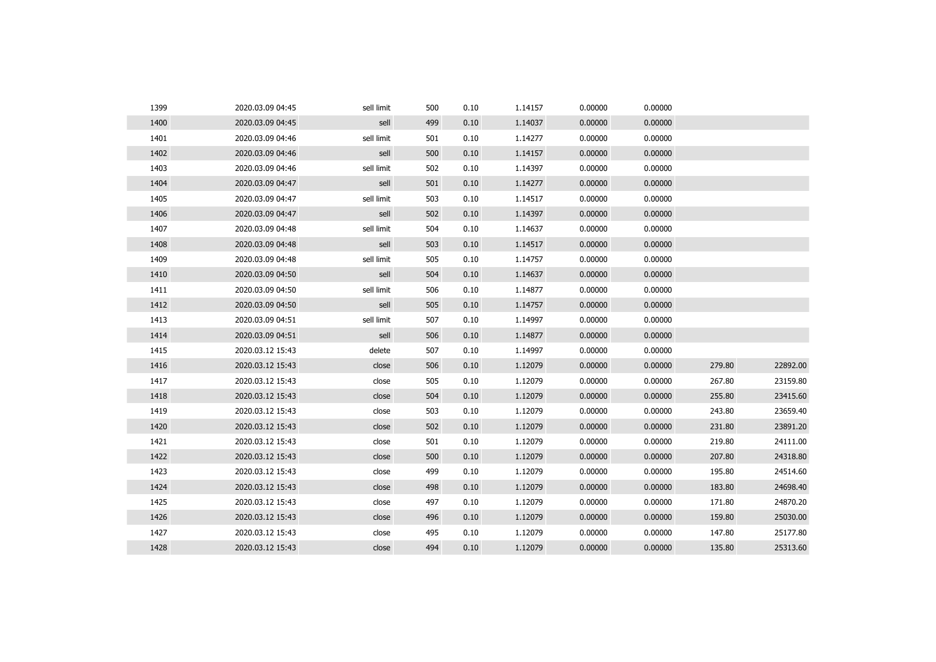| 1399 | 2020.03.09 04:45 | sell limit | 500 | 0.10 | 1.14157 | 0.00000 | 0.00000 |        |          |
|------|------------------|------------|-----|------|---------|---------|---------|--------|----------|
| 1400 | 2020.03.09 04:45 | sell       | 499 | 0.10 | 1.14037 | 0.00000 | 0.00000 |        |          |
| 1401 | 2020.03.09 04:46 | sell limit | 501 | 0.10 | 1.14277 | 0.00000 | 0.00000 |        |          |
| 1402 | 2020.03.09 04:46 | sell       | 500 | 0.10 | 1.14157 | 0.00000 | 0.00000 |        |          |
| 1403 | 2020.03.09 04:46 | sell limit | 502 | 0.10 | 1.14397 | 0.00000 | 0.00000 |        |          |
| 1404 | 2020.03.09 04:47 | sell       | 501 | 0.10 | 1.14277 | 0.00000 | 0.00000 |        |          |
| 1405 | 2020.03.09 04:47 | sell limit | 503 | 0.10 | 1.14517 | 0.00000 | 0.00000 |        |          |
| 1406 | 2020.03.09 04:47 | sell       | 502 | 0.10 | 1.14397 | 0.00000 | 0.00000 |        |          |
| 1407 | 2020.03.09 04:48 | sell limit | 504 | 0.10 | 1.14637 | 0.00000 | 0.00000 |        |          |
| 1408 | 2020.03.09 04:48 | sell       | 503 | 0.10 | 1.14517 | 0.00000 | 0.00000 |        |          |
| 1409 | 2020.03.09 04:48 | sell limit | 505 | 0.10 | 1.14757 | 0.00000 | 0.00000 |        |          |
| 1410 | 2020.03.09 04:50 | sell       | 504 | 0.10 | 1.14637 | 0.00000 | 0.00000 |        |          |
| 1411 | 2020.03.09 04:50 | sell limit | 506 | 0.10 | 1.14877 | 0.00000 | 0.00000 |        |          |
| 1412 | 2020.03.09 04:50 | sell       | 505 | 0.10 | 1.14757 | 0.00000 | 0.00000 |        |          |
| 1413 | 2020.03.09 04:51 | sell limit | 507 | 0.10 | 1.14997 | 0.00000 | 0.00000 |        |          |
| 1414 | 2020.03.09 04:51 | sell       | 506 | 0.10 | 1.14877 | 0.00000 | 0.00000 |        |          |
| 1415 | 2020.03.12 15:43 | delete     | 507 | 0.10 | 1.14997 | 0.00000 | 0.00000 |        |          |
| 1416 | 2020.03.12 15:43 | close      | 506 | 0.10 | 1.12079 | 0.00000 | 0.00000 | 279.80 | 22892.00 |
| 1417 | 2020.03.12 15:43 | close      | 505 | 0.10 | 1.12079 | 0.00000 | 0.00000 | 267.80 | 23159.80 |
| 1418 | 2020.03.12 15:43 | close      | 504 | 0.10 | 1.12079 | 0.00000 | 0.00000 | 255.80 | 23415.60 |
| 1419 | 2020.03.12 15:43 | close      | 503 | 0.10 | 1.12079 | 0.00000 | 0.00000 | 243.80 | 23659.40 |
| 1420 | 2020.03.12 15:43 | close      | 502 | 0.10 | 1.12079 | 0.00000 | 0.00000 | 231.80 | 23891.20 |
| 1421 | 2020.03.12 15:43 | close      | 501 | 0.10 | 1.12079 | 0.00000 | 0.00000 | 219.80 | 24111.00 |
| 1422 | 2020.03.12 15:43 | close      | 500 | 0.10 | 1.12079 | 0.00000 | 0.00000 | 207.80 | 24318.80 |
| 1423 | 2020.03.12 15:43 | close      | 499 | 0.10 | 1.12079 | 0.00000 | 0.00000 | 195.80 | 24514.60 |
| 1424 | 2020.03.12 15:43 | close      | 498 | 0.10 | 1.12079 | 0.00000 | 0.00000 | 183.80 | 24698.40 |
| 1425 | 2020.03.12 15:43 | close      | 497 | 0.10 | 1.12079 | 0.00000 | 0.00000 | 171.80 | 24870.20 |
| 1426 | 2020.03.12 15:43 | close      | 496 | 0.10 | 1.12079 | 0.00000 | 0.00000 | 159.80 | 25030.00 |
| 1427 | 2020.03.12 15:43 | close      | 495 | 0.10 | 1.12079 | 0.00000 | 0.00000 | 147.80 | 25177.80 |
| 1428 | 2020.03.12 15:43 | close      | 494 | 0.10 | 1.12079 | 0.00000 | 0.00000 | 135.80 | 25313.60 |
|      |                  |            |     |      |         |         |         |        |          |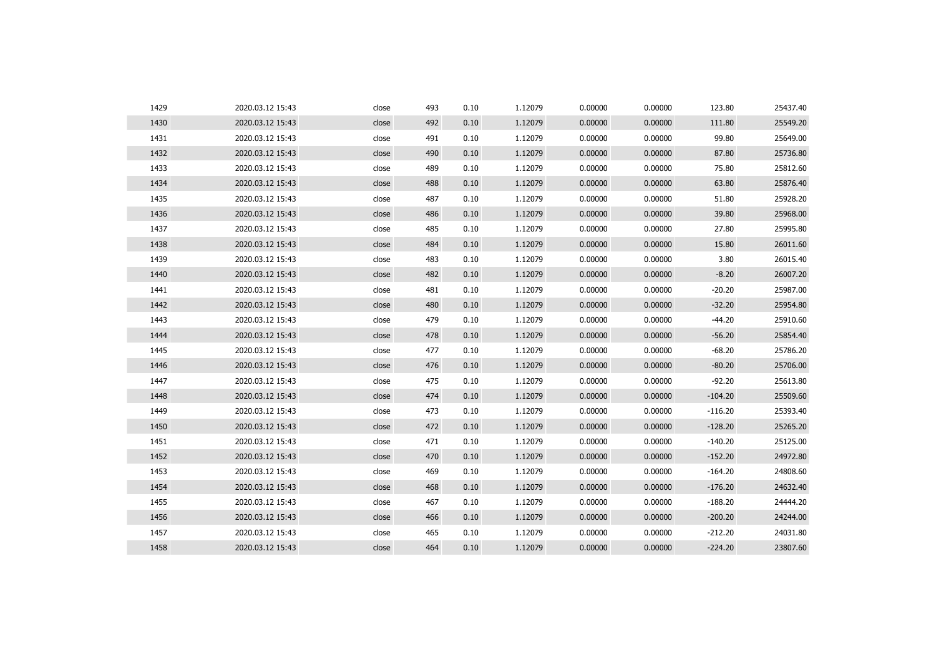| 1429 | 2020.03.12 15:43 | close | 493 | 0.10 | 1.12079 | 0.00000 | 0.00000 | 123.80    | 25437.40 |
|------|------------------|-------|-----|------|---------|---------|---------|-----------|----------|
| 1430 | 2020.03.12 15:43 | close | 492 | 0.10 | 1.12079 | 0.00000 | 0.00000 | 111.80    | 25549.20 |
| 1431 | 2020.03.12 15:43 | close | 491 | 0.10 | 1.12079 | 0.00000 | 0.00000 | 99.80     | 25649.00 |
| 1432 | 2020.03.12 15:43 | close | 490 | 0.10 | 1.12079 | 0.00000 | 0.00000 | 87.80     | 25736.80 |
| 1433 | 2020.03.12 15:43 | close | 489 | 0.10 | 1.12079 | 0.00000 | 0.00000 | 75.80     | 25812.60 |
| 1434 | 2020.03.12 15:43 | close | 488 | 0.10 | 1.12079 | 0.00000 | 0.00000 | 63.80     | 25876.40 |
| 1435 | 2020.03.12 15:43 | close | 487 | 0.10 | 1.12079 | 0.00000 | 0.00000 | 51.80     | 25928.20 |
| 1436 | 2020.03.12 15:43 | close | 486 | 0.10 | 1.12079 | 0.00000 | 0.00000 | 39.80     | 25968.00 |
| 1437 | 2020.03.12 15:43 | close | 485 | 0.10 | 1.12079 | 0.00000 | 0.00000 | 27.80     | 25995.80 |
| 1438 | 2020.03.12 15:43 | close | 484 | 0.10 | 1.12079 | 0.00000 | 0.00000 | 15.80     | 26011.60 |
| 1439 | 2020.03.12 15:43 | close | 483 | 0.10 | 1.12079 | 0.00000 | 0.00000 | 3.80      | 26015.40 |
| 1440 | 2020.03.12 15:43 | close | 482 | 0.10 | 1.12079 | 0.00000 | 0.00000 | $-8.20$   | 26007.20 |
| 1441 | 2020.03.12 15:43 | close | 481 | 0.10 | 1.12079 | 0.00000 | 0.00000 | $-20.20$  | 25987.00 |
| 1442 | 2020.03.12 15:43 | close | 480 | 0.10 | 1.12079 | 0.00000 | 0.00000 | $-32.20$  | 25954.80 |
| 1443 | 2020.03.12 15:43 | close | 479 | 0.10 | 1.12079 | 0.00000 | 0.00000 | $-44.20$  | 25910.60 |
| 1444 | 2020.03.12 15:43 | close | 478 | 0.10 | 1.12079 | 0.00000 | 0.00000 | $-56.20$  | 25854.40 |
| 1445 | 2020.03.12 15:43 | close | 477 | 0.10 | 1.12079 | 0.00000 | 0.00000 | $-68.20$  | 25786.20 |
| 1446 | 2020.03.12 15:43 | close | 476 | 0.10 | 1.12079 | 0.00000 | 0.00000 | $-80.20$  | 25706.00 |
| 1447 | 2020.03.12 15:43 | close | 475 | 0.10 | 1.12079 | 0.00000 | 0.00000 | $-92.20$  | 25613.80 |
| 1448 | 2020.03.12 15:43 | close | 474 | 0.10 | 1.12079 | 0.00000 | 0.00000 | $-104.20$ | 25509.60 |
| 1449 | 2020.03.12 15:43 | close | 473 | 0.10 | 1.12079 | 0.00000 | 0.00000 | $-116.20$ | 25393.40 |
| 1450 | 2020.03.12 15:43 | close | 472 | 0.10 | 1.12079 | 0.00000 | 0.00000 | $-128.20$ | 25265.20 |
| 1451 | 2020.03.12 15:43 | close | 471 | 0.10 | 1.12079 | 0.00000 | 0.00000 | $-140.20$ | 25125.00 |
| 1452 | 2020.03.12 15:43 | close | 470 | 0.10 | 1.12079 | 0.00000 | 0.00000 | $-152.20$ | 24972.80 |
| 1453 | 2020.03.12 15:43 | close | 469 | 0.10 | 1.12079 | 0.00000 | 0.00000 | $-164.20$ | 24808.60 |
| 1454 | 2020.03.12 15:43 | close | 468 | 0.10 | 1.12079 | 0.00000 | 0.00000 | $-176.20$ | 24632.40 |
| 1455 | 2020.03.12 15:43 | close | 467 | 0.10 | 1.12079 | 0.00000 | 0.00000 | $-188.20$ | 24444.20 |
| 1456 | 2020.03.12 15:43 | close | 466 | 0.10 | 1.12079 | 0.00000 | 0.00000 | $-200.20$ | 24244.00 |
| 1457 | 2020.03.12 15:43 | close | 465 | 0.10 | 1.12079 | 0.00000 | 0.00000 | $-212.20$ | 24031.80 |
| 1458 | 2020.03.12 15:43 | close | 464 | 0.10 | 1.12079 | 0.00000 | 0.00000 | $-224.20$ | 23807.60 |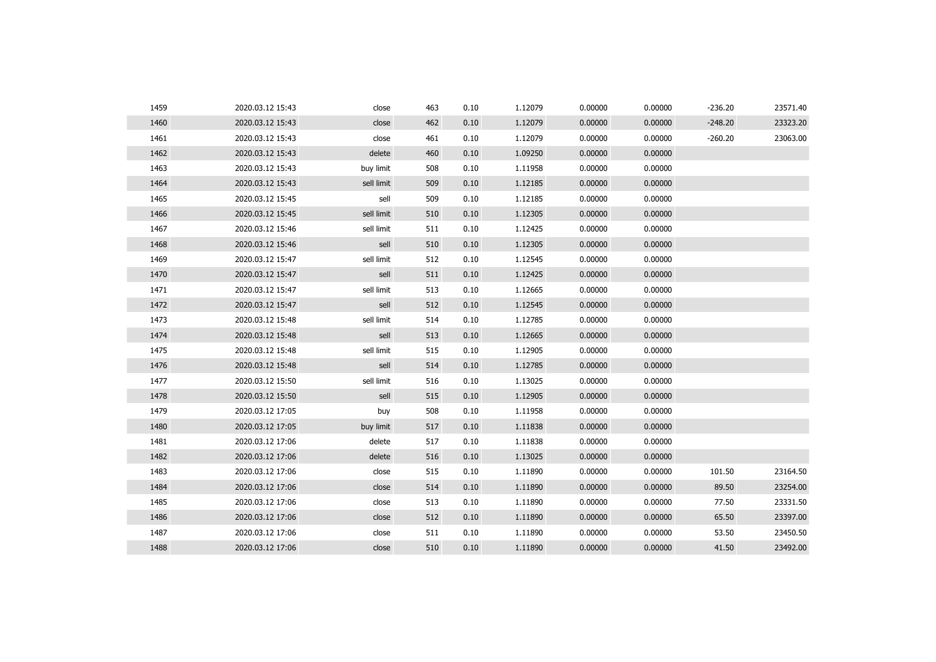| 1459 | 2020.03.12 15:43 | close      | 463 | 0.10 | 1.12079 | 0.00000 | 0.00000 | $-236.20$ | 23571.40 |
|------|------------------|------------|-----|------|---------|---------|---------|-----------|----------|
| 1460 | 2020.03.12 15:43 | close      | 462 | 0.10 | 1.12079 | 0.00000 | 0.00000 | $-248.20$ | 23323.20 |
| 1461 | 2020.03.12 15:43 | close      | 461 | 0.10 | 1.12079 | 0.00000 | 0.00000 | $-260.20$ | 23063.00 |
| 1462 | 2020.03.12 15:43 | delete     | 460 | 0.10 | 1.09250 | 0.00000 | 0.00000 |           |          |
| 1463 | 2020.03.12 15:43 | buy limit  | 508 | 0.10 | 1.11958 | 0.00000 | 0.00000 |           |          |
| 1464 | 2020.03.12 15:43 | sell limit | 509 | 0.10 | 1.12185 | 0.00000 | 0.00000 |           |          |
| 1465 | 2020.03.12 15:45 | sell       | 509 | 0.10 | 1.12185 | 0.00000 | 0.00000 |           |          |
| 1466 | 2020.03.12 15:45 | sell limit | 510 | 0.10 | 1.12305 | 0.00000 | 0.00000 |           |          |
| 1467 | 2020.03.12 15:46 | sell limit | 511 | 0.10 | 1.12425 | 0.00000 | 0.00000 |           |          |
| 1468 | 2020.03.12 15:46 | sell       | 510 | 0.10 | 1.12305 | 0.00000 | 0.00000 |           |          |
| 1469 | 2020.03.12 15:47 | sell limit | 512 | 0.10 | 1.12545 | 0.00000 | 0.00000 |           |          |
| 1470 | 2020.03.12 15:47 | sell       | 511 | 0.10 | 1.12425 | 0.00000 | 0.00000 |           |          |
| 1471 | 2020.03.12 15:47 | sell limit | 513 | 0.10 | 1.12665 | 0.00000 | 0.00000 |           |          |
| 1472 | 2020.03.12 15:47 | sell       | 512 | 0.10 | 1.12545 | 0.00000 | 0.00000 |           |          |
| 1473 | 2020.03.12 15:48 | sell limit | 514 | 0.10 | 1.12785 | 0.00000 | 0.00000 |           |          |
| 1474 | 2020.03.12 15:48 | sell       | 513 | 0.10 | 1.12665 | 0.00000 | 0.00000 |           |          |
| 1475 | 2020.03.12 15:48 | sell limit | 515 | 0.10 | 1.12905 | 0.00000 | 0.00000 |           |          |
| 1476 | 2020.03.12 15:48 | sell       | 514 | 0.10 | 1.12785 | 0.00000 | 0.00000 |           |          |
| 1477 | 2020.03.12 15:50 | sell limit | 516 | 0.10 | 1.13025 | 0.00000 | 0.00000 |           |          |
| 1478 | 2020.03.12 15:50 | sell       | 515 | 0.10 | 1.12905 | 0.00000 | 0.00000 |           |          |
| 1479 | 2020.03.12 17:05 | buy        | 508 | 0.10 | 1.11958 | 0.00000 | 0.00000 |           |          |
| 1480 | 2020.03.12 17:05 | buy limit  | 517 | 0.10 | 1.11838 | 0.00000 | 0.00000 |           |          |
| 1481 | 2020.03.12 17:06 | delete     | 517 | 0.10 | 1.11838 | 0.00000 | 0.00000 |           |          |
| 1482 | 2020.03.12 17:06 | delete     | 516 | 0.10 | 1.13025 | 0.00000 | 0.00000 |           |          |
| 1483 | 2020.03.12 17:06 | close      | 515 | 0.10 | 1.11890 | 0.00000 | 0.00000 | 101.50    | 23164.50 |
| 1484 | 2020.03.12 17:06 | close      | 514 | 0.10 | 1.11890 | 0.00000 | 0.00000 | 89.50     | 23254.00 |
| 1485 | 2020.03.12 17:06 | close      | 513 | 0.10 | 1.11890 | 0.00000 | 0.00000 | 77.50     | 23331.50 |
| 1486 | 2020.03.12 17:06 | close      | 512 | 0.10 | 1.11890 | 0.00000 | 0.00000 | 65.50     | 23397.00 |
| 1487 | 2020.03.12 17:06 | close      | 511 | 0.10 | 1.11890 | 0.00000 | 0.00000 | 53.50     | 23450.50 |
| 1488 | 2020.03.12 17:06 | close      | 510 | 0.10 | 1.11890 | 0.00000 | 0.00000 | 41.50     | 23492.00 |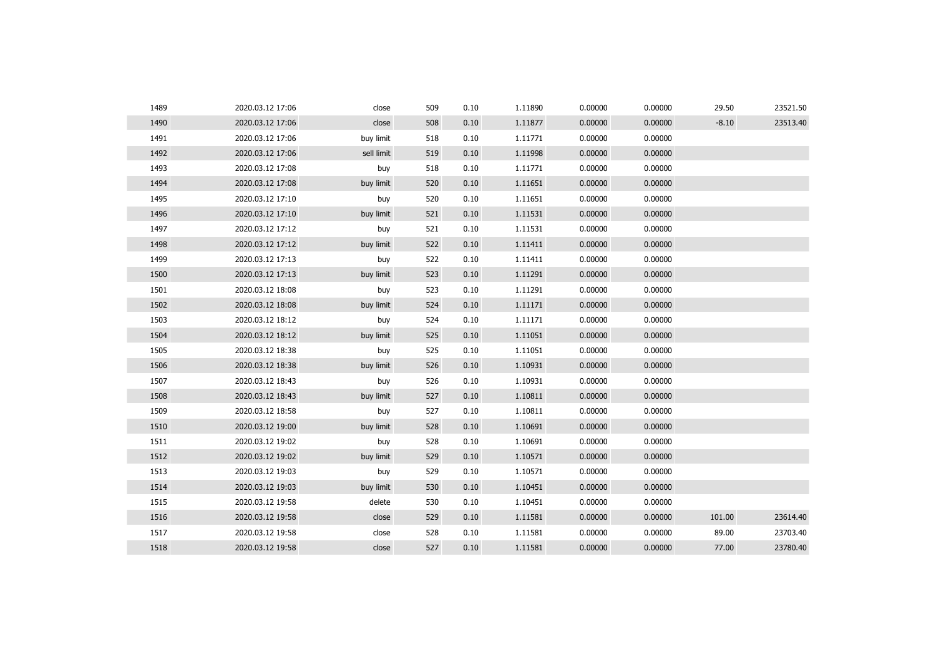| 1489 | 2020.03.12 17:06 | close      | 509 | 0.10 | 1.11890 | 0.00000 | 0.00000 | 29.50   | 23521.50 |
|------|------------------|------------|-----|------|---------|---------|---------|---------|----------|
| 1490 | 2020.03.12 17:06 | close      | 508 | 0.10 | 1.11877 | 0.00000 | 0.00000 | $-8.10$ | 23513.40 |
| 1491 | 2020.03.12 17:06 | buy limit  | 518 | 0.10 | 1.11771 | 0.00000 | 0.00000 |         |          |
| 1492 | 2020.03.12 17:06 | sell limit | 519 | 0.10 | 1.11998 | 0.00000 | 0.00000 |         |          |
| 1493 | 2020.03.12 17:08 | buy        | 518 | 0.10 | 1.11771 | 0.00000 | 0.00000 |         |          |
| 1494 | 2020.03.12 17:08 | buy limit  | 520 | 0.10 | 1.11651 | 0.00000 | 0.00000 |         |          |
| 1495 | 2020.03.12 17:10 | buy        | 520 | 0.10 | 1.11651 | 0.00000 | 0.00000 |         |          |
| 1496 | 2020.03.12 17:10 | buy limit  | 521 | 0.10 | 1.11531 | 0.00000 | 0.00000 |         |          |
| 1497 | 2020.03.12 17:12 | buy        | 521 | 0.10 | 1.11531 | 0.00000 | 0.00000 |         |          |
| 1498 | 2020.03.12 17:12 | buy limit  | 522 | 0.10 | 1.11411 | 0.00000 | 0.00000 |         |          |
| 1499 | 2020.03.12 17:13 | buy        | 522 | 0.10 | 1.11411 | 0.00000 | 0.00000 |         |          |
| 1500 | 2020.03.12 17:13 | buy limit  | 523 | 0.10 | 1.11291 | 0.00000 | 0.00000 |         |          |
| 1501 | 2020.03.12 18:08 | buy        | 523 | 0.10 | 1.11291 | 0.00000 | 0.00000 |         |          |
| 1502 | 2020.03.12 18:08 | buy limit  | 524 | 0.10 | 1.11171 | 0.00000 | 0.00000 |         |          |
| 1503 | 2020.03.12 18:12 | buy        | 524 | 0.10 | 1.11171 | 0.00000 | 0.00000 |         |          |
| 1504 | 2020.03.12 18:12 | buy limit  | 525 | 0.10 | 1.11051 | 0.00000 | 0.00000 |         |          |
| 1505 | 2020.03.12 18:38 | buy        | 525 | 0.10 | 1.11051 | 0.00000 | 0.00000 |         |          |
| 1506 | 2020.03.12 18:38 | buy limit  | 526 | 0.10 | 1.10931 | 0.00000 | 0.00000 |         |          |
| 1507 | 2020.03.12 18:43 | buy        | 526 | 0.10 | 1.10931 | 0.00000 | 0.00000 |         |          |
| 1508 | 2020.03.12 18:43 | buy limit  | 527 | 0.10 | 1.10811 | 0.00000 | 0.00000 |         |          |
| 1509 | 2020.03.12 18:58 | buy        | 527 | 0.10 | 1.10811 | 0.00000 | 0.00000 |         |          |
| 1510 | 2020.03.12 19:00 | buy limit  | 528 | 0.10 | 1.10691 | 0.00000 | 0.00000 |         |          |
| 1511 | 2020.03.12 19:02 | buy        | 528 | 0.10 | 1.10691 | 0.00000 | 0.00000 |         |          |
| 1512 | 2020.03.12 19:02 | buy limit  | 529 | 0.10 | 1.10571 | 0.00000 | 0.00000 |         |          |
| 1513 | 2020.03.12 19:03 | buy        | 529 | 0.10 | 1.10571 | 0.00000 | 0.00000 |         |          |
| 1514 | 2020.03.12 19:03 | buy limit  | 530 | 0.10 | 1.10451 | 0.00000 | 0.00000 |         |          |
| 1515 | 2020.03.12 19:58 | delete     | 530 | 0.10 | 1.10451 | 0.00000 | 0.00000 |         |          |
| 1516 | 2020.03.12 19:58 | close      | 529 | 0.10 | 1.11581 | 0.00000 | 0.00000 | 101.00  | 23614.40 |
| 1517 | 2020.03.12 19:58 | close      | 528 | 0.10 | 1.11581 | 0.00000 | 0.00000 | 89.00   | 23703.40 |
| 1518 | 2020.03.12 19:58 | close      | 527 | 0.10 | 1.11581 | 0.00000 | 0.00000 | 77.00   | 23780.40 |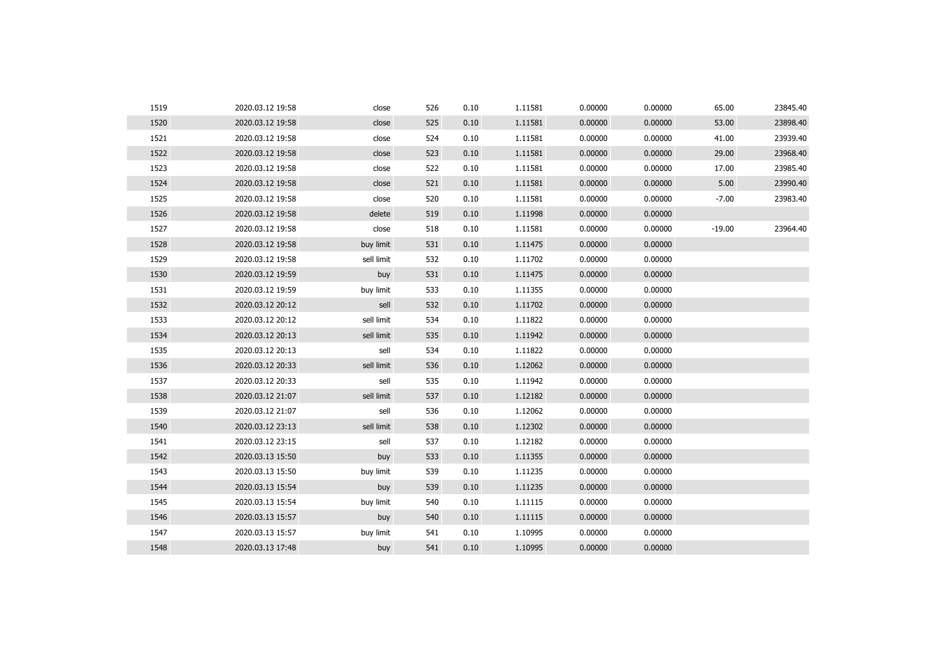| 1519 | 2020.03.12 19:58 | close      | 526 | 0.10 | 1.11581 | 0.00000 | 0.00000 | 65.00    | 23845.40 |
|------|------------------|------------|-----|------|---------|---------|---------|----------|----------|
| 1520 | 2020.03.12 19:58 | close      | 525 | 0.10 | 1.11581 | 0.00000 | 0.00000 | 53.00    | 23898.40 |
| 1521 | 2020.03.12 19:58 | close      | 524 | 0.10 | 1.11581 | 0.00000 | 0.00000 | 41.00    | 23939.40 |
| 1522 | 2020.03.12 19:58 | close      | 523 | 0.10 | 1.11581 | 0.00000 | 0.00000 | 29.00    | 23968.40 |
| 1523 | 2020.03.12 19:58 | close      | 522 | 0.10 | 1.11581 | 0.00000 | 0.00000 | 17.00    | 23985.40 |
| 1524 | 2020.03.12 19:58 | close      | 521 | 0.10 | 1.11581 | 0.00000 | 0.00000 | 5.00     | 23990.40 |
| 1525 | 2020.03.12 19:58 | close      | 520 | 0.10 | 1.11581 | 0.00000 | 0.00000 | $-7.00$  | 23983.40 |
| 1526 | 2020.03.12 19:58 | delete     | 519 | 0.10 | 1.11998 | 0.00000 | 0.00000 |          |          |
| 1527 | 2020.03.12 19:58 | close      | 518 | 0.10 | 1.11581 | 0.00000 | 0.00000 | $-19.00$ | 23964.40 |
| 1528 | 2020.03.12 19:58 | buy limit  | 531 | 0.10 | 1.11475 | 0.00000 | 0.00000 |          |          |
| 1529 | 2020.03.12 19:58 | sell limit | 532 | 0.10 | 1.11702 | 0.00000 | 0.00000 |          |          |
| 1530 | 2020.03.12 19:59 | buy        | 531 | 0.10 | 1.11475 | 0.00000 | 0.00000 |          |          |
| 1531 | 2020.03.12 19:59 | buy limit  | 533 | 0.10 | 1.11355 | 0.00000 | 0.00000 |          |          |
| 1532 | 2020.03.12 20:12 | sell       | 532 | 0.10 | 1.11702 | 0.00000 | 0.00000 |          |          |
| 1533 | 2020.03.12 20:12 | sell limit | 534 | 0.10 | 1.11822 | 0.00000 | 0.00000 |          |          |
| 1534 | 2020.03.12 20:13 | sell limit | 535 | 0.10 | 1.11942 | 0.00000 | 0.00000 |          |          |
| 1535 | 2020.03.12 20:13 | sell       | 534 | 0.10 | 1.11822 | 0.00000 | 0.00000 |          |          |
| 1536 | 2020.03.12 20:33 | sell limit | 536 | 0.10 | 1.12062 | 0.00000 | 0.00000 |          |          |
| 1537 | 2020.03.12 20:33 | sell       | 535 | 0.10 | 1.11942 | 0.00000 | 0.00000 |          |          |
| 1538 | 2020.03.12 21:07 | sell limit | 537 | 0.10 | 1.12182 | 0.00000 | 0.00000 |          |          |
| 1539 | 2020.03.12 21:07 | sell       | 536 | 0.10 | 1.12062 | 0.00000 | 0.00000 |          |          |
| 1540 | 2020.03.12 23:13 | sell limit | 538 | 0.10 | 1.12302 | 0.00000 | 0.00000 |          |          |
| 1541 | 2020.03.12 23:15 | sell       | 537 | 0.10 | 1.12182 | 0.00000 | 0.00000 |          |          |
| 1542 | 2020.03.13 15:50 | buy        | 533 | 0.10 | 1.11355 | 0.00000 | 0.00000 |          |          |
| 1543 | 2020.03.13 15:50 | buy limit  | 539 | 0.10 | 1.11235 | 0.00000 | 0.00000 |          |          |
| 1544 | 2020.03.13 15:54 | buy        | 539 | 0.10 | 1.11235 | 0.00000 | 0.00000 |          |          |
| 1545 | 2020.03.13 15:54 | buy limit  | 540 | 0.10 | 1.11115 | 0.00000 | 0.00000 |          |          |
| 1546 | 2020.03.13 15:57 | buy        | 540 | 0.10 | 1.11115 | 0.00000 | 0.00000 |          |          |
| 1547 | 2020.03.13 15:57 | buy limit  | 541 | 0.10 | 1.10995 | 0.00000 | 0.00000 |          |          |
| 1548 | 2020.03.13 17:48 | buy        | 541 | 0.10 | 1.10995 | 0.00000 | 0.00000 |          |          |
|      |                  |            |     |      |         |         |         |          |          |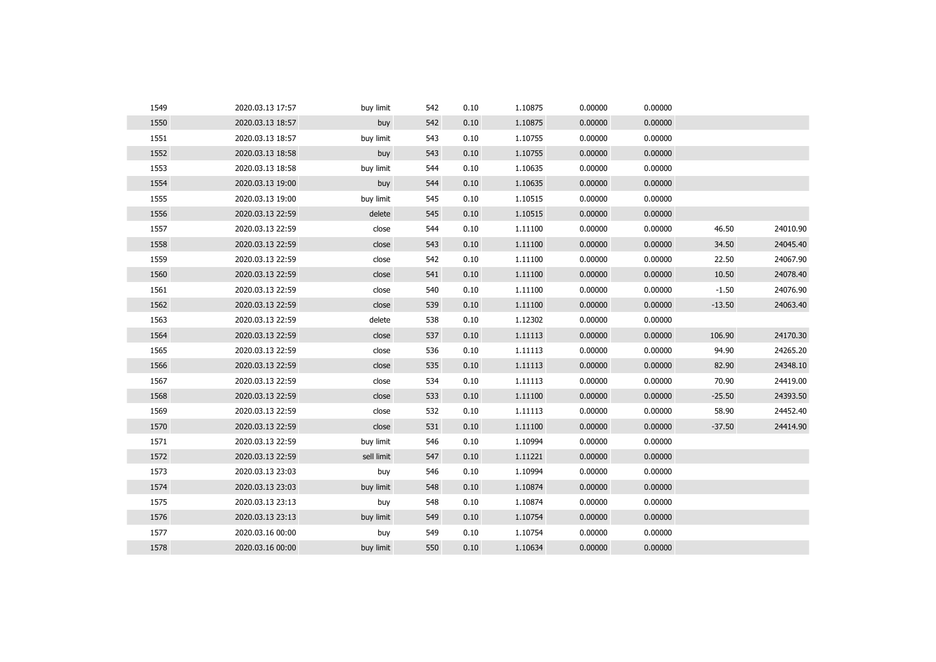| 1549 | 2020.03.13 17:57 | buy limit  | 542 | 0.10 | 1.10875 | 0.00000 | 0.00000 |          |          |
|------|------------------|------------|-----|------|---------|---------|---------|----------|----------|
| 1550 | 2020.03.13 18:57 | buy        | 542 | 0.10 | 1.10875 | 0.00000 | 0.00000 |          |          |
| 1551 | 2020.03.13 18:57 | buy limit  | 543 | 0.10 | 1.10755 | 0.00000 | 0.00000 |          |          |
| 1552 | 2020.03.13 18:58 | buy        | 543 | 0.10 | 1.10755 | 0.00000 | 0.00000 |          |          |
| 1553 | 2020.03.13 18:58 | buy limit  | 544 | 0.10 | 1.10635 | 0.00000 | 0.00000 |          |          |
| 1554 | 2020.03.13 19:00 | buy        | 544 | 0.10 | 1.10635 | 0.00000 | 0.00000 |          |          |
| 1555 | 2020.03.13 19:00 | buy limit  | 545 | 0.10 | 1.10515 | 0.00000 | 0.00000 |          |          |
| 1556 | 2020.03.13 22:59 | delete     | 545 | 0.10 | 1.10515 | 0.00000 | 0.00000 |          |          |
| 1557 | 2020.03.13 22:59 | close      | 544 | 0.10 | 1.11100 | 0.00000 | 0.00000 | 46.50    | 24010.90 |
| 1558 | 2020.03.13 22:59 | close      | 543 | 0.10 | 1.11100 | 0.00000 | 0.00000 | 34.50    | 24045.40 |
| 1559 | 2020.03.13 22:59 | close      | 542 | 0.10 | 1.11100 | 0.00000 | 0.00000 | 22.50    | 24067.90 |
| 1560 | 2020.03.13 22:59 | close      | 541 | 0.10 | 1.11100 | 0.00000 | 0.00000 | 10.50    | 24078.40 |
| 1561 | 2020.03.13 22:59 | close      | 540 | 0.10 | 1.11100 | 0.00000 | 0.00000 | $-1.50$  | 24076.90 |
| 1562 | 2020.03.13 22:59 | close      | 539 | 0.10 | 1.11100 | 0.00000 | 0.00000 | $-13.50$ | 24063.40 |
| 1563 | 2020.03.13 22:59 | delete     | 538 | 0.10 | 1.12302 | 0.00000 | 0.00000 |          |          |
| 1564 | 2020.03.13 22:59 | close      | 537 | 0.10 | 1.11113 | 0.00000 | 0.00000 | 106.90   | 24170.30 |
| 1565 | 2020.03.13 22:59 | close      | 536 | 0.10 | 1.11113 | 0.00000 | 0.00000 | 94.90    | 24265.20 |
| 1566 | 2020.03.13 22:59 | close      | 535 | 0.10 | 1.11113 | 0.00000 | 0.00000 | 82.90    | 24348.10 |
| 1567 | 2020.03.13 22:59 | close      | 534 | 0.10 | 1.11113 | 0.00000 | 0.00000 | 70.90    | 24419.00 |
| 1568 | 2020.03.13 22:59 | close      | 533 | 0.10 | 1.11100 | 0.00000 | 0.00000 | $-25.50$ | 24393.50 |
| 1569 | 2020.03.13 22:59 | close      | 532 | 0.10 | 1.11113 | 0.00000 | 0.00000 | 58.90    | 24452.40 |
| 1570 | 2020.03.13 22:59 | close      | 531 | 0.10 | 1.11100 | 0.00000 | 0.00000 | $-37.50$ | 24414.90 |
| 1571 | 2020.03.13 22:59 | buy limit  | 546 | 0.10 | 1.10994 | 0.00000 | 0.00000 |          |          |
| 1572 | 2020.03.13 22:59 | sell limit | 547 | 0.10 | 1.11221 | 0.00000 | 0.00000 |          |          |
| 1573 | 2020.03.13 23:03 | buy        | 546 | 0.10 | 1.10994 | 0.00000 | 0.00000 |          |          |
| 1574 | 2020.03.13 23:03 | buy limit  | 548 | 0.10 | 1.10874 | 0.00000 | 0.00000 |          |          |
| 1575 | 2020.03.13 23:13 | buy        | 548 | 0.10 | 1.10874 | 0.00000 | 0.00000 |          |          |
| 1576 | 2020.03.13 23:13 | buy limit  | 549 | 0.10 | 1.10754 | 0.00000 | 0.00000 |          |          |
| 1577 | 2020.03.16 00:00 | buy        | 549 | 0.10 | 1.10754 | 0.00000 | 0.00000 |          |          |
| 1578 | 2020.03.16 00:00 | buy limit  | 550 | 0.10 | 1.10634 | 0.00000 | 0.00000 |          |          |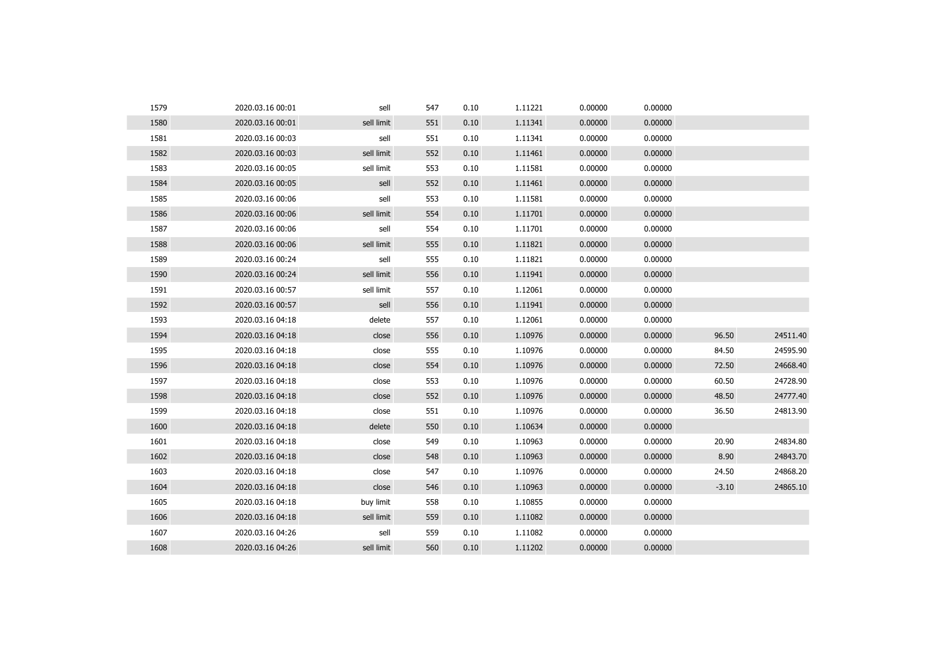| 1579 | 2020.03.16 00:01 | sell       | 547 | 0.10 | 1.11221 | 0.00000 | 0.00000 |         |          |
|------|------------------|------------|-----|------|---------|---------|---------|---------|----------|
| 1580 | 2020.03.16 00:01 | sell limit | 551 | 0.10 | 1.11341 | 0.00000 | 0.00000 |         |          |
| 1581 | 2020.03.16 00:03 | sell       | 551 | 0.10 | 1.11341 | 0.00000 | 0.00000 |         |          |
| 1582 | 2020.03.16 00:03 | sell limit | 552 | 0.10 | 1.11461 | 0.00000 | 0.00000 |         |          |
| 1583 | 2020.03.16 00:05 | sell limit | 553 | 0.10 | 1.11581 | 0.00000 | 0.00000 |         |          |
| 1584 | 2020.03.16 00:05 | sell       | 552 | 0.10 | 1.11461 | 0.00000 | 0.00000 |         |          |
| 1585 | 2020.03.16 00:06 | sell       | 553 | 0.10 | 1.11581 | 0.00000 | 0.00000 |         |          |
| 1586 | 2020.03.16 00:06 | sell limit | 554 | 0.10 | 1.11701 | 0.00000 | 0.00000 |         |          |
| 1587 | 2020.03.16 00:06 | sell       | 554 | 0.10 | 1.11701 | 0.00000 | 0.00000 |         |          |
| 1588 | 2020.03.16 00:06 | sell limit | 555 | 0.10 | 1.11821 | 0.00000 | 0.00000 |         |          |
| 1589 | 2020.03.16 00:24 | sell       | 555 | 0.10 | 1.11821 | 0.00000 | 0.00000 |         |          |
| 1590 | 2020.03.16 00:24 | sell limit | 556 | 0.10 | 1.11941 | 0.00000 | 0.00000 |         |          |
| 1591 | 2020.03.16 00:57 | sell limit | 557 | 0.10 | 1.12061 | 0.00000 | 0.00000 |         |          |
| 1592 | 2020.03.16 00:57 | sell       | 556 | 0.10 | 1.11941 | 0.00000 | 0.00000 |         |          |
| 1593 | 2020.03.16 04:18 | delete     | 557 | 0.10 | 1.12061 | 0.00000 | 0.00000 |         |          |
| 1594 | 2020.03.16 04:18 | close      | 556 | 0.10 | 1.10976 | 0.00000 | 0.00000 | 96.50   | 24511.40 |
| 1595 | 2020.03.16 04:18 | close      | 555 | 0.10 | 1.10976 | 0.00000 | 0.00000 | 84.50   | 24595.90 |
| 1596 | 2020.03.16 04:18 | close      | 554 | 0.10 | 1.10976 | 0.00000 | 0.00000 | 72.50   | 24668.40 |
| 1597 | 2020.03.16 04:18 | close      | 553 | 0.10 | 1.10976 | 0.00000 | 0.00000 | 60.50   | 24728.90 |
| 1598 | 2020.03.16 04:18 | close      | 552 | 0.10 | 1.10976 | 0.00000 | 0.00000 | 48.50   | 24777.40 |
| 1599 | 2020.03.16 04:18 | close      | 551 | 0.10 | 1.10976 | 0.00000 | 0.00000 | 36.50   | 24813.90 |
| 1600 | 2020.03.16 04:18 | delete     | 550 | 0.10 | 1.10634 | 0.00000 | 0.00000 |         |          |
| 1601 | 2020.03.16 04:18 | close      | 549 | 0.10 | 1.10963 | 0.00000 | 0.00000 | 20.90   | 24834.80 |
| 1602 | 2020.03.16 04:18 | close      | 548 | 0.10 | 1.10963 | 0.00000 | 0.00000 | 8.90    | 24843.70 |
| 1603 | 2020.03.16 04:18 | close      | 547 | 0.10 | 1.10976 | 0.00000 | 0.00000 | 24.50   | 24868.20 |
| 1604 | 2020.03.16 04:18 | close      | 546 | 0.10 | 1.10963 | 0.00000 | 0.00000 | $-3.10$ | 24865.10 |
| 1605 | 2020.03.16 04:18 | buy limit  | 558 | 0.10 | 1.10855 | 0.00000 | 0.00000 |         |          |
| 1606 | 2020.03.16 04:18 | sell limit | 559 | 0.10 | 1.11082 | 0.00000 | 0.00000 |         |          |
| 1607 | 2020.03.16 04:26 | sell       | 559 | 0.10 | 1.11082 | 0.00000 | 0.00000 |         |          |
| 1608 | 2020.03.16 04:26 | sell limit | 560 | 0.10 | 1.11202 | 0.00000 | 0.00000 |         |          |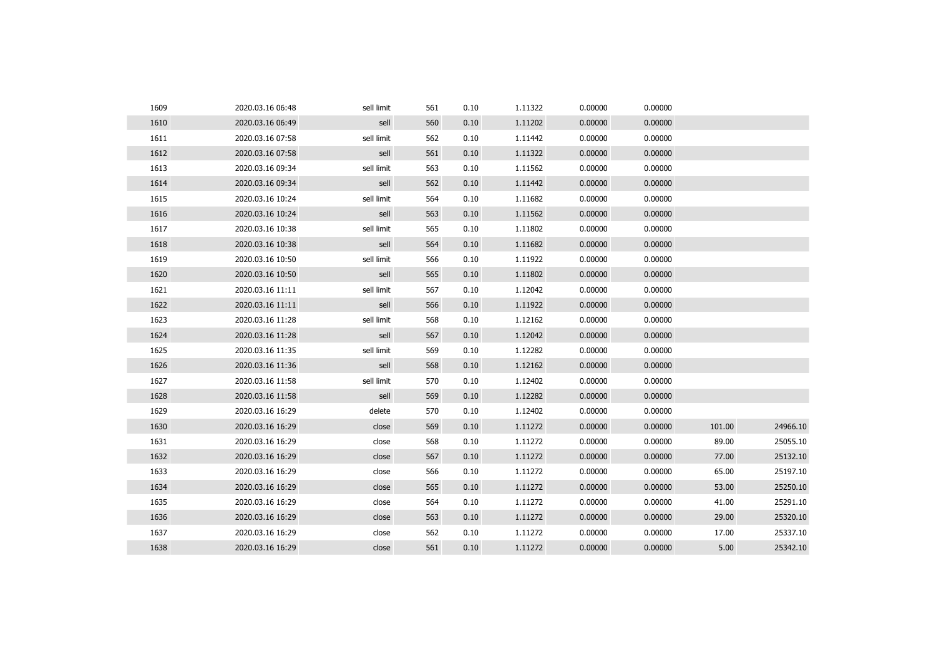| 1609 | 2020.03.16 06:48 | sell limit | 561 | 0.10 | 1.11322 | 0.00000 | 0.00000 |        |          |
|------|------------------|------------|-----|------|---------|---------|---------|--------|----------|
| 1610 | 2020.03.16 06:49 | sell       | 560 | 0.10 | 1.11202 | 0.00000 | 0.00000 |        |          |
| 1611 | 2020.03.16 07:58 | sell limit | 562 | 0.10 | 1.11442 | 0.00000 | 0.00000 |        |          |
| 1612 | 2020.03.16 07:58 | sell       | 561 | 0.10 | 1.11322 | 0.00000 | 0.00000 |        |          |
| 1613 | 2020.03.16 09:34 | sell limit | 563 | 0.10 | 1.11562 | 0.00000 | 0.00000 |        |          |
| 1614 | 2020.03.16 09:34 | sell       | 562 | 0.10 | 1.11442 | 0.00000 | 0.00000 |        |          |
| 1615 | 2020.03.16 10:24 | sell limit | 564 | 0.10 | 1.11682 | 0.00000 | 0.00000 |        |          |
| 1616 | 2020.03.16 10:24 | sell       | 563 | 0.10 | 1.11562 | 0.00000 | 0.00000 |        |          |
| 1617 | 2020.03.16 10:38 | sell limit | 565 | 0.10 | 1.11802 | 0.00000 | 0.00000 |        |          |
| 1618 | 2020.03.16 10:38 | sell       | 564 | 0.10 | 1.11682 | 0.00000 | 0.00000 |        |          |
| 1619 | 2020.03.16 10:50 | sell limit | 566 | 0.10 | 1.11922 | 0.00000 | 0.00000 |        |          |
| 1620 | 2020.03.16 10:50 | sell       | 565 | 0.10 | 1.11802 | 0.00000 | 0.00000 |        |          |
| 1621 | 2020.03.16 11:11 | sell limit | 567 | 0.10 | 1.12042 | 0.00000 | 0.00000 |        |          |
| 1622 | 2020.03.16 11:11 | sell       | 566 | 0.10 | 1.11922 | 0.00000 | 0.00000 |        |          |
| 1623 | 2020.03.16 11:28 | sell limit | 568 | 0.10 | 1.12162 | 0.00000 | 0.00000 |        |          |
| 1624 | 2020.03.16 11:28 | sell       | 567 | 0.10 | 1.12042 | 0.00000 | 0.00000 |        |          |
| 1625 | 2020.03.16 11:35 | sell limit | 569 | 0.10 | 1.12282 | 0.00000 | 0.00000 |        |          |
| 1626 | 2020.03.16 11:36 | sell       | 568 | 0.10 | 1.12162 | 0.00000 | 0.00000 |        |          |
| 1627 | 2020.03.16 11:58 | sell limit | 570 | 0.10 | 1.12402 | 0.00000 | 0.00000 |        |          |
| 1628 | 2020.03.16 11:58 | sell       | 569 | 0.10 | 1.12282 | 0.00000 | 0.00000 |        |          |
| 1629 | 2020.03.16 16:29 | delete     | 570 | 0.10 | 1.12402 | 0.00000 | 0.00000 |        |          |
| 1630 | 2020.03.16 16:29 | close      | 569 | 0.10 | 1.11272 | 0.00000 | 0.00000 | 101.00 | 24966.10 |
| 1631 | 2020.03.16 16:29 | close      | 568 | 0.10 | 1.11272 | 0.00000 | 0.00000 | 89.00  | 25055.10 |
| 1632 | 2020.03.16 16:29 | close      | 567 | 0.10 | 1.11272 | 0.00000 | 0.00000 | 77.00  | 25132.10 |
| 1633 | 2020.03.16 16:29 | close      | 566 | 0.10 | 1.11272 | 0.00000 | 0.00000 | 65.00  | 25197.10 |
| 1634 | 2020.03.16 16:29 | close      | 565 | 0.10 | 1.11272 | 0.00000 | 0.00000 | 53.00  | 25250.10 |
| 1635 | 2020.03.16 16:29 | close      | 564 | 0.10 | 1.11272 | 0.00000 | 0.00000 | 41.00  | 25291.10 |
| 1636 | 2020.03.16 16:29 | close      | 563 | 0.10 | 1.11272 | 0.00000 | 0.00000 | 29.00  | 25320.10 |
| 1637 | 2020.03.16 16:29 | close      | 562 | 0.10 | 1.11272 | 0.00000 | 0.00000 | 17.00  | 25337.10 |
| 1638 | 2020.03.16 16:29 | close      | 561 | 0.10 | 1.11272 | 0.00000 | 0.00000 | 5.00   | 25342.10 |
|      |                  |            |     |      |         |         |         |        |          |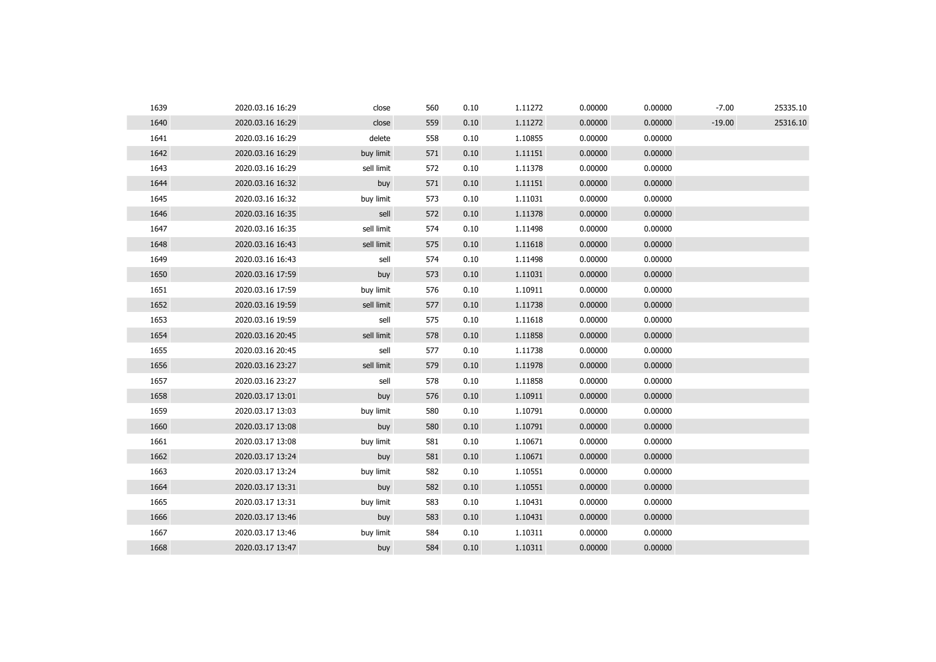| 1639 | 2020.03.16 16:29 | close      | 560 | 0.10 | 1.11272 | 0.00000 | 0.00000 | $-7.00$  | 25335.10 |
|------|------------------|------------|-----|------|---------|---------|---------|----------|----------|
| 1640 | 2020.03.16 16:29 | close      | 559 | 0.10 | 1.11272 | 0.00000 | 0.00000 | $-19.00$ | 25316.10 |
| 1641 | 2020.03.16 16:29 | delete     | 558 | 0.10 | 1.10855 | 0.00000 | 0.00000 |          |          |
| 1642 | 2020.03.16 16:29 | buy limit  | 571 | 0.10 | 1.11151 | 0.00000 | 0.00000 |          |          |
| 1643 | 2020.03.16 16:29 | sell limit | 572 | 0.10 | 1.11378 | 0.00000 | 0.00000 |          |          |
| 1644 | 2020.03.16 16:32 | buy        | 571 | 0.10 | 1.11151 | 0.00000 | 0.00000 |          |          |
| 1645 | 2020.03.16 16:32 | buy limit  | 573 | 0.10 | 1.11031 | 0.00000 | 0.00000 |          |          |
| 1646 | 2020.03.16 16:35 | sell       | 572 | 0.10 | 1.11378 | 0.00000 | 0.00000 |          |          |
| 1647 | 2020.03.16 16:35 | sell limit | 574 | 0.10 | 1.11498 | 0.00000 | 0.00000 |          |          |
| 1648 | 2020.03.16 16:43 | sell limit | 575 | 0.10 | 1.11618 | 0.00000 | 0.00000 |          |          |
| 1649 | 2020.03.16 16:43 | sell       | 574 | 0.10 | 1.11498 | 0.00000 | 0.00000 |          |          |
| 1650 | 2020.03.16 17:59 | buy        | 573 | 0.10 | 1.11031 | 0.00000 | 0.00000 |          |          |
| 1651 | 2020.03.16 17:59 | buy limit  | 576 | 0.10 | 1.10911 | 0.00000 | 0.00000 |          |          |
| 1652 | 2020.03.16 19:59 | sell limit | 577 | 0.10 | 1.11738 | 0.00000 | 0.00000 |          |          |
| 1653 | 2020.03.16 19:59 | sell       | 575 | 0.10 | 1.11618 | 0.00000 | 0.00000 |          |          |
| 1654 | 2020.03.16 20:45 | sell limit | 578 | 0.10 | 1.11858 | 0.00000 | 0.00000 |          |          |
| 1655 | 2020.03.16 20:45 | sell       | 577 | 0.10 | 1.11738 | 0.00000 | 0.00000 |          |          |
| 1656 | 2020.03.16 23:27 | sell limit | 579 | 0.10 | 1.11978 | 0.00000 | 0.00000 |          |          |
| 1657 | 2020.03.16 23:27 | sell       | 578 | 0.10 | 1.11858 | 0.00000 | 0.00000 |          |          |
| 1658 | 2020.03.17 13:01 | buy        | 576 | 0.10 | 1.10911 | 0.00000 | 0.00000 |          |          |
| 1659 | 2020.03.17 13:03 | buy limit  | 580 | 0.10 | 1.10791 | 0.00000 | 0.00000 |          |          |
| 1660 | 2020.03.17 13:08 | buy        | 580 | 0.10 | 1.10791 | 0.00000 | 0.00000 |          |          |
| 1661 | 2020.03.17 13:08 | buy limit  | 581 | 0.10 | 1.10671 | 0.00000 | 0.00000 |          |          |
| 1662 | 2020.03.17 13:24 | buy        | 581 | 0.10 | 1.10671 | 0.00000 | 0.00000 |          |          |
| 1663 | 2020.03.17 13:24 | buy limit  | 582 | 0.10 | 1.10551 | 0.00000 | 0.00000 |          |          |
| 1664 | 2020.03.17 13:31 | buy        | 582 | 0.10 | 1.10551 | 0.00000 | 0.00000 |          |          |
| 1665 | 2020.03.17 13:31 | buy limit  | 583 | 0.10 | 1.10431 | 0.00000 | 0.00000 |          |          |
| 1666 | 2020.03.17 13:46 | buy        | 583 | 0.10 | 1.10431 | 0.00000 | 0.00000 |          |          |
| 1667 | 2020.03.17 13:46 | buy limit  | 584 | 0.10 | 1.10311 | 0.00000 | 0.00000 |          |          |
| 1668 | 2020.03.17 13:47 | buy        | 584 | 0.10 | 1.10311 | 0.00000 | 0.00000 |          |          |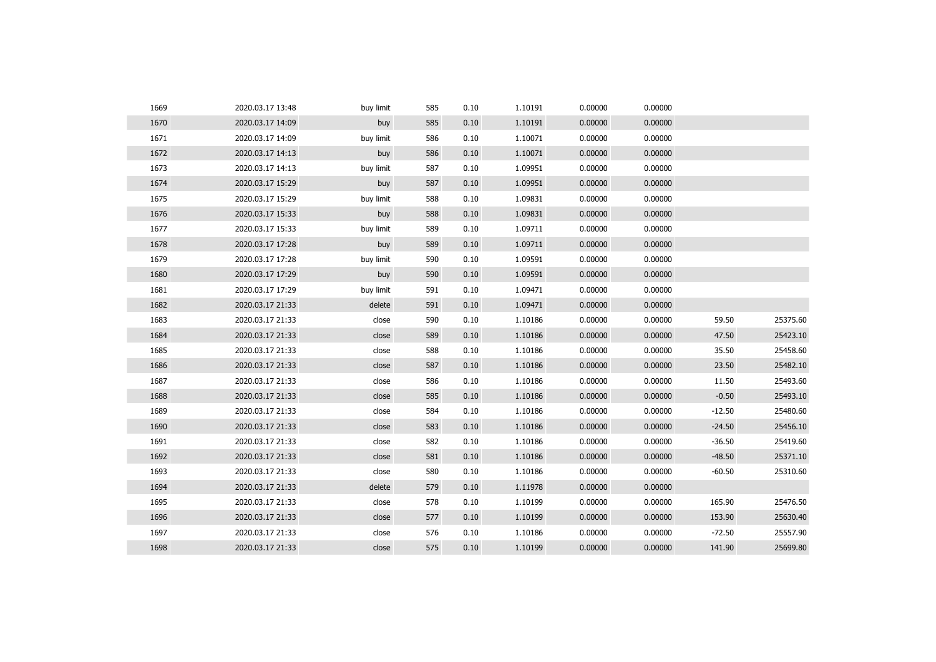| 1669 | 2020.03.17 13:48 | buy limit | 585 | 0.10 | 1.10191 | 0.00000 | 0.00000 |          |          |
|------|------------------|-----------|-----|------|---------|---------|---------|----------|----------|
| 1670 | 2020.03.17 14:09 | buy       | 585 | 0.10 | 1.10191 | 0.00000 | 0.00000 |          |          |
| 1671 | 2020.03.17 14:09 | buy limit | 586 | 0.10 | 1.10071 | 0.00000 | 0.00000 |          |          |
| 1672 | 2020.03.17 14:13 | buy       | 586 | 0.10 | 1.10071 | 0.00000 | 0.00000 |          |          |
| 1673 | 2020.03.17 14:13 | buy limit | 587 | 0.10 | 1.09951 | 0.00000 | 0.00000 |          |          |
| 1674 | 2020.03.17 15:29 | buy       | 587 | 0.10 | 1.09951 | 0.00000 | 0.00000 |          |          |
| 1675 | 2020.03.17 15:29 | buy limit | 588 | 0.10 | 1.09831 | 0.00000 | 0.00000 |          |          |
| 1676 | 2020.03.17 15:33 | buy       | 588 | 0.10 | 1.09831 | 0.00000 | 0.00000 |          |          |
| 1677 | 2020.03.17 15:33 | buy limit | 589 | 0.10 | 1.09711 | 0.00000 | 0.00000 |          |          |
| 1678 | 2020.03.17 17:28 | buy       | 589 | 0.10 | 1.09711 | 0.00000 | 0.00000 |          |          |
| 1679 | 2020.03.17 17:28 | buy limit | 590 | 0.10 | 1.09591 | 0.00000 | 0.00000 |          |          |
| 1680 | 2020.03.17 17:29 | buy       | 590 | 0.10 | 1.09591 | 0.00000 | 0.00000 |          |          |
| 1681 | 2020.03.17 17:29 | buy limit | 591 | 0.10 | 1.09471 | 0.00000 | 0.00000 |          |          |
| 1682 | 2020.03.17 21:33 | delete    | 591 | 0.10 | 1.09471 | 0.00000 | 0.00000 |          |          |
| 1683 | 2020.03.17 21:33 | close     | 590 | 0.10 | 1.10186 | 0.00000 | 0.00000 | 59.50    | 25375.60 |
| 1684 | 2020.03.17 21:33 | close     | 589 | 0.10 | 1.10186 | 0.00000 | 0.00000 | 47.50    | 25423.10 |
| 1685 | 2020.03.17 21:33 | close     | 588 | 0.10 | 1.10186 | 0.00000 | 0.00000 | 35.50    | 25458.60 |
| 1686 | 2020.03.17 21:33 | close     | 587 | 0.10 | 1.10186 | 0.00000 | 0.00000 | 23.50    | 25482.10 |
| 1687 | 2020.03.17 21:33 | close     | 586 | 0.10 | 1.10186 | 0.00000 | 0.00000 | 11.50    | 25493.60 |
| 1688 | 2020.03.17 21:33 | close     | 585 | 0.10 | 1.10186 | 0.00000 | 0.00000 | $-0.50$  | 25493.10 |
| 1689 | 2020.03.17 21:33 | close     | 584 | 0.10 | 1.10186 | 0.00000 | 0.00000 | $-12.50$ | 25480.60 |
| 1690 | 2020.03.17 21:33 | close     | 583 | 0.10 | 1.10186 | 0.00000 | 0.00000 | $-24.50$ | 25456.10 |
| 1691 | 2020.03.17 21:33 | close     | 582 | 0.10 | 1.10186 | 0.00000 | 0.00000 | $-36.50$ | 25419.60 |
| 1692 | 2020.03.17 21:33 | close     | 581 | 0.10 | 1.10186 | 0.00000 | 0.00000 | $-48.50$ | 25371.10 |
| 1693 | 2020.03.17 21:33 | close     | 580 | 0.10 | 1.10186 | 0.00000 | 0.00000 | $-60.50$ | 25310.60 |
| 1694 | 2020.03.17 21:33 | delete    | 579 | 0.10 | 1.11978 | 0.00000 | 0.00000 |          |          |
| 1695 | 2020.03.17 21:33 | close     | 578 | 0.10 | 1.10199 | 0.00000 | 0.00000 | 165.90   | 25476.50 |
| 1696 | 2020.03.17 21:33 | close     | 577 | 0.10 | 1.10199 | 0.00000 | 0.00000 | 153.90   | 25630.40 |
| 1697 | 2020.03.17 21:33 | close     | 576 | 0.10 | 1.10186 | 0.00000 | 0.00000 | $-72.50$ | 25557.90 |
| 1698 | 2020.03.17 21:33 | close     | 575 | 0.10 | 1.10199 | 0.00000 | 0.00000 | 141.90   | 25699.80 |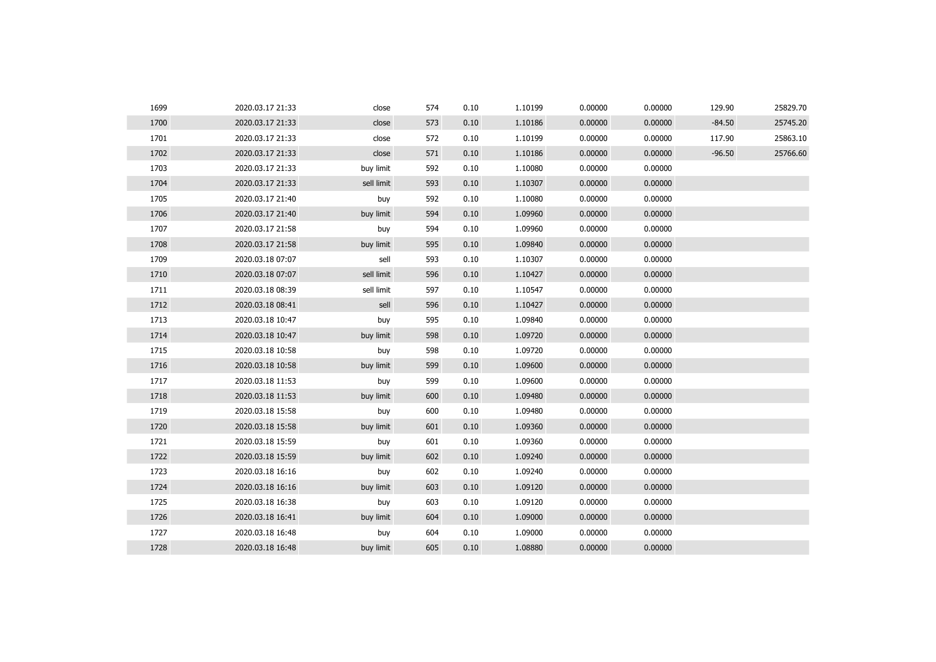| 1699 | 2020.03.17 21:33 | close      | 574 | 0.10 | 1.10199 | 0.00000 | 0.00000 | 129.90   | 25829.70 |
|------|------------------|------------|-----|------|---------|---------|---------|----------|----------|
| 1700 | 2020.03.17 21:33 | close      | 573 | 0.10 | 1.10186 | 0.00000 | 0.00000 | $-84.50$ | 25745.20 |
| 1701 | 2020.03.17 21:33 | close      | 572 | 0.10 | 1.10199 | 0.00000 | 0.00000 | 117.90   | 25863.10 |
| 1702 | 2020.03.17 21:33 | close      | 571 | 0.10 | 1.10186 | 0.00000 | 0.00000 | $-96.50$ | 25766.60 |
| 1703 | 2020.03.17 21:33 | buy limit  | 592 | 0.10 | 1.10080 | 0.00000 | 0.00000 |          |          |
| 1704 | 2020.03.17 21:33 | sell limit | 593 | 0.10 | 1.10307 | 0.00000 | 0.00000 |          |          |
| 1705 | 2020.03.17 21:40 | buy        | 592 | 0.10 | 1.10080 | 0.00000 | 0.00000 |          |          |
| 1706 | 2020.03.17 21:40 | buy limit  | 594 | 0.10 | 1.09960 | 0.00000 | 0.00000 |          |          |
| 1707 | 2020.03.17 21:58 | buy        | 594 | 0.10 | 1.09960 | 0.00000 | 0.00000 |          |          |
| 1708 | 2020.03.17 21:58 | buy limit  | 595 | 0.10 | 1.09840 | 0.00000 | 0.00000 |          |          |
| 1709 | 2020.03.18 07:07 | sell       | 593 | 0.10 | 1.10307 | 0.00000 | 0.00000 |          |          |
| 1710 | 2020.03.18 07:07 | sell limit | 596 | 0.10 | 1.10427 | 0.00000 | 0.00000 |          |          |
| 1711 | 2020.03.18 08:39 | sell limit | 597 | 0.10 | 1.10547 | 0.00000 | 0.00000 |          |          |
| 1712 | 2020.03.18 08:41 | sell       | 596 | 0.10 | 1.10427 | 0.00000 | 0.00000 |          |          |
| 1713 | 2020.03.18 10:47 | buy        | 595 | 0.10 | 1.09840 | 0.00000 | 0.00000 |          |          |
| 1714 | 2020.03.18 10:47 | buy limit  | 598 | 0.10 | 1.09720 | 0.00000 | 0.00000 |          |          |
| 1715 | 2020.03.18 10:58 | buy        | 598 | 0.10 | 1.09720 | 0.00000 | 0.00000 |          |          |
| 1716 | 2020.03.18 10:58 | buy limit  | 599 | 0.10 | 1.09600 | 0.00000 | 0.00000 |          |          |
| 1717 | 2020.03.18 11:53 | buy        | 599 | 0.10 | 1.09600 | 0.00000 | 0.00000 |          |          |
| 1718 | 2020.03.18 11:53 | buy limit  | 600 | 0.10 | 1.09480 | 0.00000 | 0.00000 |          |          |
| 1719 | 2020.03.18 15:58 | buy        | 600 | 0.10 | 1.09480 | 0.00000 | 0.00000 |          |          |
| 1720 | 2020.03.18 15:58 | buy limit  | 601 | 0.10 | 1.09360 | 0.00000 | 0.00000 |          |          |
| 1721 | 2020.03.18 15:59 | buy        | 601 | 0.10 | 1.09360 | 0.00000 | 0.00000 |          |          |
| 1722 | 2020.03.18 15:59 | buy limit  | 602 | 0.10 | 1.09240 | 0.00000 | 0.00000 |          |          |
| 1723 | 2020.03.18 16:16 | buy        | 602 | 0.10 | 1.09240 | 0.00000 | 0.00000 |          |          |
| 1724 | 2020.03.18 16:16 | buy limit  | 603 | 0.10 | 1.09120 | 0.00000 | 0.00000 |          |          |
| 1725 | 2020.03.18 16:38 | buy        | 603 | 0.10 | 1.09120 | 0.00000 | 0.00000 |          |          |
| 1726 | 2020.03.18 16:41 | buy limit  | 604 | 0.10 | 1.09000 | 0.00000 | 0.00000 |          |          |
| 1727 | 2020.03.18 16:48 | buy        | 604 | 0.10 | 1.09000 | 0.00000 | 0.00000 |          |          |
| 1728 | 2020.03.18 16:48 | buy limit  | 605 | 0.10 | 1.08880 | 0.00000 | 0.00000 |          |          |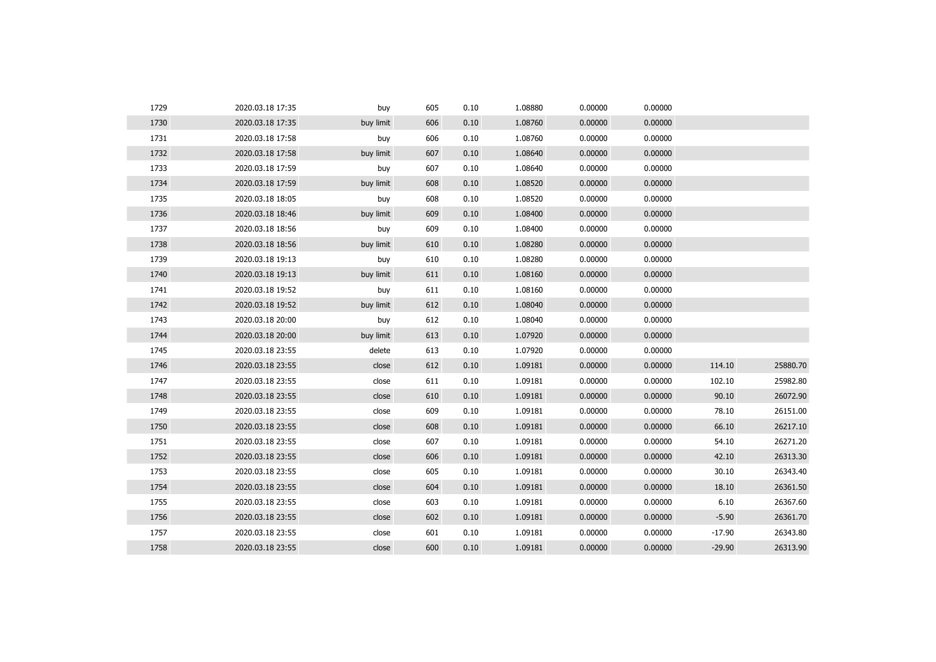| 1729 | 2020.03.18 17:35 | buy       | 605 | 0.10 | 1.08880 | 0.00000 | 0.00000 |          |          |
|------|------------------|-----------|-----|------|---------|---------|---------|----------|----------|
| 1730 | 2020.03.18 17:35 | buy limit | 606 | 0.10 | 1.08760 | 0.00000 | 0.00000 |          |          |
| 1731 | 2020.03.18 17:58 | buy       | 606 | 0.10 | 1.08760 | 0.00000 | 0.00000 |          |          |
| 1732 | 2020.03.18 17:58 | buy limit | 607 | 0.10 | 1.08640 | 0.00000 | 0.00000 |          |          |
| 1733 | 2020.03.18 17:59 | buy       | 607 | 0.10 | 1.08640 | 0.00000 | 0.00000 |          |          |
| 1734 | 2020.03.18 17:59 | buy limit | 608 | 0.10 | 1.08520 | 0.00000 | 0.00000 |          |          |
| 1735 | 2020.03.18 18:05 | buy       | 608 | 0.10 | 1.08520 | 0.00000 | 0.00000 |          |          |
| 1736 | 2020.03.18 18:46 | buy limit | 609 | 0.10 | 1.08400 | 0.00000 | 0.00000 |          |          |
| 1737 | 2020.03.18 18:56 | buy       | 609 | 0.10 | 1.08400 | 0.00000 | 0.00000 |          |          |
| 1738 | 2020.03.18 18:56 | buy limit | 610 | 0.10 | 1.08280 | 0.00000 | 0.00000 |          |          |
| 1739 | 2020.03.18 19:13 | buy       | 610 | 0.10 | 1.08280 | 0.00000 | 0.00000 |          |          |
| 1740 | 2020.03.18 19:13 | buy limit | 611 | 0.10 | 1.08160 | 0.00000 | 0.00000 |          |          |
| 1741 | 2020.03.18 19:52 | buy       | 611 | 0.10 | 1.08160 | 0.00000 | 0.00000 |          |          |
| 1742 | 2020.03.18 19:52 | buy limit | 612 | 0.10 | 1.08040 | 0.00000 | 0.00000 |          |          |
| 1743 | 2020.03.18 20:00 | buy       | 612 | 0.10 | 1.08040 | 0.00000 | 0.00000 |          |          |
| 1744 | 2020.03.18 20:00 | buy limit | 613 | 0.10 | 1.07920 | 0.00000 | 0.00000 |          |          |
| 1745 | 2020.03.18 23:55 | delete    | 613 | 0.10 | 1.07920 | 0.00000 | 0.00000 |          |          |
| 1746 | 2020.03.18 23:55 | close     | 612 | 0.10 | 1.09181 | 0.00000 | 0.00000 | 114.10   | 25880.70 |
| 1747 | 2020.03.18 23:55 | close     | 611 | 0.10 | 1.09181 | 0.00000 | 0.00000 | 102.10   | 25982.80 |
| 1748 | 2020.03.18 23:55 | close     | 610 | 0.10 | 1.09181 | 0.00000 | 0.00000 | 90.10    | 26072.90 |
| 1749 | 2020.03.18 23:55 | close     | 609 | 0.10 | 1.09181 | 0.00000 | 0.00000 | 78.10    | 26151.00 |
| 1750 | 2020.03.18 23:55 | close     | 608 | 0.10 | 1.09181 | 0.00000 | 0.00000 | 66.10    | 26217.10 |
| 1751 | 2020.03.18 23:55 | close     | 607 | 0.10 | 1.09181 | 0.00000 | 0.00000 | 54.10    | 26271.20 |
| 1752 | 2020.03.18 23:55 | close     | 606 | 0.10 | 1.09181 | 0.00000 | 0.00000 | 42.10    | 26313.30 |
| 1753 | 2020.03.18 23:55 | close     | 605 | 0.10 | 1.09181 | 0.00000 | 0.00000 | 30.10    | 26343.40 |
| 1754 | 2020.03.18 23:55 | close     | 604 | 0.10 | 1.09181 | 0.00000 | 0.00000 | 18.10    | 26361.50 |
| 1755 | 2020.03.18 23:55 | close     | 603 | 0.10 | 1.09181 | 0.00000 | 0.00000 | 6.10     | 26367.60 |
| 1756 | 2020.03.18 23:55 | close     | 602 | 0.10 | 1.09181 | 0.00000 | 0.00000 | $-5.90$  | 26361.70 |
| 1757 | 2020.03.18 23:55 | close     | 601 | 0.10 | 1.09181 | 0.00000 | 0.00000 | $-17.90$ | 26343.80 |
| 1758 | 2020.03.18 23:55 | close     | 600 | 0.10 | 1.09181 | 0.00000 | 0.00000 | $-29.90$ | 26313.90 |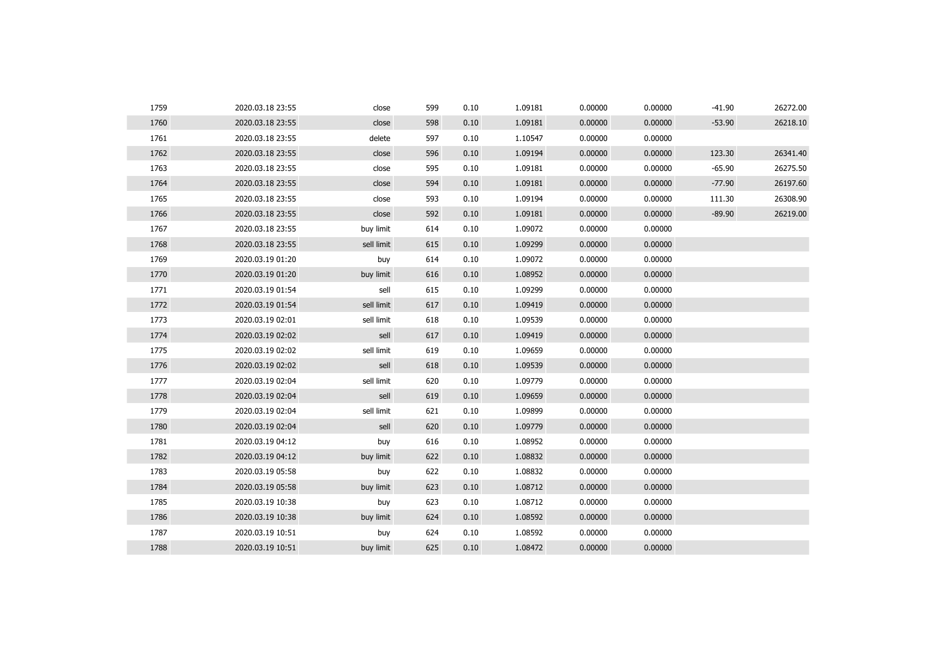| 1759 | 2020.03.18 23:55 | close      | 599 | 0.10 | 1.09181 | 0.00000 | 0.00000 | $-41.90$ | 26272.00 |
|------|------------------|------------|-----|------|---------|---------|---------|----------|----------|
| 1760 | 2020.03.18 23:55 | close      | 598 | 0.10 | 1.09181 | 0.00000 | 0.00000 | $-53.90$ | 26218.10 |
| 1761 | 2020.03.18 23:55 | delete     | 597 | 0.10 | 1.10547 | 0.00000 | 0.00000 |          |          |
| 1762 | 2020.03.18 23:55 | close      | 596 | 0.10 | 1.09194 | 0.00000 | 0.00000 | 123.30   | 26341.40 |
| 1763 | 2020.03.18 23:55 | close      | 595 | 0.10 | 1.09181 | 0.00000 | 0.00000 | $-65.90$ | 26275.50 |
| 1764 | 2020.03.18 23:55 | close      | 594 | 0.10 | 1.09181 | 0.00000 | 0.00000 | $-77.90$ | 26197.60 |
| 1765 | 2020.03.18 23:55 | close      | 593 | 0.10 | 1.09194 | 0.00000 | 0.00000 | 111.30   | 26308.90 |
| 1766 | 2020.03.18 23:55 | close      | 592 | 0.10 | 1.09181 | 0.00000 | 0.00000 | $-89.90$ | 26219.00 |
| 1767 | 2020.03.18 23:55 | buy limit  | 614 | 0.10 | 1.09072 | 0.00000 | 0.00000 |          |          |
| 1768 | 2020.03.18 23:55 | sell limit | 615 | 0.10 | 1.09299 | 0.00000 | 0.00000 |          |          |
| 1769 | 2020.03.19 01:20 | buy        | 614 | 0.10 | 1.09072 | 0.00000 | 0.00000 |          |          |
| 1770 | 2020.03.19 01:20 | buy limit  | 616 | 0.10 | 1.08952 | 0.00000 | 0.00000 |          |          |
| 1771 | 2020.03.19 01:54 | sell       | 615 | 0.10 | 1.09299 | 0.00000 | 0.00000 |          |          |
| 1772 | 2020.03.19 01:54 | sell limit | 617 | 0.10 | 1.09419 | 0.00000 | 0.00000 |          |          |
| 1773 | 2020.03.19 02:01 | sell limit | 618 | 0.10 | 1.09539 | 0.00000 | 0.00000 |          |          |
| 1774 | 2020.03.19 02:02 | sell       | 617 | 0.10 | 1.09419 | 0.00000 | 0.00000 |          |          |
| 1775 | 2020.03.19 02:02 | sell limit | 619 | 0.10 | 1.09659 | 0.00000 | 0.00000 |          |          |
| 1776 | 2020.03.19 02:02 | sell       | 618 | 0.10 | 1.09539 | 0.00000 | 0.00000 |          |          |
| 1777 | 2020.03.19 02:04 | sell limit | 620 | 0.10 | 1.09779 | 0.00000 | 0.00000 |          |          |
| 1778 | 2020.03.19 02:04 | sell       | 619 | 0.10 | 1.09659 | 0.00000 | 0.00000 |          |          |
| 1779 | 2020.03.19 02:04 | sell limit | 621 | 0.10 | 1.09899 | 0.00000 | 0.00000 |          |          |
| 1780 | 2020.03.19 02:04 | sell       | 620 | 0.10 | 1.09779 | 0.00000 | 0.00000 |          |          |
| 1781 | 2020.03.19 04:12 | buy        | 616 | 0.10 | 1.08952 | 0.00000 | 0.00000 |          |          |
| 1782 | 2020.03.19 04:12 | buy limit  | 622 | 0.10 | 1.08832 | 0.00000 | 0.00000 |          |          |
| 1783 | 2020.03.19 05:58 | buy        | 622 | 0.10 | 1.08832 | 0.00000 | 0.00000 |          |          |
| 1784 | 2020.03.19 05:58 | buy limit  | 623 | 0.10 | 1.08712 | 0.00000 | 0.00000 |          |          |
| 1785 | 2020.03.19 10:38 | buy        | 623 | 0.10 | 1.08712 | 0.00000 | 0.00000 |          |          |
| 1786 | 2020.03.19 10:38 | buy limit  | 624 | 0.10 | 1.08592 | 0.00000 | 0.00000 |          |          |
| 1787 | 2020.03.19 10:51 | buy        | 624 | 0.10 | 1.08592 | 0.00000 | 0.00000 |          |          |
| 1788 | 2020.03.19 10:51 | buy limit  | 625 | 0.10 | 1.08472 | 0.00000 | 0.00000 |          |          |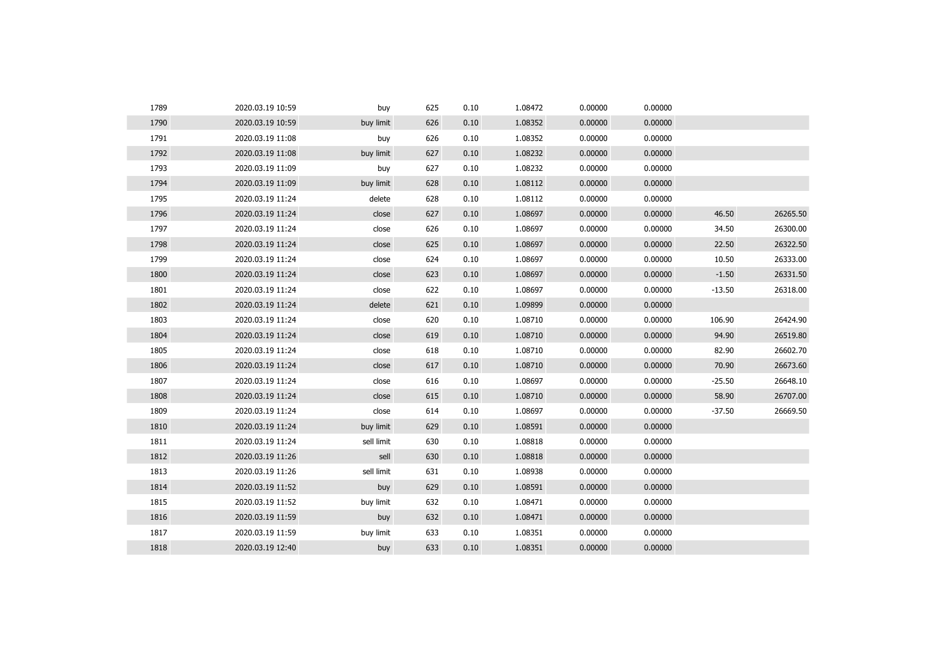| 1789 | 2020.03.19 10:59 | buy        | 625 | 0.10 | 1.08472 | 0.00000 | 0.00000 |          |          |
|------|------------------|------------|-----|------|---------|---------|---------|----------|----------|
| 1790 | 2020.03.19 10:59 | buy limit  | 626 | 0.10 | 1.08352 | 0.00000 | 0.00000 |          |          |
| 1791 | 2020.03.19 11:08 | buy        | 626 | 0.10 | 1.08352 | 0.00000 | 0.00000 |          |          |
| 1792 | 2020.03.19 11:08 | buy limit  | 627 | 0.10 | 1.08232 | 0.00000 | 0.00000 |          |          |
| 1793 | 2020.03.19 11:09 | buy        | 627 | 0.10 | 1.08232 | 0.00000 | 0.00000 |          |          |
| 1794 | 2020.03.19 11:09 | buy limit  | 628 | 0.10 | 1.08112 | 0.00000 | 0.00000 |          |          |
| 1795 | 2020.03.19 11:24 | delete     | 628 | 0.10 | 1.08112 | 0.00000 | 0.00000 |          |          |
| 1796 | 2020.03.19 11:24 | close      | 627 | 0.10 | 1.08697 | 0.00000 | 0.00000 | 46.50    | 26265.50 |
| 1797 | 2020.03.19 11:24 | close      | 626 | 0.10 | 1.08697 | 0.00000 | 0.00000 | 34.50    | 26300.00 |
| 1798 | 2020.03.19 11:24 | close      | 625 | 0.10 | 1.08697 | 0.00000 | 0.00000 | 22.50    | 26322.50 |
| 1799 | 2020.03.19 11:24 | close      | 624 | 0.10 | 1.08697 | 0.00000 | 0.00000 | 10.50    | 26333.00 |
| 1800 | 2020.03.19 11:24 | close      | 623 | 0.10 | 1.08697 | 0.00000 | 0.00000 | $-1.50$  | 26331.50 |
| 1801 | 2020.03.19 11:24 | close      | 622 | 0.10 | 1.08697 | 0.00000 | 0.00000 | $-13.50$ | 26318.00 |
| 1802 | 2020.03.19 11:24 | delete     | 621 | 0.10 | 1.09899 | 0.00000 | 0.00000 |          |          |
| 1803 | 2020.03.19 11:24 | close      | 620 | 0.10 | 1.08710 | 0.00000 | 0.00000 | 106.90   | 26424.90 |
| 1804 | 2020.03.19 11:24 | close      | 619 | 0.10 | 1.08710 | 0.00000 | 0.00000 | 94.90    | 26519.80 |
| 1805 | 2020.03.19 11:24 | close      | 618 | 0.10 | 1.08710 | 0.00000 | 0.00000 | 82.90    | 26602.70 |
| 1806 | 2020.03.19 11:24 | close      | 617 | 0.10 | 1.08710 | 0.00000 | 0.00000 | 70.90    | 26673.60 |
| 1807 | 2020.03.19 11:24 | close      | 616 | 0.10 | 1.08697 | 0.00000 | 0.00000 | $-25.50$ | 26648.10 |
| 1808 | 2020.03.19 11:24 | close      | 615 | 0.10 | 1.08710 | 0.00000 | 0.00000 | 58.90    | 26707.00 |
| 1809 | 2020.03.19 11:24 | close      | 614 | 0.10 | 1.08697 | 0.00000 | 0.00000 | $-37.50$ | 26669.50 |
| 1810 | 2020.03.19 11:24 | buy limit  | 629 | 0.10 | 1.08591 | 0.00000 | 0.00000 |          |          |
| 1811 | 2020.03.19 11:24 | sell limit | 630 | 0.10 | 1.08818 | 0.00000 | 0.00000 |          |          |
| 1812 | 2020.03.19 11:26 | sell       | 630 | 0.10 | 1.08818 | 0.00000 | 0.00000 |          |          |
| 1813 | 2020.03.19 11:26 | sell limit | 631 | 0.10 | 1.08938 | 0.00000 | 0.00000 |          |          |
| 1814 | 2020.03.19 11:52 | buy        | 629 | 0.10 | 1.08591 | 0.00000 | 0.00000 |          |          |
| 1815 | 2020.03.19 11:52 | buy limit  | 632 | 0.10 | 1.08471 | 0.00000 | 0.00000 |          |          |
| 1816 | 2020.03.19 11:59 | buy        | 632 | 0.10 | 1.08471 | 0.00000 | 0.00000 |          |          |
| 1817 | 2020.03.19 11:59 | buy limit  | 633 | 0.10 | 1.08351 | 0.00000 | 0.00000 |          |          |
| 1818 | 2020.03.19 12:40 | buy        | 633 | 0.10 | 1.08351 | 0.00000 | 0.00000 |          |          |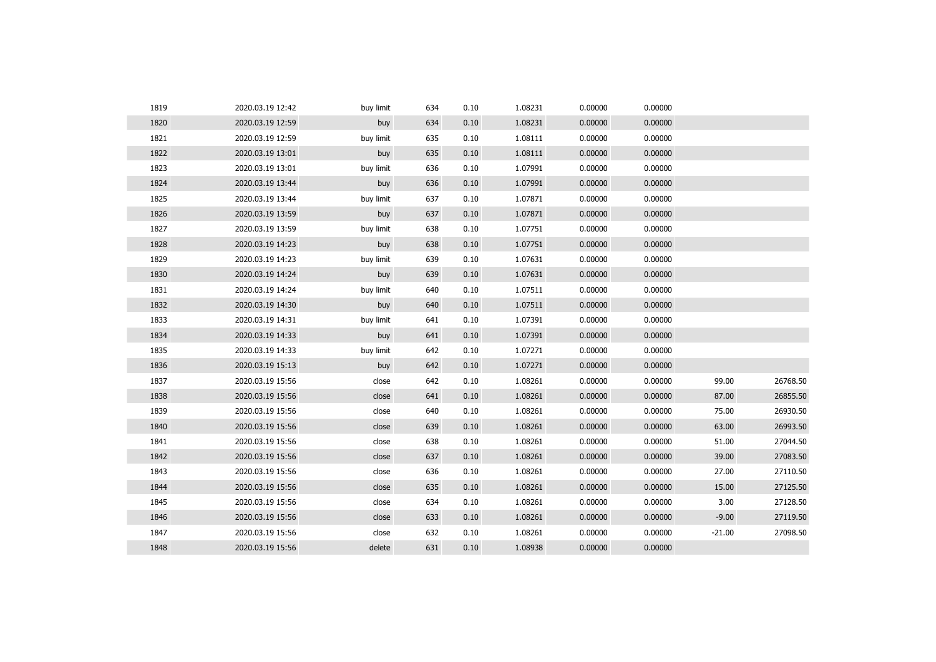| 1819 | 2020.03.19 12:42 | buy limit | 634 | 0.10 | 1.08231 | 0.00000 | 0.00000 |          |          |
|------|------------------|-----------|-----|------|---------|---------|---------|----------|----------|
| 1820 | 2020.03.19 12:59 | buy       | 634 | 0.10 | 1.08231 | 0.00000 | 0.00000 |          |          |
| 1821 | 2020.03.19 12:59 | buy limit | 635 | 0.10 | 1.08111 | 0.00000 | 0.00000 |          |          |
| 1822 | 2020.03.19 13:01 | buy       | 635 | 0.10 | 1.08111 | 0.00000 | 0.00000 |          |          |
| 1823 | 2020.03.19 13:01 | buy limit | 636 | 0.10 | 1.07991 | 0.00000 | 0.00000 |          |          |
| 1824 | 2020.03.19 13:44 | buy       | 636 | 0.10 | 1.07991 | 0.00000 | 0.00000 |          |          |
| 1825 | 2020.03.19 13:44 | buy limit | 637 | 0.10 | 1.07871 | 0.00000 | 0.00000 |          |          |
| 1826 | 2020.03.19 13:59 | buy       | 637 | 0.10 | 1.07871 | 0.00000 | 0.00000 |          |          |
| 1827 | 2020.03.19 13:59 | buy limit | 638 | 0.10 | 1.07751 | 0.00000 | 0.00000 |          |          |
| 1828 | 2020.03.19 14:23 | buy       | 638 | 0.10 | 1.07751 | 0.00000 | 0.00000 |          |          |
| 1829 | 2020.03.19 14:23 | buy limit | 639 | 0.10 | 1.07631 | 0.00000 | 0.00000 |          |          |
| 1830 | 2020.03.19 14:24 | buy       | 639 | 0.10 | 1.07631 | 0.00000 | 0.00000 |          |          |
| 1831 | 2020.03.19 14:24 | buy limit | 640 | 0.10 | 1.07511 | 0.00000 | 0.00000 |          |          |
| 1832 | 2020.03.19 14:30 | buy       | 640 | 0.10 | 1.07511 | 0.00000 | 0.00000 |          |          |
| 1833 | 2020.03.19 14:31 | buy limit | 641 | 0.10 | 1.07391 | 0.00000 | 0.00000 |          |          |
| 1834 | 2020.03.19 14:33 | buy       | 641 | 0.10 | 1.07391 | 0.00000 | 0.00000 |          |          |
| 1835 | 2020.03.19 14:33 | buy limit | 642 | 0.10 | 1.07271 | 0.00000 | 0.00000 |          |          |
| 1836 | 2020.03.19 15:13 | buy       | 642 | 0.10 | 1.07271 | 0.00000 | 0.00000 |          |          |
| 1837 | 2020.03.19 15:56 | close     | 642 | 0.10 | 1.08261 | 0.00000 | 0.00000 | 99.00    | 26768.50 |
| 1838 | 2020.03.19 15:56 | close     | 641 | 0.10 | 1.08261 | 0.00000 | 0.00000 | 87.00    | 26855.50 |
| 1839 | 2020.03.19 15:56 | close     | 640 | 0.10 | 1.08261 | 0.00000 | 0.00000 | 75.00    | 26930.50 |
| 1840 | 2020.03.19 15:56 | close     | 639 | 0.10 | 1.08261 | 0.00000 | 0.00000 | 63.00    | 26993.50 |
| 1841 | 2020.03.19 15:56 | close     | 638 | 0.10 | 1.08261 | 0.00000 | 0.00000 | 51.00    | 27044.50 |
| 1842 | 2020.03.19 15:56 | close     | 637 | 0.10 | 1.08261 | 0.00000 | 0.00000 | 39.00    | 27083.50 |
| 1843 | 2020.03.19 15:56 | close     | 636 | 0.10 | 1.08261 | 0.00000 | 0.00000 | 27.00    | 27110.50 |
| 1844 | 2020.03.19 15:56 | close     | 635 | 0.10 | 1.08261 | 0.00000 | 0.00000 | 15.00    | 27125.50 |
| 1845 | 2020.03.19 15:56 | close     | 634 | 0.10 | 1.08261 | 0.00000 | 0.00000 | 3.00     | 27128.50 |
| 1846 | 2020.03.19 15:56 | close     | 633 | 0.10 | 1.08261 | 0.00000 | 0.00000 | $-9.00$  | 27119.50 |
| 1847 | 2020.03.19 15:56 | close     | 632 | 0.10 | 1.08261 | 0.00000 | 0.00000 | $-21.00$ | 27098.50 |
| 1848 | 2020.03.19 15:56 | delete    | 631 | 0.10 | 1.08938 | 0.00000 | 0.00000 |          |          |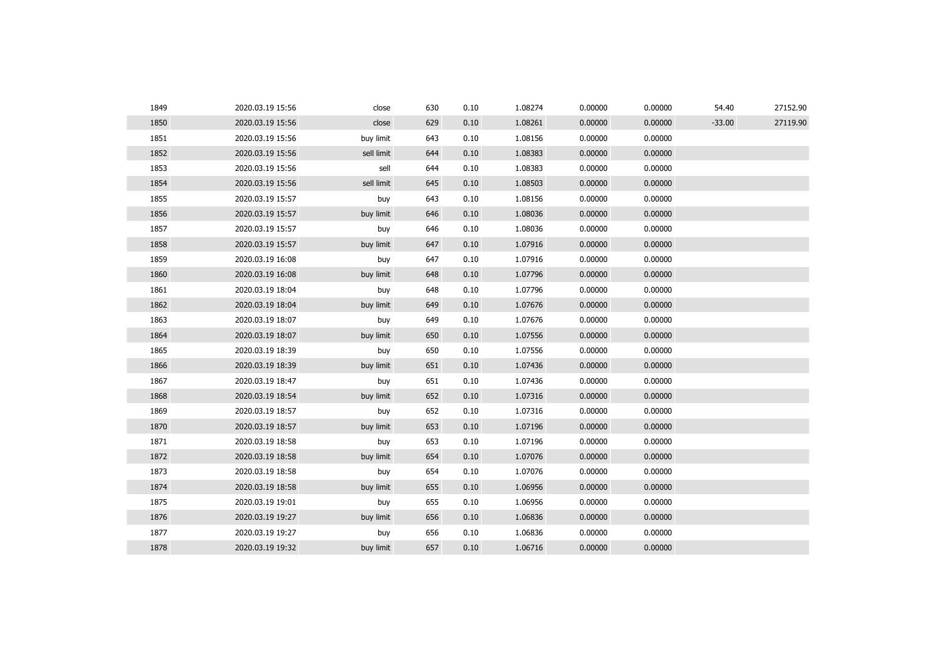| 1849 | 2020.03.19 15:56 | close      | 630 | 0.10 | 1.08274 | 0.00000 | 0.00000 | 54.40    | 27152.90 |
|------|------------------|------------|-----|------|---------|---------|---------|----------|----------|
| 1850 | 2020.03.19 15:56 | close      | 629 | 0.10 | 1.08261 | 0.00000 | 0.00000 | $-33.00$ | 27119.90 |
| 1851 | 2020.03.19 15:56 | buy limit  | 643 | 0.10 | 1.08156 | 0.00000 | 0.00000 |          |          |
| 1852 | 2020.03.19 15:56 | sell limit | 644 | 0.10 | 1.08383 | 0.00000 | 0.00000 |          |          |
| 1853 | 2020.03.19 15:56 | sell       | 644 | 0.10 | 1.08383 | 0.00000 | 0.00000 |          |          |
| 1854 | 2020.03.19 15:56 | sell limit | 645 | 0.10 | 1.08503 | 0.00000 | 0.00000 |          |          |
| 1855 | 2020.03.19 15:57 | buy        | 643 | 0.10 | 1.08156 | 0.00000 | 0.00000 |          |          |
| 1856 | 2020.03.19 15:57 | buy limit  | 646 | 0.10 | 1.08036 | 0.00000 | 0.00000 |          |          |
| 1857 | 2020.03.19 15:57 | buy        | 646 | 0.10 | 1.08036 | 0.00000 | 0.00000 |          |          |
| 1858 | 2020.03.19 15:57 | buy limit  | 647 | 0.10 | 1.07916 | 0.00000 | 0.00000 |          |          |
| 1859 | 2020.03.19 16:08 | buy        | 647 | 0.10 | 1.07916 | 0.00000 | 0.00000 |          |          |
| 1860 | 2020.03.19 16:08 | buy limit  | 648 | 0.10 | 1.07796 | 0.00000 | 0.00000 |          |          |
| 1861 | 2020.03.19 18:04 | buy        | 648 | 0.10 | 1.07796 | 0.00000 | 0.00000 |          |          |
| 1862 | 2020.03.19 18:04 | buy limit  | 649 | 0.10 | 1.07676 | 0.00000 | 0.00000 |          |          |
| 1863 | 2020.03.19 18:07 | buy        | 649 | 0.10 | 1.07676 | 0.00000 | 0.00000 |          |          |
| 1864 | 2020.03.19 18:07 | buy limit  | 650 | 0.10 | 1.07556 | 0.00000 | 0.00000 |          |          |
| 1865 | 2020.03.19 18:39 | buy        | 650 | 0.10 | 1.07556 | 0.00000 | 0.00000 |          |          |
| 1866 | 2020.03.19 18:39 | buy limit  | 651 | 0.10 | 1.07436 | 0.00000 | 0.00000 |          |          |
| 1867 | 2020.03.19 18:47 | buy        | 651 | 0.10 | 1.07436 | 0.00000 | 0.00000 |          |          |
| 1868 | 2020.03.19 18:54 | buy limit  | 652 | 0.10 | 1.07316 | 0.00000 | 0.00000 |          |          |
| 1869 | 2020.03.19 18:57 | buy        | 652 | 0.10 | 1.07316 | 0.00000 | 0.00000 |          |          |
| 1870 | 2020.03.19 18:57 | buy limit  | 653 | 0.10 | 1.07196 | 0.00000 | 0.00000 |          |          |
| 1871 | 2020.03.19 18:58 | buy        | 653 | 0.10 | 1.07196 | 0.00000 | 0.00000 |          |          |
| 1872 | 2020.03.19 18:58 | buy limit  | 654 | 0.10 | 1.07076 | 0.00000 | 0.00000 |          |          |
| 1873 | 2020.03.19 18:58 | buy        | 654 | 0.10 | 1.07076 | 0.00000 | 0.00000 |          |          |
| 1874 | 2020.03.19 18:58 | buy limit  | 655 | 0.10 | 1.06956 | 0.00000 | 0.00000 |          |          |
| 1875 | 2020.03.19 19:01 | buy        | 655 | 0.10 | 1.06956 | 0.00000 | 0.00000 |          |          |
| 1876 | 2020.03.19 19:27 | buy limit  | 656 | 0.10 | 1.06836 | 0.00000 | 0.00000 |          |          |
| 1877 | 2020.03.19 19:27 | buy        | 656 | 0.10 | 1.06836 | 0.00000 | 0.00000 |          |          |
| 1878 | 2020.03.19 19:32 | buy limit  | 657 | 0.10 | 1.06716 | 0.00000 | 0.00000 |          |          |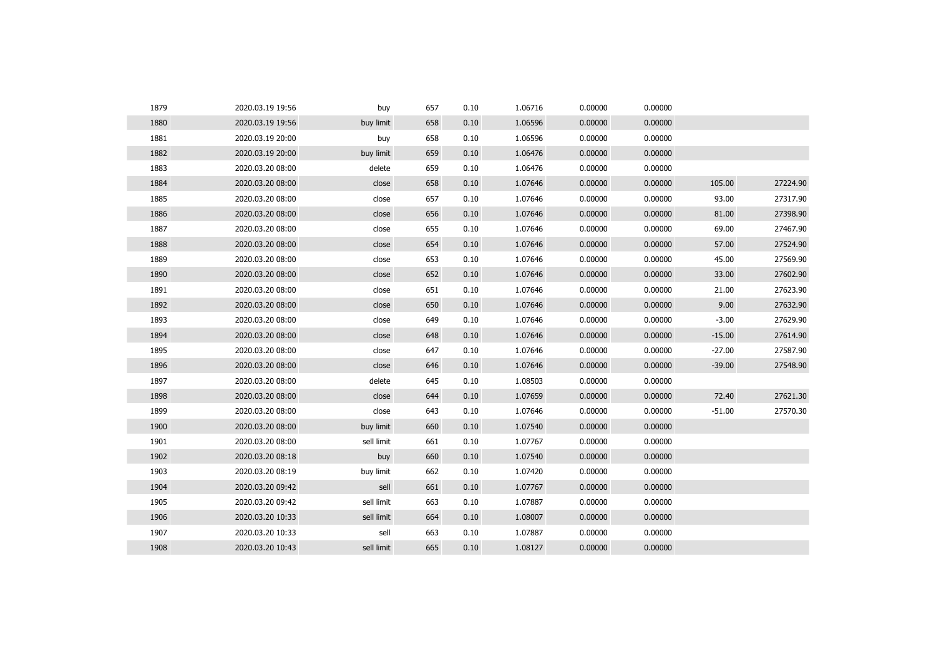| 1879 | 2020.03.19 19:56 | buy        | 657 | 0.10 | 1.06716 | 0.00000 | 0.00000 |          |          |
|------|------------------|------------|-----|------|---------|---------|---------|----------|----------|
| 1880 | 2020.03.19 19:56 | buy limit  | 658 | 0.10 | 1.06596 | 0.00000 | 0.00000 |          |          |
| 1881 | 2020.03.19 20:00 | buy        | 658 | 0.10 | 1.06596 | 0.00000 | 0.00000 |          |          |
| 1882 | 2020.03.19 20:00 | buy limit  | 659 | 0.10 | 1.06476 | 0.00000 | 0.00000 |          |          |
| 1883 | 2020.03.20 08:00 | delete     | 659 | 0.10 | 1.06476 | 0.00000 | 0.00000 |          |          |
| 1884 | 2020.03.20 08:00 | close      | 658 | 0.10 | 1.07646 | 0.00000 | 0.00000 | 105.00   | 27224.90 |
| 1885 | 2020.03.20 08:00 | close      | 657 | 0.10 | 1.07646 | 0.00000 | 0.00000 | 93.00    | 27317.90 |
| 1886 | 2020.03.20 08:00 | close      | 656 | 0.10 | 1.07646 | 0.00000 | 0.00000 | 81.00    | 27398.90 |
| 1887 | 2020.03.20 08:00 | close      | 655 | 0.10 | 1.07646 | 0.00000 | 0.00000 | 69.00    | 27467.90 |
| 1888 | 2020.03.20 08:00 | close      | 654 | 0.10 | 1.07646 | 0.00000 | 0.00000 | 57.00    | 27524.90 |
| 1889 | 2020.03.20 08:00 | close      | 653 | 0.10 | 1.07646 | 0.00000 | 0.00000 | 45.00    | 27569.90 |
| 1890 | 2020.03.20 08:00 | close      | 652 | 0.10 | 1.07646 | 0.00000 | 0.00000 | 33.00    | 27602.90 |
| 1891 | 2020.03.20 08:00 | close      | 651 | 0.10 | 1.07646 | 0.00000 | 0.00000 | 21.00    | 27623.90 |
| 1892 | 2020.03.20 08:00 | close      | 650 | 0.10 | 1.07646 | 0.00000 | 0.00000 | 9.00     | 27632.90 |
| 1893 | 2020.03.20 08:00 | close      | 649 | 0.10 | 1.07646 | 0.00000 | 0.00000 | $-3.00$  | 27629.90 |
| 1894 | 2020.03.20 08:00 | close      | 648 | 0.10 | 1.07646 | 0.00000 | 0.00000 | $-15.00$ | 27614.90 |
| 1895 | 2020.03.20 08:00 | close      | 647 | 0.10 | 1.07646 | 0.00000 | 0.00000 | $-27.00$ | 27587.90 |
| 1896 | 2020.03.20 08:00 | close      | 646 | 0.10 | 1.07646 | 0.00000 | 0.00000 | $-39.00$ | 27548.90 |
| 1897 | 2020.03.20 08:00 | delete     | 645 | 0.10 | 1.08503 | 0.00000 | 0.00000 |          |          |
| 1898 | 2020.03.20 08:00 | close      | 644 | 0.10 | 1.07659 | 0.00000 | 0.00000 | 72.40    | 27621.30 |
| 1899 | 2020.03.20 08:00 | close      | 643 | 0.10 | 1.07646 | 0.00000 | 0.00000 | $-51.00$ | 27570.30 |
| 1900 | 2020.03.20 08:00 | buy limit  | 660 | 0.10 | 1.07540 | 0.00000 | 0.00000 |          |          |
| 1901 | 2020.03.20 08:00 | sell limit | 661 | 0.10 | 1.07767 | 0.00000 | 0.00000 |          |          |
| 1902 | 2020.03.20 08:18 | buy        | 660 | 0.10 | 1.07540 | 0.00000 | 0.00000 |          |          |
| 1903 | 2020.03.20 08:19 | buy limit  | 662 | 0.10 | 1.07420 | 0.00000 | 0.00000 |          |          |
| 1904 | 2020.03.20 09:42 | sell       | 661 | 0.10 | 1.07767 | 0.00000 | 0.00000 |          |          |
| 1905 | 2020.03.20 09:42 | sell limit | 663 | 0.10 | 1.07887 | 0.00000 | 0.00000 |          |          |
| 1906 | 2020.03.20 10:33 | sell limit | 664 | 0.10 | 1.08007 | 0.00000 | 0.00000 |          |          |
| 1907 | 2020.03.20 10:33 | sell       | 663 | 0.10 | 1.07887 | 0.00000 | 0.00000 |          |          |
| 1908 | 2020.03.20 10:43 | sell limit | 665 | 0.10 | 1.08127 | 0.00000 | 0.00000 |          |          |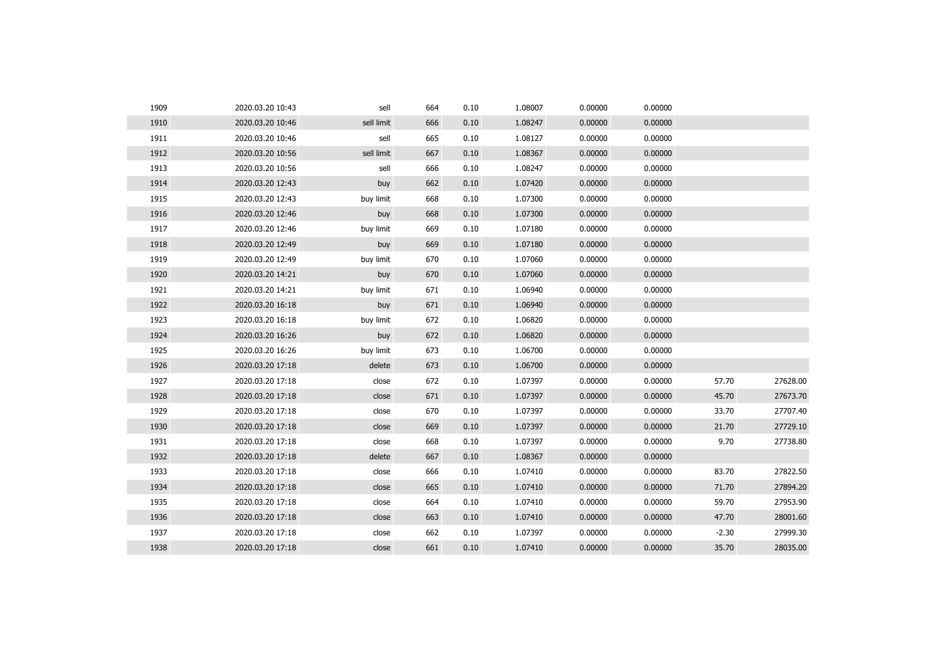| 1909 | 2020.03.20 10:43 | sell       | 664 | 0.10 | 1.08007 | 0.00000 | 0.00000 |         |          |
|------|------------------|------------|-----|------|---------|---------|---------|---------|----------|
| 1910 | 2020.03.20 10:46 | sell limit | 666 | 0.10 | 1.08247 | 0.00000 | 0.00000 |         |          |
| 1911 | 2020.03.20 10:46 | sell       | 665 | 0.10 | 1.08127 | 0.00000 | 0.00000 |         |          |
| 1912 | 2020.03.20 10:56 | sell limit | 667 | 0.10 | 1.08367 | 0.00000 | 0.00000 |         |          |
| 1913 | 2020.03.20 10:56 | sell       | 666 | 0.10 | 1.08247 | 0.00000 | 0.00000 |         |          |
| 1914 | 2020.03.20 12:43 | buy        | 662 | 0.10 | 1.07420 | 0.00000 | 0.00000 |         |          |
| 1915 | 2020.03.20 12:43 | buy limit  | 668 | 0.10 | 1.07300 | 0.00000 | 0.00000 |         |          |
| 1916 | 2020.03.20 12:46 | buy        | 668 | 0.10 | 1.07300 | 0.00000 | 0.00000 |         |          |
| 1917 | 2020.03.20 12:46 | buy limit  | 669 | 0.10 | 1.07180 | 0.00000 | 0.00000 |         |          |
| 1918 | 2020.03.20 12:49 | buy        | 669 | 0.10 | 1.07180 | 0.00000 | 0.00000 |         |          |
| 1919 | 2020.03.20 12:49 | buy limit  | 670 | 0.10 | 1.07060 | 0.00000 | 0.00000 |         |          |
| 1920 | 2020.03.20 14:21 | buy        | 670 | 0.10 | 1.07060 | 0.00000 | 0.00000 |         |          |
| 1921 | 2020.03.20 14:21 | buy limit  | 671 | 0.10 | 1.06940 | 0.00000 | 0.00000 |         |          |
| 1922 | 2020.03.20 16:18 | buy        | 671 | 0.10 | 1.06940 | 0.00000 | 0.00000 |         |          |
| 1923 | 2020.03.20 16:18 | buy limit  | 672 | 0.10 | 1.06820 | 0.00000 | 0.00000 |         |          |
| 1924 | 2020.03.20 16:26 | buy        | 672 | 0.10 | 1.06820 | 0.00000 | 0.00000 |         |          |
| 1925 | 2020.03.20 16:26 | buy limit  | 673 | 0.10 | 1.06700 | 0.00000 | 0.00000 |         |          |
| 1926 | 2020.03.20 17:18 | delete     | 673 | 0.10 | 1.06700 | 0.00000 | 0.00000 |         |          |
| 1927 | 2020.03.20 17:18 | close      | 672 | 0.10 | 1.07397 | 0.00000 | 0.00000 | 57.70   | 27628.00 |
| 1928 | 2020.03.20 17:18 | close      | 671 | 0.10 | 1.07397 | 0.00000 | 0.00000 | 45.70   | 27673.70 |
| 1929 | 2020.03.20 17:18 | close      | 670 | 0.10 | 1.07397 | 0.00000 | 0.00000 | 33.70   | 27707.40 |
| 1930 | 2020.03.20 17:18 | close      | 669 | 0.10 | 1.07397 | 0.00000 | 0.00000 | 21.70   | 27729.10 |
| 1931 | 2020.03.20 17:18 | close      | 668 | 0.10 | 1.07397 | 0.00000 | 0.00000 | 9.70    | 27738.80 |
| 1932 | 2020.03.20 17:18 | delete     | 667 | 0.10 | 1.08367 | 0.00000 | 0.00000 |         |          |
| 1933 | 2020.03.20 17:18 | close      | 666 | 0.10 | 1.07410 | 0.00000 | 0.00000 | 83.70   | 27822.50 |
| 1934 | 2020.03.20 17:18 | close      | 665 | 0.10 | 1.07410 | 0.00000 | 0.00000 | 71.70   | 27894.20 |
| 1935 | 2020.03.20 17:18 | close      | 664 | 0.10 | 1.07410 | 0.00000 | 0.00000 | 59.70   | 27953.90 |
| 1936 | 2020.03.20 17:18 | close      | 663 | 0.10 | 1.07410 | 0.00000 | 0.00000 | 47.70   | 28001.60 |
| 1937 | 2020.03.20 17:18 | close      | 662 | 0.10 | 1.07397 | 0.00000 | 0.00000 | $-2.30$ | 27999.30 |
| 1938 | 2020.03.20 17:18 | close      | 661 | 0.10 | 1.07410 | 0.00000 | 0.00000 | 35.70   | 28035.00 |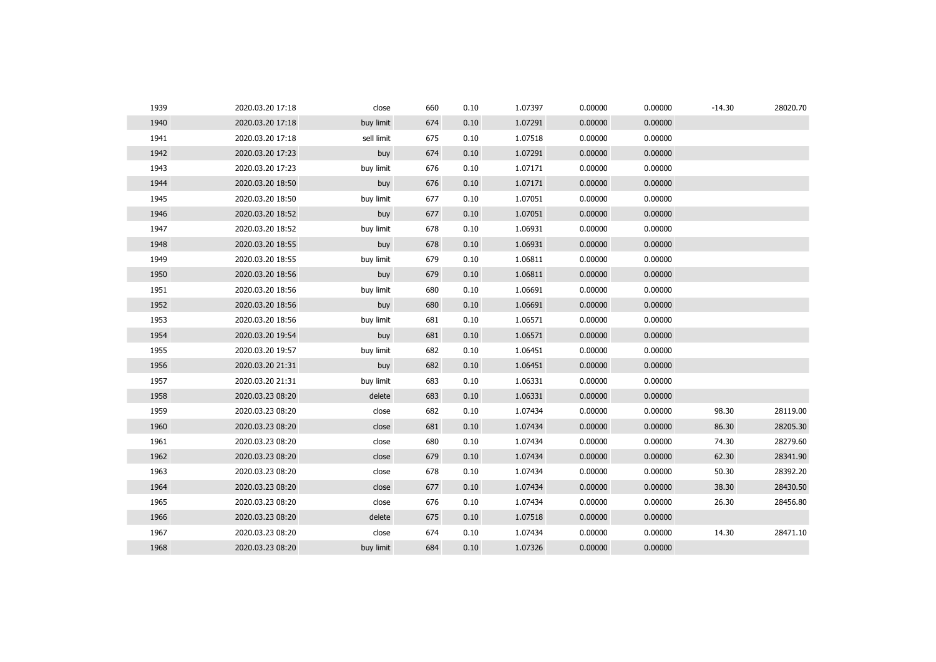| 1939<br>1.07397<br>0.00000<br>0.00000<br>2020.03.20 17:18<br>660<br>0.10<br>$-14.30$<br>close<br>1940<br>2020.03.20 17:18<br>buy limit<br>674<br>0.10<br>1.07291<br>0.00000<br>0.00000 | 28020.70 |
|----------------------------------------------------------------------------------------------------------------------------------------------------------------------------------------|----------|
|                                                                                                                                                                                        |          |
| 1941<br>0.10<br>1.07518<br>0.00000<br>0.00000                                                                                                                                          |          |
| 2020.03.20 17:18<br>sell limit<br>675                                                                                                                                                  |          |
| 1942<br>1.07291<br>674<br>0.10<br>0.00000<br>0.00000<br>2020.03.20 17:23<br>buy                                                                                                        |          |
| 1943<br>buy limit<br>1.07171<br>0.00000<br>0.00000<br>2020.03.20 17:23<br>676<br>0.10                                                                                                  |          |
| 1944<br>0.10<br>1.07171<br>0.00000<br>0.00000<br>2020.03.20 18:50<br>buy<br>676                                                                                                        |          |
| 1945<br>0.10<br>1.07051<br>0.00000<br>0.00000<br>2020.03.20 18:50<br>buy limit<br>677                                                                                                  |          |
| 1946<br>0.00000<br>2020.03.20 18:52<br>buy<br>677<br>0.10<br>1.07051<br>0.00000                                                                                                        |          |
| 1947<br>buy limit<br>0.10<br>1.06931<br>0.00000<br>0.00000<br>2020.03.20 18:52<br>678                                                                                                  |          |
| 1948<br>0.10<br>1.06931<br>0.00000<br>0.00000<br>2020.03.20 18:55<br>buy<br>678                                                                                                        |          |
| 1949<br>0.00000<br>buy limit<br>0.10<br>1.06811<br>0.00000<br>2020.03.20 18:55<br>679                                                                                                  |          |
| 1950<br>0.10<br>1.06811<br>0.00000<br>0.00000<br>2020.03.20 18:56<br>buy<br>679                                                                                                        |          |
| 1951<br>0.00000<br>2020.03.20 18:56<br>buy limit<br>0.10<br>1.06691<br>0.00000<br>680                                                                                                  |          |
| 1952<br>0.10<br>1.06691<br>0.00000<br>0.00000<br>2020.03.20 18:56<br>buy<br>680                                                                                                        |          |
| 1953<br>2020.03.20 18:56<br>buy limit<br>0.10<br>1.06571<br>0.00000<br>0.00000<br>681                                                                                                  |          |
| 1954<br>0.10<br>1.06571<br>0.00000<br>0.00000<br>2020.03.20 19:54<br>buy<br>681                                                                                                        |          |
| 1955<br>0.00000<br>0.00000<br>2020.03.20 19:57<br>buy limit<br>682<br>0.10<br>1.06451                                                                                                  |          |
| 1956<br>2020.03.20 21:31<br>0.10<br>1.06451<br>0.00000<br>0.00000<br>buy<br>682                                                                                                        |          |
| 1957<br>0.00000<br>2020.03.20 21:31<br>buy limit<br>683<br>0.10<br>1.06331<br>0.00000                                                                                                  |          |
| 1958<br>delete<br>0.10<br>1.06331<br>0.00000<br>0.00000<br>2020.03.23 08:20<br>683                                                                                                     |          |
| 1959<br>0.00000<br>0.00000<br>2020.03.23 08:20<br>close<br>682<br>0.10<br>1.07434<br>98.30                                                                                             | 28119.00 |
| 1960<br>0.00000<br>close<br>681<br>0.10<br>1.07434<br>0.00000<br>86.30<br>2020.03.23 08:20                                                                                             | 28205.30 |
| 1961<br>0.00000<br>0.00000<br>2020.03.23 08:20<br>close<br>680<br>0.10<br>1.07434<br>74.30                                                                                             | 28279.60 |
| 1962<br>close<br>0.10<br>1.07434<br>0.00000<br>0.00000<br>62.30<br>2020.03.23 08:20<br>679                                                                                             | 28341.90 |
| 1963<br>1.07434<br>0.00000<br>0.00000<br>2020.03.23 08:20<br>close<br>678<br>0.10<br>50.30                                                                                             | 28392.20 |
| 1964<br>0.00000<br>2020.03.23 08:20<br>close<br>677<br>0.10<br>1.07434<br>0.00000<br>38.30                                                                                             | 28430.50 |
| 1965<br>1.07434<br>0.00000<br>0.00000<br>2020.03.23 08:20<br>close<br>0.10<br>26.30<br>676                                                                                             | 28456.80 |
| 1966<br>2020.03.23 08:20<br>delete<br>0.10<br>1.07518<br>0.00000<br>0.00000<br>675                                                                                                     |          |
| 1967<br>close<br>1.07434<br>0.00000<br>0.00000<br>2020.03.23 08:20<br>674<br>0.10<br>14.30                                                                                             | 28471.10 |
| 1968<br>0.10<br>2020.03.23 08:20<br>buy limit<br>684<br>1.07326<br>0.00000<br>0.00000                                                                                                  |          |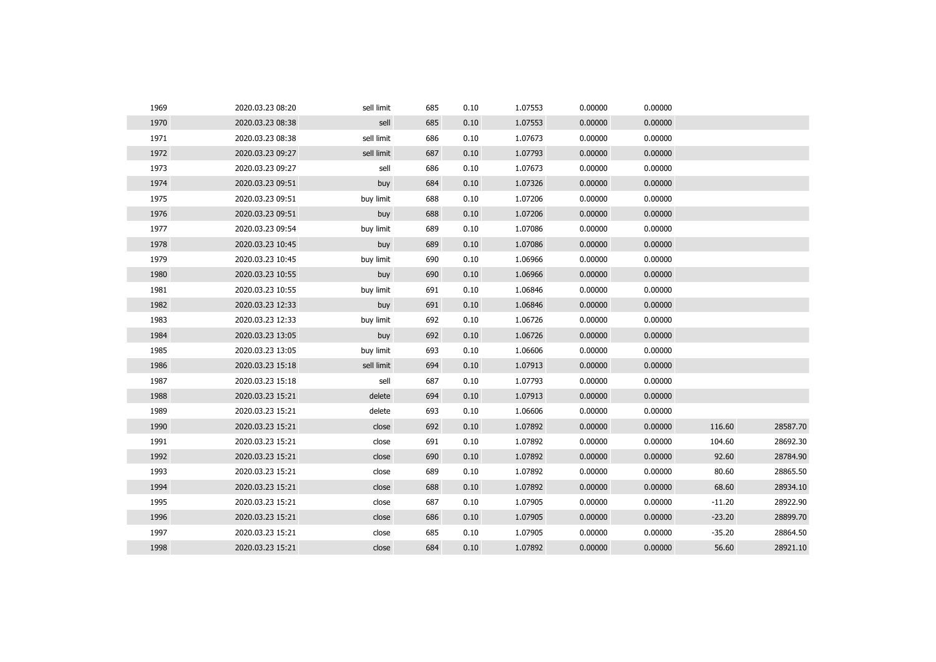| 1969 | 2020.03.23 08:20 | sell limit | 685 | 0.10 | 1.07553 | 0.00000 | 0.00000 |          |          |
|------|------------------|------------|-----|------|---------|---------|---------|----------|----------|
| 1970 | 2020.03.23 08:38 | sell       | 685 | 0.10 | 1.07553 | 0.00000 | 0.00000 |          |          |
| 1971 | 2020.03.23 08:38 | sell limit | 686 | 0.10 | 1.07673 | 0.00000 | 0.00000 |          |          |
| 1972 | 2020.03.23 09:27 | sell limit | 687 | 0.10 | 1.07793 | 0.00000 | 0.00000 |          |          |
| 1973 | 2020.03.23 09:27 | sell       | 686 | 0.10 | 1.07673 | 0.00000 | 0.00000 |          |          |
| 1974 | 2020.03.23 09:51 | buy        | 684 | 0.10 | 1.07326 | 0.00000 | 0.00000 |          |          |
| 1975 | 2020.03.23 09:51 | buy limit  | 688 | 0.10 | 1.07206 | 0.00000 | 0.00000 |          |          |
| 1976 | 2020.03.23 09:51 | buy        | 688 | 0.10 | 1.07206 | 0.00000 | 0.00000 |          |          |
| 1977 | 2020.03.23 09:54 | buy limit  | 689 | 0.10 | 1.07086 | 0.00000 | 0.00000 |          |          |
| 1978 | 2020.03.23 10:45 | buy        | 689 | 0.10 | 1.07086 | 0.00000 | 0.00000 |          |          |
| 1979 | 2020.03.23 10:45 | buy limit  | 690 | 0.10 | 1.06966 | 0.00000 | 0.00000 |          |          |
| 1980 | 2020.03.23 10:55 | buy        | 690 | 0.10 | 1.06966 | 0.00000 | 0.00000 |          |          |
| 1981 | 2020.03.23 10:55 | buy limit  | 691 | 0.10 | 1.06846 | 0.00000 | 0.00000 |          |          |
| 1982 | 2020.03.23 12:33 | buy        | 691 | 0.10 | 1.06846 | 0.00000 | 0.00000 |          |          |
| 1983 | 2020.03.23 12:33 | buy limit  | 692 | 0.10 | 1.06726 | 0.00000 | 0.00000 |          |          |
| 1984 | 2020.03.23 13:05 | buy        | 692 | 0.10 | 1.06726 | 0.00000 | 0.00000 |          |          |
| 1985 | 2020.03.23 13:05 | buy limit  | 693 | 0.10 | 1.06606 | 0.00000 | 0.00000 |          |          |
| 1986 | 2020.03.23 15:18 | sell limit | 694 | 0.10 | 1.07913 | 0.00000 | 0.00000 |          |          |
| 1987 | 2020.03.23 15:18 | sell       | 687 | 0.10 | 1.07793 | 0.00000 | 0.00000 |          |          |
| 1988 | 2020.03.23 15:21 | delete     | 694 | 0.10 | 1.07913 | 0.00000 | 0.00000 |          |          |
| 1989 | 2020.03.23 15:21 | delete     | 693 | 0.10 | 1.06606 | 0.00000 | 0.00000 |          |          |
| 1990 | 2020.03.23 15:21 | close      | 692 | 0.10 | 1.07892 | 0.00000 | 0.00000 | 116.60   | 28587.70 |
| 1991 | 2020.03.23 15:21 | close      | 691 | 0.10 | 1.07892 | 0.00000 | 0.00000 | 104.60   | 28692.30 |
| 1992 | 2020.03.23 15:21 | close      | 690 | 0.10 | 1.07892 | 0.00000 | 0.00000 | 92.60    | 28784.90 |
| 1993 | 2020.03.23 15:21 | close      | 689 | 0.10 | 1.07892 | 0.00000 | 0.00000 | 80.60    | 28865.50 |
| 1994 | 2020.03.23 15:21 | close      | 688 | 0.10 | 1.07892 | 0.00000 | 0.00000 | 68.60    | 28934.10 |
| 1995 | 2020.03.23 15:21 | close      | 687 | 0.10 | 1.07905 | 0.00000 | 0.00000 | $-11.20$ | 28922.90 |
| 1996 | 2020.03.23 15:21 | close      | 686 | 0.10 | 1.07905 | 0.00000 | 0.00000 | $-23.20$ | 28899.70 |
| 1997 | 2020.03.23 15:21 | close      | 685 | 0.10 | 1.07905 | 0.00000 | 0.00000 | $-35.20$ | 28864.50 |
| 1998 | 2020.03.23 15:21 | close      | 684 | 0.10 | 1.07892 | 0.00000 | 0.00000 | 56.60    | 28921.10 |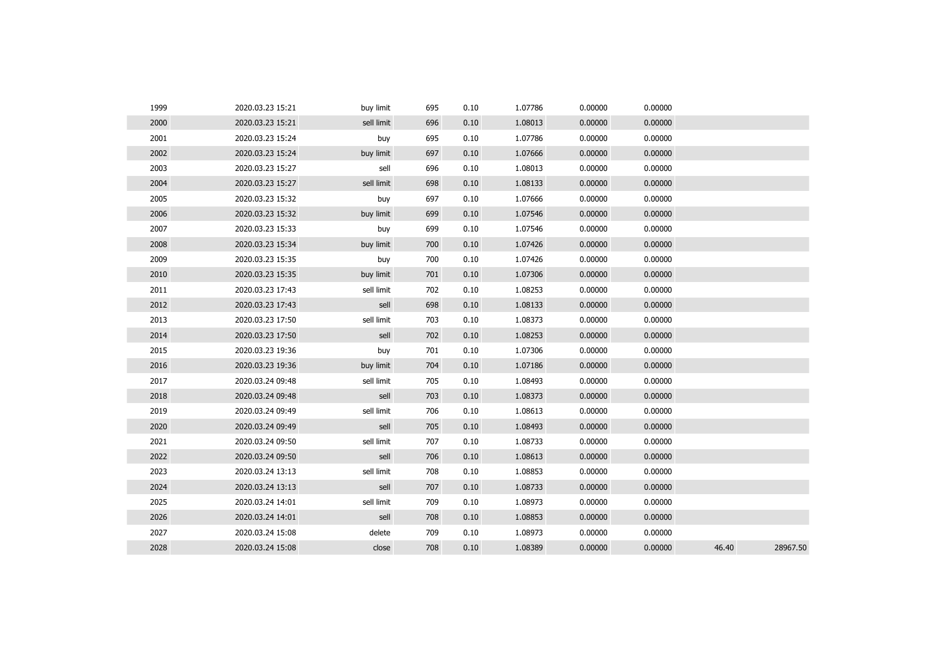| 1999 | 2020.03.23 15:21 | buy limit  | 695 | 0.10 | 1.07786 | 0.00000 | 0.00000 |       |          |
|------|------------------|------------|-----|------|---------|---------|---------|-------|----------|
| 2000 | 2020.03.23 15:21 | sell limit | 696 | 0.10 | 1.08013 | 0.00000 | 0.00000 |       |          |
| 2001 | 2020.03.23 15:24 | buy        | 695 | 0.10 | 1.07786 | 0.00000 | 0.00000 |       |          |
| 2002 | 2020.03.23 15:24 | buy limit  | 697 | 0.10 | 1.07666 | 0.00000 | 0.00000 |       |          |
| 2003 | 2020.03.23 15:27 | sell       | 696 | 0.10 | 1.08013 | 0.00000 | 0.00000 |       |          |
| 2004 | 2020.03.23 15:27 | sell limit | 698 | 0.10 | 1.08133 | 0.00000 | 0.00000 |       |          |
| 2005 | 2020.03.23 15:32 | buy        | 697 | 0.10 | 1.07666 | 0.00000 | 0.00000 |       |          |
| 2006 | 2020.03.23 15:32 | buy limit  | 699 | 0.10 | 1.07546 | 0.00000 | 0.00000 |       |          |
| 2007 | 2020.03.23 15:33 | buy        | 699 | 0.10 | 1.07546 | 0.00000 | 0.00000 |       |          |
| 2008 | 2020.03.23 15:34 | buy limit  | 700 | 0.10 | 1.07426 | 0.00000 | 0.00000 |       |          |
| 2009 | 2020.03.23 15:35 | buy        | 700 | 0.10 | 1.07426 | 0.00000 | 0.00000 |       |          |
| 2010 | 2020.03.23 15:35 | buy limit  | 701 | 0.10 | 1.07306 | 0.00000 | 0.00000 |       |          |
| 2011 | 2020.03.23 17:43 | sell limit | 702 | 0.10 | 1.08253 | 0.00000 | 0.00000 |       |          |
| 2012 | 2020.03.23 17:43 | sell       | 698 | 0.10 | 1.08133 | 0.00000 | 0.00000 |       |          |
| 2013 | 2020.03.23 17:50 | sell limit | 703 | 0.10 | 1.08373 | 0.00000 | 0.00000 |       |          |
| 2014 | 2020.03.23 17:50 | sell       | 702 | 0.10 | 1.08253 | 0.00000 | 0.00000 |       |          |
| 2015 | 2020.03.23 19:36 | buy        | 701 | 0.10 | 1.07306 | 0.00000 | 0.00000 |       |          |
| 2016 | 2020.03.23 19:36 | buy limit  | 704 | 0.10 | 1.07186 | 0.00000 | 0.00000 |       |          |
| 2017 | 2020.03.24 09:48 | sell limit | 705 | 0.10 | 1.08493 | 0.00000 | 0.00000 |       |          |
| 2018 | 2020.03.24 09:48 | sell       | 703 | 0.10 | 1.08373 | 0.00000 | 0.00000 |       |          |
| 2019 | 2020.03.24 09:49 | sell limit | 706 | 0.10 | 1.08613 | 0.00000 | 0.00000 |       |          |
| 2020 | 2020.03.24 09:49 | sell       | 705 | 0.10 | 1.08493 | 0.00000 | 0.00000 |       |          |
| 2021 | 2020.03.24 09:50 | sell limit | 707 | 0.10 | 1.08733 | 0.00000 | 0.00000 |       |          |
| 2022 | 2020.03.24 09:50 | sell       | 706 | 0.10 | 1.08613 | 0.00000 | 0.00000 |       |          |
| 2023 | 2020.03.24 13:13 | sell limit | 708 | 0.10 | 1.08853 | 0.00000 | 0.00000 |       |          |
| 2024 | 2020.03.24 13:13 | sell       | 707 | 0.10 | 1.08733 | 0.00000 | 0.00000 |       |          |
| 2025 | 2020.03.24 14:01 | sell limit | 709 | 0.10 | 1.08973 | 0.00000 | 0.00000 |       |          |
| 2026 | 2020.03.24 14:01 | sell       | 708 | 0.10 | 1.08853 | 0.00000 | 0.00000 |       |          |
| 2027 | 2020.03.24 15:08 | delete     | 709 | 0.10 | 1.08973 | 0.00000 | 0.00000 |       |          |
| 2028 | 2020.03.24 15:08 | close      | 708 | 0.10 | 1.08389 | 0.00000 | 0.00000 | 46.40 | 28967.50 |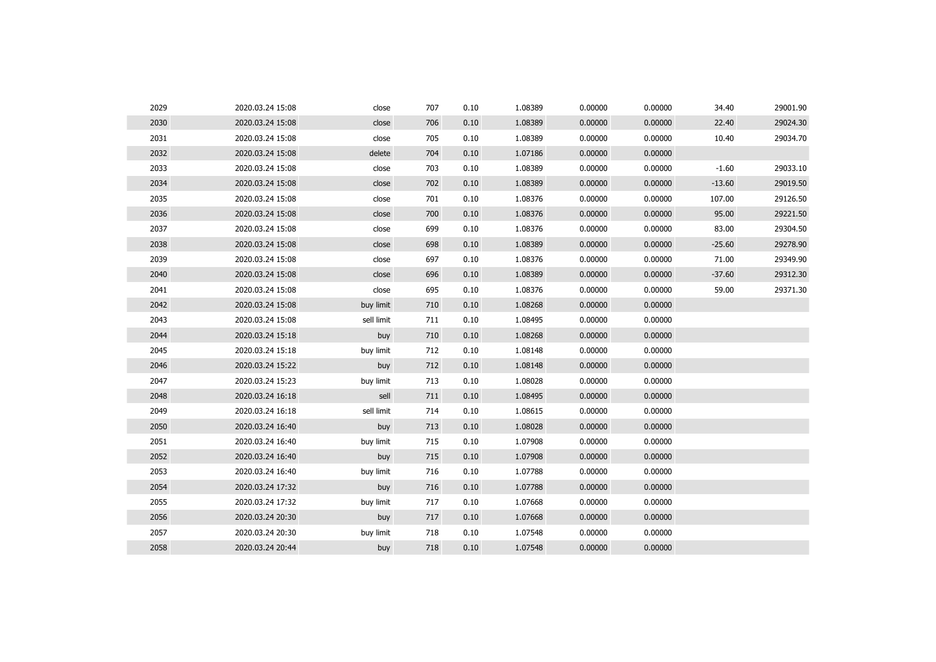| 2029 | 2020.03.24 15:08 | close      | 707 | 0.10 | 1.08389 | 0.00000 | 0.00000 | 34.40    | 29001.90 |
|------|------------------|------------|-----|------|---------|---------|---------|----------|----------|
| 2030 | 2020.03.24 15:08 | close      | 706 | 0.10 | 1.08389 | 0.00000 | 0.00000 | 22.40    | 29024.30 |
| 2031 | 2020.03.24 15:08 | close      | 705 | 0.10 | 1.08389 | 0.00000 | 0.00000 | 10.40    | 29034.70 |
| 2032 | 2020.03.24 15:08 | delete     | 704 | 0.10 | 1.07186 | 0.00000 | 0.00000 |          |          |
| 2033 | 2020.03.24 15:08 | close      | 703 | 0.10 | 1.08389 | 0.00000 | 0.00000 | $-1.60$  | 29033.10 |
| 2034 | 2020.03.24 15:08 | close      | 702 | 0.10 | 1.08389 | 0.00000 | 0.00000 | $-13.60$ | 29019.50 |
| 2035 | 2020.03.24 15:08 | close      | 701 | 0.10 | 1.08376 | 0.00000 | 0.00000 | 107.00   | 29126.50 |
| 2036 | 2020.03.24 15:08 | close      | 700 | 0.10 | 1.08376 | 0.00000 | 0.00000 | 95.00    | 29221.50 |
| 2037 | 2020.03.24 15:08 | close      | 699 | 0.10 | 1.08376 | 0.00000 | 0.00000 | 83.00    | 29304.50 |
| 2038 | 2020.03.24 15:08 | close      | 698 | 0.10 | 1.08389 | 0.00000 | 0.00000 | $-25.60$ | 29278.90 |
| 2039 | 2020.03.24 15:08 | close      | 697 | 0.10 | 1.08376 | 0.00000 | 0.00000 | 71.00    | 29349.90 |
| 2040 | 2020.03.24 15:08 | close      | 696 | 0.10 | 1.08389 | 0.00000 | 0.00000 | $-37.60$ | 29312.30 |
| 2041 | 2020.03.24 15:08 | close      | 695 | 0.10 | 1.08376 | 0.00000 | 0.00000 | 59.00    | 29371.30 |
| 2042 | 2020.03.24 15:08 | buy limit  | 710 | 0.10 | 1.08268 | 0.00000 | 0.00000 |          |          |
| 2043 | 2020.03.24 15:08 | sell limit | 711 | 0.10 | 1.08495 | 0.00000 | 0.00000 |          |          |
| 2044 | 2020.03.24 15:18 | buy        | 710 | 0.10 | 1.08268 | 0.00000 | 0.00000 |          |          |
| 2045 | 2020.03.24 15:18 | buy limit  | 712 | 0.10 | 1.08148 | 0.00000 | 0.00000 |          |          |
| 2046 | 2020.03.24 15:22 | buy        | 712 | 0.10 | 1.08148 | 0.00000 | 0.00000 |          |          |
| 2047 | 2020.03.24 15:23 | buy limit  | 713 | 0.10 | 1.08028 | 0.00000 | 0.00000 |          |          |
| 2048 | 2020.03.24 16:18 | sell       | 711 | 0.10 | 1.08495 | 0.00000 | 0.00000 |          |          |
| 2049 | 2020.03.24 16:18 | sell limit | 714 | 0.10 | 1.08615 | 0.00000 | 0.00000 |          |          |
| 2050 | 2020.03.24 16:40 | buy        | 713 | 0.10 | 1.08028 | 0.00000 | 0.00000 |          |          |
| 2051 | 2020.03.24 16:40 | buy limit  | 715 | 0.10 | 1.07908 | 0.00000 | 0.00000 |          |          |
| 2052 | 2020.03.24 16:40 | buy        | 715 | 0.10 | 1.07908 | 0.00000 | 0.00000 |          |          |
| 2053 | 2020.03.24 16:40 | buy limit  | 716 | 0.10 | 1.07788 | 0.00000 | 0.00000 |          |          |
| 2054 | 2020.03.24 17:32 | buy        | 716 | 0.10 | 1.07788 | 0.00000 | 0.00000 |          |          |
| 2055 | 2020.03.24 17:32 | buy limit  | 717 | 0.10 | 1.07668 | 0.00000 | 0.00000 |          |          |
| 2056 | 2020.03.24 20:30 | buy        | 717 | 0.10 | 1.07668 | 0.00000 | 0.00000 |          |          |
| 2057 | 2020.03.24 20:30 | buy limit  | 718 | 0.10 | 1.07548 | 0.00000 | 0.00000 |          |          |
| 2058 | 2020.03.24 20:44 | buy        | 718 | 0.10 | 1.07548 | 0.00000 | 0.00000 |          |          |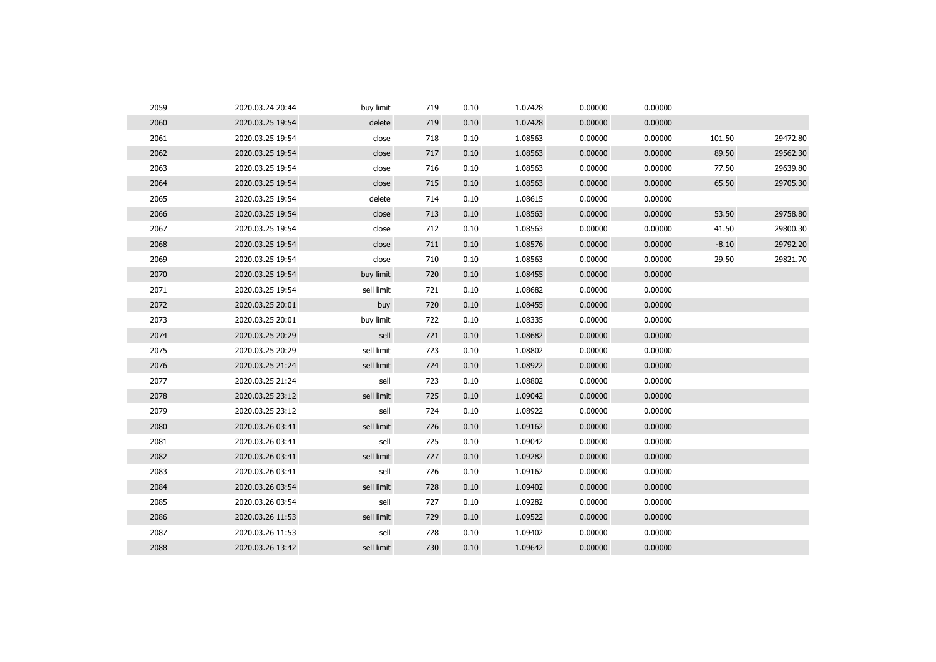| 2059 | 2020.03.24 20:44 | buy limit  | 719 | 0.10 | 1.07428 | 0.00000 | 0.00000 |         |          |
|------|------------------|------------|-----|------|---------|---------|---------|---------|----------|
| 2060 | 2020.03.25 19:54 | delete     | 719 | 0.10 | 1.07428 | 0.00000 | 0.00000 |         |          |
| 2061 | 2020.03.25 19:54 | close      | 718 | 0.10 | 1.08563 | 0.00000 | 0.00000 | 101.50  | 29472.80 |
| 2062 | 2020.03.25 19:54 | close      | 717 | 0.10 | 1.08563 | 0.00000 | 0.00000 | 89.50   | 29562.30 |
| 2063 | 2020.03.25 19:54 | close      | 716 | 0.10 | 1.08563 | 0.00000 | 0.00000 | 77.50   | 29639.80 |
| 2064 | 2020.03.25 19:54 | close      | 715 | 0.10 | 1.08563 | 0.00000 | 0.00000 | 65.50   | 29705.30 |
| 2065 | 2020.03.25 19:54 | delete     | 714 | 0.10 | 1.08615 | 0.00000 | 0.00000 |         |          |
| 2066 | 2020.03.25 19:54 | close      | 713 | 0.10 | 1.08563 | 0.00000 | 0.00000 | 53.50   | 29758.80 |
| 2067 | 2020.03.25 19:54 | close      | 712 | 0.10 | 1.08563 | 0.00000 | 0.00000 | 41.50   | 29800.30 |
| 2068 | 2020.03.25 19:54 | close      | 711 | 0.10 | 1.08576 | 0.00000 | 0.00000 | $-8.10$ | 29792.20 |
| 2069 | 2020.03.25 19:54 | close      | 710 | 0.10 | 1.08563 | 0.00000 | 0.00000 | 29.50   | 29821.70 |
| 2070 | 2020.03.25 19:54 | buy limit  | 720 | 0.10 | 1.08455 | 0.00000 | 0.00000 |         |          |
| 2071 | 2020.03.25 19:54 | sell limit | 721 | 0.10 | 1.08682 | 0.00000 | 0.00000 |         |          |
| 2072 | 2020.03.25 20:01 | buy        | 720 | 0.10 | 1.08455 | 0.00000 | 0.00000 |         |          |
| 2073 | 2020.03.25 20:01 | buy limit  | 722 | 0.10 | 1.08335 | 0.00000 | 0.00000 |         |          |
| 2074 | 2020.03.25 20:29 | sell       | 721 | 0.10 | 1.08682 | 0.00000 | 0.00000 |         |          |
| 2075 | 2020.03.25 20:29 | sell limit | 723 | 0.10 | 1.08802 | 0.00000 | 0.00000 |         |          |
| 2076 | 2020.03.25 21:24 | sell limit | 724 | 0.10 | 1.08922 | 0.00000 | 0.00000 |         |          |
| 2077 | 2020.03.25 21:24 | sell       | 723 | 0.10 | 1.08802 | 0.00000 | 0.00000 |         |          |
| 2078 | 2020.03.25 23:12 | sell limit | 725 | 0.10 | 1.09042 | 0.00000 | 0.00000 |         |          |
| 2079 | 2020.03.25 23:12 | sell       | 724 | 0.10 | 1.08922 | 0.00000 | 0.00000 |         |          |
| 2080 | 2020.03.26 03:41 | sell limit | 726 | 0.10 | 1.09162 | 0.00000 | 0.00000 |         |          |
| 2081 | 2020.03.26 03:41 | sell       | 725 | 0.10 | 1.09042 | 0.00000 | 0.00000 |         |          |
| 2082 | 2020.03.26 03:41 | sell limit | 727 | 0.10 | 1.09282 | 0.00000 | 0.00000 |         |          |
| 2083 | 2020.03.26 03:41 | sell       | 726 | 0.10 | 1.09162 | 0.00000 | 0.00000 |         |          |
| 2084 | 2020.03.26 03:54 | sell limit | 728 | 0.10 | 1.09402 | 0.00000 | 0.00000 |         |          |
| 2085 | 2020.03.26 03:54 | sell       | 727 | 0.10 | 1.09282 | 0.00000 | 0.00000 |         |          |
| 2086 | 2020.03.26 11:53 | sell limit | 729 | 0.10 | 1.09522 | 0.00000 | 0.00000 |         |          |
| 2087 | 2020.03.26 11:53 | sell       | 728 | 0.10 | 1.09402 | 0.00000 | 0.00000 |         |          |
| 2088 | 2020.03.26 13:42 | sell limit | 730 | 0.10 | 1.09642 | 0.00000 | 0.00000 |         |          |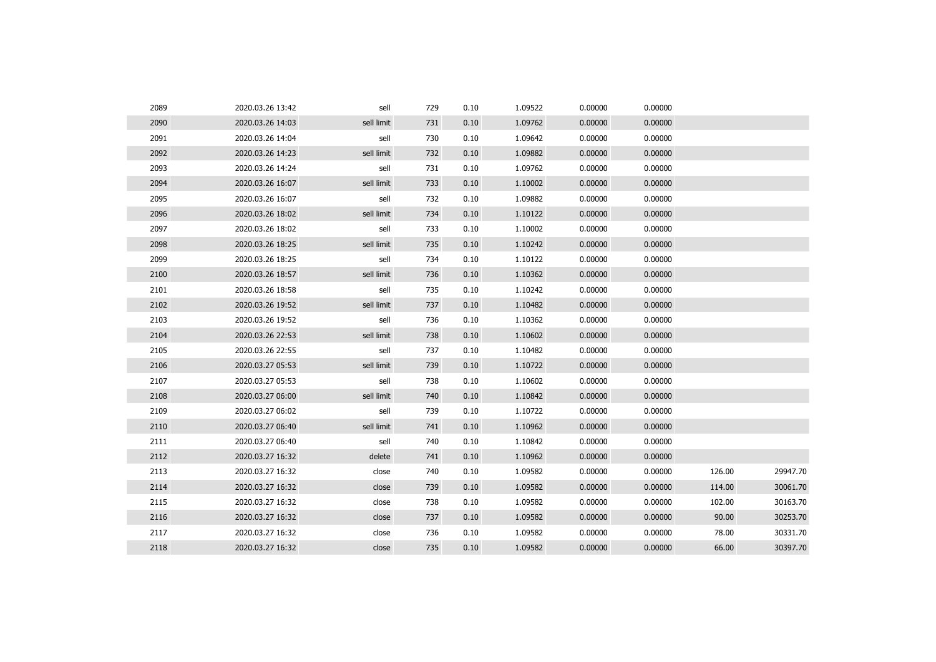| 2089 | 2020.03.26 13:42 | sell       | 729 | 0.10 | 1.09522 | 0.00000 | 0.00000 |        |          |
|------|------------------|------------|-----|------|---------|---------|---------|--------|----------|
| 2090 | 2020.03.26 14:03 | sell limit | 731 | 0.10 | 1.09762 | 0.00000 | 0.00000 |        |          |
| 2091 | 2020.03.26 14:04 | sell       | 730 | 0.10 | 1.09642 | 0.00000 | 0.00000 |        |          |
| 2092 | 2020.03.26 14:23 | sell limit | 732 | 0.10 | 1.09882 | 0.00000 | 0.00000 |        |          |
| 2093 | 2020.03.26 14:24 | sell       | 731 | 0.10 | 1.09762 | 0.00000 | 0.00000 |        |          |
| 2094 | 2020.03.26 16:07 | sell limit | 733 | 0.10 | 1.10002 | 0.00000 | 0.00000 |        |          |
| 2095 | 2020.03.26 16:07 | sell       | 732 | 0.10 | 1.09882 | 0.00000 | 0.00000 |        |          |
| 2096 | 2020.03.26 18:02 | sell limit | 734 | 0.10 | 1.10122 | 0.00000 | 0.00000 |        |          |
| 2097 | 2020.03.26 18:02 | sell       | 733 | 0.10 | 1.10002 | 0.00000 | 0.00000 |        |          |
| 2098 | 2020.03.26 18:25 | sell limit | 735 | 0.10 | 1.10242 | 0.00000 | 0.00000 |        |          |
| 2099 | 2020.03.26 18:25 | sell       | 734 | 0.10 | 1.10122 | 0.00000 | 0.00000 |        |          |
| 2100 | 2020.03.26 18:57 | sell limit | 736 | 0.10 | 1.10362 | 0.00000 | 0.00000 |        |          |
| 2101 | 2020.03.26 18:58 | sell       | 735 | 0.10 | 1.10242 | 0.00000 | 0.00000 |        |          |
| 2102 | 2020.03.26 19:52 | sell limit | 737 | 0.10 | 1.10482 | 0.00000 | 0.00000 |        |          |
| 2103 | 2020.03.26 19:52 | sell       | 736 | 0.10 | 1.10362 | 0.00000 | 0.00000 |        |          |
| 2104 | 2020.03.26 22:53 | sell limit | 738 | 0.10 | 1.10602 | 0.00000 | 0.00000 |        |          |
| 2105 | 2020.03.26 22:55 | sell       | 737 | 0.10 | 1.10482 | 0.00000 | 0.00000 |        |          |
| 2106 | 2020.03.27 05:53 | sell limit | 739 | 0.10 | 1.10722 | 0.00000 | 0.00000 |        |          |
| 2107 | 2020.03.27 05:53 | sell       | 738 | 0.10 | 1.10602 | 0.00000 | 0.00000 |        |          |
| 2108 | 2020.03.27 06:00 | sell limit | 740 | 0.10 | 1.10842 | 0.00000 | 0.00000 |        |          |
| 2109 | 2020.03.27 06:02 | sell       | 739 | 0.10 | 1.10722 | 0.00000 | 0.00000 |        |          |
| 2110 | 2020.03.27 06:40 | sell limit | 741 | 0.10 | 1.10962 | 0.00000 | 0.00000 |        |          |
| 2111 | 2020.03.27 06:40 | sell       | 740 | 0.10 | 1.10842 | 0.00000 | 0.00000 |        |          |
| 2112 | 2020.03.27 16:32 | delete     | 741 | 0.10 | 1.10962 | 0.00000 | 0.00000 |        |          |
| 2113 | 2020.03.27 16:32 | close      | 740 | 0.10 | 1.09582 | 0.00000 | 0.00000 | 126.00 | 29947.70 |
| 2114 | 2020.03.27 16:32 | close      | 739 | 0.10 | 1.09582 | 0.00000 | 0.00000 | 114.00 | 30061.70 |
| 2115 | 2020.03.27 16:32 | close      | 738 | 0.10 | 1.09582 | 0.00000 | 0.00000 | 102.00 | 30163.70 |
| 2116 | 2020.03.27 16:32 | close      | 737 | 0.10 | 1.09582 | 0.00000 | 0.00000 | 90.00  | 30253.70 |
| 2117 | 2020.03.27 16:32 | close      | 736 | 0.10 | 1.09582 | 0.00000 | 0.00000 | 78.00  | 30331.70 |
| 2118 | 2020.03.27 16:32 | close      | 735 | 0.10 | 1.09582 | 0.00000 | 0.00000 | 66.00  | 30397.70 |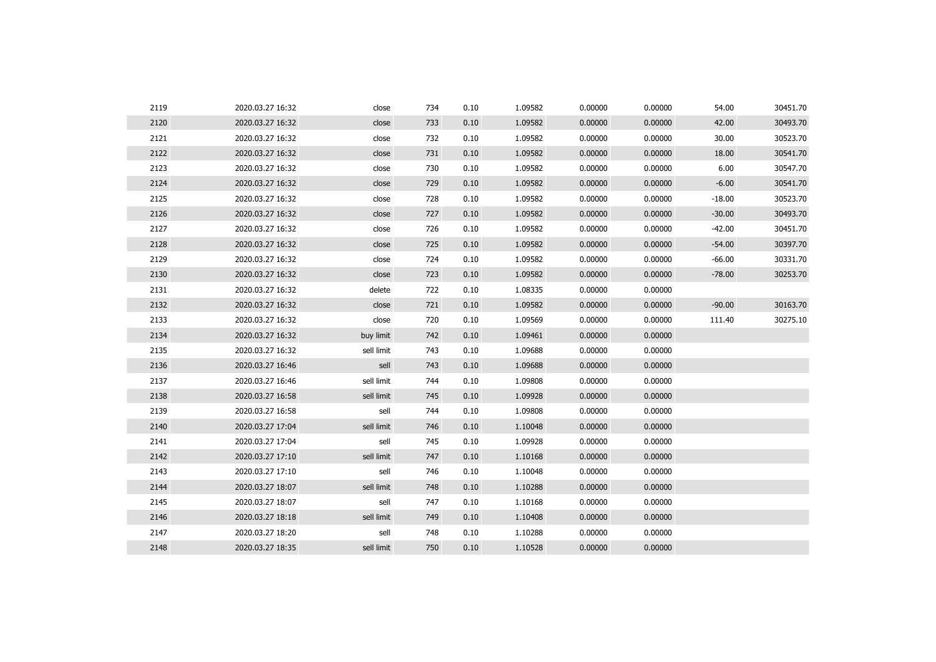| 2119 | 2020.03.27 16:32 | close      | 734 | 0.10 | 1.09582 | 0.00000 | 0.00000 | 54.00    | 30451.70 |
|------|------------------|------------|-----|------|---------|---------|---------|----------|----------|
| 2120 | 2020.03.27 16:32 | close      | 733 | 0.10 | 1.09582 | 0.00000 | 0.00000 | 42.00    | 30493.70 |
| 2121 | 2020.03.27 16:32 | close      | 732 | 0.10 | 1.09582 | 0.00000 | 0.00000 | 30.00    | 30523.70 |
| 2122 | 2020.03.27 16:32 | close      | 731 | 0.10 | 1.09582 | 0.00000 | 0.00000 | 18.00    | 30541.70 |
| 2123 | 2020.03.27 16:32 | close      | 730 | 0.10 | 1.09582 | 0.00000 | 0.00000 | 6.00     | 30547.70 |
| 2124 | 2020.03.27 16:32 | close      | 729 | 0.10 | 1.09582 | 0.00000 | 0.00000 | $-6.00$  | 30541.70 |
| 2125 | 2020.03.27 16:32 | close      | 728 | 0.10 | 1.09582 | 0.00000 | 0.00000 | $-18.00$ | 30523.70 |
| 2126 | 2020.03.27 16:32 | close      | 727 | 0.10 | 1.09582 | 0.00000 | 0.00000 | $-30.00$ | 30493.70 |
| 2127 | 2020.03.27 16:32 | close      | 726 | 0.10 | 1.09582 | 0.00000 | 0.00000 | $-42.00$ | 30451.70 |
| 2128 | 2020.03.27 16:32 | close      | 725 | 0.10 | 1.09582 | 0.00000 | 0.00000 | $-54.00$ | 30397.70 |
| 2129 | 2020.03.27 16:32 | close      | 724 | 0.10 | 1.09582 | 0.00000 | 0.00000 | $-66.00$ | 30331.70 |
| 2130 | 2020.03.27 16:32 | close      | 723 | 0.10 | 1.09582 | 0.00000 | 0.00000 | $-78.00$ | 30253.70 |
| 2131 | 2020.03.27 16:32 | delete     | 722 | 0.10 | 1.08335 | 0.00000 | 0.00000 |          |          |
| 2132 | 2020.03.27 16:32 | close      | 721 | 0.10 | 1.09582 | 0.00000 | 0.00000 | $-90.00$ | 30163.70 |
| 2133 | 2020.03.27 16:32 | close      | 720 | 0.10 | 1.09569 | 0.00000 | 0.00000 | 111.40   | 30275.10 |
| 2134 | 2020.03.27 16:32 | buy limit  | 742 | 0.10 | 1.09461 | 0.00000 | 0.00000 |          |          |
| 2135 | 2020.03.27 16:32 | sell limit | 743 | 0.10 | 1.09688 | 0.00000 | 0.00000 |          |          |
| 2136 | 2020.03.27 16:46 | sell       | 743 | 0.10 | 1.09688 | 0.00000 | 0.00000 |          |          |
| 2137 | 2020.03.27 16:46 | sell limit | 744 | 0.10 | 1.09808 | 0.00000 | 0.00000 |          |          |
| 2138 | 2020.03.27 16:58 | sell limit | 745 | 0.10 | 1.09928 | 0.00000 | 0.00000 |          |          |
| 2139 | 2020.03.27 16:58 | sell       | 744 | 0.10 | 1.09808 | 0.00000 | 0.00000 |          |          |
| 2140 | 2020.03.27 17:04 | sell limit | 746 | 0.10 | 1.10048 | 0.00000 | 0.00000 |          |          |
| 2141 | 2020.03.27 17:04 | sell       | 745 | 0.10 | 1.09928 | 0.00000 | 0.00000 |          |          |
| 2142 | 2020.03.27 17:10 | sell limit | 747 | 0.10 | 1.10168 | 0.00000 | 0.00000 |          |          |
| 2143 | 2020.03.27 17:10 | sell       | 746 | 0.10 | 1.10048 | 0.00000 | 0.00000 |          |          |
| 2144 | 2020.03.27 18:07 | sell limit | 748 | 0.10 | 1.10288 | 0.00000 | 0.00000 |          |          |
| 2145 | 2020.03.27 18:07 | sell       | 747 | 0.10 | 1.10168 | 0.00000 | 0.00000 |          |          |
| 2146 | 2020.03.27 18:18 | sell limit | 749 | 0.10 | 1.10408 | 0.00000 | 0.00000 |          |          |
| 2147 | 2020.03.27 18:20 | sell       | 748 | 0.10 | 1.10288 | 0.00000 | 0.00000 |          |          |
| 2148 | 2020.03.27 18:35 | sell limit | 750 | 0.10 | 1.10528 | 0.00000 | 0.00000 |          |          |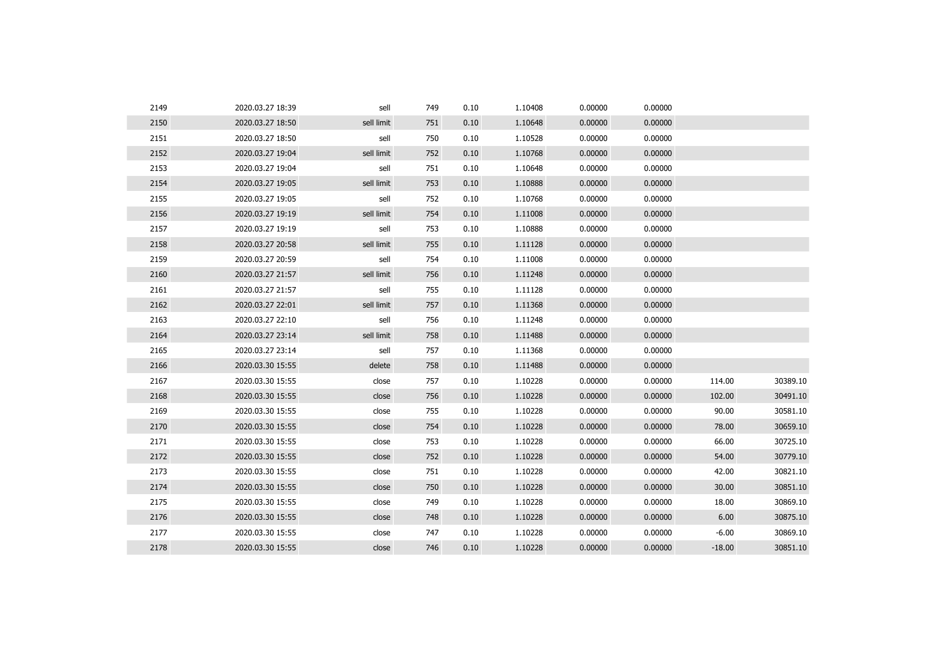| 2149 | 2020.03.27 18:39 | sell       | 749 | 0.10 | 1.10408 | 0.00000 | 0.00000 |          |          |
|------|------------------|------------|-----|------|---------|---------|---------|----------|----------|
| 2150 | 2020.03.27 18:50 | sell limit | 751 | 0.10 | 1.10648 | 0.00000 | 0.00000 |          |          |
| 2151 | 2020.03.27 18:50 | sell       | 750 | 0.10 | 1.10528 | 0.00000 | 0.00000 |          |          |
| 2152 | 2020.03.27 19:04 | sell limit | 752 | 0.10 | 1.10768 | 0.00000 | 0.00000 |          |          |
| 2153 | 2020.03.27 19:04 | sell       | 751 | 0.10 | 1.10648 | 0.00000 | 0.00000 |          |          |
| 2154 | 2020.03.27 19:05 | sell limit | 753 | 0.10 | 1.10888 | 0.00000 | 0.00000 |          |          |
| 2155 | 2020.03.27 19:05 | sell       | 752 | 0.10 | 1.10768 | 0.00000 | 0.00000 |          |          |
| 2156 | 2020.03.27 19:19 | sell limit | 754 | 0.10 | 1.11008 | 0.00000 | 0.00000 |          |          |
| 2157 | 2020.03.27 19:19 | sell       | 753 | 0.10 | 1.10888 | 0.00000 | 0.00000 |          |          |
| 2158 | 2020.03.27 20:58 | sell limit | 755 | 0.10 | 1.11128 | 0.00000 | 0.00000 |          |          |
| 2159 | 2020.03.27 20:59 | sell       | 754 | 0.10 | 1.11008 | 0.00000 | 0.00000 |          |          |
| 2160 | 2020.03.27 21:57 | sell limit | 756 | 0.10 | 1.11248 | 0.00000 | 0.00000 |          |          |
| 2161 | 2020.03.27 21:57 | sell       | 755 | 0.10 | 1.11128 | 0.00000 | 0.00000 |          |          |
| 2162 | 2020.03.27 22:01 | sell limit | 757 | 0.10 | 1.11368 | 0.00000 | 0.00000 |          |          |
| 2163 | 2020.03.27 22:10 | sell       | 756 | 0.10 | 1.11248 | 0.00000 | 0.00000 |          |          |
| 2164 | 2020.03.27 23:14 | sell limit | 758 | 0.10 | 1.11488 | 0.00000 | 0.00000 |          |          |
| 2165 | 2020.03.27 23:14 | sell       | 757 | 0.10 | 1.11368 | 0.00000 | 0.00000 |          |          |
| 2166 | 2020.03.30 15:55 | delete     | 758 | 0.10 | 1.11488 | 0.00000 | 0.00000 |          |          |
| 2167 | 2020.03.30 15:55 | close      | 757 | 0.10 | 1.10228 | 0.00000 | 0.00000 | 114.00   | 30389.10 |
| 2168 | 2020.03.30 15:55 | close      | 756 | 0.10 | 1.10228 | 0.00000 | 0.00000 | 102.00   | 30491.10 |
| 2169 | 2020.03.30 15:55 | close      | 755 | 0.10 | 1.10228 | 0.00000 | 0.00000 | 90.00    | 30581.10 |
| 2170 | 2020.03.30 15:55 | close      | 754 | 0.10 | 1.10228 | 0.00000 | 0.00000 | 78.00    | 30659.10 |
| 2171 | 2020.03.30 15:55 | close      | 753 | 0.10 | 1.10228 | 0.00000 | 0.00000 | 66.00    | 30725.10 |
| 2172 | 2020.03.30 15:55 | close      | 752 | 0.10 | 1.10228 | 0.00000 | 0.00000 | 54.00    | 30779.10 |
| 2173 | 2020.03.30 15:55 | close      | 751 | 0.10 | 1.10228 | 0.00000 | 0.00000 | 42.00    | 30821.10 |
| 2174 | 2020.03.30 15:55 | close      | 750 | 0.10 | 1.10228 | 0.00000 | 0.00000 | 30.00    | 30851.10 |
| 2175 | 2020.03.30 15:55 | close      | 749 | 0.10 | 1.10228 | 0.00000 | 0.00000 | 18.00    | 30869.10 |
| 2176 | 2020.03.30 15:55 | close      | 748 | 0.10 | 1.10228 | 0.00000 | 0.00000 | 6.00     | 30875.10 |
| 2177 | 2020.03.30 15:55 | close      | 747 | 0.10 | 1.10228 | 0.00000 | 0.00000 | $-6.00$  | 30869.10 |
| 2178 | 2020.03.30 15:55 | close      | 746 | 0.10 | 1.10228 | 0.00000 | 0.00000 | $-18.00$ | 30851.10 |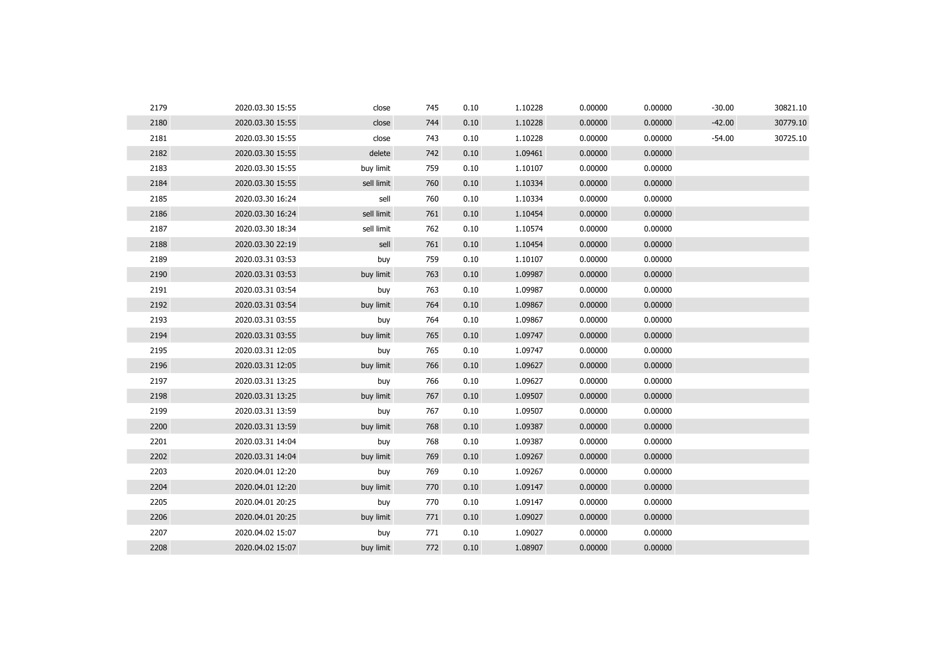| 2179 | 2020.03.30 15:55 | close      | 745 | 0.10 | 1.10228 | 0.00000 | 0.00000 | $-30.00$ | 30821.10 |
|------|------------------|------------|-----|------|---------|---------|---------|----------|----------|
| 2180 | 2020.03.30 15:55 | close      | 744 | 0.10 | 1.10228 | 0.00000 | 0.00000 | $-42.00$ | 30779.10 |
| 2181 | 2020.03.30 15:55 | close      | 743 | 0.10 | 1.10228 | 0.00000 | 0.00000 | $-54.00$ | 30725.10 |
| 2182 | 2020.03.30 15:55 | delete     | 742 | 0.10 | 1.09461 | 0.00000 | 0.00000 |          |          |
| 2183 | 2020.03.30 15:55 | buy limit  | 759 | 0.10 | 1.10107 | 0.00000 | 0.00000 |          |          |
| 2184 | 2020.03.30 15:55 | sell limit | 760 | 0.10 | 1.10334 | 0.00000 | 0.00000 |          |          |
| 2185 | 2020.03.30 16:24 | sell       | 760 | 0.10 | 1.10334 | 0.00000 | 0.00000 |          |          |
| 2186 | 2020.03.30 16:24 | sell limit | 761 | 0.10 | 1.10454 | 0.00000 | 0.00000 |          |          |
| 2187 | 2020.03.30 18:34 | sell limit | 762 | 0.10 | 1.10574 | 0.00000 | 0.00000 |          |          |
| 2188 | 2020.03.30 22:19 | sell       | 761 | 0.10 | 1.10454 | 0.00000 | 0.00000 |          |          |
| 2189 | 2020.03.31 03:53 | buy        | 759 | 0.10 | 1.10107 | 0.00000 | 0.00000 |          |          |
| 2190 | 2020.03.31 03:53 | buy limit  | 763 | 0.10 | 1.09987 | 0.00000 | 0.00000 |          |          |
| 2191 | 2020.03.31 03:54 | buy        | 763 | 0.10 | 1.09987 | 0.00000 | 0.00000 |          |          |
| 2192 | 2020.03.31 03:54 | buy limit  | 764 | 0.10 | 1.09867 | 0.00000 | 0.00000 |          |          |
| 2193 | 2020.03.31 03:55 | buy        | 764 | 0.10 | 1.09867 | 0.00000 | 0.00000 |          |          |
| 2194 | 2020.03.31 03:55 | buy limit  | 765 | 0.10 | 1.09747 | 0.00000 | 0.00000 |          |          |
| 2195 | 2020.03.31 12:05 | buy        | 765 | 0.10 | 1.09747 | 0.00000 | 0.00000 |          |          |
| 2196 | 2020.03.31 12:05 | buy limit  | 766 | 0.10 | 1.09627 | 0.00000 | 0.00000 |          |          |
| 2197 | 2020.03.31 13:25 | buy        | 766 | 0.10 | 1.09627 | 0.00000 | 0.00000 |          |          |
| 2198 | 2020.03.31 13:25 | buy limit  | 767 | 0.10 | 1.09507 | 0.00000 | 0.00000 |          |          |
| 2199 | 2020.03.31 13:59 | buy        | 767 | 0.10 | 1.09507 | 0.00000 | 0.00000 |          |          |
| 2200 | 2020.03.31 13:59 | buy limit  | 768 | 0.10 | 1.09387 | 0.00000 | 0.00000 |          |          |
| 2201 | 2020.03.31 14:04 | buy        | 768 | 0.10 | 1.09387 | 0.00000 | 0.00000 |          |          |
| 2202 | 2020.03.31 14:04 | buy limit  | 769 | 0.10 | 1.09267 | 0.00000 | 0.00000 |          |          |
| 2203 | 2020.04.01 12:20 | buy        | 769 | 0.10 | 1.09267 | 0.00000 | 0.00000 |          |          |
| 2204 | 2020.04.01 12:20 | buy limit  | 770 | 0.10 | 1.09147 | 0.00000 | 0.00000 |          |          |
| 2205 | 2020.04.01 20:25 | buy        | 770 | 0.10 | 1.09147 | 0.00000 | 0.00000 |          |          |
| 2206 | 2020.04.01 20:25 | buy limit  | 771 | 0.10 | 1.09027 | 0.00000 | 0.00000 |          |          |
| 2207 | 2020.04.02 15:07 | buy        | 771 | 0.10 | 1.09027 | 0.00000 | 0.00000 |          |          |
| 2208 | 2020.04.02 15:07 | buy limit  | 772 | 0.10 | 1.08907 | 0.00000 | 0.00000 |          |          |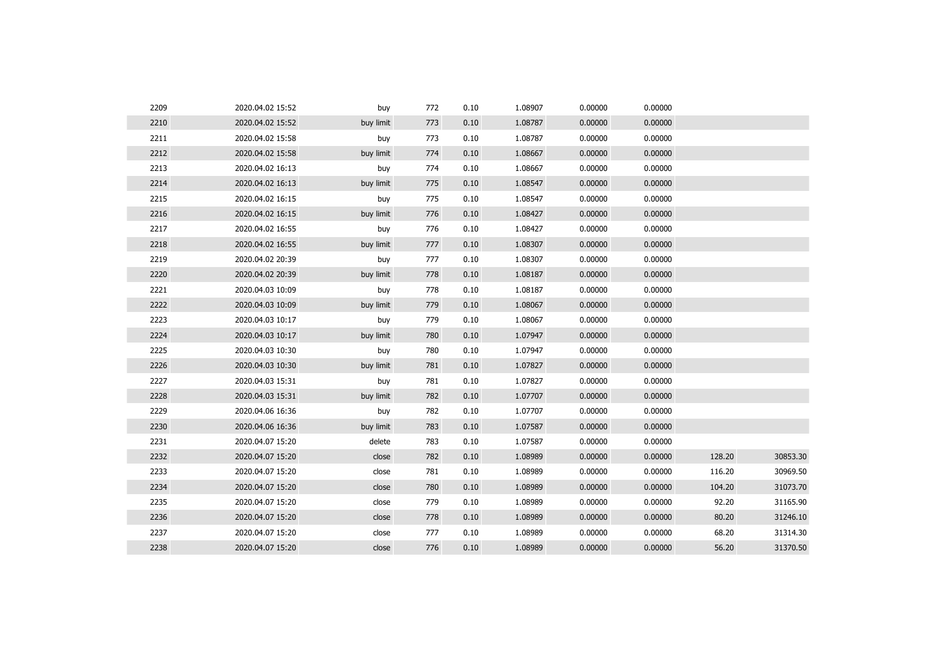| 2209 | 2020.04.02 15:52 | buy       | 772 | 0.10 | 1.08907 | 0.00000 | 0.00000 |        |          |
|------|------------------|-----------|-----|------|---------|---------|---------|--------|----------|
| 2210 | 2020.04.02 15:52 | buy limit | 773 | 0.10 | 1.08787 | 0.00000 | 0.00000 |        |          |
| 2211 | 2020.04.02 15:58 | buy       | 773 | 0.10 | 1.08787 | 0.00000 | 0.00000 |        |          |
| 2212 | 2020.04.02 15:58 | buy limit | 774 | 0.10 | 1.08667 | 0.00000 | 0.00000 |        |          |
| 2213 | 2020.04.02 16:13 | buy       | 774 | 0.10 | 1.08667 | 0.00000 | 0.00000 |        |          |
| 2214 | 2020.04.02 16:13 | buy limit | 775 | 0.10 | 1.08547 | 0.00000 | 0.00000 |        |          |
| 2215 | 2020.04.02 16:15 | buy       | 775 | 0.10 | 1.08547 | 0.00000 | 0.00000 |        |          |
| 2216 | 2020.04.02 16:15 | buy limit | 776 | 0.10 | 1.08427 | 0.00000 | 0.00000 |        |          |
| 2217 | 2020.04.02 16:55 | buy       | 776 | 0.10 | 1.08427 | 0.00000 | 0.00000 |        |          |
| 2218 | 2020.04.02 16:55 | buy limit | 777 | 0.10 | 1.08307 | 0.00000 | 0.00000 |        |          |
| 2219 | 2020.04.02 20:39 | buy       | 777 | 0.10 | 1.08307 | 0.00000 | 0.00000 |        |          |
| 2220 | 2020.04.02 20:39 | buy limit | 778 | 0.10 | 1.08187 | 0.00000 | 0.00000 |        |          |
| 2221 | 2020.04.03 10:09 | buy       | 778 | 0.10 | 1.08187 | 0.00000 | 0.00000 |        |          |
| 2222 | 2020.04.03 10:09 | buy limit | 779 | 0.10 | 1.08067 | 0.00000 | 0.00000 |        |          |
| 2223 | 2020.04.03 10:17 | buy       | 779 | 0.10 | 1.08067 | 0.00000 | 0.00000 |        |          |
| 2224 | 2020.04.03 10:17 | buy limit | 780 | 0.10 | 1.07947 | 0.00000 | 0.00000 |        |          |
| 2225 | 2020.04.03 10:30 | buy       | 780 | 0.10 | 1.07947 | 0.00000 | 0.00000 |        |          |
| 2226 | 2020.04.03 10:30 | buy limit | 781 | 0.10 | 1.07827 | 0.00000 | 0.00000 |        |          |
| 2227 | 2020.04.03 15:31 | buy       | 781 | 0.10 | 1.07827 | 0.00000 | 0.00000 |        |          |
| 2228 | 2020.04.03 15:31 | buy limit | 782 | 0.10 | 1.07707 | 0.00000 | 0.00000 |        |          |
| 2229 | 2020.04.06 16:36 | buy       | 782 | 0.10 | 1.07707 | 0.00000 | 0.00000 |        |          |
| 2230 | 2020.04.06 16:36 | buy limit | 783 | 0.10 | 1.07587 | 0.00000 | 0.00000 |        |          |
| 2231 | 2020.04.07 15:20 | delete    | 783 | 0.10 | 1.07587 | 0.00000 | 0.00000 |        |          |
| 2232 | 2020.04.07 15:20 | close     | 782 | 0.10 | 1.08989 | 0.00000 | 0.00000 | 128.20 | 30853.30 |
| 2233 | 2020.04.07 15:20 | close     | 781 | 0.10 | 1.08989 | 0.00000 | 0.00000 | 116.20 | 30969.50 |
| 2234 | 2020.04.07 15:20 | close     | 780 | 0.10 | 1.08989 | 0.00000 | 0.00000 | 104.20 | 31073.70 |
| 2235 | 2020.04.07 15:20 | close     | 779 | 0.10 | 1.08989 | 0.00000 | 0.00000 | 92.20  | 31165.90 |
| 2236 | 2020.04.07 15:20 | close     | 778 | 0.10 | 1.08989 | 0.00000 | 0.00000 | 80.20  | 31246.10 |
| 2237 | 2020.04.07 15:20 | close     | 777 | 0.10 | 1.08989 | 0.00000 | 0.00000 | 68.20  | 31314.30 |
| 2238 | 2020.04.07 15:20 | close     | 776 | 0.10 | 1.08989 | 0.00000 | 0.00000 | 56.20  | 31370.50 |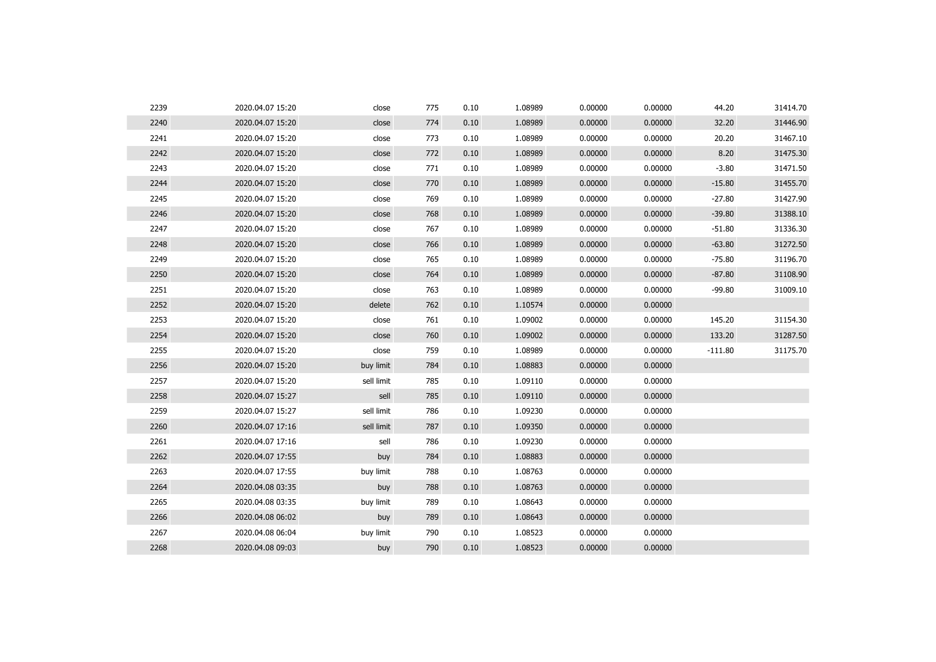| 2239 | 2020.04.07 15:20 | close      | 775 | 0.10 | 1.08989 | 0.00000 | 0.00000 | 44.20     | 31414.70 |
|------|------------------|------------|-----|------|---------|---------|---------|-----------|----------|
| 2240 | 2020.04.07 15:20 | close      | 774 | 0.10 | 1.08989 | 0.00000 | 0.00000 | 32.20     | 31446.90 |
| 2241 | 2020.04.07 15:20 | close      | 773 | 0.10 | 1.08989 | 0.00000 | 0.00000 | 20.20     | 31467.10 |
| 2242 | 2020.04.07 15:20 | close      | 772 | 0.10 | 1.08989 | 0.00000 | 0.00000 | 8.20      | 31475.30 |
| 2243 | 2020.04.07 15:20 | close      | 771 | 0.10 | 1.08989 | 0.00000 | 0.00000 | $-3.80$   | 31471.50 |
| 2244 | 2020.04.07 15:20 | close      | 770 | 0.10 | 1.08989 | 0.00000 | 0.00000 | $-15.80$  | 31455.70 |
| 2245 | 2020.04.07 15:20 | close      | 769 | 0.10 | 1.08989 | 0.00000 | 0.00000 | $-27.80$  | 31427.90 |
| 2246 | 2020.04.07 15:20 | close      | 768 | 0.10 | 1.08989 | 0.00000 | 0.00000 | $-39.80$  | 31388.10 |
| 2247 | 2020.04.07 15:20 | close      | 767 | 0.10 | 1.08989 | 0.00000 | 0.00000 | $-51.80$  | 31336.30 |
| 2248 | 2020.04.07 15:20 | close      | 766 | 0.10 | 1.08989 | 0.00000 | 0.00000 | $-63.80$  | 31272.50 |
| 2249 | 2020.04.07 15:20 | close      | 765 | 0.10 | 1.08989 | 0.00000 | 0.00000 | $-75.80$  | 31196.70 |
| 2250 | 2020.04.07 15:20 | close      | 764 | 0.10 | 1.08989 | 0.00000 | 0.00000 | $-87.80$  | 31108.90 |
| 2251 | 2020.04.07 15:20 | close      | 763 | 0.10 | 1.08989 | 0.00000 | 0.00000 | $-99.80$  | 31009.10 |
| 2252 | 2020.04.07 15:20 | delete     | 762 | 0.10 | 1.10574 | 0.00000 | 0.00000 |           |          |
| 2253 | 2020.04.07 15:20 | close      | 761 | 0.10 | 1.09002 | 0.00000 | 0.00000 | 145.20    | 31154.30 |
| 2254 | 2020.04.07 15:20 | close      | 760 | 0.10 | 1.09002 | 0.00000 | 0.00000 | 133.20    | 31287.50 |
| 2255 | 2020.04.07 15:20 | close      | 759 | 0.10 | 1.08989 | 0.00000 | 0.00000 | $-111.80$ | 31175.70 |
| 2256 | 2020.04.07 15:20 | buy limit  | 784 | 0.10 | 1.08883 | 0.00000 | 0.00000 |           |          |
| 2257 | 2020.04.07 15:20 | sell limit | 785 | 0.10 | 1.09110 | 0.00000 | 0.00000 |           |          |
| 2258 | 2020.04.07 15:27 | sell       | 785 | 0.10 | 1.09110 | 0.00000 | 0.00000 |           |          |
| 2259 | 2020.04.07 15:27 | sell limit | 786 | 0.10 | 1.09230 | 0.00000 | 0.00000 |           |          |
| 2260 | 2020.04.07 17:16 | sell limit | 787 | 0.10 | 1.09350 | 0.00000 | 0.00000 |           |          |
| 2261 | 2020.04.07 17:16 | sell       | 786 | 0.10 | 1.09230 | 0.00000 | 0.00000 |           |          |
| 2262 | 2020.04.07 17:55 | buy        | 784 | 0.10 | 1.08883 | 0.00000 | 0.00000 |           |          |
| 2263 | 2020.04.07 17:55 | buy limit  | 788 | 0.10 | 1.08763 | 0.00000 | 0.00000 |           |          |
| 2264 | 2020.04.08 03:35 | buy        | 788 | 0.10 | 1.08763 | 0.00000 | 0.00000 |           |          |
| 2265 | 2020.04.08 03:35 | buy limit  | 789 | 0.10 | 1.08643 | 0.00000 | 0.00000 |           |          |
| 2266 | 2020.04.08 06:02 | buy        | 789 | 0.10 | 1.08643 | 0.00000 | 0.00000 |           |          |
| 2267 | 2020.04.08 06:04 | buy limit  | 790 | 0.10 | 1.08523 | 0.00000 | 0.00000 |           |          |
| 2268 | 2020.04.08 09:03 | buy        | 790 | 0.10 | 1.08523 | 0.00000 | 0.00000 |           |          |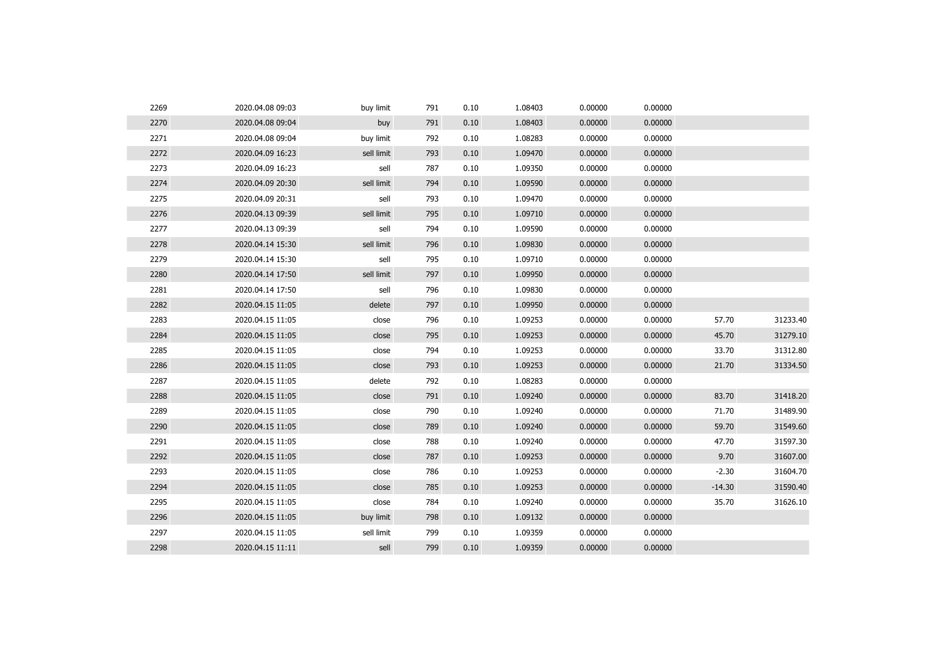| 2269 | 2020.04.08 09:03 | buy limit  | 791 | 0.10 | 1.08403 | 0.00000 | 0.00000 |          |          |
|------|------------------|------------|-----|------|---------|---------|---------|----------|----------|
| 2270 | 2020.04.08 09:04 | buy        | 791 | 0.10 | 1.08403 | 0.00000 | 0.00000 |          |          |
| 2271 | 2020.04.08 09:04 | buy limit  | 792 | 0.10 | 1.08283 | 0.00000 | 0.00000 |          |          |
| 2272 | 2020.04.09 16:23 | sell limit | 793 | 0.10 | 1.09470 | 0.00000 | 0.00000 |          |          |
| 2273 | 2020.04.09 16:23 | sell       | 787 | 0.10 | 1.09350 | 0.00000 | 0.00000 |          |          |
| 2274 | 2020.04.09 20:30 | sell limit | 794 | 0.10 | 1.09590 | 0.00000 | 0.00000 |          |          |
| 2275 | 2020.04.09 20:31 | sell       | 793 | 0.10 | 1.09470 | 0.00000 | 0.00000 |          |          |
| 2276 | 2020.04.13 09:39 | sell limit | 795 | 0.10 | 1.09710 | 0.00000 | 0.00000 |          |          |
| 2277 | 2020.04.13 09:39 | sell       | 794 | 0.10 | 1.09590 | 0.00000 | 0.00000 |          |          |
| 2278 | 2020.04.14 15:30 | sell limit | 796 | 0.10 | 1.09830 | 0.00000 | 0.00000 |          |          |
| 2279 | 2020.04.14 15:30 | sell       | 795 | 0.10 | 1.09710 | 0.00000 | 0.00000 |          |          |
| 2280 | 2020.04.14 17:50 | sell limit | 797 | 0.10 | 1.09950 | 0.00000 | 0.00000 |          |          |
| 2281 | 2020.04.14 17:50 | sell       | 796 | 0.10 | 1.09830 | 0.00000 | 0.00000 |          |          |
| 2282 | 2020.04.15 11:05 | delete     | 797 | 0.10 | 1.09950 | 0.00000 | 0.00000 |          |          |
| 2283 | 2020.04.15 11:05 | close      | 796 | 0.10 | 1.09253 | 0.00000 | 0.00000 | 57.70    | 31233.40 |
| 2284 | 2020.04.15 11:05 | close      | 795 | 0.10 | 1.09253 | 0.00000 | 0.00000 | 45.70    | 31279.10 |
| 2285 | 2020.04.15 11:05 | close      | 794 | 0.10 | 1.09253 | 0.00000 | 0.00000 | 33.70    | 31312.80 |
| 2286 | 2020.04.15 11:05 | close      | 793 | 0.10 | 1.09253 | 0.00000 | 0.00000 | 21.70    | 31334.50 |
| 2287 | 2020.04.15 11:05 | delete     | 792 | 0.10 | 1.08283 | 0.00000 | 0.00000 |          |          |
| 2288 | 2020.04.15 11:05 | close      | 791 | 0.10 | 1.09240 | 0.00000 | 0.00000 | 83.70    | 31418.20 |
| 2289 | 2020.04.15 11:05 | close      | 790 | 0.10 | 1.09240 | 0.00000 | 0.00000 | 71.70    | 31489.90 |
| 2290 | 2020.04.15 11:05 | close      | 789 | 0.10 | 1.09240 | 0.00000 | 0.00000 | 59.70    | 31549.60 |
| 2291 | 2020.04.15 11:05 | close      | 788 | 0.10 | 1.09240 | 0.00000 | 0.00000 | 47.70    | 31597.30 |
| 2292 | 2020.04.15 11:05 | close      | 787 | 0.10 | 1.09253 | 0.00000 | 0.00000 | 9.70     | 31607.00 |
| 2293 | 2020.04.15 11:05 | close      | 786 | 0.10 | 1.09253 | 0.00000 | 0.00000 | $-2.30$  | 31604.70 |
| 2294 | 2020.04.15 11:05 | close      | 785 | 0.10 | 1.09253 | 0.00000 | 0.00000 | $-14.30$ | 31590.40 |
| 2295 | 2020.04.15 11:05 | close      | 784 | 0.10 | 1.09240 | 0.00000 | 0.00000 | 35.70    | 31626.10 |
| 2296 | 2020.04.15 11:05 | buy limit  | 798 | 0.10 | 1.09132 | 0.00000 | 0.00000 |          |          |
| 2297 | 2020.04.15 11:05 | sell limit | 799 | 0.10 | 1.09359 | 0.00000 | 0.00000 |          |          |
| 2298 | 2020.04.15 11:11 | sell       | 799 | 0.10 | 1.09359 | 0.00000 | 0.00000 |          |          |
|      |                  |            |     |      |         |         |         |          |          |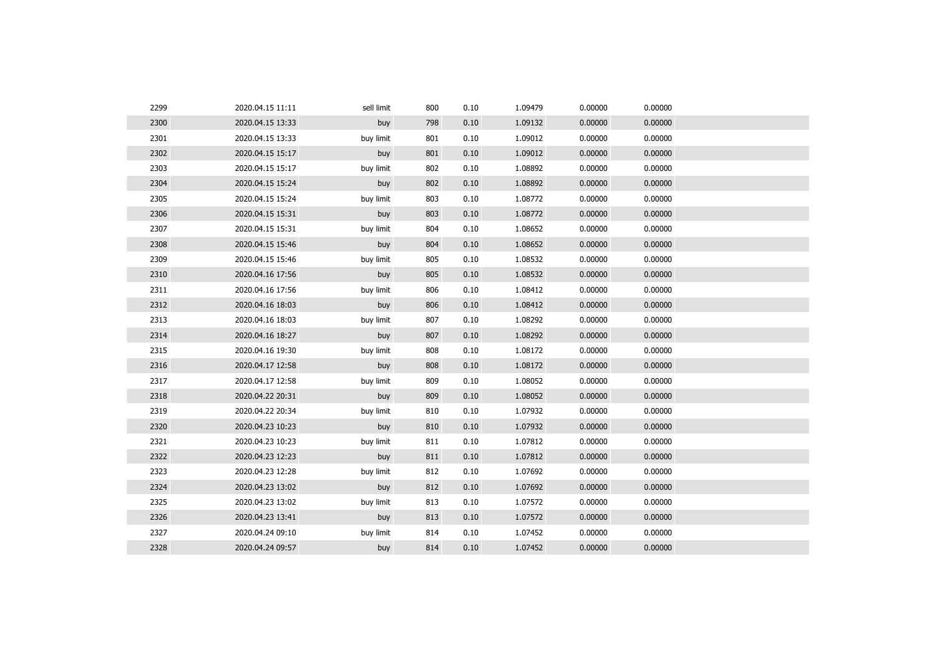| 2299 | 2020.04.15 11:11 | sell limit | 800 | 0.10 | 1.09479 | 0.00000 | 0.00000 |  |
|------|------------------|------------|-----|------|---------|---------|---------|--|
| 2300 | 2020.04.15 13:33 | buy        | 798 | 0.10 | 1.09132 | 0.00000 | 0.00000 |  |
| 2301 | 2020.04.15 13:33 | buy limit  | 801 | 0.10 | 1.09012 | 0.00000 | 0.00000 |  |
| 2302 | 2020.04.15 15:17 | buy        | 801 | 0.10 | 1.09012 | 0.00000 | 0.00000 |  |
| 2303 | 2020.04.15 15:17 | buy limit  | 802 | 0.10 | 1.08892 | 0.00000 | 0.00000 |  |
| 2304 | 2020.04.15 15:24 | buy        | 802 | 0.10 | 1.08892 | 0.00000 | 0.00000 |  |
| 2305 | 2020.04.15 15:24 | buy limit  | 803 | 0.10 | 1.08772 | 0.00000 | 0.00000 |  |
| 2306 | 2020.04.15 15:31 | buy        | 803 | 0.10 | 1.08772 | 0.00000 | 0.00000 |  |
| 2307 | 2020.04.15 15:31 | buy limit  | 804 | 0.10 | 1.08652 | 0.00000 | 0.00000 |  |
| 2308 | 2020.04.15 15:46 | buy        | 804 | 0.10 | 1.08652 | 0.00000 | 0.00000 |  |
| 2309 | 2020.04.15 15:46 | buy limit  | 805 | 0.10 | 1.08532 | 0.00000 | 0.00000 |  |
| 2310 | 2020.04.16 17:56 | buy        | 805 | 0.10 | 1.08532 | 0.00000 | 0.00000 |  |
| 2311 | 2020.04.16 17:56 | buy limit  | 806 | 0.10 | 1.08412 | 0.00000 | 0.00000 |  |
| 2312 | 2020.04.16 18:03 | buy        | 806 | 0.10 | 1.08412 | 0.00000 | 0.00000 |  |
| 2313 | 2020.04.16 18:03 | buy limit  | 807 | 0.10 | 1.08292 | 0.00000 | 0.00000 |  |
| 2314 | 2020.04.16 18:27 | buy        | 807 | 0.10 | 1.08292 | 0.00000 | 0.00000 |  |
| 2315 | 2020.04.16 19:30 | buy limit  | 808 | 0.10 | 1.08172 | 0.00000 | 0.00000 |  |
| 2316 | 2020.04.17 12:58 | buy        | 808 | 0.10 | 1.08172 | 0.00000 | 0.00000 |  |
| 2317 | 2020.04.17 12:58 | buy limit  | 809 | 0.10 | 1.08052 | 0.00000 | 0.00000 |  |
| 2318 | 2020.04.22 20:31 | buy        | 809 | 0.10 | 1.08052 | 0.00000 | 0.00000 |  |
| 2319 | 2020.04.22 20:34 | buy limit  | 810 | 0.10 | 1.07932 | 0.00000 | 0.00000 |  |
| 2320 | 2020.04.23 10:23 | buy        | 810 | 0.10 | 1.07932 | 0.00000 | 0.00000 |  |
| 2321 | 2020.04.23 10:23 | buy limit  | 811 | 0.10 | 1.07812 | 0.00000 | 0.00000 |  |
| 2322 | 2020.04.23 12:23 | buy        | 811 | 0.10 | 1.07812 | 0.00000 | 0.00000 |  |
| 2323 | 2020.04.23 12:28 | buy limit  | 812 | 0.10 | 1.07692 | 0.00000 | 0.00000 |  |
| 2324 | 2020.04.23 13:02 | buy        | 812 | 0.10 | 1.07692 | 0.00000 | 0.00000 |  |
| 2325 | 2020.04.23 13:02 | buy limit  | 813 | 0.10 | 1.07572 | 0.00000 | 0.00000 |  |
| 2326 | 2020.04.23 13:41 | buy        | 813 | 0.10 | 1.07572 | 0.00000 | 0.00000 |  |
| 2327 | 2020.04.24 09:10 | buy limit  | 814 | 0.10 | 1.07452 | 0.00000 | 0.00000 |  |
| 2328 | 2020.04.24 09:57 | buy        | 814 | 0.10 | 1.07452 | 0.00000 | 0.00000 |  |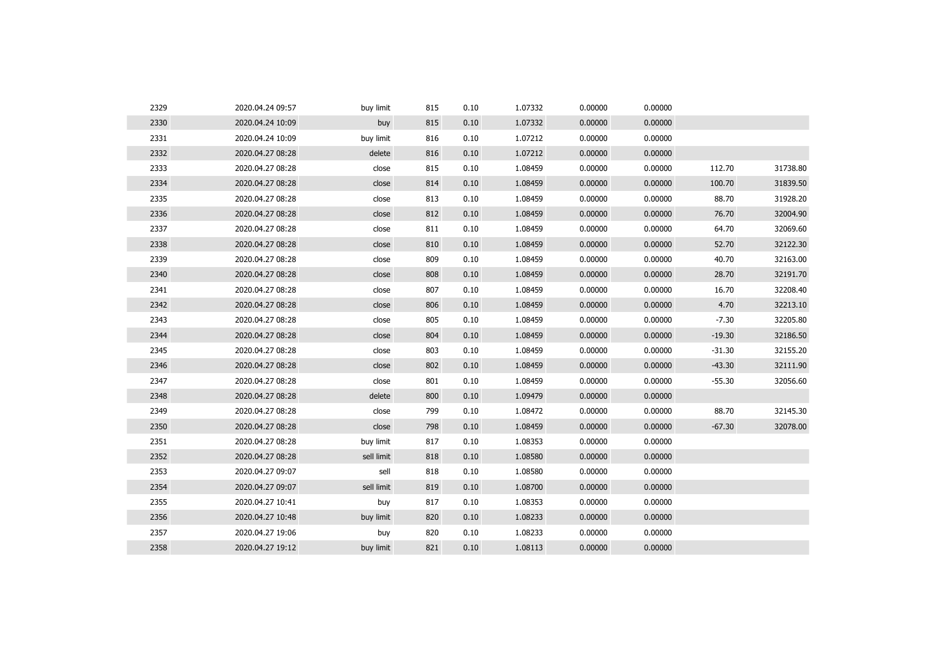| 2329 | 2020.04.24 09:57 | buy limit  | 815 | 0.10 | 1.07332 | 0.00000 | 0.00000 |          |          |
|------|------------------|------------|-----|------|---------|---------|---------|----------|----------|
| 2330 | 2020.04.24 10:09 | buy        | 815 | 0.10 | 1.07332 | 0.00000 | 0.00000 |          |          |
| 2331 | 2020.04.24 10:09 | buy limit  | 816 | 0.10 | 1.07212 | 0.00000 | 0.00000 |          |          |
| 2332 | 2020.04.27 08:28 | delete     | 816 | 0.10 | 1.07212 | 0.00000 | 0.00000 |          |          |
| 2333 | 2020.04.27 08:28 | close      | 815 | 0.10 | 1.08459 | 0.00000 | 0.00000 | 112.70   | 31738.80 |
| 2334 | 2020.04.27 08:28 | close      | 814 | 0.10 | 1.08459 | 0.00000 | 0.00000 | 100.70   | 31839.50 |
| 2335 | 2020.04.27 08:28 | close      | 813 | 0.10 | 1.08459 | 0.00000 | 0.00000 | 88.70    | 31928.20 |
| 2336 | 2020.04.27 08:28 | close      | 812 | 0.10 | 1.08459 | 0.00000 | 0.00000 | 76.70    | 32004.90 |
| 2337 | 2020.04.27 08:28 | close      | 811 | 0.10 | 1.08459 | 0.00000 | 0.00000 | 64.70    | 32069.60 |
| 2338 | 2020.04.27 08:28 | close      | 810 | 0.10 | 1.08459 | 0.00000 | 0.00000 | 52.70    | 32122.30 |
| 2339 | 2020.04.27 08:28 | close      | 809 | 0.10 | 1.08459 | 0.00000 | 0.00000 | 40.70    | 32163.00 |
| 2340 | 2020.04.27 08:28 | close      | 808 | 0.10 | 1.08459 | 0.00000 | 0.00000 | 28.70    | 32191.70 |
| 2341 | 2020.04.27 08:28 | close      | 807 | 0.10 | 1.08459 | 0.00000 | 0.00000 | 16.70    | 32208.40 |
| 2342 | 2020.04.27 08:28 | close      | 806 | 0.10 | 1.08459 | 0.00000 | 0.00000 | 4.70     | 32213.10 |
| 2343 | 2020.04.27 08:28 | close      | 805 | 0.10 | 1.08459 | 0.00000 | 0.00000 | $-7.30$  | 32205.80 |
| 2344 | 2020.04.27 08:28 | close      | 804 | 0.10 | 1.08459 | 0.00000 | 0.00000 | $-19.30$ | 32186.50 |
| 2345 | 2020.04.27 08:28 | close      | 803 | 0.10 | 1.08459 | 0.00000 | 0.00000 | $-31.30$ | 32155.20 |
| 2346 | 2020.04.27 08:28 | close      | 802 | 0.10 | 1.08459 | 0.00000 | 0.00000 | $-43.30$ | 32111.90 |
| 2347 | 2020.04.27 08:28 | close      | 801 | 0.10 | 1.08459 | 0.00000 | 0.00000 | $-55.30$ | 32056.60 |
| 2348 | 2020.04.27 08:28 | delete     | 800 | 0.10 | 1.09479 | 0.00000 | 0.00000 |          |          |
| 2349 | 2020.04.27 08:28 | close      | 799 | 0.10 | 1.08472 | 0.00000 | 0.00000 | 88.70    | 32145.30 |
| 2350 | 2020.04.27 08:28 | close      | 798 | 0.10 | 1.08459 | 0.00000 | 0.00000 | $-67.30$ | 32078.00 |
| 2351 | 2020.04.27 08:28 | buy limit  | 817 | 0.10 | 1.08353 | 0.00000 | 0.00000 |          |          |
| 2352 | 2020.04.27 08:28 | sell limit | 818 | 0.10 | 1.08580 | 0.00000 | 0.00000 |          |          |
| 2353 | 2020.04.27 09:07 | sell       | 818 | 0.10 | 1.08580 | 0.00000 | 0.00000 |          |          |
| 2354 | 2020.04.27 09:07 | sell limit | 819 | 0.10 | 1.08700 | 0.00000 | 0.00000 |          |          |
| 2355 | 2020.04.27 10:41 | buy        | 817 | 0.10 | 1.08353 | 0.00000 | 0.00000 |          |          |
| 2356 | 2020.04.27 10:48 | buy limit  | 820 | 0.10 | 1.08233 | 0.00000 | 0.00000 |          |          |
| 2357 | 2020.04.27 19:06 | buy        | 820 | 0.10 | 1.08233 | 0.00000 | 0.00000 |          |          |
| 2358 | 2020.04.27 19:12 | buy limit  | 821 | 0.10 | 1.08113 | 0.00000 | 0.00000 |          |          |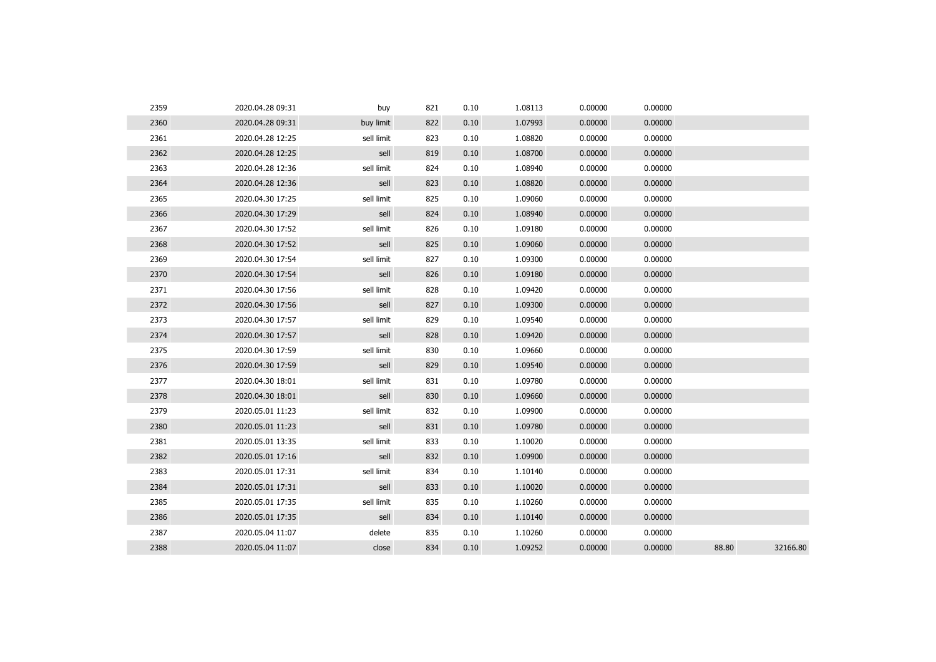| 2359 | 2020.04.28 09:31 | buy        | 821 | 0.10 | 1.08113 | 0.00000 | 0.00000 |       |          |
|------|------------------|------------|-----|------|---------|---------|---------|-------|----------|
| 2360 | 2020.04.28 09:31 | buy limit  | 822 | 0.10 | 1.07993 | 0.00000 | 0.00000 |       |          |
| 2361 | 2020.04.28 12:25 | sell limit | 823 | 0.10 | 1.08820 | 0.00000 | 0.00000 |       |          |
| 2362 | 2020.04.28 12:25 | sell       | 819 | 0.10 | 1.08700 | 0.00000 | 0.00000 |       |          |
| 2363 | 2020.04.28 12:36 | sell limit | 824 | 0.10 | 1.08940 | 0.00000 | 0.00000 |       |          |
| 2364 | 2020.04.28 12:36 | sell       | 823 | 0.10 | 1.08820 | 0.00000 | 0.00000 |       |          |
| 2365 | 2020.04.30 17:25 | sell limit | 825 | 0.10 | 1.09060 | 0.00000 | 0.00000 |       |          |
| 2366 | 2020.04.30 17:29 | sell       | 824 | 0.10 | 1.08940 | 0.00000 | 0.00000 |       |          |
| 2367 | 2020.04.30 17:52 | sell limit | 826 | 0.10 | 1.09180 | 0.00000 | 0.00000 |       |          |
| 2368 | 2020.04.30 17:52 | sell       | 825 | 0.10 | 1.09060 | 0.00000 | 0.00000 |       |          |
| 2369 | 2020.04.30 17:54 | sell limit | 827 | 0.10 | 1.09300 | 0.00000 | 0.00000 |       |          |
| 2370 | 2020.04.30 17:54 | sell       | 826 | 0.10 | 1.09180 | 0.00000 | 0.00000 |       |          |
| 2371 | 2020.04.30 17:56 | sell limit | 828 | 0.10 | 1.09420 | 0.00000 | 0.00000 |       |          |
| 2372 | 2020.04.30 17:56 | sell       | 827 | 0.10 | 1.09300 | 0.00000 | 0.00000 |       |          |
| 2373 | 2020.04.30 17:57 | sell limit | 829 | 0.10 | 1.09540 | 0.00000 | 0.00000 |       |          |
| 2374 | 2020.04.30 17:57 | sell       | 828 | 0.10 | 1.09420 | 0.00000 | 0.00000 |       |          |
| 2375 | 2020.04.30 17:59 | sell limit | 830 | 0.10 | 1.09660 | 0.00000 | 0.00000 |       |          |
| 2376 | 2020.04.30 17:59 | sell       | 829 | 0.10 | 1.09540 | 0.00000 | 0.00000 |       |          |
| 2377 | 2020.04.30 18:01 | sell limit | 831 | 0.10 | 1.09780 | 0.00000 | 0.00000 |       |          |
| 2378 | 2020.04.30 18:01 | sell       | 830 | 0.10 | 1.09660 | 0.00000 | 0.00000 |       |          |
| 2379 | 2020.05.01 11:23 | sell limit | 832 | 0.10 | 1.09900 | 0.00000 | 0.00000 |       |          |
| 2380 | 2020.05.01 11:23 | sell       | 831 | 0.10 | 1.09780 | 0.00000 | 0.00000 |       |          |
| 2381 | 2020.05.01 13:35 | sell limit | 833 | 0.10 | 1.10020 | 0.00000 | 0.00000 |       |          |
| 2382 | 2020.05.01 17:16 | sell       | 832 | 0.10 | 1.09900 | 0.00000 | 0.00000 |       |          |
| 2383 | 2020.05.01 17:31 | sell limit | 834 | 0.10 | 1.10140 | 0.00000 | 0.00000 |       |          |
| 2384 | 2020.05.01 17:31 | sell       | 833 | 0.10 | 1.10020 | 0.00000 | 0.00000 |       |          |
| 2385 | 2020.05.01 17:35 | sell limit | 835 | 0.10 | 1.10260 | 0.00000 | 0.00000 |       |          |
| 2386 | 2020.05.01 17:35 | sell       | 834 | 0.10 | 1.10140 | 0.00000 | 0.00000 |       |          |
| 2387 | 2020.05.04 11:07 | delete     | 835 | 0.10 | 1.10260 | 0.00000 | 0.00000 |       |          |
| 2388 | 2020.05.04 11:07 | close      | 834 | 0.10 | 1.09252 | 0.00000 | 0.00000 | 88.80 | 32166.80 |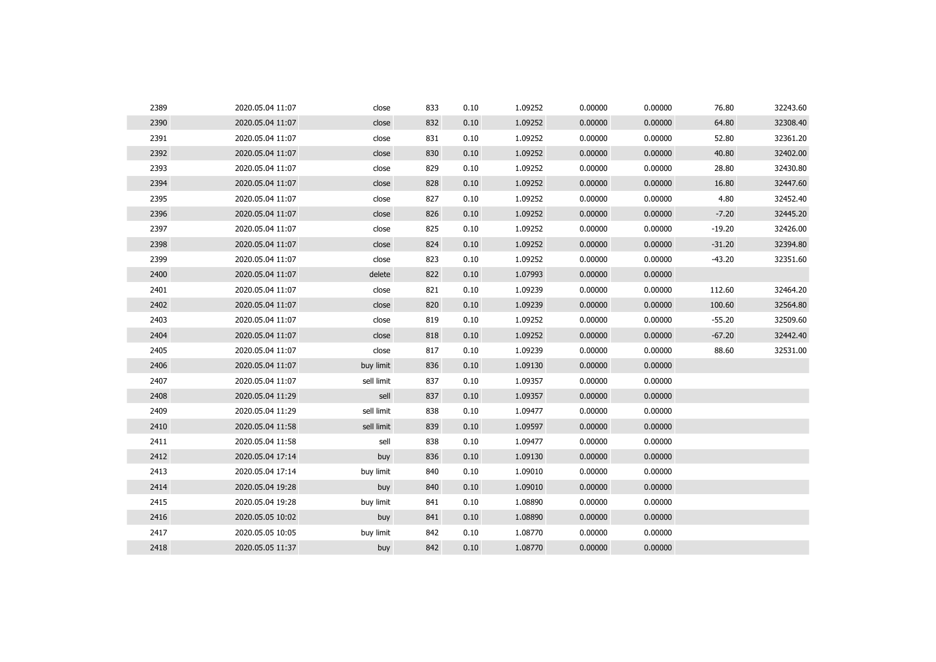| 2389 | 2020.05.04 11:07 | close      | 833 | 0.10 | 1.09252 | 0.00000 | 0.00000 | 76.80    | 32243.60 |
|------|------------------|------------|-----|------|---------|---------|---------|----------|----------|
| 2390 | 2020.05.04 11:07 | close      | 832 | 0.10 | 1.09252 | 0.00000 | 0.00000 | 64.80    | 32308.40 |
| 2391 | 2020.05.04 11:07 | close      | 831 | 0.10 | 1.09252 | 0.00000 | 0.00000 | 52.80    | 32361.20 |
| 2392 | 2020.05.04 11:07 | close      | 830 | 0.10 | 1.09252 | 0.00000 | 0.00000 | 40.80    | 32402.00 |
| 2393 | 2020.05.04 11:07 | close      | 829 | 0.10 | 1.09252 | 0.00000 | 0.00000 | 28.80    | 32430.80 |
| 2394 | 2020.05.04 11:07 | close      | 828 | 0.10 | 1.09252 | 0.00000 | 0.00000 | 16.80    | 32447.60 |
| 2395 | 2020.05.04 11:07 | close      | 827 | 0.10 | 1.09252 | 0.00000 | 0.00000 | 4.80     | 32452.40 |
| 2396 | 2020.05.04 11:07 | close      | 826 | 0.10 | 1.09252 | 0.00000 | 0.00000 | $-7.20$  | 32445.20 |
| 2397 | 2020.05.04 11:07 | close      | 825 | 0.10 | 1.09252 | 0.00000 | 0.00000 | $-19.20$ | 32426.00 |
| 2398 | 2020.05.04 11:07 | close      | 824 | 0.10 | 1.09252 | 0.00000 | 0.00000 | $-31.20$ | 32394.80 |
| 2399 | 2020.05.04 11:07 | close      | 823 | 0.10 | 1.09252 | 0.00000 | 0.00000 | $-43.20$ | 32351.60 |
| 2400 | 2020.05.04 11:07 | delete     | 822 | 0.10 | 1.07993 | 0.00000 | 0.00000 |          |          |
| 2401 | 2020.05.04 11:07 | close      | 821 | 0.10 | 1.09239 | 0.00000 | 0.00000 | 112.60   | 32464.20 |
| 2402 | 2020.05.04 11:07 | close      | 820 | 0.10 | 1.09239 | 0.00000 | 0.00000 | 100.60   | 32564.80 |
| 2403 | 2020.05.04 11:07 | close      | 819 | 0.10 | 1.09252 | 0.00000 | 0.00000 | $-55.20$ | 32509.60 |
| 2404 | 2020.05.04 11:07 | close      | 818 | 0.10 | 1.09252 | 0.00000 | 0.00000 | $-67.20$ | 32442.40 |
| 2405 | 2020.05.04 11:07 | close      | 817 | 0.10 | 1.09239 | 0.00000 | 0.00000 | 88.60    | 32531.00 |
| 2406 | 2020.05.04 11:07 | buy limit  | 836 | 0.10 | 1.09130 | 0.00000 | 0.00000 |          |          |
| 2407 | 2020.05.04 11:07 | sell limit | 837 | 0.10 | 1.09357 | 0.00000 | 0.00000 |          |          |
| 2408 | 2020.05.04 11:29 | sell       | 837 | 0.10 | 1.09357 | 0.00000 | 0.00000 |          |          |
| 2409 | 2020.05.04 11:29 | sell limit | 838 | 0.10 | 1.09477 | 0.00000 | 0.00000 |          |          |
| 2410 | 2020.05.04 11:58 | sell limit | 839 | 0.10 | 1.09597 | 0.00000 | 0.00000 |          |          |
| 2411 | 2020.05.04 11:58 | sell       | 838 | 0.10 | 1.09477 | 0.00000 | 0.00000 |          |          |
| 2412 | 2020.05.04 17:14 | buy        | 836 | 0.10 | 1.09130 | 0.00000 | 0.00000 |          |          |
| 2413 | 2020.05.04 17:14 | buy limit  | 840 | 0.10 | 1.09010 | 0.00000 | 0.00000 |          |          |
| 2414 | 2020.05.04 19:28 | buy        | 840 | 0.10 | 1.09010 | 0.00000 | 0.00000 |          |          |
| 2415 | 2020.05.04 19:28 | buy limit  | 841 | 0.10 | 1.08890 | 0.00000 | 0.00000 |          |          |
| 2416 | 2020.05.05 10:02 | buy        | 841 | 0.10 | 1.08890 | 0.00000 | 0.00000 |          |          |
| 2417 | 2020.05.05 10:05 | buy limit  | 842 | 0.10 | 1.08770 | 0.00000 | 0.00000 |          |          |
| 2418 | 2020.05.05 11:37 | buy        | 842 | 0.10 | 1.08770 | 0.00000 | 0.00000 |          |          |
|      |                  |            |     |      |         |         |         |          |          |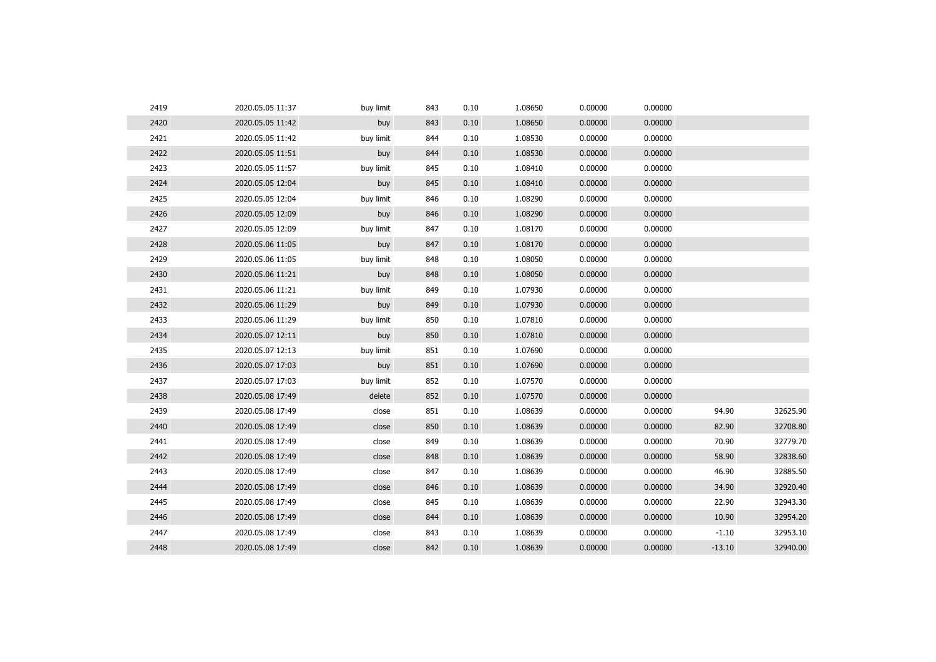| 2419 | 2020.05.05 11:37 | buy limit | 843 | 0.10 | 1.08650 | 0.00000 | 0.00000 |          |          |
|------|------------------|-----------|-----|------|---------|---------|---------|----------|----------|
| 2420 | 2020.05.05 11:42 | buy       | 843 | 0.10 | 1.08650 | 0.00000 | 0.00000 |          |          |
| 2421 | 2020.05.05 11:42 | buy limit | 844 | 0.10 | 1.08530 | 0.00000 | 0.00000 |          |          |
| 2422 | 2020.05.05 11:51 | buy       | 844 | 0.10 | 1.08530 | 0.00000 | 0.00000 |          |          |
| 2423 | 2020.05.05 11:57 | buy limit | 845 | 0.10 | 1.08410 | 0.00000 | 0.00000 |          |          |
| 2424 | 2020.05.05 12:04 | buy       | 845 | 0.10 | 1.08410 | 0.00000 | 0.00000 |          |          |
| 2425 | 2020.05.05 12:04 | buy limit | 846 | 0.10 | 1.08290 | 0.00000 | 0.00000 |          |          |
| 2426 | 2020.05.05 12:09 | buy       | 846 | 0.10 | 1.08290 | 0.00000 | 0.00000 |          |          |
| 2427 | 2020.05.05 12:09 | buy limit | 847 | 0.10 | 1.08170 | 0.00000 | 0.00000 |          |          |
| 2428 | 2020.05.06 11:05 | buy       | 847 | 0.10 | 1.08170 | 0.00000 | 0.00000 |          |          |
| 2429 | 2020.05.06 11:05 | buy limit | 848 | 0.10 | 1.08050 | 0.00000 | 0.00000 |          |          |
| 2430 | 2020.05.06 11:21 | buy       | 848 | 0.10 | 1.08050 | 0.00000 | 0.00000 |          |          |
| 2431 | 2020.05.06 11:21 | buy limit | 849 | 0.10 | 1.07930 | 0.00000 | 0.00000 |          |          |
| 2432 | 2020.05.06 11:29 | buy       | 849 | 0.10 | 1.07930 | 0.00000 | 0.00000 |          |          |
| 2433 | 2020.05.06 11:29 | buy limit | 850 | 0.10 | 1.07810 | 0.00000 | 0.00000 |          |          |
| 2434 | 2020.05.07 12:11 | buy       | 850 | 0.10 | 1.07810 | 0.00000 | 0.00000 |          |          |
| 2435 | 2020.05.07 12:13 | buy limit | 851 | 0.10 | 1.07690 | 0.00000 | 0.00000 |          |          |
| 2436 | 2020.05.07 17:03 | buy       | 851 | 0.10 | 1.07690 | 0.00000 | 0.00000 |          |          |
| 2437 | 2020.05.07 17:03 | buy limit | 852 | 0.10 | 1.07570 | 0.00000 | 0.00000 |          |          |
| 2438 | 2020.05.08 17:49 | delete    | 852 | 0.10 | 1.07570 | 0.00000 | 0.00000 |          |          |
| 2439 | 2020.05.08 17:49 | close     | 851 | 0.10 | 1.08639 | 0.00000 | 0.00000 | 94.90    | 32625.90 |
| 2440 | 2020.05.08 17:49 | close     | 850 | 0.10 | 1.08639 | 0.00000 | 0.00000 | 82.90    | 32708.80 |
| 2441 | 2020.05.08 17:49 | close     | 849 | 0.10 | 1.08639 | 0.00000 | 0.00000 | 70.90    | 32779.70 |
| 2442 | 2020.05.08 17:49 | close     | 848 | 0.10 | 1.08639 | 0.00000 | 0.00000 | 58.90    | 32838.60 |
| 2443 | 2020.05.08 17:49 | close     | 847 | 0.10 | 1.08639 | 0.00000 | 0.00000 | 46.90    | 32885.50 |
| 2444 | 2020.05.08 17:49 | close     | 846 | 0.10 | 1.08639 | 0.00000 | 0.00000 | 34.90    | 32920.40 |
| 2445 | 2020.05.08 17:49 | close     | 845 | 0.10 | 1.08639 | 0.00000 | 0.00000 | 22.90    | 32943.30 |
| 2446 | 2020.05.08 17:49 | close     | 844 | 0.10 | 1.08639 | 0.00000 | 0.00000 | 10.90    | 32954.20 |
| 2447 | 2020.05.08 17:49 | close     | 843 | 0.10 | 1.08639 | 0.00000 | 0.00000 | $-1.10$  | 32953.10 |
| 2448 | 2020.05.08 17:49 | close     | 842 | 0.10 | 1.08639 | 0.00000 | 0.00000 | $-13.10$ | 32940.00 |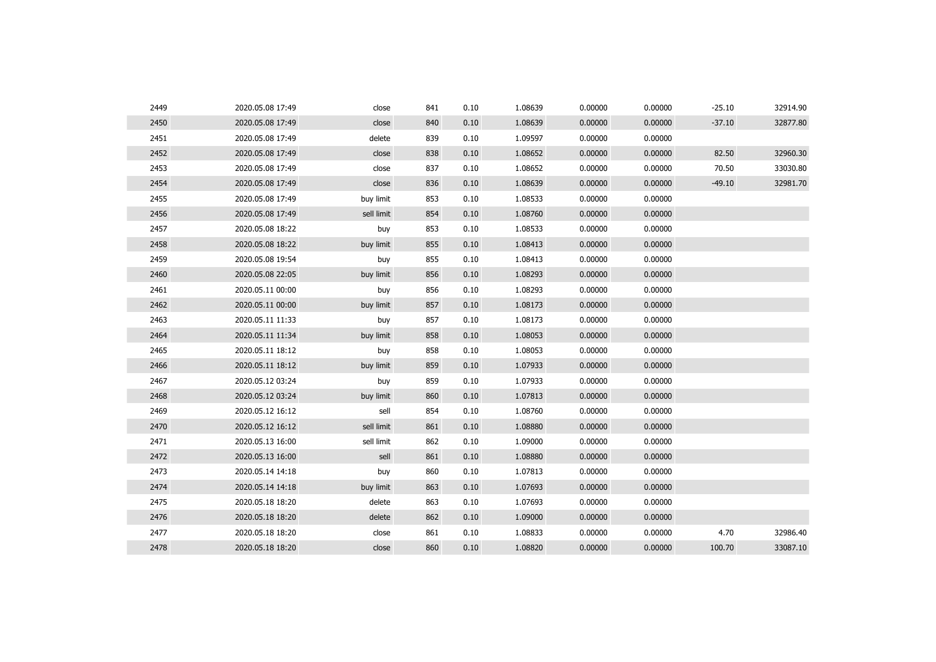| 2449 | 2020.05.08 17:49 | close      | 841 | 0.10 | 1.08639 | 0.00000 | 0.00000 | $-25.10$ | 32914.90 |
|------|------------------|------------|-----|------|---------|---------|---------|----------|----------|
| 2450 | 2020.05.08 17:49 | close      | 840 | 0.10 | 1.08639 | 0.00000 | 0.00000 | $-37.10$ | 32877.80 |
| 2451 | 2020.05.08 17:49 | delete     | 839 | 0.10 | 1.09597 | 0.00000 | 0.00000 |          |          |
| 2452 | 2020.05.08 17:49 | close      | 838 | 0.10 | 1.08652 | 0.00000 | 0.00000 | 82.50    | 32960.30 |
| 2453 | 2020.05.08 17:49 | close      | 837 | 0.10 | 1.08652 | 0.00000 | 0.00000 | 70.50    | 33030.80 |
| 2454 | 2020.05.08 17:49 | close      | 836 | 0.10 | 1.08639 | 0.00000 | 0.00000 | $-49.10$ | 32981.70 |
| 2455 | 2020.05.08 17:49 | buy limit  | 853 | 0.10 | 1.08533 | 0.00000 | 0.00000 |          |          |
| 2456 | 2020.05.08 17:49 | sell limit | 854 | 0.10 | 1.08760 | 0.00000 | 0.00000 |          |          |
| 2457 | 2020.05.08 18:22 | buy        | 853 | 0.10 | 1.08533 | 0.00000 | 0.00000 |          |          |
| 2458 | 2020.05.08 18:22 | buy limit  | 855 | 0.10 | 1.08413 | 0.00000 | 0.00000 |          |          |
| 2459 | 2020.05.08 19:54 | buy        | 855 | 0.10 | 1.08413 | 0.00000 | 0.00000 |          |          |
| 2460 | 2020.05.08 22:05 | buy limit  | 856 | 0.10 | 1.08293 | 0.00000 | 0.00000 |          |          |
| 2461 | 2020.05.11 00:00 | buy        | 856 | 0.10 | 1.08293 | 0.00000 | 0.00000 |          |          |
| 2462 | 2020.05.11 00:00 | buy limit  | 857 | 0.10 | 1.08173 | 0.00000 | 0.00000 |          |          |
| 2463 | 2020.05.11 11:33 | buy        | 857 | 0.10 | 1.08173 | 0.00000 | 0.00000 |          |          |
| 2464 | 2020.05.11 11:34 | buy limit  | 858 | 0.10 | 1.08053 | 0.00000 | 0.00000 |          |          |
| 2465 | 2020.05.11 18:12 | buy        | 858 | 0.10 | 1.08053 | 0.00000 | 0.00000 |          |          |
| 2466 | 2020.05.11 18:12 | buy limit  | 859 | 0.10 | 1.07933 | 0.00000 | 0.00000 |          |          |
| 2467 | 2020.05.12 03:24 | buy        | 859 | 0.10 | 1.07933 | 0.00000 | 0.00000 |          |          |
| 2468 | 2020.05.12 03:24 | buy limit  | 860 | 0.10 | 1.07813 | 0.00000 | 0.00000 |          |          |
| 2469 | 2020.05.12 16:12 | sell       | 854 | 0.10 | 1.08760 | 0.00000 | 0.00000 |          |          |
| 2470 | 2020.05.12 16:12 | sell limit | 861 | 0.10 | 1.08880 | 0.00000 | 0.00000 |          |          |
| 2471 | 2020.05.13 16:00 | sell limit | 862 | 0.10 | 1.09000 | 0.00000 | 0.00000 |          |          |
| 2472 | 2020.05.13 16:00 | sell       | 861 | 0.10 | 1.08880 | 0.00000 | 0.00000 |          |          |
| 2473 | 2020.05.14 14:18 | buy        | 860 | 0.10 | 1.07813 | 0.00000 | 0.00000 |          |          |
| 2474 | 2020.05.14 14:18 | buy limit  | 863 | 0.10 | 1.07693 | 0.00000 | 0.00000 |          |          |
| 2475 | 2020.05.18 18:20 | delete     | 863 | 0.10 | 1.07693 | 0.00000 | 0.00000 |          |          |
| 2476 | 2020.05.18 18:20 | delete     | 862 | 0.10 | 1.09000 | 0.00000 | 0.00000 |          |          |
| 2477 | 2020.05.18 18:20 | close      | 861 | 0.10 | 1.08833 | 0.00000 | 0.00000 | 4.70     | 32986.40 |
| 2478 | 2020.05.18 18:20 | close      | 860 | 0.10 | 1.08820 | 0.00000 | 0.00000 | 100.70   | 33087.10 |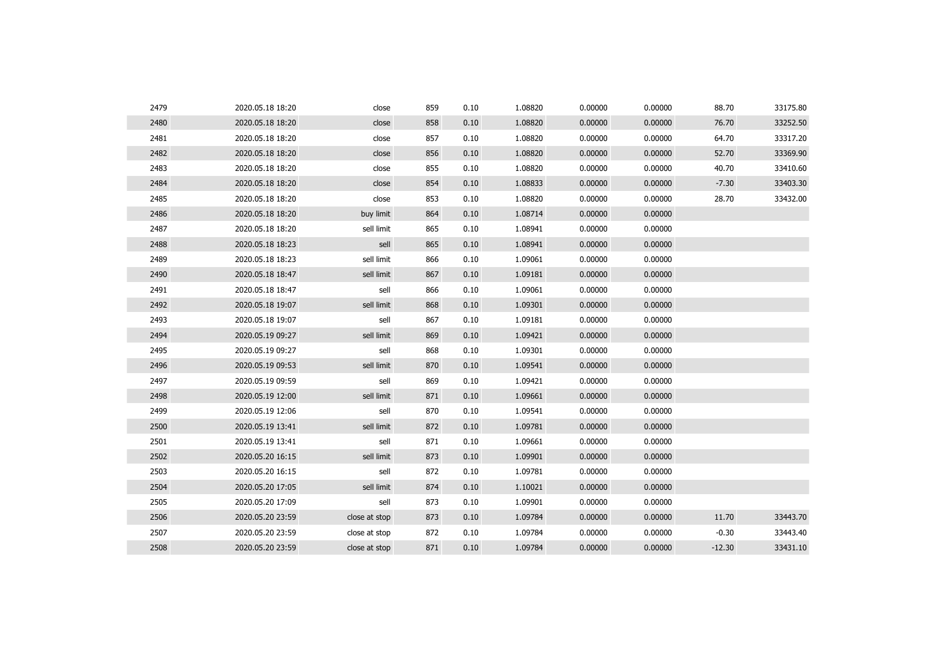| 2479 | 2020.05.18 18:20 | close         | 859 | 0.10 | 1.08820 | 0.00000 | 0.00000 | 88.70    | 33175.80 |
|------|------------------|---------------|-----|------|---------|---------|---------|----------|----------|
| 2480 | 2020.05.18 18:20 | close         | 858 | 0.10 | 1.08820 | 0.00000 | 0.00000 | 76.70    | 33252.50 |
| 2481 | 2020.05.18 18:20 | close         | 857 | 0.10 | 1.08820 | 0.00000 | 0.00000 | 64.70    | 33317.20 |
| 2482 | 2020.05.18 18:20 | close         | 856 | 0.10 | 1.08820 | 0.00000 | 0.00000 | 52.70    | 33369.90 |
| 2483 | 2020.05.18 18:20 | close         | 855 | 0.10 | 1.08820 | 0.00000 | 0.00000 | 40.70    | 33410.60 |
| 2484 | 2020.05.18 18:20 | close         | 854 | 0.10 | 1.08833 | 0.00000 | 0.00000 | $-7.30$  | 33403.30 |
| 2485 | 2020.05.18 18:20 | close         | 853 | 0.10 | 1.08820 | 0.00000 | 0.00000 | 28.70    | 33432.00 |
| 2486 | 2020.05.18 18:20 | buy limit     | 864 | 0.10 | 1.08714 | 0.00000 | 0.00000 |          |          |
| 2487 | 2020.05.18 18:20 | sell limit    | 865 | 0.10 | 1.08941 | 0.00000 | 0.00000 |          |          |
| 2488 | 2020.05.18 18:23 | sell          | 865 | 0.10 | 1.08941 | 0.00000 | 0.00000 |          |          |
| 2489 | 2020.05.18 18:23 | sell limit    | 866 | 0.10 | 1.09061 | 0.00000 | 0.00000 |          |          |
| 2490 | 2020.05.18 18:47 | sell limit    | 867 | 0.10 | 1.09181 | 0.00000 | 0.00000 |          |          |
| 2491 | 2020.05.18 18:47 | sell          | 866 | 0.10 | 1.09061 | 0.00000 | 0.00000 |          |          |
| 2492 | 2020.05.18 19:07 | sell limit    | 868 | 0.10 | 1.09301 | 0.00000 | 0.00000 |          |          |
| 2493 | 2020.05.18 19:07 | sell          | 867 | 0.10 | 1.09181 | 0.00000 | 0.00000 |          |          |
| 2494 | 2020.05.19 09:27 | sell limit    | 869 | 0.10 | 1.09421 | 0.00000 | 0.00000 |          |          |
| 2495 | 2020.05.19 09:27 | sell          | 868 | 0.10 | 1.09301 | 0.00000 | 0.00000 |          |          |
| 2496 | 2020.05.19 09:53 | sell limit    | 870 | 0.10 | 1.09541 | 0.00000 | 0.00000 |          |          |
| 2497 | 2020.05.19 09:59 | sell          | 869 | 0.10 | 1.09421 | 0.00000 | 0.00000 |          |          |
| 2498 | 2020.05.19 12:00 | sell limit    | 871 | 0.10 | 1.09661 | 0.00000 | 0.00000 |          |          |
| 2499 | 2020.05.19 12:06 | sell          | 870 | 0.10 | 1.09541 | 0.00000 | 0.00000 |          |          |
| 2500 | 2020.05.19 13:41 | sell limit    | 872 | 0.10 | 1.09781 | 0.00000 | 0.00000 |          |          |
| 2501 | 2020.05.19 13:41 | sell          | 871 | 0.10 | 1.09661 | 0.00000 | 0.00000 |          |          |
| 2502 | 2020.05.20 16:15 | sell limit    | 873 | 0.10 | 1.09901 | 0.00000 | 0.00000 |          |          |
| 2503 | 2020.05.20 16:15 | sell          | 872 | 0.10 | 1.09781 | 0.00000 | 0.00000 |          |          |
| 2504 | 2020.05.20 17:05 | sell limit    | 874 | 0.10 | 1.10021 | 0.00000 | 0.00000 |          |          |
| 2505 | 2020.05.20 17:09 | sell          | 873 | 0.10 | 1.09901 | 0.00000 | 0.00000 |          |          |
| 2506 | 2020.05.20 23:59 | close at stop | 873 | 0.10 | 1.09784 | 0.00000 | 0.00000 | 11.70    | 33443.70 |
| 2507 | 2020.05.20 23:59 | close at stop | 872 | 0.10 | 1.09784 | 0.00000 | 0.00000 | $-0.30$  | 33443.40 |
| 2508 | 2020.05.20 23:59 | close at stop | 871 | 0.10 | 1.09784 | 0.00000 | 0.00000 | $-12.30$ | 33431.10 |